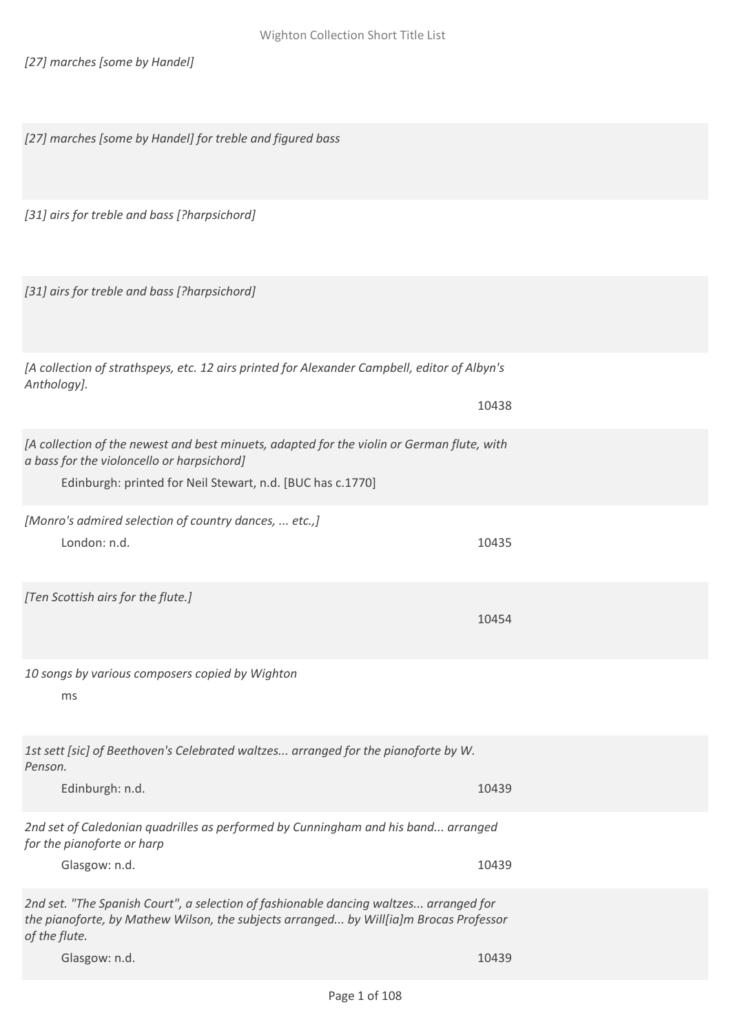*[27] marches [some by Handel]*

*[27] marches [some by Handel] for treble and figured bass*

*[31] airs for treble and bass [?harpsichord]*

*[31] airs for treble and bass [?harpsichord]*

*[A collection of strathspeys, etc. 12 airs printed for Alexander Campbell, editor of Albyn's Anthology].* 10438

*[A collection of the newest and best minuets, adapted for the violin or German flute, with a bass for the violoncello or harpsichord]*

Edinburgh: printed for Neil Stewart, n.d. [BUC has c.1770]

*[Monro's admired selection of country dances, ... etc.,]* London: n.d. 10435

*[Ten Scottish airs for the flute.]*

*10 songs by various composers copied by Wighton*

ms

*1st sett [sic] of Beethoven's Celebrated waltzes... arranged for the pianoforte by W. Penson.*

Edinburgh: n.d. 10439

*2nd set of Caledonian quadrilles as performed by Cunningham and his band... arranged for the pianoforte or harp*

Glasgow: n.d. 10439

*2nd set. "The Spanish Court", a selection of fashionable dancing waltzes... arranged for the pianoforte, by Mathew Wilson, the subjects arranged... by Will[ia]m Brocas Professor of the flute.*

Glasgow: n.d. 10439

10454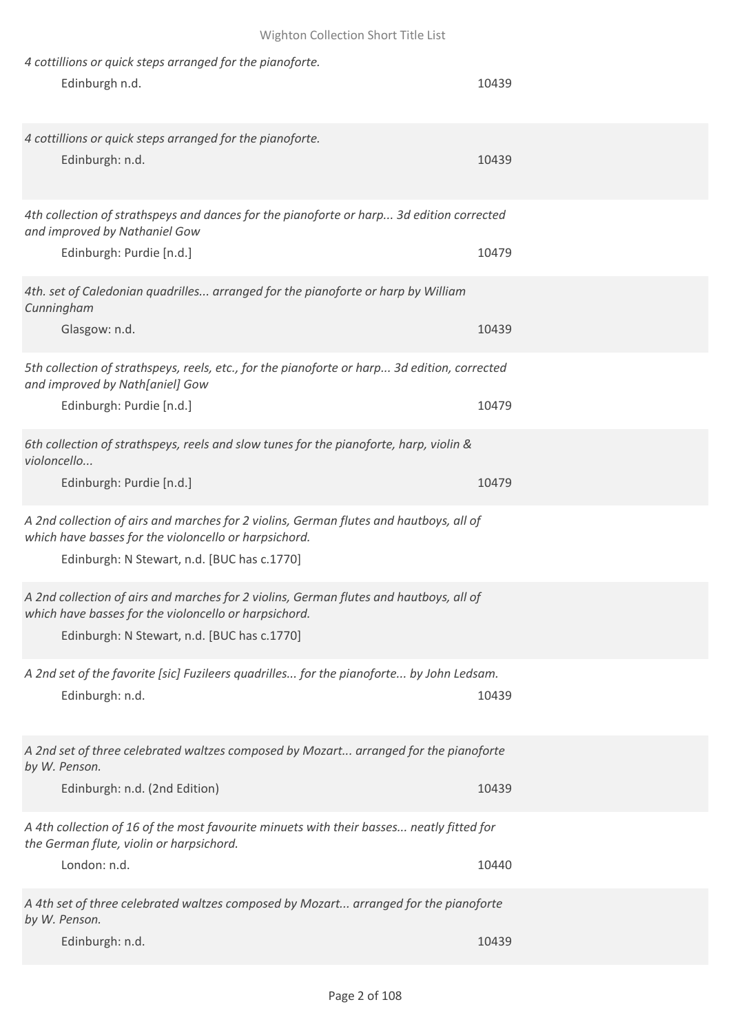| 4 cottillions or quick steps arranged for the pianoforte.                                                                                                                                      |       |
|------------------------------------------------------------------------------------------------------------------------------------------------------------------------------------------------|-------|
| Edinburgh n.d.                                                                                                                                                                                 | 10439 |
|                                                                                                                                                                                                |       |
| 4 cottillions or quick steps arranged for the pianoforte.                                                                                                                                      |       |
| Edinburgh: n.d.                                                                                                                                                                                | 10439 |
|                                                                                                                                                                                                |       |
| 4th collection of strathspeys and dances for the pianoforte or harp 3d edition corrected<br>and improved by Nathaniel Gow                                                                      |       |
| Edinburgh: Purdie [n.d.]                                                                                                                                                                       | 10479 |
| 4th. set of Caledonian quadrilles arranged for the pianoforte or harp by William<br>Cunningham                                                                                                 |       |
| Glasgow: n.d.                                                                                                                                                                                  | 10439 |
| 5th collection of strathspeys, reels, etc., for the pianoforte or harp 3d edition, corrected<br>and improved by Nath[aniel] Gow                                                                |       |
| Edinburgh: Purdie [n.d.]                                                                                                                                                                       | 10479 |
| 6th collection of strathspeys, reels and slow tunes for the pianoforte, harp, violin &<br>violoncello                                                                                          |       |
| Edinburgh: Purdie [n.d.]                                                                                                                                                                       | 10479 |
| A 2nd collection of airs and marches for 2 violins, German flutes and hautboys, all of<br>which have basses for the violoncello or harpsichord.<br>Edinburgh: N Stewart, n.d. [BUC has c.1770] |       |
| A 2nd collection of airs and marches for 2 violins, German flutes and hautboys, all of<br>which have basses for the violoncello or harpsichord.<br>Edinburgh: N Stewart, n.d. [BUC has c.1770] |       |
| A 2nd set of the favorite [sic] Fuzileers quadrilles for the pianoforte by John Ledsam.                                                                                                        |       |
| Edinburgh: n.d.                                                                                                                                                                                | 10439 |
| A 2nd set of three celebrated waltzes composed by Mozart arranged for the pianoforte<br>by W. Penson.                                                                                          |       |
| Edinburgh: n.d. (2nd Edition)                                                                                                                                                                  | 10439 |
| A 4th collection of 16 of the most favourite minuets with their basses neatly fitted for<br>the German flute, violin or harpsichord.                                                           |       |
| London: n.d.                                                                                                                                                                                   | 10440 |
| A 4th set of three celebrated waltzes composed by Mozart arranged for the pianoforte<br>by W. Penson.                                                                                          |       |
| Edinburgh: n.d.                                                                                                                                                                                | 10439 |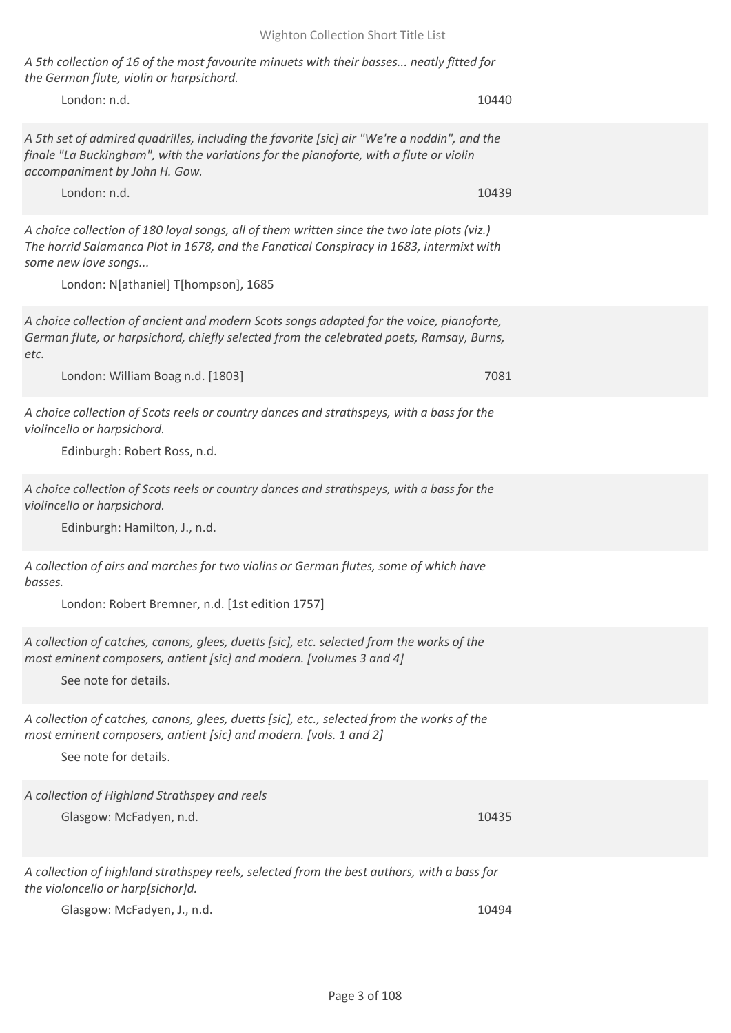*A 5th collection of 16 of the most favourite minuets with their basses... neatly fitted for the German flute, violin or harpsichord.*

London: n.d. 10440

*A 5th set of admired quadrilles, including the favorite [sic] air "We're a noddin", and the finale "La Buckingham", with the variations for the pianoforte, with a flute or violin accompaniment by John H. Gow.*

London: n.d. 10439

*A choice collection of 180 loyal songs, all of them written since the two late plots (viz.) The horrid Salamanca Plot in 1678, and the Fanatical Conspiracy in 1683, intermixt with some new love songs...*

London: N[athaniel] T[hompson], 1685

*A choice collection of ancient and modern Scots songs adapted for the voice, pianoforte, German flute, or harpsichord, chiefly selected from the celebrated poets, Ramsay, Burns, etc.*

London: William Boag n.d. [1803] 7081

*A choice collection of Scots reels or country dances and strathspeys, with a bass for the violincello or harpsichord.*

Edinburgh: Robert Ross, n.d.

*A choice collection of Scots reels or country dances and strathspeys, with a bass for the violincello or harpsichord.*

Edinburgh: Hamilton, J., n.d.

*A collection of airs and marches for two violins or German flutes, some of which have basses.*

London: Robert Bremner, n.d. [1st edition 1757]

*A collection of catches, canons, glees, duetts [sic], etc. selected from the works of the most eminent composers, antient [sic] and modern. [volumes 3 and 4]*

See note for details.

*A collection of catches, canons, glees, duetts [sic], etc., selected from the works of the most eminent composers, antient [sic] and modern. [vols. 1 and 2]*

See note for details.

*A collection of Highland Strathspey and reels*

Glasgow: McFadyen, n.d. 10435

*A collection of highland strathspey reels, selected from the best authors, with a bass for the violoncello or harp[sichor]d.*

Glasgow: McFadyen, J., n.d. 10494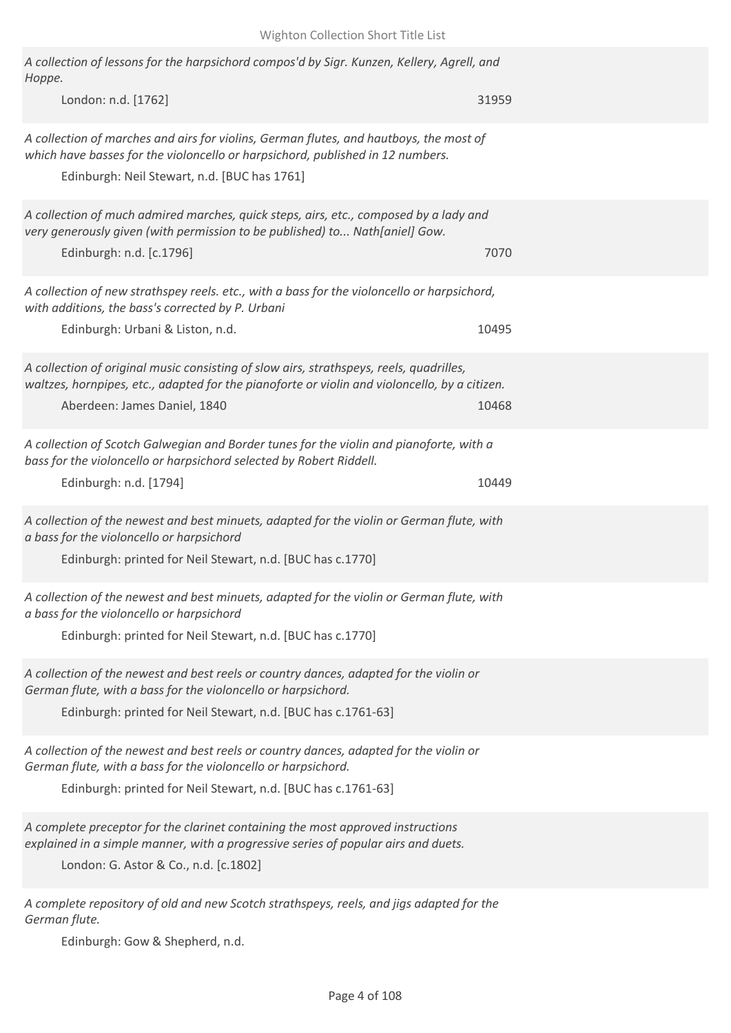| A collection of lessons for the harpsichord compos'd by Sigr. Kunzen, Kellery, Agrell, and<br>Hoppe.                                                                                                                     |       |
|--------------------------------------------------------------------------------------------------------------------------------------------------------------------------------------------------------------------------|-------|
| London: n.d. [1762]                                                                                                                                                                                                      | 31959 |
| A collection of marches and airs for violins, German flutes, and hautboys, the most of<br>which have basses for the violoncello or harpsichord, published in 12 numbers.<br>Edinburgh: Neil Stewart, n.d. [BUC has 1761] |       |
| A collection of much admired marches, quick steps, airs, etc., composed by a lady and<br>very generously given (with permission to be published) to Nath[aniel] Gow.<br>Edinburgh: n.d. [c.1796]                         | 7070  |
| A collection of new strathspey reels. etc., with a bass for the violoncello or harpsichord,<br>with additions, the bass's corrected by P. Urbani<br>Edinburgh: Urbani & Liston, n.d.                                     | 10495 |
| A collection of original music consisting of slow airs, strathspeys, reels, quadrilles,<br>waltzes, hornpipes, etc., adapted for the pianoforte or violin and violoncello, by a citizen.<br>Aberdeen: James Daniel, 1840 | 10468 |
| A collection of Scotch Galwegian and Border tunes for the violin and pianoforte, with a<br>bass for the violoncello or harpsichord selected by Robert Riddell.<br>Edinburgh: n.d. [1794]                                 | 10449 |
| A collection of the newest and best minuets, adapted for the violin or German flute, with<br>a bass for the violoncello or harpsichord<br>Edinburgh: printed for Neil Stewart, n.d. [BUC has c.1770]                     |       |
| A collection of the newest and best minuets, adapted for the violin or German flute, with<br>a bass for the violoncello or harpsichord<br>Edinburgh: printed for Neil Stewart, n.d. [BUC has c.1770]                     |       |
| A collection of the newest and best reels or country dances, adapted for the violin or<br>German flute, with a bass for the violoncello or harpsichord.<br>Edinburgh: printed for Neil Stewart, n.d. [BUC has c.1761-63] |       |
| A collection of the newest and best reels or country dances, adapted for the violin or<br>German flute, with a bass for the violoncello or harpsichord.<br>Edinburgh: printed for Neil Stewart, n.d. [BUC has c.1761-63] |       |
| A complete preceptor for the clarinet containing the most approved instructions<br>explained in a simple manner, with a progressive series of popular airs and duets.<br>London: G. Astor & Co., n.d. [c.1802]           |       |
| A complete repository of old and new Scotch strathspeys, reels, and jigs adapted for the<br>German flute.                                                                                                                |       |

Edinburgh: Gow & Shepherd, n.d.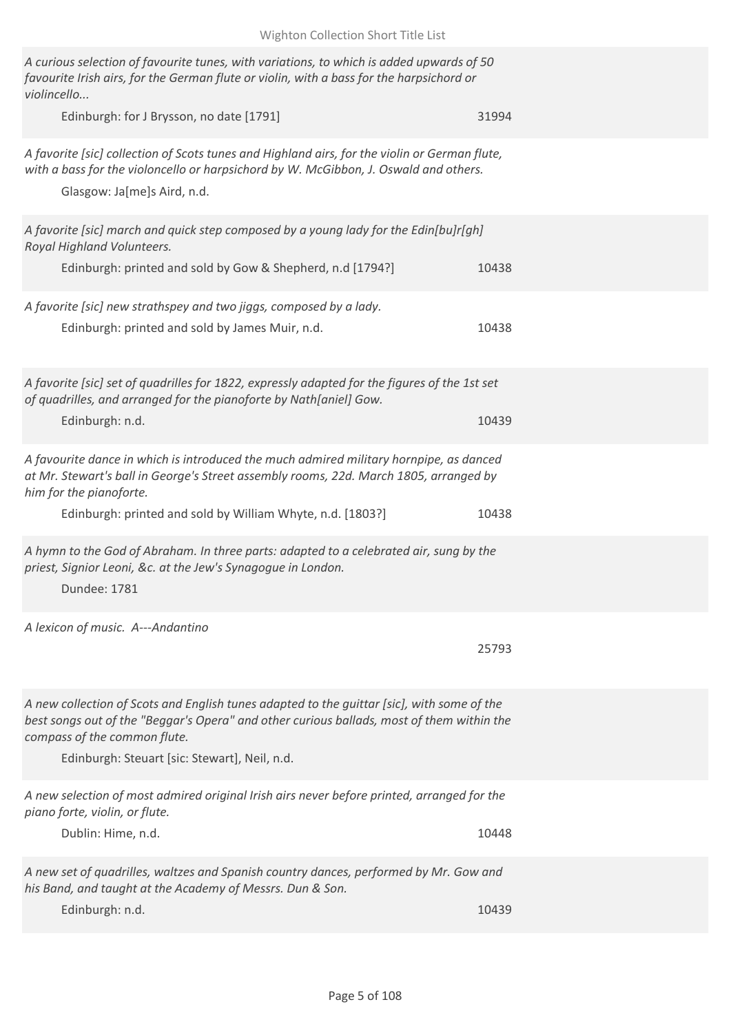| Wighton Collection Short Title List                                                                                                                                                                                     |       |
|-------------------------------------------------------------------------------------------------------------------------------------------------------------------------------------------------------------------------|-------|
| A curious selection of favourite tunes, with variations, to which is added upwards of 50<br>favourite Irish airs, for the German flute or violin, with a bass for the harpsichord or<br>violincello                     |       |
| Edinburgh: for J Brysson, no date [1791]                                                                                                                                                                                | 31994 |
| A favorite [sic] collection of Scots tunes and Highland airs, for the violin or German flute,<br>with a bass for the violoncello or harpsichord by W. McGibbon, J. Oswald and others.<br>Glasgow: Ja[me]s Aird, n.d.    |       |
| A favorite [sic] march and quick step composed by a young lady for the Edin[bu]r[gh]<br>Royal Highland Volunteers.                                                                                                      |       |
| Edinburgh: printed and sold by Gow & Shepherd, n.d [1794?]                                                                                                                                                              | 10438 |
| A favorite [sic] new strathspey and two jiggs, composed by a lady.                                                                                                                                                      |       |
| Edinburgh: printed and sold by James Muir, n.d.                                                                                                                                                                         | 10438 |
| A favorite [sic] set of quadrilles for 1822, expressly adapted for the figures of the 1st set<br>of quadrilles, and arranged for the pianoforte by Nath[aniel] Gow.                                                     |       |
| Edinburgh: n.d.                                                                                                                                                                                                         | 10439 |
| A favourite dance in which is introduced the much admired military hornpipe, as danced<br>at Mr. Stewart's ball in George's Street assembly rooms, 22d. March 1805, arranged by<br>him for the pianoforte.              |       |
| Edinburgh: printed and sold by William Whyte, n.d. [1803?]                                                                                                                                                              | 10438 |
| A hymn to the God of Abraham. In three parts: adapted to a celebrated air, sung by the<br>priest, Signior Leoni, &c. at the Jew's Synagogue in London.<br>Dundee: 1781                                                  |       |
| A lexicon of music. A---Andantino                                                                                                                                                                                       | 25793 |
| A new collection of Scots and English tunes adapted to the guittar [sic], with some of the<br>best songs out of the "Beggar's Opera" and other curious ballads, most of them within the<br>compass of the common flute. |       |
| Edinburgh: Steuart [sic: Stewart], Neil, n.d.                                                                                                                                                                           |       |
| A new selection of most admired original Irish airs never before printed, arranged for the<br>piano forte, violin, or flute.                                                                                            |       |
| Dublin: Hime, n.d.                                                                                                                                                                                                      | 10448 |
| A new set of quadrilles, waltzes and Spanish country dances, performed by Mr. Gow and<br>his Band, and taught at the Academy of Messrs. Dun & Son.                                                                      |       |
| Edinburgh: n.d.                                                                                                                                                                                                         | 10439 |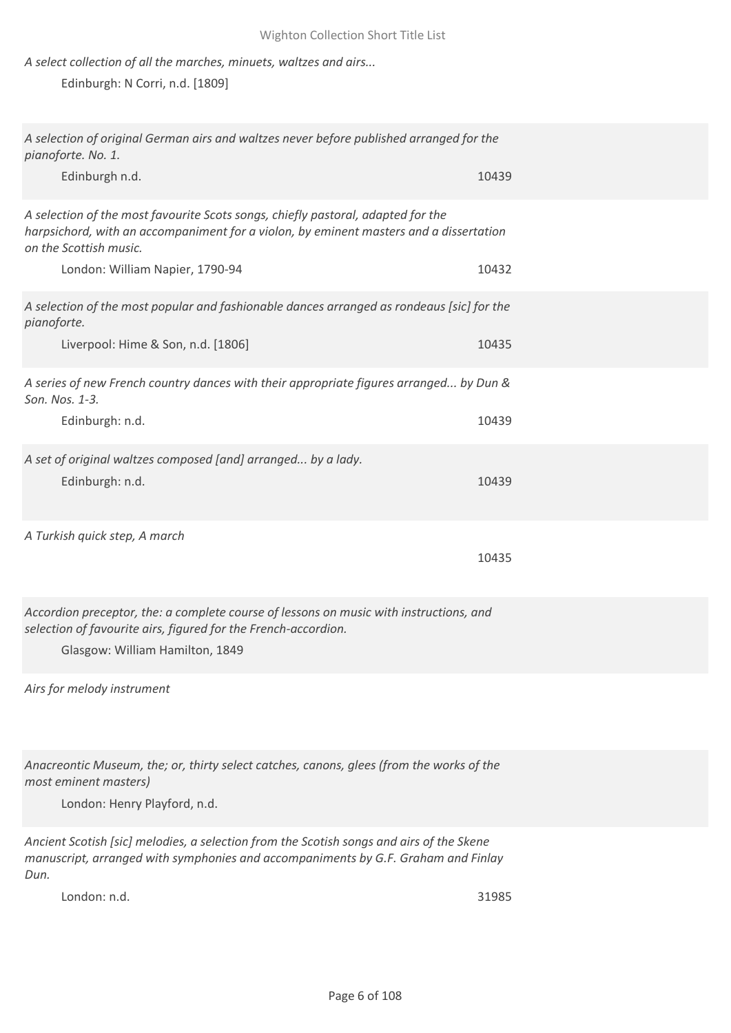## *A select collection of all the marches, minuets, waltzes and airs...*

Edinburgh: N Corri, n.d. [1809]

| A selection of original German airs and waltzes never before published arranged for the<br>pianoforte. No. 1.                                                                                        |       |
|------------------------------------------------------------------------------------------------------------------------------------------------------------------------------------------------------|-------|
| Edinburgh n.d.                                                                                                                                                                                       | 10439 |
| A selection of the most favourite Scots songs, chiefly pastoral, adapted for the<br>harpsichord, with an accompaniment for a violon, by eminent masters and a dissertation<br>on the Scottish music. |       |
| London: William Napier, 1790-94                                                                                                                                                                      | 10432 |
| A selection of the most popular and fashionable dances arranged as rondeaus [sic] for the<br>pianoforte.                                                                                             |       |
| Liverpool: Hime & Son, n.d. [1806]                                                                                                                                                                   | 10435 |
| A series of new French country dances with their appropriate figures arranged by Dun &<br>Son. Nos. 1-3.                                                                                             |       |
| Edinburgh: n.d.                                                                                                                                                                                      | 10439 |
| A set of original waltzes composed [and] arranged by a lady.<br>Edinburgh: n.d.                                                                                                                      | 10439 |
| A Turkish quick step, A march                                                                                                                                                                        | 10435 |
| Accordion preceptor, the: a complete course of lessons on music with instructions, and<br>selection of favourite airs, figured for the French-accordion.<br>Glasgow: William Hamilton, 1849          |       |
| Airs for melody instrument                                                                                                                                                                           |       |
| Anacreontic Museum, the; or, thirty select catches, canons, glees (from the works of the<br>most eminent masters)<br>London: Henry Playford, n.d.                                                    |       |
| Ancient Scotish [sic] melodies, a selection from the Scotish songs and airs of the Skene<br>manuscript, arranged with symphonies and accompaniments by G.F. Graham and Finlay                        |       |

*Dun.*

London: n.d. 31985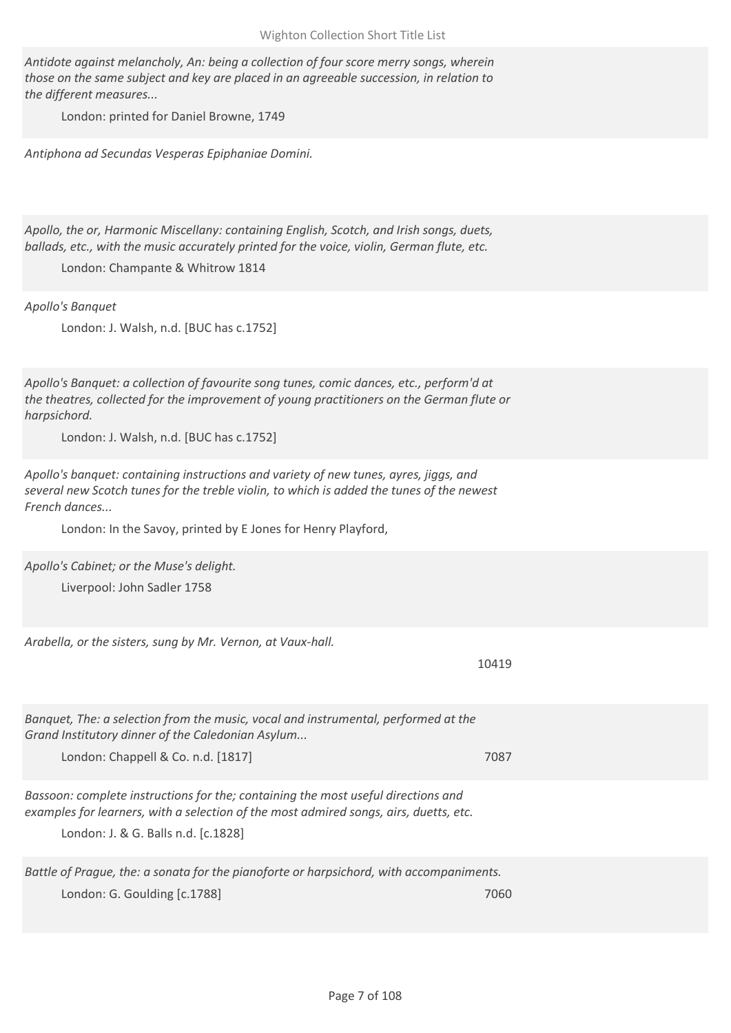*Antidote against melancholy, An: being a collection of four score merry songs, wherein those on the same subject and key are placed in an agreeable succession, in relation to the different measures...*

London: printed for Daniel Browne, 1749

*Antiphona ad Secundas Vesperas Epiphaniae Domini.*

*Apollo, the or, Harmonic Miscellany: containing English, Scotch, and Irish songs, duets, ballads, etc., with the music accurately printed for the voice, violin, German flute, etc.*

London: Champante & Whitrow 1814

*Apollo's Banquet*

London: J. Walsh, n.d. [BUC has c.1752]

*Apollo's Banquet: a collection of favourite song tunes, comic dances, etc., perform'd at the theatres, collected for the improvement of young practitioners on the German flute or harpsichord.*

London: J. Walsh, n.d. [BUC has c.1752]

*Apollo's banquet: containing instructions and variety of new tunes, ayres, jiggs, and several new Scotch tunes for the treble violin, to which is added the tunes of the newest French dances...*

London: In the Savoy, printed by E Jones for Henry Playford,

*Apollo's Cabinet; or the Muse's delight.*

Liverpool: John Sadler 1758

*Arabella, or the sisters, sung by Mr. Vernon, at Vaux-hall.*

10419

*Banquet, The: a selection from the music, vocal and instrumental, performed at the Grand Institutory dinner of the Caledonian Asylum...*

London: Chappell & Co. n.d. [1817] 7087

*Bassoon: complete instructions for the; containing the most useful directions and examples for learners, with a selection of the most admired songs, airs, duetts, etc.*

London: J. & G. Balls n.d. [c.1828]

*Battle of Prague, the: a sonata for the pianoforte or harpsichord, with accompaniments.* London: G. Goulding [c.1788] 7060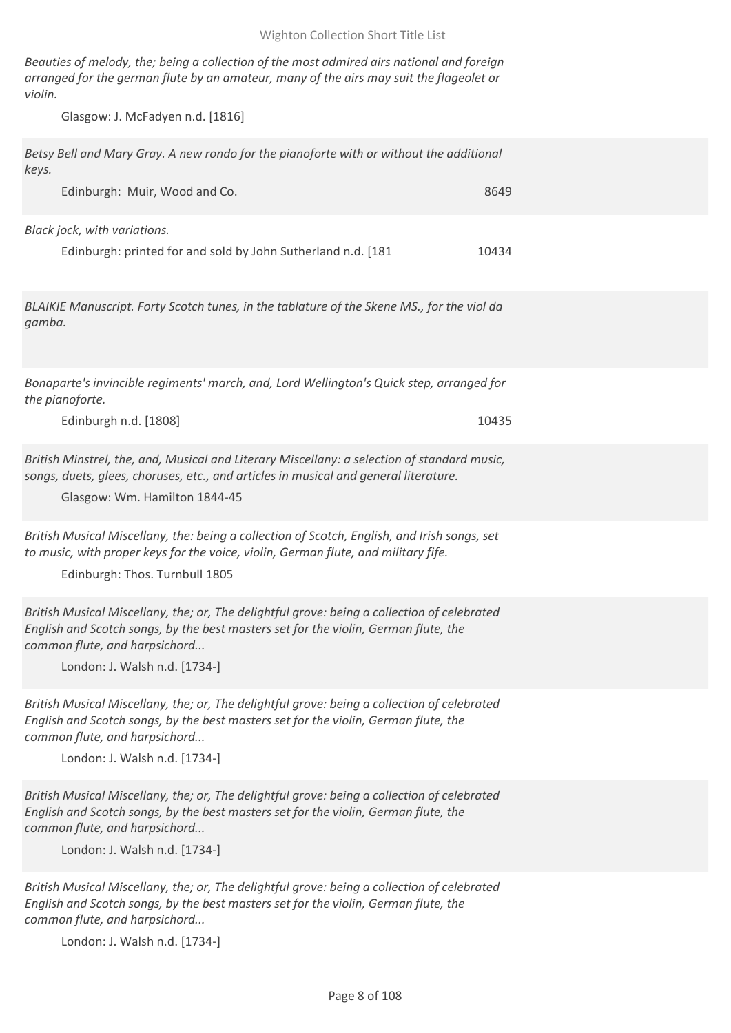*Beauties of melody, the; being a collection of the most admired airs national and foreign arranged for the german flute by an amateur, many of the airs may suit the flageolet or violin.*

Glasgow: J. McFadyen n.d. [1816]

*Betsy Bell and Mary Gray. A new rondo for the pianoforte with or without the additional keys.*

Edinburgh: Muir, Wood and Co. 8649

*Black jock, with variations.*

|  | Edinburgh: printed for and sold by John Sutherland n.d. [181] | 10434 |
|--|---------------------------------------------------------------|-------|
|--|---------------------------------------------------------------|-------|

*BLAIKIE Manuscript. Forty Scotch tunes, in the tablature of the Skene MS., for the viol da gamba.*

*Bonaparte's invincible regiments' march, and, Lord Wellington's Quick step, arranged for the pianoforte.*

Edinburgh n.d. [1808] 10435

*British Minstrel, the, and, Musical and Literary Miscellany: a selection of standard music, songs, duets, glees, choruses, etc., and articles in musical and general literature.*

Glasgow: Wm. Hamilton 1844-45

*British Musical Miscellany, the: being a collection of Scotch, English, and Irish songs, set to music, with proper keys for the voice, violin, German flute, and military fife.*

Edinburgh: Thos. Turnbull 1805

*British Musical Miscellany, the; or, The delightful grove: being a collection of celebrated English and Scotch songs, by the best masters set for the violin, German flute, the common flute, and harpsichord...*

London: J. Walsh n.d. [1734-]

*British Musical Miscellany, the; or, The delightful grove: being a collection of celebrated English and Scotch songs, by the best masters set for the violin, German flute, the common flute, and harpsichord...*

London: J. Walsh n.d. [1734-]

*British Musical Miscellany, the; or, The delightful grove: being a collection of celebrated English and Scotch songs, by the best masters set for the violin, German flute, the common flute, and harpsichord...*

London: J. Walsh n.d. [1734-]

*British Musical Miscellany, the; or, The delightful grove: being a collection of celebrated English and Scotch songs, by the best masters set for the violin, German flute, the common flute, and harpsichord...*

London: J. Walsh n.d. [1734-]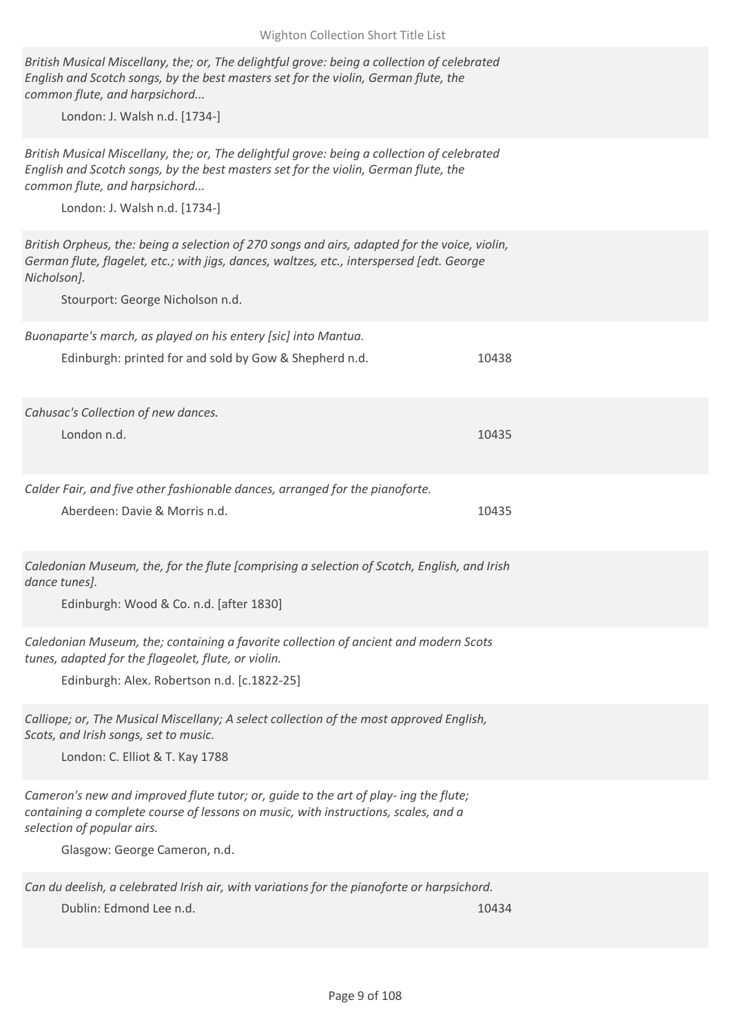| Wighton Collection Short Title List                                                                                                                                                                                                                  |       |
|------------------------------------------------------------------------------------------------------------------------------------------------------------------------------------------------------------------------------------------------------|-------|
| British Musical Miscellany, the; or, The delightful grove: being a collection of celebrated<br>English and Scotch songs, by the best masters set for the violin, German flute, the<br>common flute, and harpsichord                                  |       |
| London: J. Walsh n.d. [1734-]                                                                                                                                                                                                                        |       |
| British Musical Miscellany, the; or, The delightful grove: being a collection of celebrated<br>English and Scotch songs, by the best masters set for the violin, German flute, the<br>common flute, and harpsichord<br>London: J. Walsh n.d. [1734-] |       |
|                                                                                                                                                                                                                                                      |       |
| British Orpheus, the: being a selection of 270 songs and airs, adapted for the voice, violin,<br>German flute, flagelet, etc.; with jigs, dances, waltzes, etc., interspersed [edt. George<br>Nicholson].                                            |       |
| Stourport: George Nicholson n.d.                                                                                                                                                                                                                     |       |
| Buonaparte's march, as played on his entery [sic] into Mantua.<br>Edinburgh: printed for and sold by Gow & Shepherd n.d.                                                                                                                             | 10438 |
| Cahusac's Collection of new dances.                                                                                                                                                                                                                  |       |
| London n.d.                                                                                                                                                                                                                                          | 10435 |
| Calder Fair, and five other fashionable dances, arranged for the pianoforte.<br>Aberdeen: Davie & Morris n.d.                                                                                                                                        | 10435 |
| Caledonian Museum, the, for the flute [comprising a selection of Scotch, English, and Irish<br>dance tunes].<br>Edinburgh: Wood & Co. n.d. [after 1830]                                                                                              |       |
| Caledonian Museum, the; containing a favorite collection of ancient and modern Scots<br>tunes, adapted for the flageolet, flute, or violin.<br>Edinburgh: Alex. Robertson n.d. [c.1822-25]                                                           |       |
| Calliope; or, The Musical Miscellany; A select collection of the most approved English,<br>Scots, and Irish songs, set to music.<br>London: C. Elliot & T. Kay 1788                                                                                  |       |
| Cameron's new and improved flute tutor; or, guide to the art of play- ing the flute;<br>containing a complete course of lessons on music, with instructions, scales, and a<br>selection of popular airs.<br>Glasgow: George Cameron, n.d.            |       |
| Can du deelish, a celebrated Irish air, with variations for the pianoforte or harpsichord.<br>Dublin: Edmond Lee n.d.                                                                                                                                | 10434 |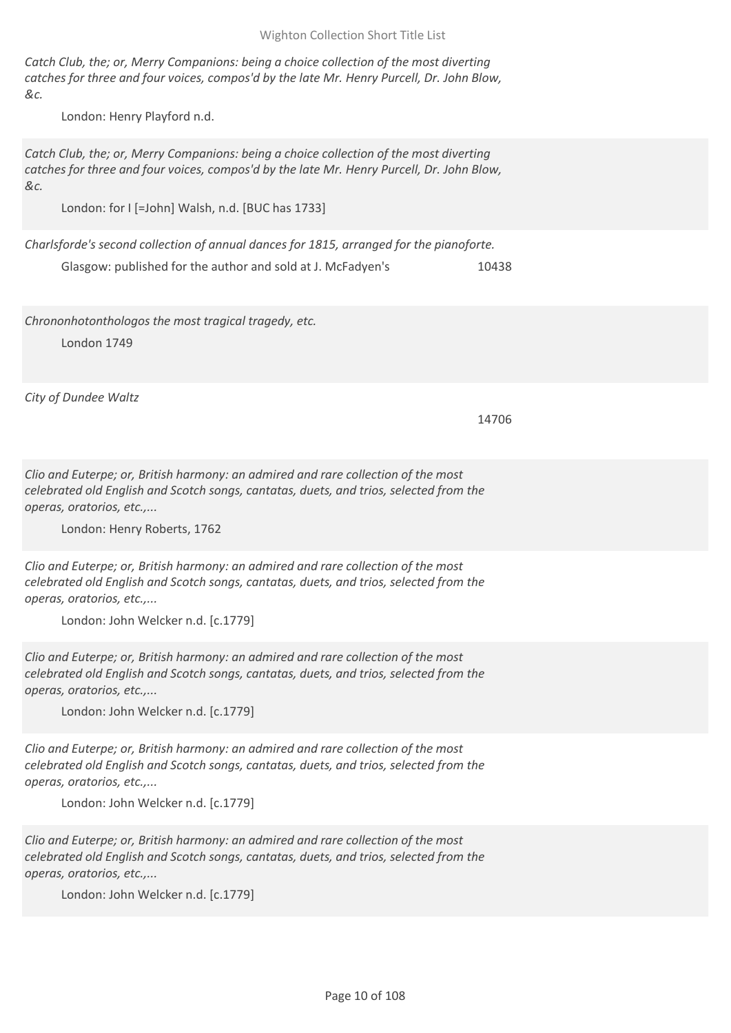## Wighton Collection Short Title List

*Catch Club, the; or, Merry Companions: being a choice collection of the most diverting catches for three and four voices, compos'd by the late Mr. Henry Purcell, Dr. John Blow, &c.*

London: Henry Playford n.d.

*Catch Club, the; or, Merry Companions: being a choice collection of the most diverting catches for three and four voices, compos'd by the late Mr. Henry Purcell, Dr. John Blow, &c.*

London: for I [=John] Walsh, n.d. [BUC has 1733]

*Charlsforde's second collection of annual dances for 1815, arranged for the pianoforte.* Glasgow: published for the author and sold at J. McFadyen's 10438

*Chrononhotonthologos the most tragical tragedy, etc.*

London 1749

*City of Dundee Waltz*

14706

*Clio and Euterpe; or, British harmony: an admired and rare collection of the most celebrated old English and Scotch songs, cantatas, duets, and trios, selected from the operas, oratorios, etc.,...*

London: Henry Roberts, 1762

*Clio and Euterpe; or, British harmony: an admired and rare collection of the most celebrated old English and Scotch songs, cantatas, duets, and trios, selected from the operas, oratorios, etc.,...*

London: John Welcker n.d. [c.1779]

*Clio and Euterpe; or, British harmony: an admired and rare collection of the most celebrated old English and Scotch songs, cantatas, duets, and trios, selected from the operas, oratorios, etc.,...*

London: John Welcker n.d. [c.1779]

*Clio and Euterpe; or, British harmony: an admired and rare collection of the most celebrated old English and Scotch songs, cantatas, duets, and trios, selected from the operas, oratorios, etc.,...*

London: John Welcker n.d. [c.1779]

*Clio and Euterpe; or, British harmony: an admired and rare collection of the most celebrated old English and Scotch songs, cantatas, duets, and trios, selected from the operas, oratorios, etc.,...*

London: John Welcker n.d. [c.1779]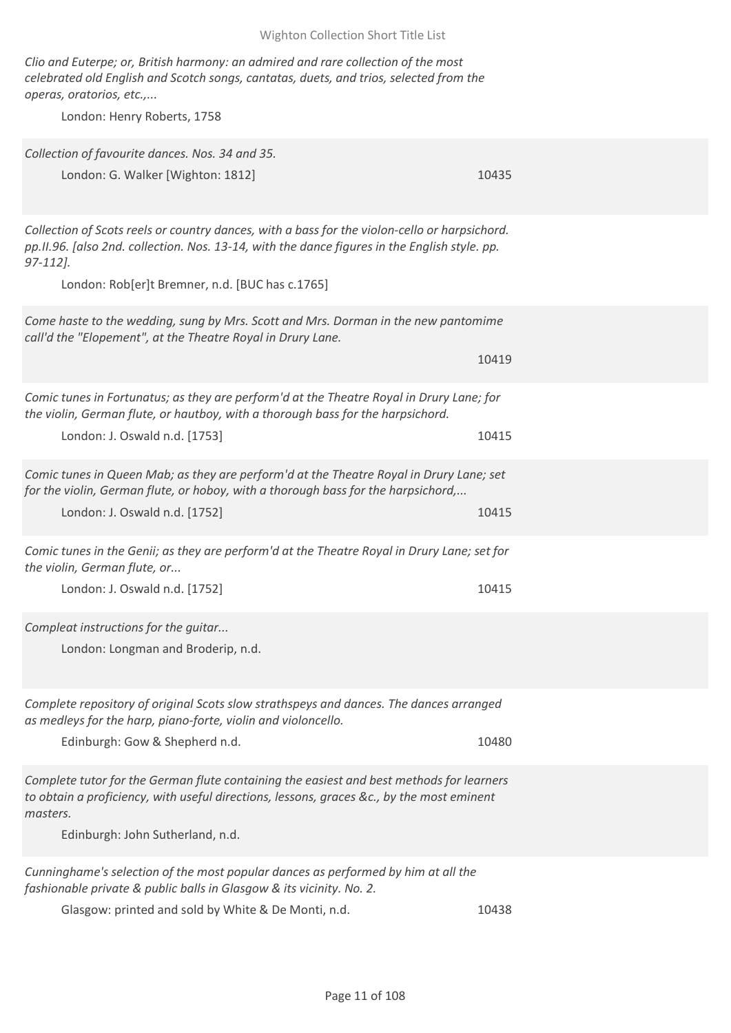Wighton Collection Short Title List

*Clio and Euterpe; or, British harmony: an admired and rare collection of the most celebrated old English and Scotch songs, cantatas, duets, and trios, selected from the operas, oratorios, etc.,...*

London: Henry Roberts, 1758

| Collection of favourite dances. Nos. 34 and 35.<br>London: G. Walker [Wighton: 1812]                                                                                                                                                  | 10435 |
|---------------------------------------------------------------------------------------------------------------------------------------------------------------------------------------------------------------------------------------|-------|
| Collection of Scots reels or country dances, with a bass for the violon-cello or harpsichord.<br>pp.II.96. [also 2nd. collection. Nos. 13-14, with the dance figures in the English style. pp.<br>$97-112$ .                          |       |
| London: Rob[er]t Bremner, n.d. [BUC has c.1765]                                                                                                                                                                                       |       |
| Come haste to the wedding, sung by Mrs. Scott and Mrs. Dorman in the new pantomime<br>call'd the "Elopement", at the Theatre Royal in Drury Lane.                                                                                     | 10419 |
|                                                                                                                                                                                                                                       |       |
| Comic tunes in Fortunatus; as they are perform'd at the Theatre Royal in Drury Lane; for<br>the violin, German flute, or hautboy, with a thorough bass for the harpsichord.                                                           |       |
| London: J. Oswald n.d. [1753]                                                                                                                                                                                                         | 10415 |
| Comic tunes in Queen Mab; as they are perform'd at the Theatre Royal in Drury Lane; set<br>for the violin, German flute, or hoboy, with a thorough bass for the harpsichord,                                                          |       |
| London: J. Oswald n.d. [1752]                                                                                                                                                                                                         | 10415 |
| Comic tunes in the Genii; as they are perform'd at the Theatre Royal in Drury Lane; set for<br>the violin, German flute, or                                                                                                           |       |
| London: J. Oswald n.d. [1752]                                                                                                                                                                                                         | 10415 |
| Compleat instructions for the guitar<br>London: Longman and Broderip, n.d.                                                                                                                                                            |       |
| Complete repository of original Scots slow strathspeys and dances. The dances arranged<br>as medleys for the harp, piano-forte, violin and violoncello.                                                                               |       |
| Edinburgh: Gow & Shepherd n.d.                                                                                                                                                                                                        | 10480 |
| Complete tutor for the German flute containing the easiest and best methods for learners<br>to obtain a proficiency, with useful directions, lessons, graces &c., by the most eminent<br>masters.<br>Edinburgh: John Sutherland, n.d. |       |
| Cunninghame's selection of the most popular dances as performed by him at all the<br>fashionable private & public balls in Glasgow & its vicinity. No. 2.                                                                             |       |
| Glasgow: printed and sold by White & De Monti, n.d.                                                                                                                                                                                   | 10438 |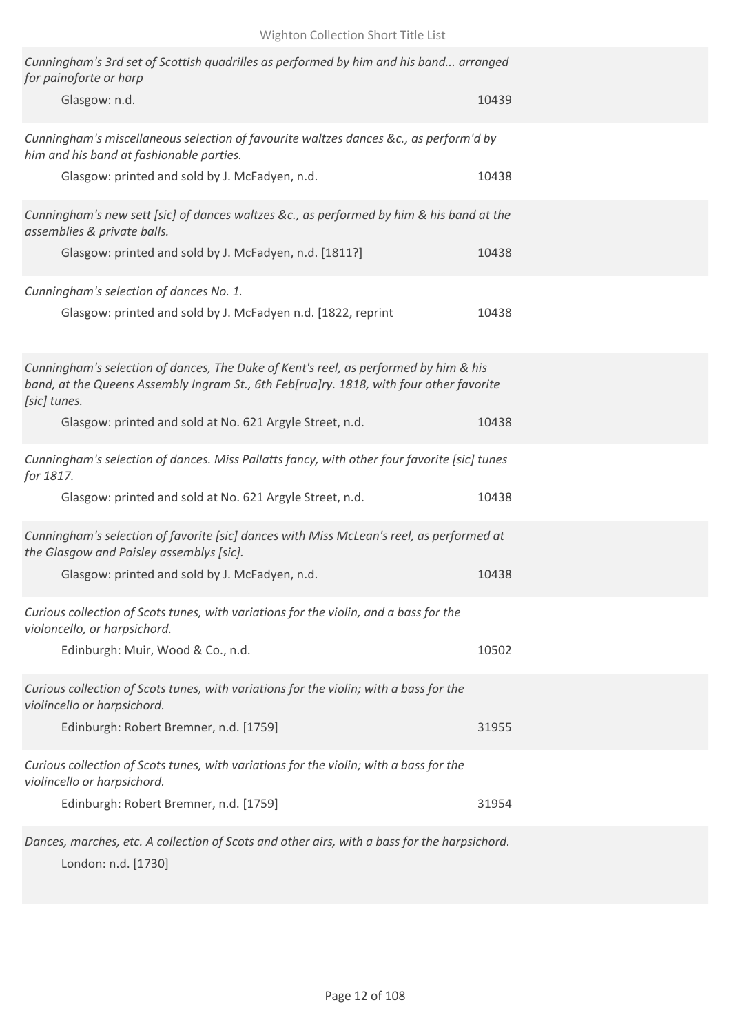| Cunningham's 3rd set of Scottish quadrilles as performed by him and his band arranged<br>for painoforte or harp<br>Glasgow: n.d.                                                       | 10439 |
|----------------------------------------------------------------------------------------------------------------------------------------------------------------------------------------|-------|
| Cunningham's miscellaneous selection of favourite waltzes dances &c., as perform'd by<br>him and his band at fashionable parties.<br>Glasgow: printed and sold by J. McFadyen, n.d.    | 10438 |
| Cunningham's new sett [sic] of dances waltzes &c., as performed by him & his band at the<br>assemblies & private balls.<br>Glasgow: printed and sold by J. McFadyen, n.d. [1811?]      | 10438 |
| Cunningham's selection of dances No. 1.<br>Glasgow: printed and sold by J. McFadyen n.d. [1822, reprint                                                                                | 10438 |
| Cunningham's selection of dances, The Duke of Kent's reel, as performed by him & his<br>band, at the Queens Assembly Ingram St., 6th Feb[rua]ry. 1818, with four other favorite        |       |
| [sic] tunes.<br>Glasgow: printed and sold at No. 621 Argyle Street, n.d.                                                                                                               | 10438 |
| Cunningham's selection of dances. Miss Pallatts fancy, with other four favorite [sic] tunes<br>for 1817.<br>Glasgow: printed and sold at No. 621 Argyle Street, n.d.                   | 10438 |
| Cunningham's selection of favorite [sic] dances with Miss McLean's reel, as performed at<br>the Glasgow and Paisley assemblys [sic].<br>Glasgow: printed and sold by J. McFadyen, n.d. | 10438 |
| Curious collection of Scots tunes, with variations for the violin, and a bass for the<br>violoncello, or harpsichord.                                                                  |       |
| Edinburgh: Muir, Wood & Co., n.d.<br>Curious collection of Scots tunes, with variations for the violin; with a bass for the<br>violincello or harpsichord.                             | 10502 |
| Edinburgh: Robert Bremner, n.d. [1759]<br>Curious collection of Scots tunes, with variations for the violin; with a bass for the                                                       | 31955 |
| violincello or harpsichord.<br>Edinburgh: Robert Bremner, n.d. [1759]                                                                                                                  | 31954 |
| Dances, marches, etc. A collection of Scots and other airs, with a bass for the harpsichord.                                                                                           |       |

London: n.d. [1730]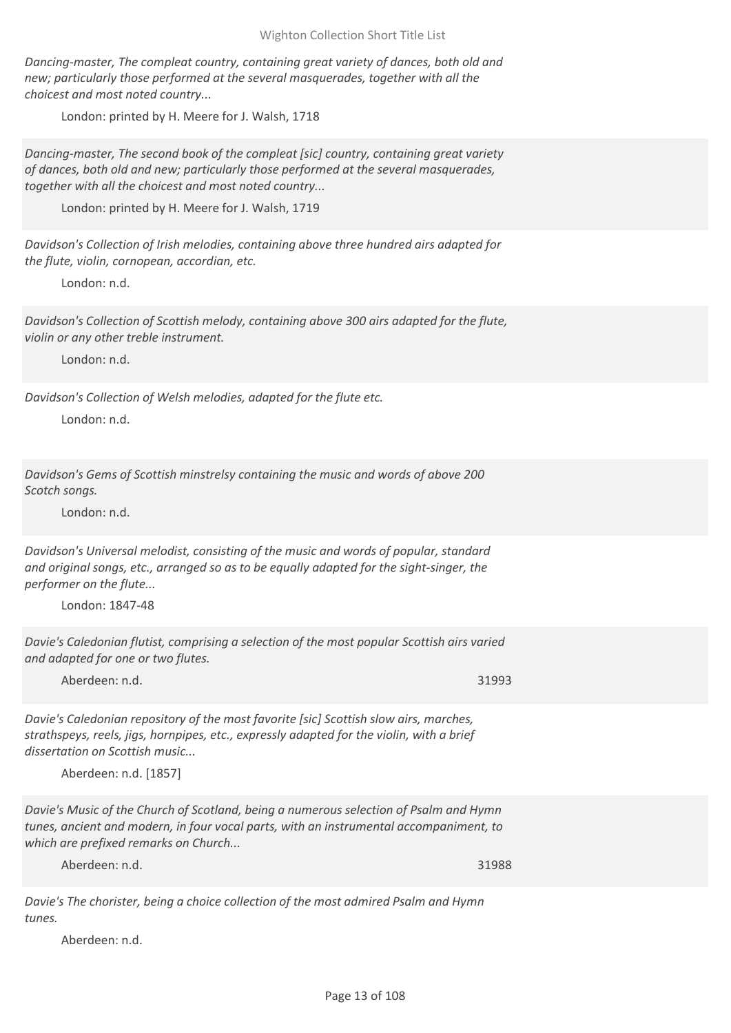*Dancing-master, The compleat country, containing great variety of dances, both old and new; particularly those performed at the several masquerades, together with all the choicest and most noted country...*

London: printed by H. Meere for J. Walsh, 1718

*Dancing-master, The second book of the compleat [sic] country, containing great variety of dances, both old and new; particularly those performed at the several masquerades, together with all the choicest and most noted country...*

London: printed by H. Meere for J. Walsh, 1719

*Davidson's Collection of Irish melodies, containing above three hundred airs adapted for the flute, violin, cornopean, accordian, etc.*

London: n.d.

*Davidson's Collection of Scottish melody, containing above 300 airs adapted for the flute, violin or any other treble instrument.*

London: n.d.

*Davidson's Collection of Welsh melodies, adapted for the flute etc.*

London: n.d.

*Davidson's Gems of Scottish minstrelsy containing the music and words of above 200 Scotch songs.*

London: n.d.

*Davidson's Universal melodist, consisting of the music and words of popular, standard and original songs, etc., arranged so as to be equally adapted for the sight-singer, the performer on the flute...*

London: 1847-48

*Davie's Caledonian flutist, comprising a selection of the most popular Scottish airs varied and adapted for one or two flutes.*

Aberdeen: n.d. 31993

*Davie's Caledonian repository of the most favorite [sic] Scottish slow airs, marches, strathspeys, reels, jigs, hornpipes, etc., expressly adapted for the violin, with a brief dissertation on Scottish music...*

Aberdeen: n.d. [1857]

*Davie's Music of the Church of Scotland, being a numerous selection of Psalm and Hymn tunes, ancient and modern, in four vocal parts, with an instrumental accompaniment, to which are prefixed remarks on Church...*

Aberdeen: n.d. 31988

*Davie's The chorister, being a choice collection of the most admired Psalm and Hymn tunes.*

Aberdeen: n.d.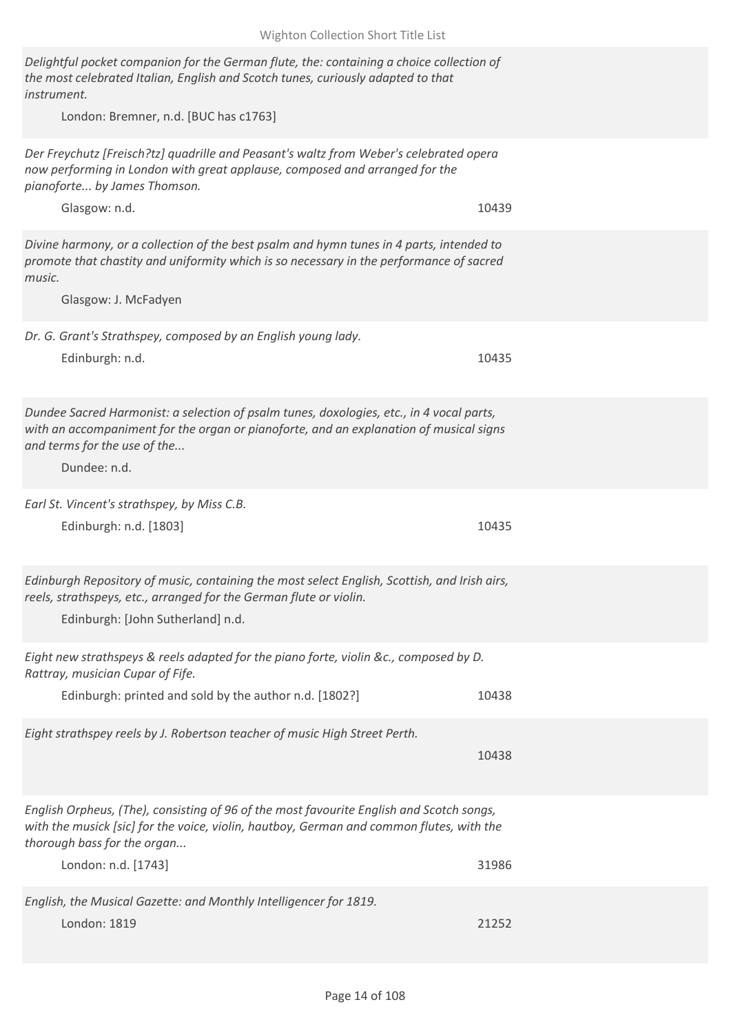| Delightful pocket companion for the German flute, the: containing a choice collection of<br>the most celebrated Italian, English and Scotch tunes, curiously adapted to that<br>instrument.<br>London: Bremner, n.d. [BUC has c1763] |       |
|--------------------------------------------------------------------------------------------------------------------------------------------------------------------------------------------------------------------------------------|-------|
| Der Freychutz [Freisch?tz] quadrille and Peasant's waltz from Weber's celebrated opera<br>now performing in London with great applause, composed and arranged for the<br>pianoforte by James Thomson.<br>Glasgow: n.d.               | 10439 |
| Divine harmony, or a collection of the best psalm and hymn tunes in 4 parts, intended to<br>promote that chastity and uniformity which is so necessary in the performance of sacred<br>music.<br>Glasgow: J. McFadyen                |       |
| Dr. G. Grant's Strathspey, composed by an English young lady.<br>Edinburgh: n.d.                                                                                                                                                     | 10435 |
| Dundee Sacred Harmonist: a selection of psalm tunes, doxologies, etc., in 4 vocal parts,<br>with an accompaniment for the organ or pianoforte, and an explanation of musical signs<br>and terms for the use of the<br>Dundee: n.d.   |       |
| Earl St. Vincent's strathspey, by Miss C.B.<br>Edinburgh: n.d. [1803]                                                                                                                                                                | 10435 |
| Edinburgh Repository of music, containing the most select English, Scottish, and Irish airs,<br>reels, strathspeys, etc., arranged for the German flute or violin.<br>Edinburgh: [John Sutherland] n.d.                              |       |
| Eight new strathspeys & reels adapted for the piano forte, violin &c., composed by D.<br>Rattray, musician Cupar of Fife.                                                                                                            |       |
| Edinburgh: printed and sold by the author n.d. [1802?]                                                                                                                                                                               | 10438 |
| Eight strathspey reels by J. Robertson teacher of music High Street Perth.                                                                                                                                                           | 10438 |
| English Orpheus, (The), consisting of 96 of the most favourite English and Scotch songs,<br>with the musick [sic] for the voice, violin, hautboy, German and common flutes, with the<br>thorough bass for the organ                  |       |
| London: n.d. [1743]                                                                                                                                                                                                                  | 31986 |
| English, the Musical Gazette: and Monthly Intelligencer for 1819.<br>London: 1819                                                                                                                                                    | 21252 |

Wighton Collection Short Title List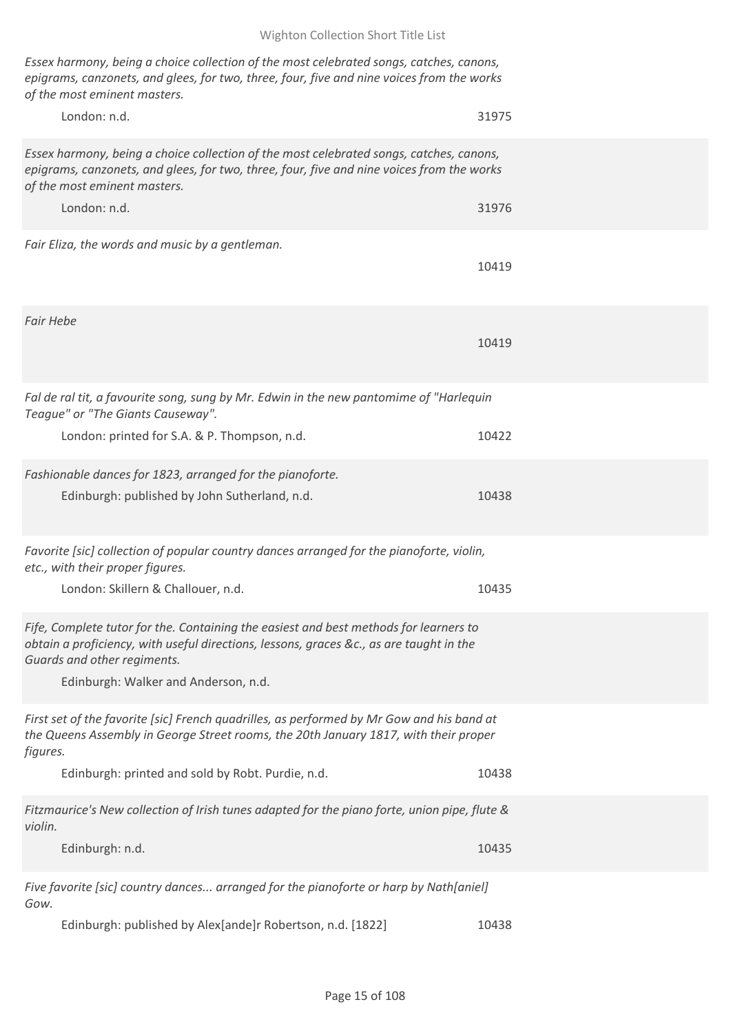*Essex harmony, being a choice collection of the most celebrated songs, catches, canons, epigrams, canzonets, and glees, for two, three, four, five and nine voices from the works of the most eminent masters.*

| London: n.d.                                                                                                                                                                                                                                            | 31975 |
|---------------------------------------------------------------------------------------------------------------------------------------------------------------------------------------------------------------------------------------------------------|-------|
| Essex harmony, being a choice collection of the most celebrated songs, catches, canons,<br>epigrams, canzonets, and glees, for two, three, four, five and nine voices from the works<br>of the most eminent masters.                                    |       |
| London: n.d.                                                                                                                                                                                                                                            | 31976 |
| Fair Eliza, the words and music by a gentleman.                                                                                                                                                                                                         | 10419 |
| <b>Fair Hebe</b>                                                                                                                                                                                                                                        | 10419 |
| Fal de ral tit, a favourite song, sung by Mr. Edwin in the new pantomime of "Harlequin<br>Teague" or "The Giants Causeway".                                                                                                                             |       |
| London: printed for S.A. & P. Thompson, n.d.                                                                                                                                                                                                            | 10422 |
| Fashionable dances for 1823, arranged for the pianoforte.<br>Edinburgh: published by John Sutherland, n.d.                                                                                                                                              | 10438 |
| Favorite [sic] collection of popular country dances arranged for the pianoforte, violin,<br>etc., with their proper figures.                                                                                                                            |       |
| London: Skillern & Challouer, n.d.                                                                                                                                                                                                                      | 10435 |
| Fife, Complete tutor for the. Containing the easiest and best methods for learners to<br>obtain a proficiency, with useful directions, lessons, graces &c., as are taught in the<br>Guards and other regiments.<br>Edinburgh: Walker and Anderson, n.d. |       |
| First set of the favorite [sic] French quadrilles, as performed by Mr Gow and his band at<br>the Queens Assembly in George Street rooms, the 20th January 1817, with their proper<br>figures.                                                           |       |
| Edinburgh: printed and sold by Robt. Purdie, n.d.                                                                                                                                                                                                       | 10438 |
| Fitzmaurice's New collection of Irish tunes adapted for the piano forte, union pipe, flute &<br>violin.                                                                                                                                                 |       |
| Edinburgh: n.d.                                                                                                                                                                                                                                         | 10435 |
| Five favorite [sic] country dances arranged for the pianoforte or harp by Nath[aniel]<br>Gow.                                                                                                                                                           |       |
| Edinburgh: published by Alex[ande]r Robertson, n.d. [1822]                                                                                                                                                                                              | 10438 |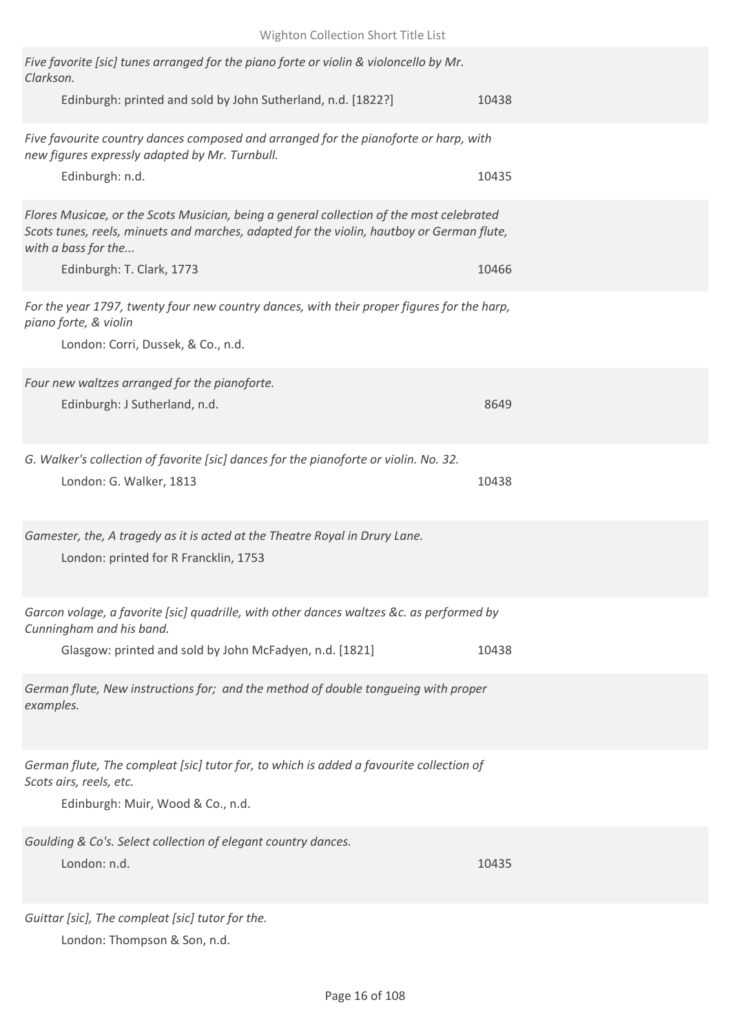| Five favorite [sic] tunes arranged for the piano forte or violin & violoncello by Mr.<br>Clarkson.                                                                                                           |       |
|--------------------------------------------------------------------------------------------------------------------------------------------------------------------------------------------------------------|-------|
| Edinburgh: printed and sold by John Sutherland, n.d. [1822?]                                                                                                                                                 | 10438 |
| Five favourite country dances composed and arranged for the pianoforte or harp, with<br>new figures expressly adapted by Mr. Turnbull.<br>Edinburgh: n.d.                                                    | 10435 |
|                                                                                                                                                                                                              |       |
| Flores Musicae, or the Scots Musician, being a general collection of the most celebrated<br>Scots tunes, reels, minuets and marches, adapted for the violin, hautboy or German flute,<br>with a bass for the |       |
| Edinburgh: T. Clark, 1773                                                                                                                                                                                    | 10466 |
| For the year 1797, twenty four new country dances, with their proper figures for the harp,<br>piano forte, & violin<br>London: Corri, Dussek, & Co., n.d.                                                    |       |
| Four new waltzes arranged for the pianoforte.                                                                                                                                                                |       |
| Edinburgh: J Sutherland, n.d.                                                                                                                                                                                | 8649  |
| G. Walker's collection of favorite [sic] dances for the pianoforte or violin. No. 32.<br>London: G. Walker, 1813                                                                                             | 10438 |
|                                                                                                                                                                                                              |       |
| Gamester, the, A tragedy as it is acted at the Theatre Royal in Drury Lane.<br>London: printed for R Francklin, 1753                                                                                         |       |
| Garcon volage, a favorite [sic] quadrille, with other dances waltzes &c. as performed by<br>Cunningham and his band.                                                                                         |       |
| Glasgow: printed and sold by John McFadyen, n.d. [1821]                                                                                                                                                      | 10438 |
| German flute, New instructions for; and the method of double tonqueing with proper<br>examples.                                                                                                              |       |
| German flute, The compleat [sic] tutor for, to which is added a favourite collection of<br>Scots airs, reels, etc.                                                                                           |       |
| Edinburgh: Muir, Wood & Co., n.d.                                                                                                                                                                            |       |
| Goulding & Co's. Select collection of elegant country dances.<br>London: n.d.                                                                                                                                | 10435 |
| Guittar [sic], The compleat [sic] tutor for the.                                                                                                                                                             |       |

London: Thompson & Son, n.d.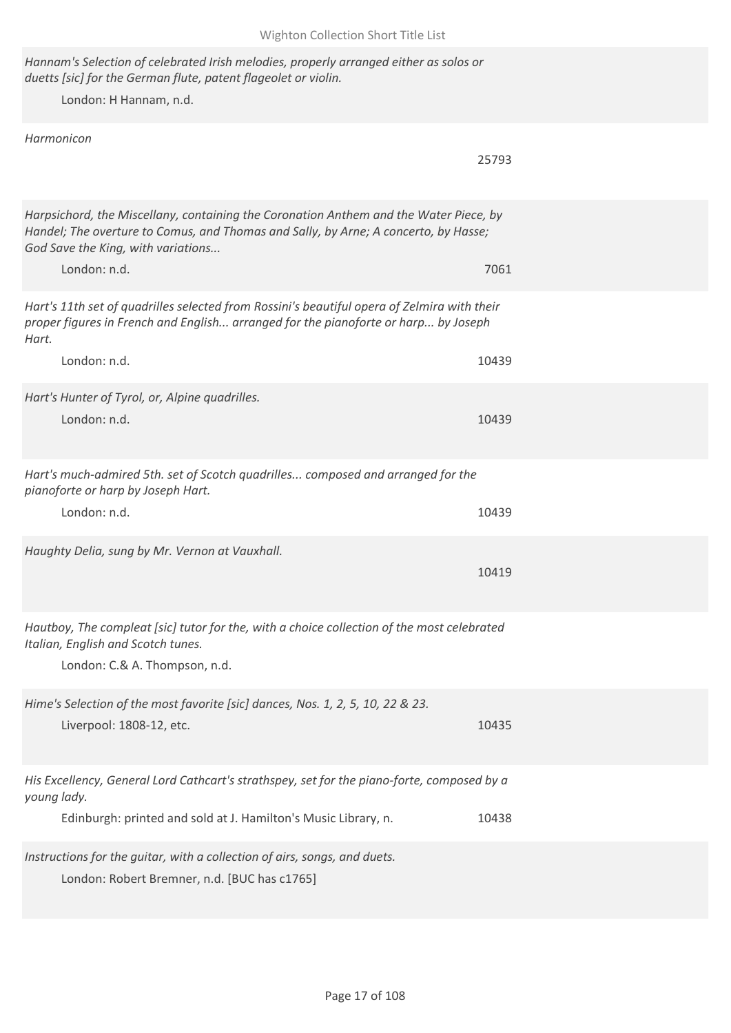*Hannam's Selection of celebrated Irish melodies, properly arranged either as solos or duetts [sic] for the German flute, patent flageolet or violin.* London: H Hannam, n.d. *Harmonicon* 25793 *Harpsichord, the Miscellany, containing the Coronation Anthem and the Water Piece, by Handel; The overture to Comus, and Thomas and Sally, by Arne; A concerto, by Hasse; God Save the King, with variations...* London: n.d. 7061 *Hart's 11th set of quadrilles selected from Rossini's beautiful opera of Zelmira with their proper figures in French and English... arranged for the pianoforte or harp... by Joseph Hart.* London: n.d. 10439 *Hart's Hunter of Tyrol, or, Alpine quadrilles.* London: n.d. 10439 *Hart's much-admired 5th. set of Scotch quadrilles... composed and arranged for the pianoforte or harp by Joseph Hart.* London: n.d. 10439 *Haughty Delia, sung by Mr. Vernon at Vauxhall.* 10419 *Hautboy, The compleat [sic] tutor for the, with a choice collection of the most celebrated Italian, English and Scotch tunes.* London: C.& A. Thompson, n.d. *Hime's Selection of the most favorite [sic] dances, Nos. 1, 2, 5, 10, 22 & 23.* Liverpool: 1808-12, etc. 10435 *His Excellency, General Lord Cathcart's strathspey, set for the piano-forte, composed by a young lady.* Edinburgh: printed and sold at J. Hamilton's Music Library, n. 10438 *Instructions for the guitar, with a collection of airs, songs, and duets.* London: Robert Bremner, n.d. [BUC has c1765]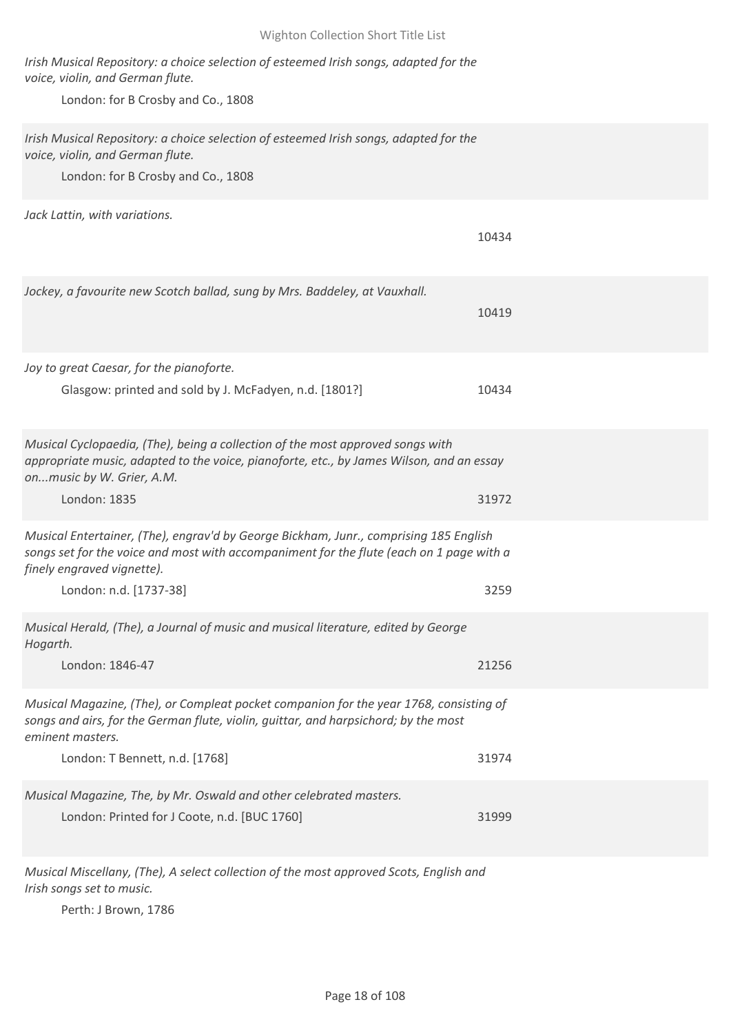## *Irish Musical Repository: a choice selection of esteemed Irish songs, adapted for the voice, violin, and German flute.* London: for B Crosby and Co., 1808 *Irish Musical Repository: a choice selection of esteemed Irish songs, adapted for the voice, violin, and German flute.* London: for B Crosby and Co., 1808 *Jack Lattin, with variations.* 10434 *Jockey, a favourite new Scotch ballad, sung by Mrs. Baddeley, at Vauxhall.* 10419 *Joy to great Caesar, for the pianoforte.* Glasgow: printed and sold by J. McFadyen, n.d. [1801?] 10434 *Musical Cyclopaedia, (The), being a collection of the most approved songs with appropriate music, adapted to the voice, pianoforte, etc., by James Wilson, and an essay on...music by W. Grier, A.M.* London: 1835 31972 *Musical Entertainer, (The), engrav'd by George Bickham, Junr., comprising 185 English songs set for the voice and most with accompaniment for the flute (each on 1 page with a finely engraved vignette).* London: n.d. [1737-38] 3259 *Musical Herald, (The), a Journal of music and musical literature, edited by George Hogarth.* London: 1846-47 21256 *Musical Magazine, (The), or Compleat pocket companion for the year 1768, consisting of songs and airs, for the German flute, violin, guittar, and harpsichord; by the most eminent masters.* London: T Bennett, n.d. [1768] 31974 *Musical Magazine, The, by Mr. Oswald and other celebrated masters.* London: Printed for J Coote, n.d. [BUC 1760] 31999

Wighton Collection Short Title List

*Musical Miscellany, (The), A select collection of the most approved Scots, English and Irish songs set to music.*

Perth: J Brown, 1786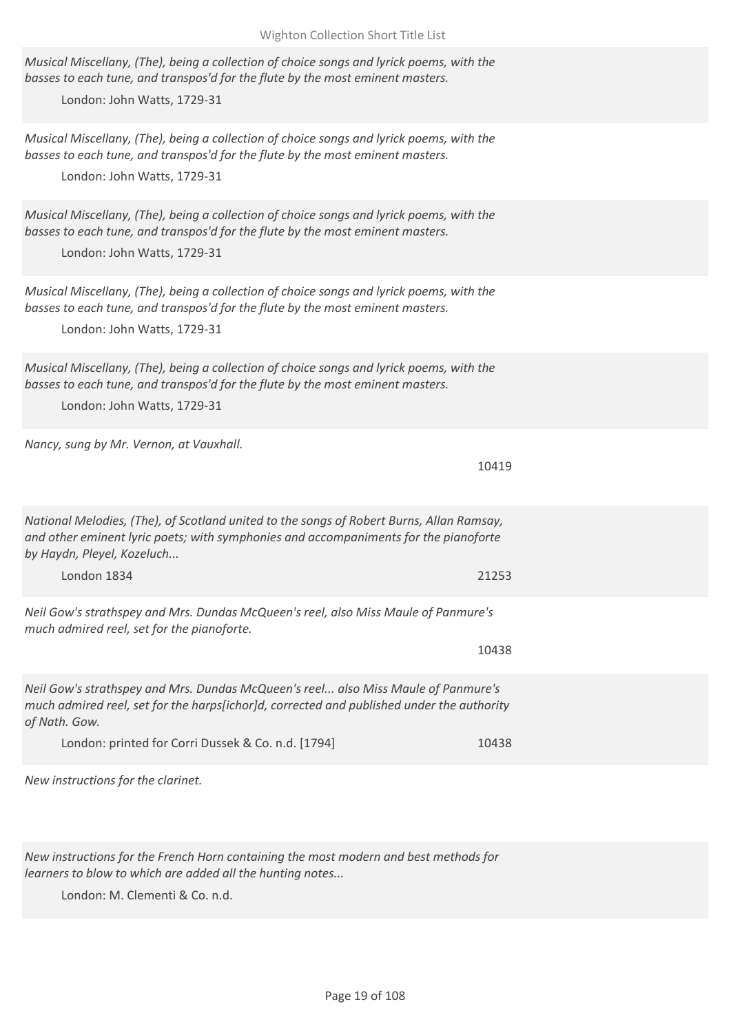| Musical Miscellany, (The), being a collection of choice songs and lyrick poems, with the<br>basses to each tune, and transpos'd for the flute by the most eminent masters.<br>London: John Watts, 1729-31                     |       |
|-------------------------------------------------------------------------------------------------------------------------------------------------------------------------------------------------------------------------------|-------|
| Musical Miscellany, (The), being a collection of choice songs and lyrick poems, with the<br>basses to each tune, and transpos'd for the flute by the most eminent masters.<br>London: John Watts, 1729-31                     |       |
| Musical Miscellany, (The), being a collection of choice songs and lyrick poems, with the<br>basses to each tune, and transpos'd for the flute by the most eminent masters.<br>London: John Watts, 1729-31                     |       |
| Musical Miscellany, (The), being a collection of choice songs and lyrick poems, with the<br>basses to each tune, and transpos'd for the flute by the most eminent masters.<br>London: John Watts, 1729-31                     |       |
| Musical Miscellany, (The), being a collection of choice songs and lyrick poems, with the<br>basses to each tune, and transpos'd for the flute by the most eminent masters.<br>London: John Watts, 1729-31                     |       |
| Nancy, sung by Mr. Vernon, at Vauxhall.                                                                                                                                                                                       | 10419 |
| National Melodies, (The), of Scotland united to the songs of Robert Burns, Allan Ramsay,<br>and other eminent lyric poets; with symphonies and accompaniments for the pianoforte<br>by Haydn, Pleyel, Kozeluch<br>London 1834 | 21253 |
|                                                                                                                                                                                                                               |       |
| Neil Gow's strathspey and Mrs. Dundas McQueen's reel, also Miss Maule of Panmure's<br>much admired reel, set for the pianoforte.                                                                                              |       |
|                                                                                                                                                                                                                               | 10438 |
| Neil Gow's strathspey and Mrs. Dundas McQueen's reel also Miss Maule of Panmure's<br>much admired reel, set for the harps[ichor]d, corrected and published under the authority<br>of Nath. Gow.                               |       |
| London: printed for Corri Dussek & Co. n.d. [1794]                                                                                                                                                                            | 10438 |
| New instructions for the clarinet.                                                                                                                                                                                            |       |

*New instructions for the French Horn containing the most modern and best methods for learners to blow to which are added all the hunting notes...*

London: M. Clementi & Co. n.d.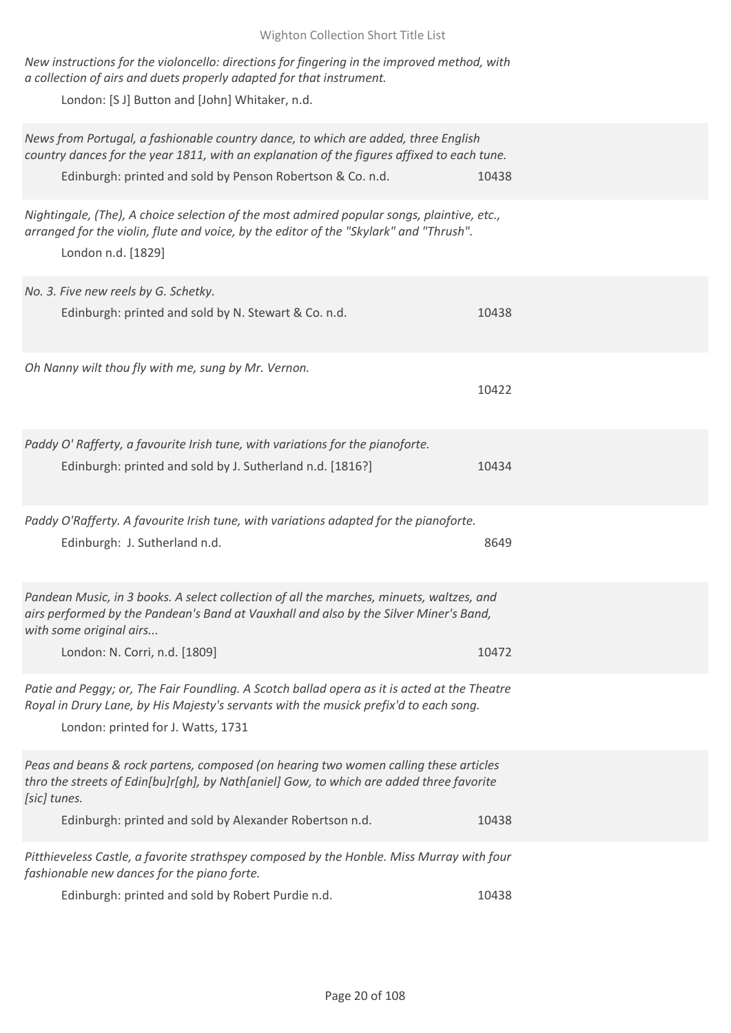| Wighton Collection Short Title List                                                                                                                                                                                                                         |       |
|-------------------------------------------------------------------------------------------------------------------------------------------------------------------------------------------------------------------------------------------------------------|-------|
| New instructions for the violoncello: directions for fingering in the improved method, with<br>a collection of airs and duets properly adapted for that instrument.<br>London: [S J] Button and [John] Whitaker, n.d.                                       |       |
| News from Portugal, a fashionable country dance, to which are added, three English<br>country dances for the year 1811, with an explanation of the figures affixed to each tune.<br>Edinburgh: printed and sold by Penson Robertson & Co. n.d.              | 10438 |
| Nightingale, (The), A choice selection of the most admired popular songs, plaintive, etc.,<br>arranged for the violin, flute and voice, by the editor of the "Skylark" and "Thrush".<br>London n.d. [1829]                                                  |       |
| No. 3. Five new reels by G. Schetky.<br>Edinburgh: printed and sold by N. Stewart & Co. n.d.                                                                                                                                                                | 10438 |
| Oh Nanny wilt thou fly with me, sung by Mr. Vernon.                                                                                                                                                                                                         | 10422 |
| Paddy O' Rafferty, a favourite Irish tune, with variations for the pianoforte.<br>Edinburgh: printed and sold by J. Sutherland n.d. [1816?]                                                                                                                 | 10434 |
| Paddy O'Rafferty. A favourite Irish tune, with variations adapted for the pianoforte.<br>Edinburgh: J. Sutherland n.d.                                                                                                                                      | 8649  |
| Pandean Music, in 3 books. A select collection of all the marches, minuets, waltzes, and<br>airs performed by the Pandean's Band at Vauxhall and also by the Silver Miner's Band,<br>with some original airs<br>London: N. Corri, n.d. [1809]               | 10472 |
| Patie and Peggy; or, The Fair Foundling. A Scotch ballad opera as it is acted at the Theatre<br>Royal in Drury Lane, by His Majesty's servants with the musick prefix'd to each song.<br>London: printed for J. Watts, 1731                                 |       |
| Peas and beans & rock partens, composed (on hearing two women calling these articles<br>thro the streets of Edin[bu]r[gh], by Nath[aniel] Gow, to which are added three favorite<br>[sic] tunes.<br>Edinburgh: printed and sold by Alexander Robertson n.d. | 10438 |
| Pitthieveless Castle, a favorite strathspey composed by the Honble. Miss Murray with four<br>fashionable new dances for the piano forte.<br>Edinburgh: printed and sold by Robert Purdie n.d.                                                               | 10438 |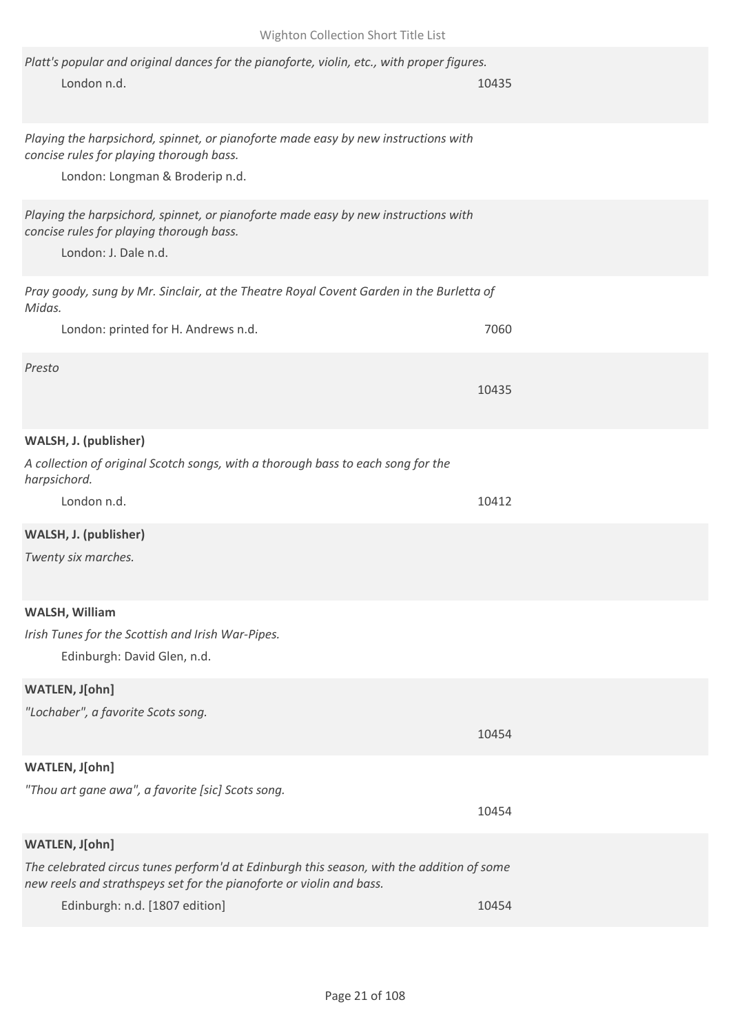| Platt's popular and original dances for the pianoforte, violin, etc., with proper figures.<br>London n.d.                                                         | 10435 |
|-------------------------------------------------------------------------------------------------------------------------------------------------------------------|-------|
| Playing the harpsichord, spinnet, or pianoforte made easy by new instructions with<br>concise rules for playing thorough bass.<br>London: Longman & Broderip n.d. |       |
| Playing the harpsichord, spinnet, or pianoforte made easy by new instructions with<br>concise rules for playing thorough bass.<br>London: J. Dale n.d.            |       |
| Pray goody, sung by Mr. Sinclair, at the Theatre Royal Covent Garden in the Burletta of<br>Midas.                                                                 |       |
| London: printed for H. Andrews n.d.                                                                                                                               | 7060  |
| Presto                                                                                                                                                            | 10435 |
| WALSH, J. (publisher)                                                                                                                                             |       |
| A collection of original Scotch songs, with a thorough bass to each song for the<br>harpsichord.                                                                  |       |
| London n.d.                                                                                                                                                       | 10412 |
| WALSH, J. (publisher)<br>Twenty six marches.                                                                                                                      |       |
| WALSH, William                                                                                                                                                    |       |
| Irish Tunes for the Scottish and Irish War-Pipes.<br>Edinburgh: David Glen, n.d.                                                                                  |       |
| WATLEN, J[ohn]                                                                                                                                                    |       |
| "Lochaber", a favorite Scots song.                                                                                                                                |       |
|                                                                                                                                                                   | 10454 |
| WATLEN, J[ohn]                                                                                                                                                    |       |
| "Thou art gane awa", a favorite [sic] Scots song.                                                                                                                 |       |
|                                                                                                                                                                   | 10454 |
| WATLEN, J[ohn]                                                                                                                                                    |       |
| The celebrated circus tunes perform'd at Edinburgh this season, with the addition of some<br>new reels and strathspeys set for the pianoforte or violin and bass. |       |
| Edinburgh: n.d. [1807 edition]                                                                                                                                    | 10454 |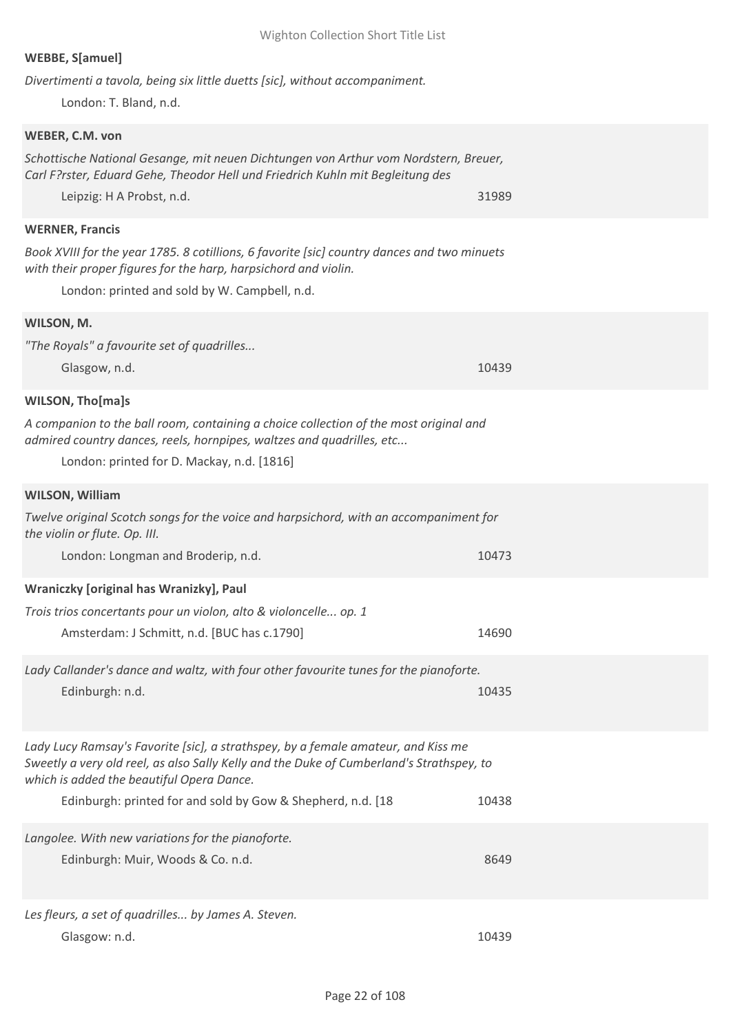| Divertimenti a tavola, being six little duetts [sic], without accompaniment.                                                          |       |
|---------------------------------------------------------------------------------------------------------------------------------------|-------|
| London: T. Bland, n.d.                                                                                                                |       |
| WEBER, C.M. von                                                                                                                       |       |
| Schottische National Gesange, mit neuen Dichtungen von Arthur vom Nordstern, Breuer,                                                  |       |
| Carl F?rster, Eduard Gehe, Theodor Hell und Friedrich Kuhln mit Begleitung des                                                        |       |
| Leipzig: H A Probst, n.d.                                                                                                             | 31989 |
| <b>WERNER, Francis</b>                                                                                                                |       |
| Book XVIII for the year 1785. 8 cotillions, 6 favorite [sic] country dances and two minuets                                           |       |
| with their proper figures for the harp, harpsichord and violin.                                                                       |       |
| London: printed and sold by W. Campbell, n.d.                                                                                         |       |
| WILSON, M.                                                                                                                            |       |
| "The Royals" a favourite set of quadrilles                                                                                            |       |
| Glasgow, n.d.                                                                                                                         | 10439 |
| <b>WILSON, Tho[ma]s</b>                                                                                                               |       |
| A companion to the ball room, containing a choice collection of the most original and                                                 |       |
| admired country dances, reels, hornpipes, waltzes and quadrilles, etc                                                                 |       |
| London: printed for D. Mackay, n.d. [1816]                                                                                            |       |
|                                                                                                                                       |       |
| <b>WILSON, William</b>                                                                                                                |       |
| Twelve original Scotch songs for the voice and harpsichord, with an accompaniment for<br>the violin or flute. Op. III.                |       |
| London: Longman and Broderip, n.d.                                                                                                    | 10473 |
| Wraniczky [original has Wranizky], Paul                                                                                               |       |
| Trois trios concertants pour un violon, alto & violoncelle op. 1                                                                      |       |
| Amsterdam: J Schmitt, n.d. [BUC has c.1790]                                                                                           | 14690 |
|                                                                                                                                       |       |
| Lady Callander's dance and waltz, with four other favourite tunes for the pianoforte.                                                 | 10435 |
| Edinburgh: n.d.                                                                                                                       |       |
|                                                                                                                                       |       |
| Lady Lucy Ramsay's Favorite [sic], a strathspey, by a female amateur, and Kiss me                                                     |       |
| Sweetly a very old reel, as also Sally Kelly and the Duke of Cumberland's Strathspey, to<br>which is added the beautiful Opera Dance. |       |
| Edinburgh: printed for and sold by Gow & Shepherd, n.d. [18                                                                           | 10438 |
|                                                                                                                                       |       |
| Langolee. With new variations for the pianoforte.                                                                                     |       |
| Edinburgh: Muir, Woods & Co. n.d.                                                                                                     | 8649  |
|                                                                                                                                       |       |
| Les fleurs, a set of quadrilles by James A. Steven.                                                                                   |       |

Glasgow: n.d. 10439

## **WEBBE, S[amuel]**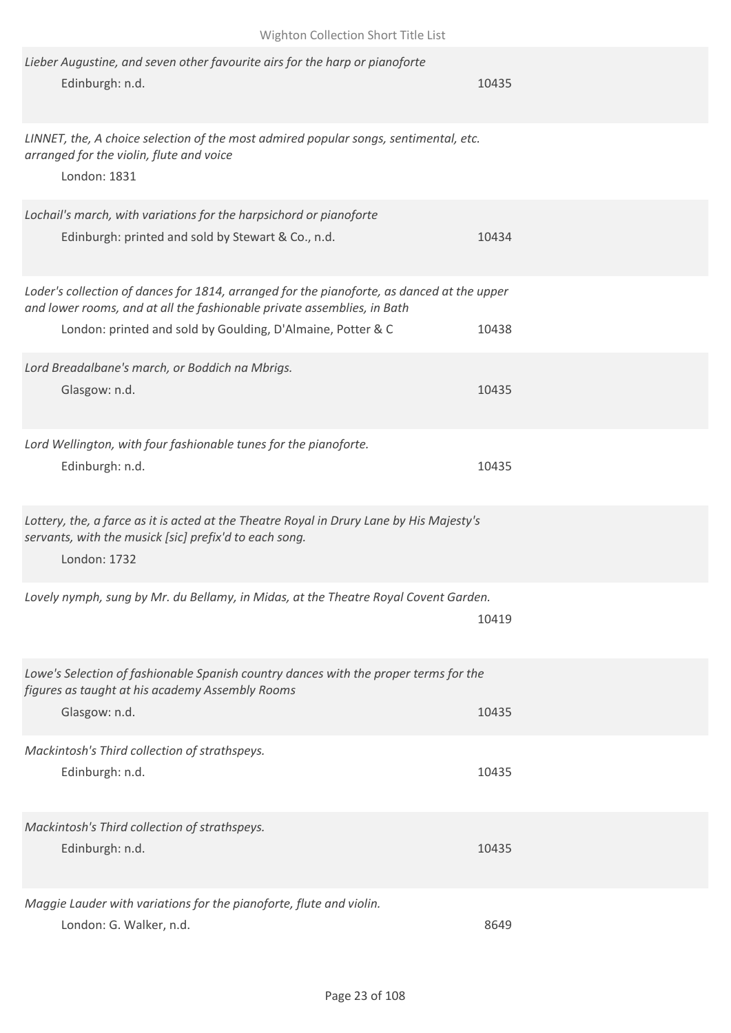| Lieber Augustine, and seven other favourite airs for the harp or pianoforte<br>Edinburgh: n.d.                                                                        | 10435 |  |
|-----------------------------------------------------------------------------------------------------------------------------------------------------------------------|-------|--|
| LINNET, the, A choice selection of the most admired popular songs, sentimental, etc.<br>arranged for the violin, flute and voice<br>London: 1831                      |       |  |
| Lochail's march, with variations for the harpsichord or pianoforte<br>Edinburgh: printed and sold by Stewart & Co., n.d.                                              | 10434 |  |
| Loder's collection of dances for 1814, arranged for the pianoforte, as danced at the upper<br>and lower rooms, and at all the fashionable private assemblies, in Bath |       |  |
| London: printed and sold by Goulding, D'Almaine, Potter & C                                                                                                           | 10438 |  |
| Lord Breadalbane's march, or Boddich na Mbrigs.<br>Glasgow: n.d.                                                                                                      | 10435 |  |
| Lord Wellington, with four fashionable tunes for the pianoforte.<br>Edinburgh: n.d.                                                                                   | 10435 |  |
| Lottery, the, a farce as it is acted at the Theatre Royal in Drury Lane by His Majesty's<br>servants, with the musick [sic] prefix'd to each song.<br>London: 1732    |       |  |
| Lovely nymph, sung by Mr. du Bellamy, in Midas, at the Theatre Royal Covent Garden.                                                                                   | 10419 |  |
| Lowe's Selection of fashionable Spanish country dances with the proper terms for the<br>figures as taught at his academy Assembly Rooms<br>Glasgow: n.d.              | 10435 |  |
| Mackintosh's Third collection of strathspeys.<br>Edinburgh: n.d.                                                                                                      | 10435 |  |
| Mackintosh's Third collection of strathspeys.<br>Edinburgh: n.d.                                                                                                      | 10435 |  |
| Maggie Lauder with variations for the pianoforte, flute and violin.<br>London: G. Walker, n.d.                                                                        | 8649  |  |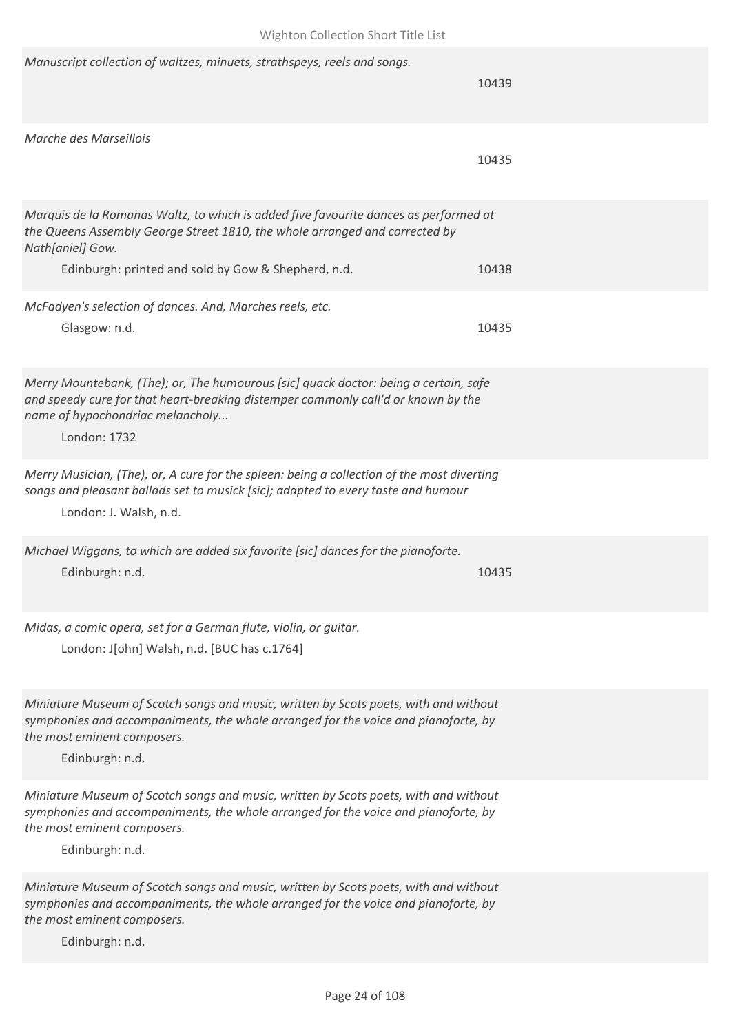| Manuscript collection of waltzes, minuets, strathspeys, reels and songs.                                                                                                                                                      | 10439 |
|-------------------------------------------------------------------------------------------------------------------------------------------------------------------------------------------------------------------------------|-------|
| Marche des Marseillois                                                                                                                                                                                                        | 10435 |
| Marquis de la Romanas Waltz, to which is added five favourite dances as performed at<br>the Queens Assembly George Street 1810, the whole arranged and corrected by<br>Nath[aniel] Gow.                                       |       |
| Edinburgh: printed and sold by Gow & Shepherd, n.d.                                                                                                                                                                           | 10438 |
| McFadyen's selection of dances. And, Marches reels, etc.<br>Glasgow: n.d.                                                                                                                                                     | 10435 |
| Merry Mountebank, (The); or, The humourous [sic] quack doctor: being a certain, safe<br>and speedy cure for that heart-breaking distemper commonly call'd or known by the<br>name of hypochondriac melancholy<br>London: 1732 |       |
| Merry Musician, (The), or, A cure for the spleen: being a collection of the most diverting<br>songs and pleasant ballads set to musick [sic]; adapted to every taste and humour<br>London: J. Walsh, n.d.                     |       |
| Michael Wiggans, to which are added six favorite [sic] dances for the pianoforte.<br>Edinburgh: n.d.                                                                                                                          | 10435 |
| Midas, a comic opera, set for a German flute, violin, or guitar.<br>London: J[ohn] Walsh, n.d. [BUC has c.1764]                                                                                                               |       |
| Miniature Museum of Scotch songs and music, written by Scots poets, with and without<br>symphonies and accompaniments, the whole arranged for the voice and pianoforte, by<br>the most eminent composers.<br>Edinburgh: n.d.  |       |
| Miniature Museum of Scotch songs and music, written by Scots poets, with and without<br>symphonies and accompaniments, the whole arranged for the voice and pianoforte, by<br>the most eminent composers.<br>Edinburgh: n.d.  |       |
| Miniature Museum of Scotch songs and music, written by Scots poets, with and without<br>symphonies and accompaniments, the whole arranged for the voice and pianoforte, by<br>the most eminent composers.<br>Edinburgh: n.d.  |       |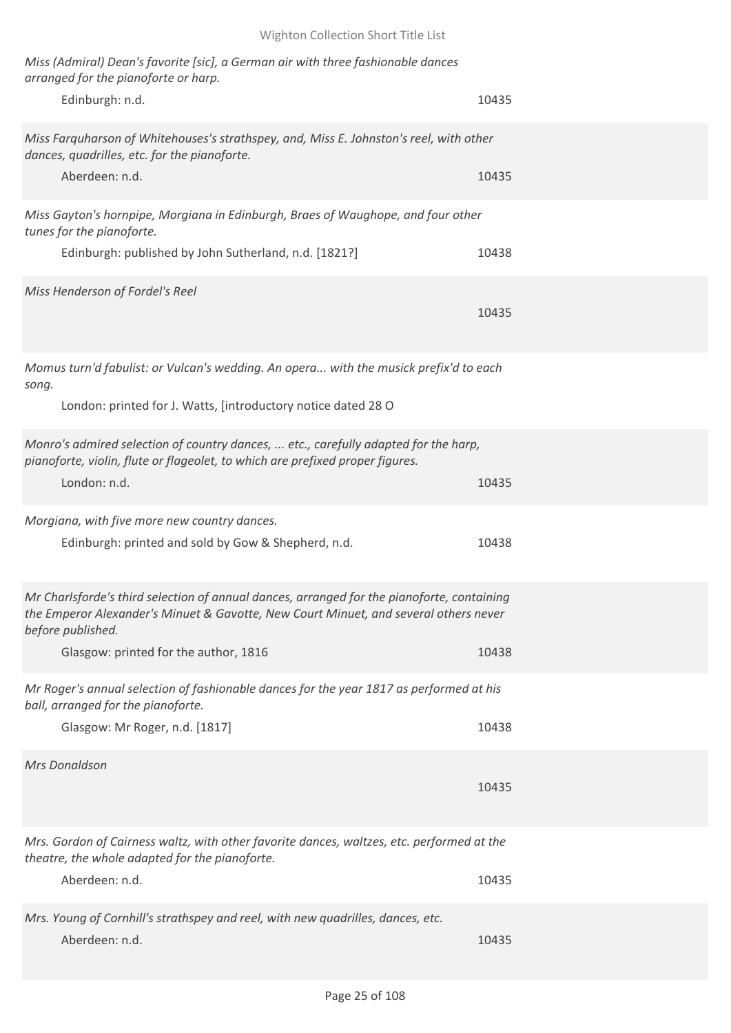| Miss (Admiral) Dean's favorite [sic], a German air with three fashionable dances<br>arranged for the pianoforte or harp.                                                                                |       |
|---------------------------------------------------------------------------------------------------------------------------------------------------------------------------------------------------------|-------|
| Edinburgh: n.d.                                                                                                                                                                                         | 10435 |
| Miss Farquharson of Whitehouses's strathspey, and, Miss E. Johnston's reel, with other<br>dances, quadrilles, etc. for the pianoforte.                                                                  |       |
| Aberdeen: n.d.                                                                                                                                                                                          | 10435 |
| Miss Gayton's hornpipe, Morgiana in Edinburgh, Braes of Waughope, and four other<br>tunes for the pianoforte.                                                                                           |       |
| Edinburgh: published by John Sutherland, n.d. [1821?]                                                                                                                                                   | 10438 |
| Miss Henderson of Fordel's Reel                                                                                                                                                                         | 10435 |
| Momus turn'd fabulist: or Vulcan's wedding. An opera with the musick prefix'd to each<br>song.                                                                                                          |       |
| London: printed for J. Watts, [introductory notice dated 28 O                                                                                                                                           |       |
| Monro's admired selection of country dances,  etc., carefully adapted for the harp,<br>pianoforte, violin, flute or flageolet, to which are prefixed proper figures.<br>London: n.d.                    | 10435 |
| Morgiana, with five more new country dances.                                                                                                                                                            |       |
| Edinburgh: printed and sold by Gow & Shepherd, n.d.                                                                                                                                                     | 10438 |
| Mr Charlsforde's third selection of annual dances, arranged for the pianoforte, containing<br>the Emperor Alexander's Minuet & Gavotte, New Court Minuet, and several others never<br>before published. |       |
| Glasgow: printed for the author, 1816                                                                                                                                                                   | 10438 |
| Mr Roger's annual selection of fashionable dances for the year 1817 as performed at his<br>ball, arranged for the pianoforte.                                                                           |       |
| Glasgow: Mr Roger, n.d. [1817]                                                                                                                                                                          | 10438 |
| Mrs Donaldson                                                                                                                                                                                           | 10435 |
| Mrs. Gordon of Cairness waltz, with other favorite dances, waltzes, etc. performed at the<br>theatre, the whole adapted for the pianoforte.                                                             |       |
| Aberdeen: n.d.                                                                                                                                                                                          | 10435 |
| Mrs. Young of Cornhill's strathspey and reel, with new quadrilles, dances, etc.<br>Aberdeen: n.d.                                                                                                       | 10435 |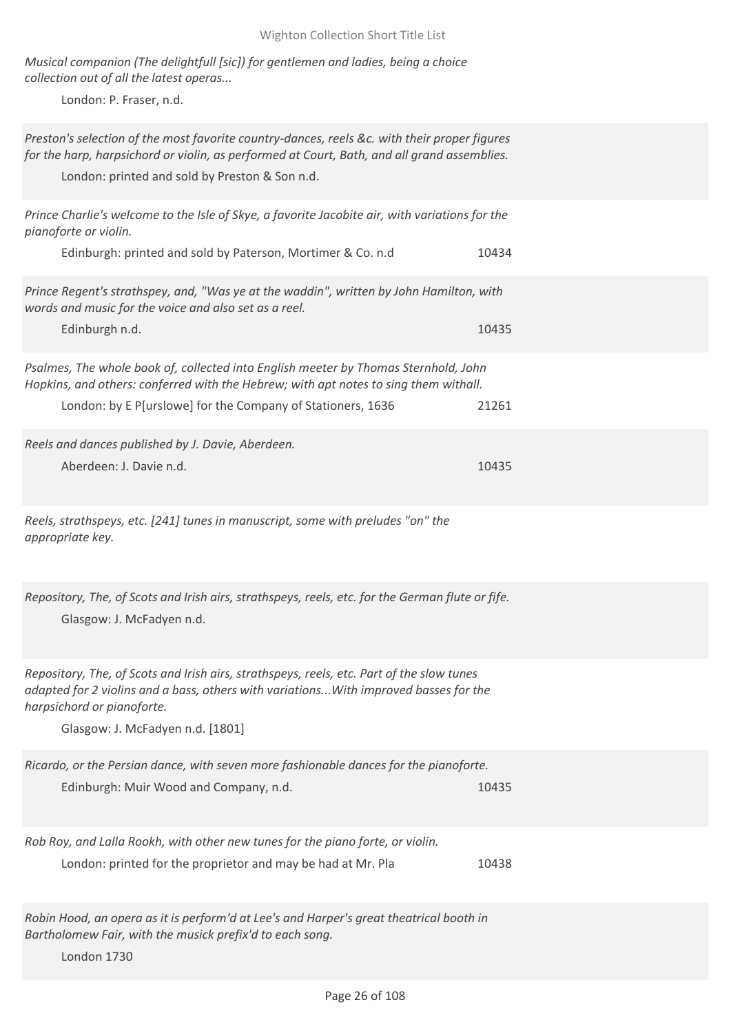*Musical companion (The delightfull [sic]) for gentlemen and ladies, being a choice collection out of all the latest operas...*

London: P. Fraser, n.d.

*Preston's selection of the most favorite country-dances, reels &c. with their proper figures for the harp, harpsichord or violin, as performed at Court, Bath, and all grand assemblies.*

London: printed and sold by Preston & Son n.d.

| Prince Charlie's welcome to the Isle of Skye, a favorite Jacobite air, with variations for the<br>pianoforte or violin.<br>Edinburgh: printed and sold by Paterson, Mortimer & Co. n.d                                                               | 10434 |
|------------------------------------------------------------------------------------------------------------------------------------------------------------------------------------------------------------------------------------------------------|-------|
| Prince Regent's strathspey, and, "Was ye at the waddin", written by John Hamilton, with<br>words and music for the voice and also set as a reel.<br>Edinburgh n.d.                                                                                   | 10435 |
| Psalmes, The whole book of, collected into English meeter by Thomas Sternhold, John<br>Hopkins, and others: conferred with the Hebrew; with apt notes to sing them withall.<br>London: by E P[urslowe] for the Company of Stationers, 1636           | 21261 |
| Reels and dances published by J. Davie, Aberdeen.<br>Aberdeen: J. Davie n.d.                                                                                                                                                                         | 10435 |
| Reels, strathspeys, etc. [241] tunes in manuscript, some with preludes "on" the<br>appropriate key.                                                                                                                                                  |       |
| Repository, The, of Scots and Irish airs, strathspeys, reels, etc. for the German flute or fife.<br>Glasgow: J. McFadyen n.d.                                                                                                                        |       |
| Repository, The, of Scots and Irish airs, strathspeys, reels, etc. Part of the slow tunes<br>adapted for 2 violins and a bass, others with variations With improved basses for the<br>harpsichord or pianoforte.<br>Glasgow: J. McFadyen n.d. [1801] |       |
| Ricardo, or the Persian dance, with seven more fashionable dances for the pianoforte.<br>Edinburgh: Muir Wood and Company, n.d.                                                                                                                      | 10435 |
| Rob Roy, and Lalla Rookh, with other new tunes for the piano forte, or violin.<br>London: printed for the proprietor and may be had at Mr. Pla                                                                                                       | 10438 |
| Robin Hood, an opera as it is perform'd at Lee's and Harper's great theatrical booth in<br>Bartholomew Fair, with the musick prefix'd to each song.                                                                                                  |       |

London 1730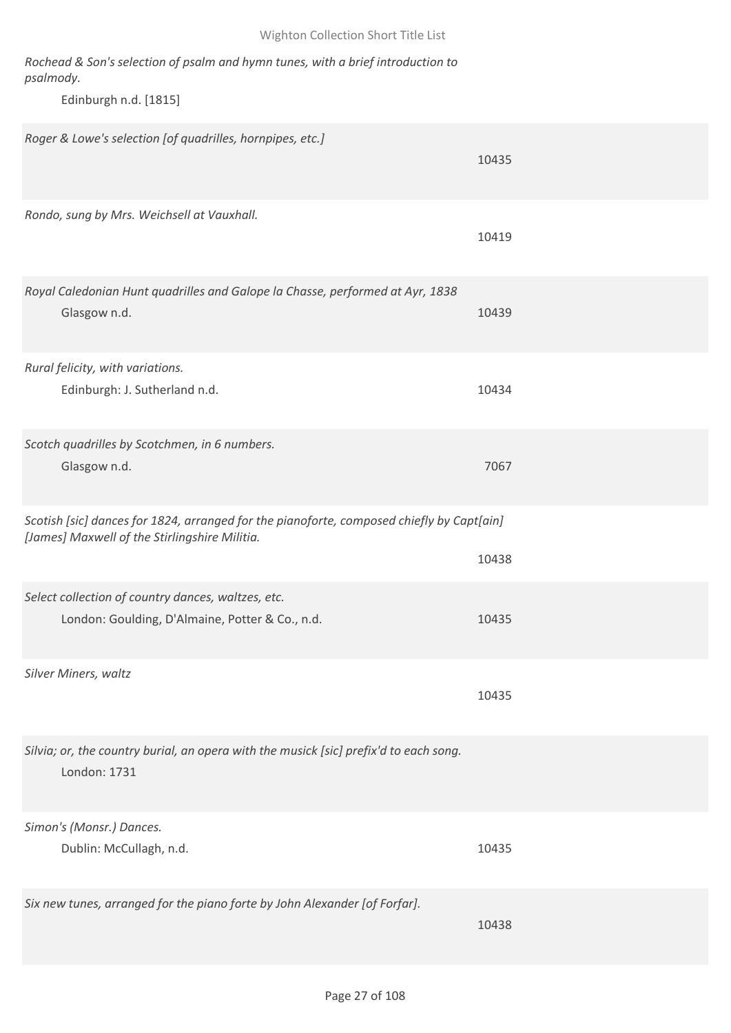| Rochead & Son's selection of psalm and hymn tunes, with a brief introduction to<br>psalmody.<br>Edinburgh n.d. [1815]                      |       |
|--------------------------------------------------------------------------------------------------------------------------------------------|-------|
| Roger & Lowe's selection [of quadrilles, hornpipes, etc.]                                                                                  | 10435 |
| Rondo, sung by Mrs. Weichsell at Vauxhall.                                                                                                 | 10419 |
| Royal Caledonian Hunt quadrilles and Galope la Chasse, performed at Ayr, 1838<br>Glasgow n.d.                                              | 10439 |
| Rural felicity, with variations.<br>Edinburgh: J. Sutherland n.d.                                                                          | 10434 |
| Scotch quadrilles by Scotchmen, in 6 numbers.<br>Glasgow n.d.                                                                              | 7067  |
| Scotish [sic] dances for 1824, arranged for the pianoforte, composed chiefly by Capt[ain]<br>[James] Maxwell of the Stirlingshire Militia. | 10438 |
| Select collection of country dances, waltzes, etc.<br>London: Goulding, D'Almaine, Potter & Co., n.d.                                      | 10435 |
| Silver Miners, waltz                                                                                                                       | 10435 |
| Silvia; or, the country burial, an opera with the musick [sic] prefix'd to each song.<br>London: 1731                                      |       |
| Simon's (Monsr.) Dances.<br>Dublin: McCullagh, n.d.                                                                                        | 10435 |
| Six new tunes, arranged for the piano forte by John Alexander [of Forfar].                                                                 | 10438 |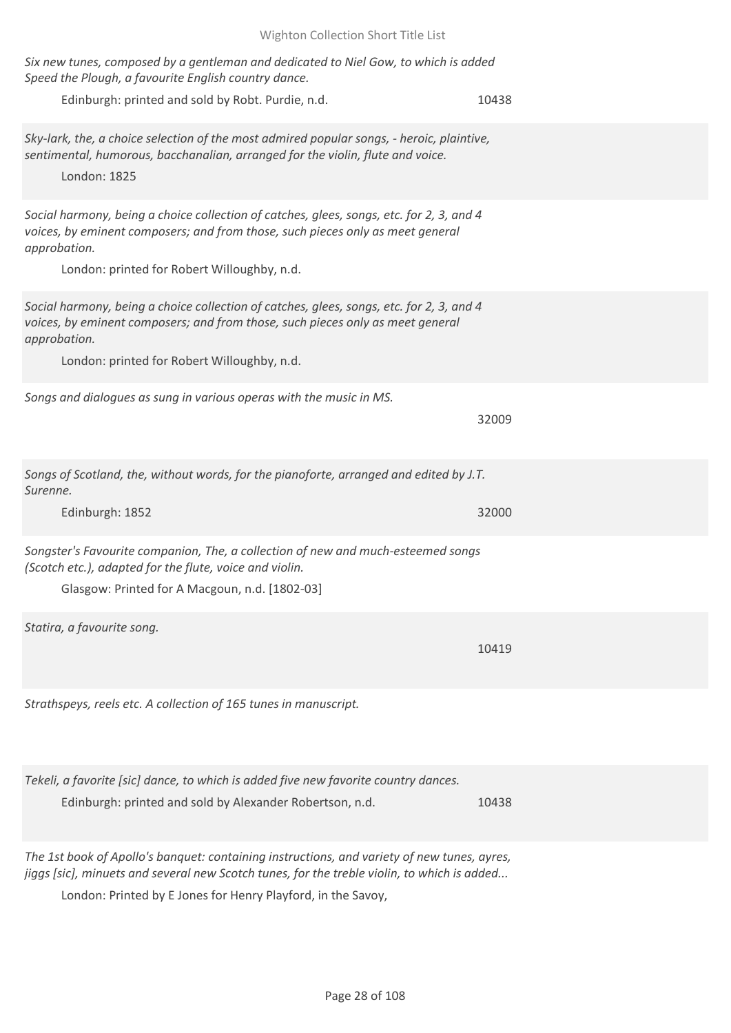| Six new tunes, composed by a gentleman and dedicated to Niel Gow, to which is added<br>Speed the Plough, a favourite English country dance.                                                                                               |       |
|-------------------------------------------------------------------------------------------------------------------------------------------------------------------------------------------------------------------------------------------|-------|
| Edinburgh: printed and sold by Robt. Purdie, n.d.                                                                                                                                                                                         | 10438 |
| Sky-lark, the, a choice selection of the most admired popular songs, - heroic, plaintive,<br>sentimental, humorous, bacchanalian, arranged for the violin, flute and voice.<br>London: 1825                                               |       |
| Social harmony, being a choice collection of catches, glees, songs, etc. for 2, 3, and 4<br>voices, by eminent composers; and from those, such pieces only as meet general<br>approbation.<br>London: printed for Robert Willoughby, n.d. |       |
| Social harmony, being a choice collection of catches, glees, songs, etc. for 2, 3, and 4<br>voices, by eminent composers; and from those, such pieces only as meet general<br>approbation.<br>London: printed for Robert Willoughby, n.d. |       |
| Songs and dialogues as sung in various operas with the music in MS.                                                                                                                                                                       | 32009 |
| Songs of Scotland, the, without words, for the pianoforte, arranged and edited by J.T.<br>Surenne.                                                                                                                                        |       |
| Edinburgh: 1852                                                                                                                                                                                                                           | 32000 |
| Songster's Favourite companion, The, a collection of new and much-esteemed songs<br>(Scotch etc.), adapted for the flute, voice and violin.<br>Glasgow: Printed for A Macgoun, n.d. [1802-03]                                             |       |
| Statira, a favourite song.                                                                                                                                                                                                                | 10419 |
| Strathspeys, reels etc. A collection of 165 tunes in manuscript.                                                                                                                                                                          |       |
| Tekeli, a favorite [sic] dance, to which is added five new favorite country dances.<br>Edinburgh: printed and sold by Alexander Robertson, n.d.                                                                                           | 10438 |
| The 1st book of Apollo's banquet: containing instructions, and variety of new tunes, ayres,                                                                                                                                               |       |

*jiggs [sic], minuets and several new Scotch tunes, for the treble violin, to which is added...*

London: Printed by E Jones for Henry Playford, in the Savoy,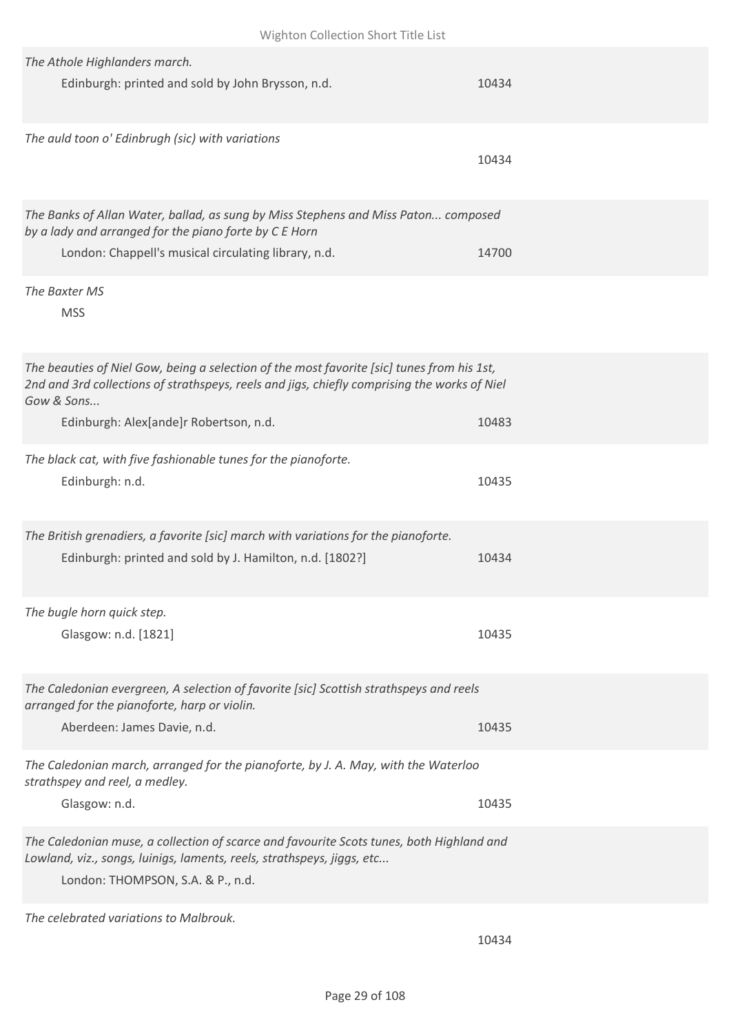| The Athole Highlanders march.<br>Edinburgh: printed and sold by John Brysson, n.d.                                                                                                                       | 10434 |
|----------------------------------------------------------------------------------------------------------------------------------------------------------------------------------------------------------|-------|
| The auld toon o' Edinbrugh (sic) with variations                                                                                                                                                         | 10434 |
| The Banks of Allan Water, ballad, as sung by Miss Stephens and Miss Paton composed<br>by a lady and arranged for the piano forte by C E Horn<br>London: Chappell's musical circulating library, n.d.     | 14700 |
| The Baxter MS<br><b>MSS</b>                                                                                                                                                                              |       |
| The beauties of Niel Gow, being a selection of the most favorite [sic] tunes from his 1st,<br>2nd and 3rd collections of strathspeys, reels and jigs, chiefly comprising the works of Niel<br>Gow & Sons |       |
| Edinburgh: Alex[ande]r Robertson, n.d.                                                                                                                                                                   | 10483 |
| The black cat, with five fashionable tunes for the pianoforte.<br>Edinburgh: n.d.                                                                                                                        | 10435 |
| The British grenadiers, a favorite [sic] march with variations for the pianoforte.<br>Edinburgh: printed and sold by J. Hamilton, n.d. [1802?]                                                           | 10434 |
| The bugle horn quick step.<br>Glasgow: n.d. [1821]                                                                                                                                                       | 10435 |
| The Caledonian evergreen, A selection of favorite [sic] Scottish strathspeys and reels<br>arranged for the pianoforte, harp or violin.<br>Aberdeen: James Davie, n.d.                                    | 10435 |
|                                                                                                                                                                                                          |       |
| The Caledonian march, arranged for the pianoforte, by J. A. May, with the Waterloo<br>strathspey and reel, a medley.                                                                                     |       |
| Glasgow: n.d.                                                                                                                                                                                            | 10435 |
| The Caledonian muse, a collection of scarce and favourite Scots tunes, both Highland and<br>Lowland, viz., songs, luinigs, laments, reels, strathspeys, jiggs, etc<br>London: THOMPSON, S.A. & P., n.d.  |       |
| The celebrated variations to Malbrouk.                                                                                                                                                                   |       |

10434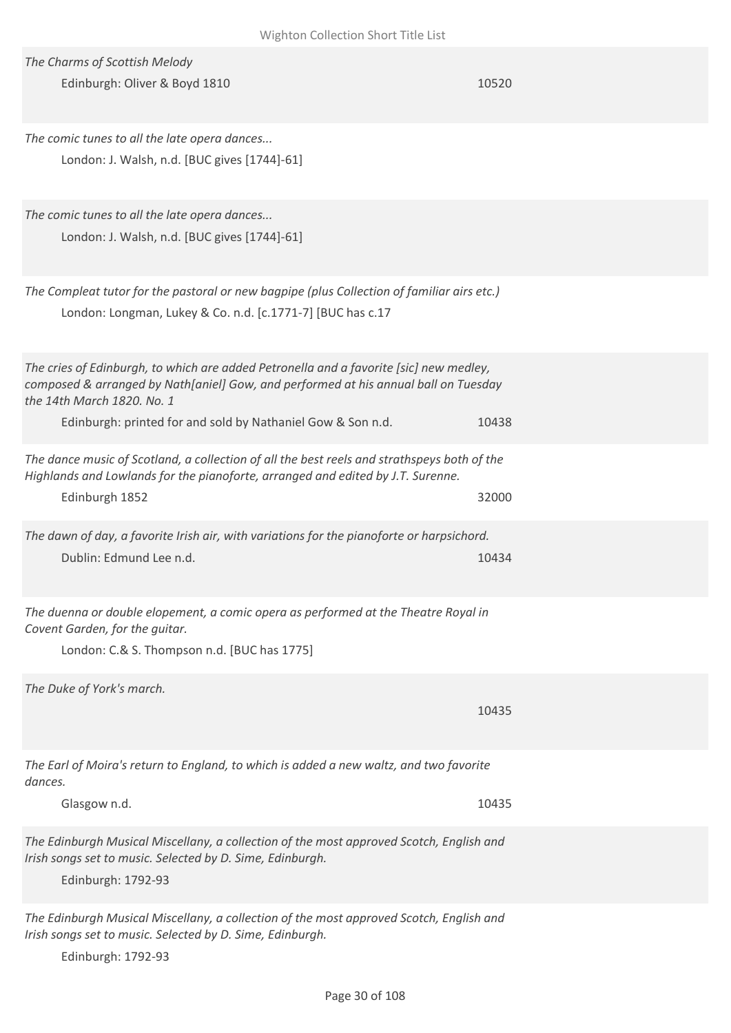| <b>VVIRTILOIT CONCENDIT SHOLL FILIC LISL</b>                                                                                                                                                                |       |
|-------------------------------------------------------------------------------------------------------------------------------------------------------------------------------------------------------------|-------|
| The Charms of Scottish Melody<br>Edinburgh: Oliver & Boyd 1810                                                                                                                                              | 10520 |
| The comic tunes to all the late opera dances<br>London: J. Walsh, n.d. [BUC gives [1744]-61]                                                                                                                |       |
| The comic tunes to all the late opera dances<br>London: J. Walsh, n.d. [BUC gives [1744]-61]                                                                                                                |       |
| The Compleat tutor for the pastoral or new bagpipe (plus Collection of familiar airs etc.)<br>London: Longman, Lukey & Co. n.d. [c.1771-7] [BUC has c.17                                                    |       |
| The cries of Edinburgh, to which are added Petronella and a favorite [sic] new medley,<br>composed & arranged by Nath[aniel] Gow, and performed at his annual ball on Tuesday<br>the 14th March 1820. No. 1 |       |
| Edinburgh: printed for and sold by Nathaniel Gow & Son n.d.                                                                                                                                                 | 10438 |
| The dance music of Scotland, a collection of all the best reels and strathspeys both of the<br>Highlands and Lowlands for the pianoforte, arranged and edited by J.T. Surenne.<br>Edinburgh 1852            | 32000 |
| The dawn of day, a favorite Irish air, with variations for the pianoforte or harpsichord.<br>Dublin: Edmund Lee n.d.                                                                                        | 10434 |
| The duenna or double elopement, a comic opera as performed at the Theatre Royal in<br>Covent Garden, for the quitar.<br>London: C.& S. Thompson n.d. [BUC has 1775]                                         |       |
| The Duke of York's march.                                                                                                                                                                                   | 10435 |
| The Earl of Moira's return to England, to which is added a new waltz, and two favorite<br>dances.                                                                                                           |       |
| Glasgow n.d.                                                                                                                                                                                                | 10435 |
| The Edinburgh Musical Miscellany, a collection of the most approved Scotch, English and<br>Irish songs set to music. Selected by D. Sime, Edinburgh.<br>Edinburgh: 1792-93                                  |       |
| The Edinburgh Musical Miscellany, a collection of the most approved Scotch, English and<br>Irish songs set to music. Selected by D. Sime, Edinburgh.<br>Edinburgh: 1792-93                                  |       |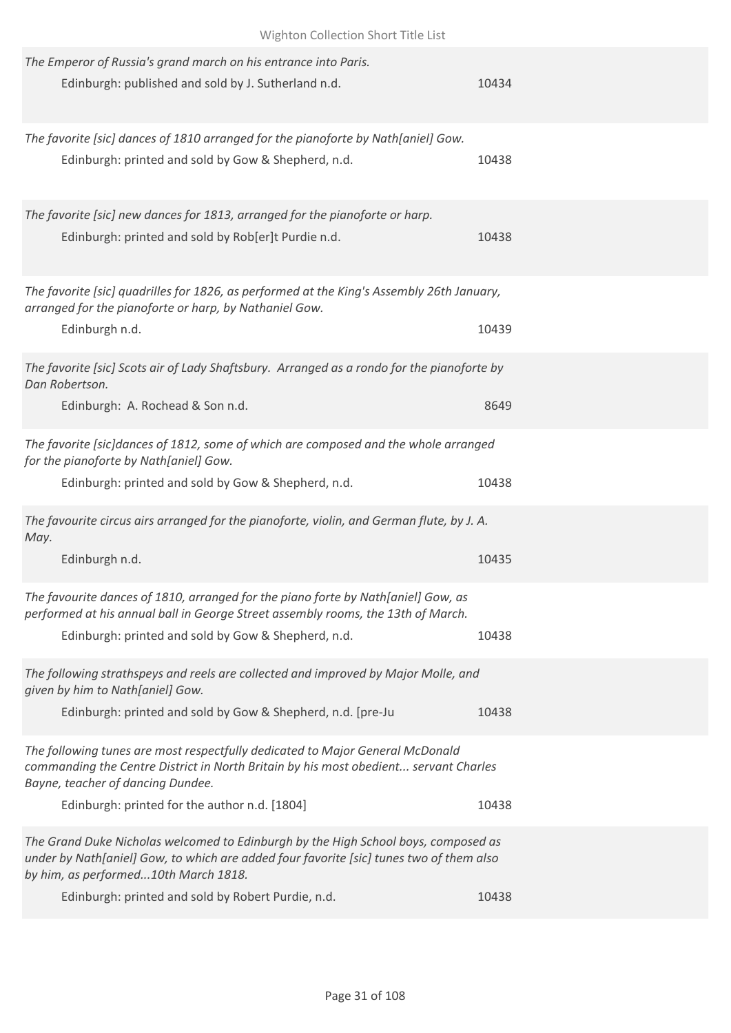| Wighton Collection Short Title List                                                                                                                                                                                                                                         |       |
|-----------------------------------------------------------------------------------------------------------------------------------------------------------------------------------------------------------------------------------------------------------------------------|-------|
| The Emperor of Russia's grand march on his entrance into Paris.<br>Edinburgh: published and sold by J. Sutherland n.d.                                                                                                                                                      | 10434 |
| The favorite [sic] dances of 1810 arranged for the pianoforte by Nath[aniel] Gow.<br>Edinburgh: printed and sold by Gow & Shepherd, n.d.                                                                                                                                    | 10438 |
| The favorite [sic] new dances for 1813, arranged for the pianoforte or harp.<br>Edinburgh: printed and sold by Rob[er]t Purdie n.d.                                                                                                                                         | 10438 |
| The favorite [sic] quadrilles for 1826, as performed at the King's Assembly 26th January,<br>arranged for the pianoforte or harp, by Nathaniel Gow.<br>Edinburgh n.d.                                                                                                       | 10439 |
| The favorite [sic] Scots air of Lady Shaftsbury. Arranged as a rondo for the pianoforte by<br>Dan Robertson.<br>Edinburgh: A. Rochead & Son n.d.                                                                                                                            | 8649  |
| The favorite [sic]dances of 1812, some of which are composed and the whole arranged<br>for the pianoforte by Nath[aniel] Gow.<br>Edinburgh: printed and sold by Gow & Shepherd, n.d.                                                                                        | 10438 |
| The favourite circus airs arranged for the pianoforte, violin, and German flute, by J. A.<br>May.<br>Edinburgh n.d.                                                                                                                                                         | 10435 |
| The favourite dances of 1810, arranged for the piano forte by Nath[aniel] Gow, as<br>performed at his annual ball in George Street assembly rooms, the 13th of March.<br>Edinburgh: printed and sold by Gow & Shepherd, n.d.                                                | 10438 |
| The following strathspeys and reels are collected and improved by Major Molle, and<br>given by him to Nath[aniel] Gow.<br>Edinburgh: printed and sold by Gow & Shepherd, n.d. [pre-Ju                                                                                       | 10438 |
| The following tunes are most respectfully dedicated to Major General McDonald<br>commanding the Centre District in North Britain by his most obedient servant Charles<br>Bayne, teacher of dancing Dundee.<br>Edinburgh: printed for the author n.d. [1804]                 | 10438 |
| The Grand Duke Nicholas welcomed to Edinburgh by the High School boys, composed as<br>under by Nath[aniel] Gow, to which are added four favorite [sic] tunes two of them also<br>by him, as performed10th March 1818.<br>Edinburgh: printed and sold by Robert Purdie, n.d. | 10438 |
|                                                                                                                                                                                                                                                                             |       |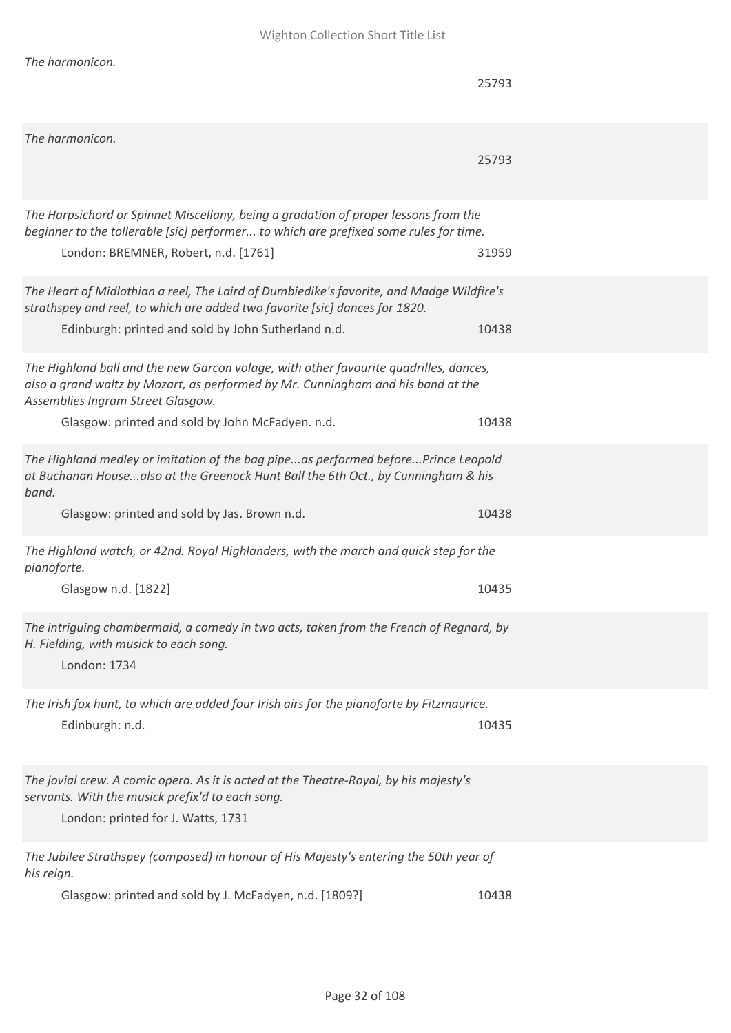| The harmonicon.                                                                                                                                                                                                                                                    | 25793 |
|--------------------------------------------------------------------------------------------------------------------------------------------------------------------------------------------------------------------------------------------------------------------|-------|
| The harmonicon.                                                                                                                                                                                                                                                    | 25793 |
| The Harpsichord or Spinnet Miscellany, being a gradation of proper lessons from the<br>beginner to the tollerable [sic] performer to which are prefixed some rules for time.<br>London: BREMNER, Robert, n.d. [1761]                                               | 31959 |
| The Heart of Midlothian a reel, The Laird of Dumbiedike's favorite, and Madge Wildfire's<br>strathspey and reel, to which are added two favorite [sic] dances for 1820.<br>Edinburgh: printed and sold by John Sutherland n.d.                                     | 10438 |
| The Highland ball and the new Garcon volage, with other favourite quadrilles, dances,<br>also a grand waltz by Mozart, as performed by Mr. Cunningham and his band at the<br>Assemblies Ingram Street Glasgow.<br>Glasgow: printed and sold by John McFadyen. n.d. | 10438 |
| The Highland medley or imitation of the bag pipeas performed beforePrince Leopold<br>at Buchanan Housealso at the Greenock Hunt Ball the 6th Oct., by Cunningham & his<br>band.                                                                                    |       |
| Glasgow: printed and sold by Jas. Brown n.d.                                                                                                                                                                                                                       | 10438 |
| The Highland watch, or 42nd. Royal Highlanders, with the march and quick step for the<br>pianoforte.                                                                                                                                                               |       |
| Glasgow n.d. [1822]                                                                                                                                                                                                                                                | 10435 |
| The intriguing chambermaid, a comedy in two acts, taken from the French of Regnard, by<br>H. Fielding, with musick to each song.<br>London: 1734                                                                                                                   |       |
| The Irish fox hunt, to which are added four Irish airs for the pianoforte by Fitzmaurice.<br>Edinburgh: n.d.                                                                                                                                                       | 10435 |
| The jovial crew. A comic opera. As it is acted at the Theatre-Royal, by his majesty's<br>servants. With the musick prefix'd to each song.<br>London: printed for J. Watts, 1731                                                                                    |       |
| The Jubilee Strathspey (composed) in honour of His Majesty's entering the 50th year of<br>his reign.<br>Glasgow: printed and sold by J. McFadyen, n.d. [1809?]                                                                                                     | 10438 |
|                                                                                                                                                                                                                                                                    |       |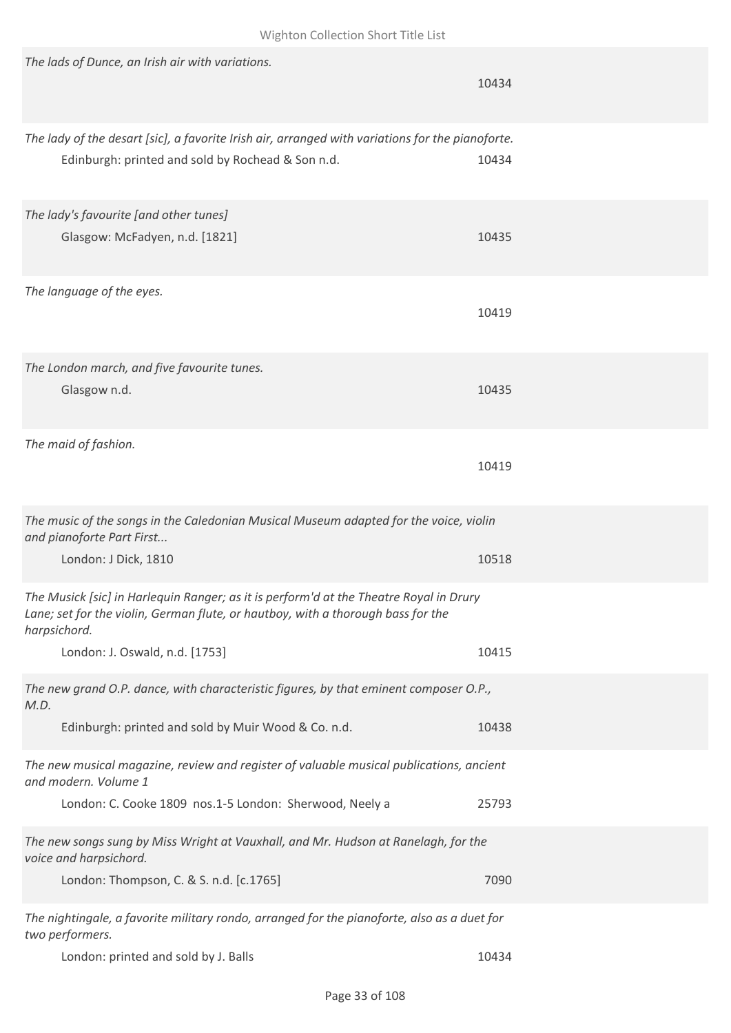| The lads of Dunce, an Irish air with variations.                                                                                                                                           | 10434 |
|--------------------------------------------------------------------------------------------------------------------------------------------------------------------------------------------|-------|
| The lady of the desart [sic], a favorite Irish air, arranged with variations for the pianoforte.<br>Edinburgh: printed and sold by Rochead & Son n.d.                                      | 10434 |
| The lady's favourite [and other tunes]<br>Glasgow: McFadyen, n.d. [1821]                                                                                                                   | 10435 |
| The language of the eyes.                                                                                                                                                                  | 10419 |
| The London march, and five favourite tunes.<br>Glasgow n.d.                                                                                                                                | 10435 |
| The maid of fashion.                                                                                                                                                                       | 10419 |
| The music of the songs in the Caledonian Musical Museum adapted for the voice, violin<br>and pianoforte Part First<br>London: J Dick, 1810                                                 | 10518 |
| The Musick [sic] in Harlequin Ranger; as it is perform'd at the Theatre Royal in Drury<br>Lane; set for the violin, German flute, or hautboy, with a thorough bass for the<br>harpsichord. |       |
| London: J. Oswald, n.d. [1753]                                                                                                                                                             | 10415 |
| The new grand O.P. dance, with characteristic figures, by that eminent composer O.P.,<br>M.D.<br>Edinburgh: printed and sold by Muir Wood & Co. n.d.                                       | 10438 |
| The new musical magazine, review and register of valuable musical publications, ancient<br>and modern. Volume 1                                                                            |       |
| London: C. Cooke 1809 nos.1-5 London: Sherwood, Neely a                                                                                                                                    | 25793 |
| The new songs sung by Miss Wright at Vauxhall, and Mr. Hudson at Ranelagh, for the<br>voice and harpsichord.<br>London: Thompson, C. & S. n.d. [c.1765]                                    | 7090  |
| The nightingale, a favorite military rondo, arranged for the pianoforte, also as a duet for<br>two performers.                                                                             |       |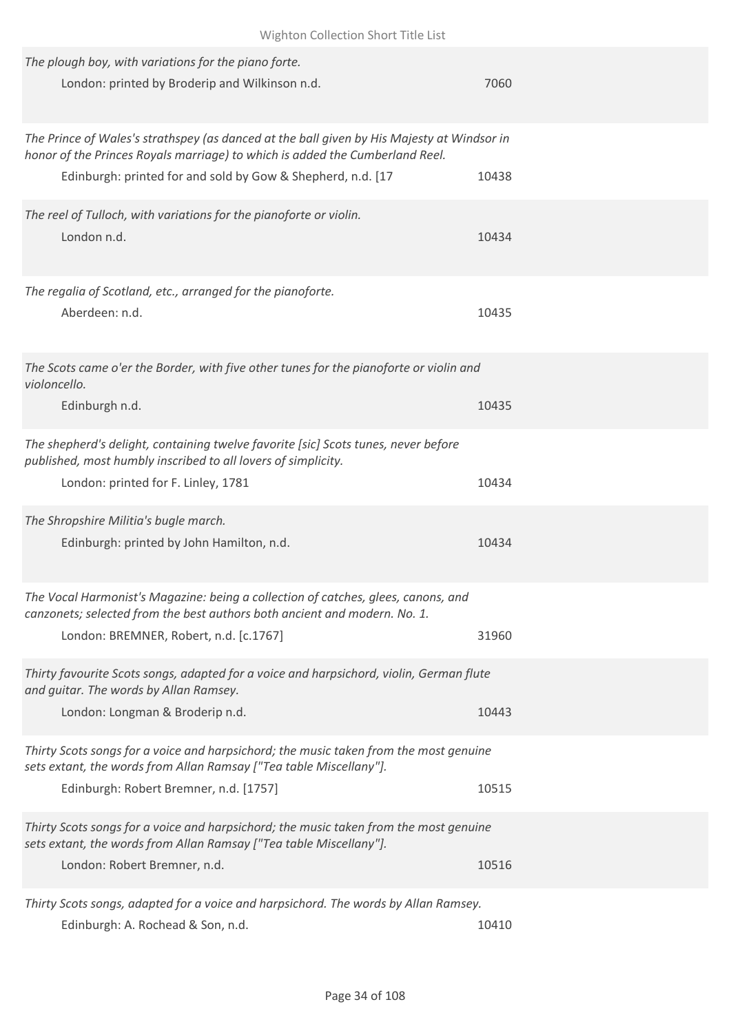| The plough boy, with variations for the piano forte.<br>London: printed by Broderip and Wilkinson n.d.                                                                                                                                    | 7060  |
|-------------------------------------------------------------------------------------------------------------------------------------------------------------------------------------------------------------------------------------------|-------|
| The Prince of Wales's strathspey (as danced at the ball given by His Majesty at Windsor in<br>honor of the Princes Royals marriage) to which is added the Cumberland Reel.<br>Edinburgh: printed for and sold by Gow & Shepherd, n.d. [17 | 10438 |
| The reel of Tulloch, with variations for the pianoforte or violin.<br>London n.d.                                                                                                                                                         | 10434 |
| The regalia of Scotland, etc., arranged for the pianoforte.<br>Aberdeen: n.d.                                                                                                                                                             | 10435 |
| The Scots came o'er the Border, with five other tunes for the pianoforte or violin and<br>violoncello.<br>Edinburgh n.d.                                                                                                                  | 10435 |
| The shepherd's delight, containing twelve favorite [sic] Scots tunes, never before<br>published, most humbly inscribed to all lovers of simplicity.<br>London: printed for F. Linley, 1781                                                | 10434 |
| The Shropshire Militia's bugle march.<br>Edinburgh: printed by John Hamilton, n.d.                                                                                                                                                        | 10434 |
| The Vocal Harmonist's Magazine: being a collection of catches, glees, canons, and<br>canzonets; selected from the best authors both ancient and modern. No. 1.<br>London: BREMNER, Robert, n.d. [c.1767]                                  | 31960 |
| Thirty favourite Scots songs, adapted for a voice and harpsichord, violin, German flute<br>and quitar. The words by Allan Ramsey.<br>London: Longman & Broderip n.d.                                                                      | 10443 |
| Thirty Scots songs for a voice and harpsichord; the music taken from the most genuine<br>sets extant, the words from Allan Ramsay ["Tea table Miscellany"].<br>Edinburgh: Robert Bremner, n.d. [1757]                                     | 10515 |
| Thirty Scots songs for a voice and harpsichord; the music taken from the most genuine<br>sets extant, the words from Allan Ramsay ["Tea table Miscellany"].<br>London: Robert Bremner, n.d.                                               | 10516 |
| Thirty Scots songs, adapted for a voice and harpsichord. The words by Allan Ramsey.                                                                                                                                                       |       |

Edinburgh: A. Rochead & Son, n.d. 10410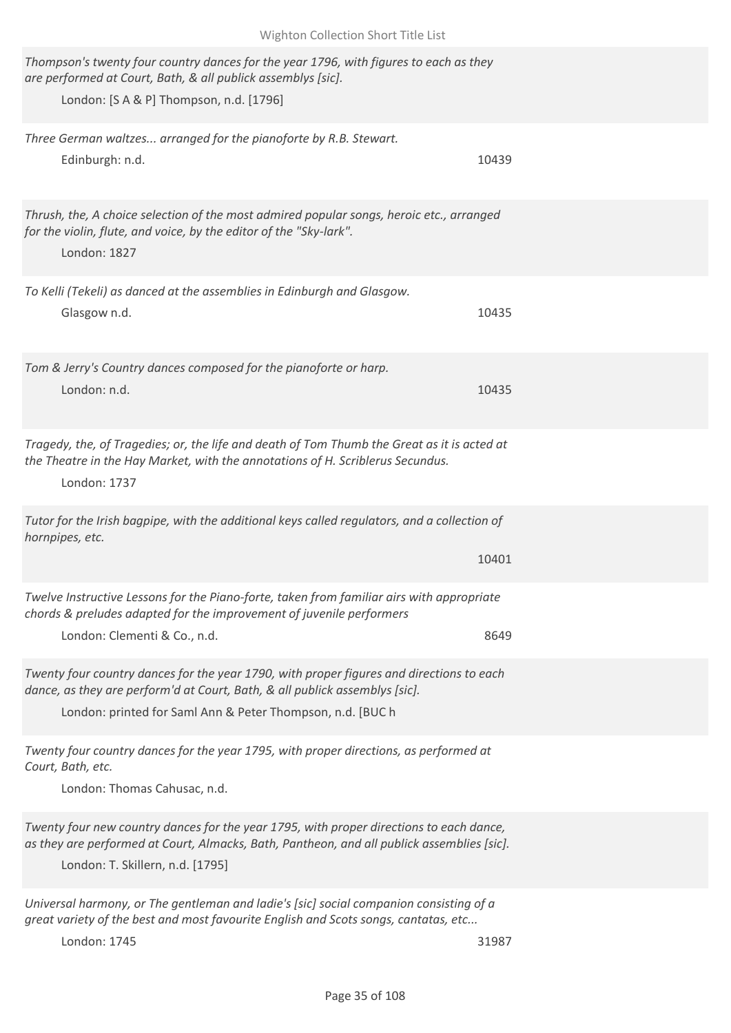| Wighton Collection Short Title List                                                                                                                                                                                                   |       |  |
|---------------------------------------------------------------------------------------------------------------------------------------------------------------------------------------------------------------------------------------|-------|--|
| Thompson's twenty four country dances for the year 1796, with figures to each as they<br>are performed at Court, Bath, & all publick assemblys [sic].<br>London: [S A & P] Thompson, n.d. [1796]                                      |       |  |
| Three German waltzes arranged for the pianoforte by R.B. Stewart.<br>Edinburgh: n.d.                                                                                                                                                  | 10439 |  |
| Thrush, the, A choice selection of the most admired popular songs, heroic etc., arranged<br>for the violin, flute, and voice, by the editor of the "Sky-lark".<br>London: 1827                                                        |       |  |
| To Kelli (Tekeli) as danced at the assemblies in Edinburgh and Glasgow.<br>Glasgow n.d.                                                                                                                                               | 10435 |  |
| Tom & Jerry's Country dances composed for the pianoforte or harp.<br>London: n.d.                                                                                                                                                     | 10435 |  |
| Tragedy, the, of Tragedies; or, the life and death of Tom Thumb the Great as it is acted at<br>the Theatre in the Hay Market, with the annotations of H. Scriblerus Secundus.<br>London: 1737                                         |       |  |
| Tutor for the Irish bagpipe, with the additional keys called regulators, and a collection of<br>hornpipes, etc.                                                                                                                       | 10401 |  |
| Twelve Instructive Lessons for the Piano-forte, taken from familiar airs with appropriate<br>chords & preludes adapted for the improvement of juvenile performers<br>London: Clementi & Co., n.d.                                     | 8649  |  |
| Twenty four country dances for the year 1790, with proper figures and directions to each<br>dance, as they are perform'd at Court, Bath, & all publick assemblys [sic].<br>London: printed for Saml Ann & Peter Thompson, n.d. [BUC h |       |  |
| Twenty four country dances for the year 1795, with proper directions, as performed at<br>Court, Bath, etc.<br>London: Thomas Cahusac, n.d.                                                                                            |       |  |
| Twenty four new country dances for the year 1795, with proper directions to each dance,<br>as they are performed at Court, Almacks, Bath, Pantheon, and all publick assemblies [sic].<br>London: T. Skillern, n.d. [1795]             |       |  |
| Universal harmony, or The gentleman and ladie's [sic] social companion consisting of a<br>great variety of the best and most favourite English and Scots songs, cantatas, etc<br>London: 1745                                         | 31987 |  |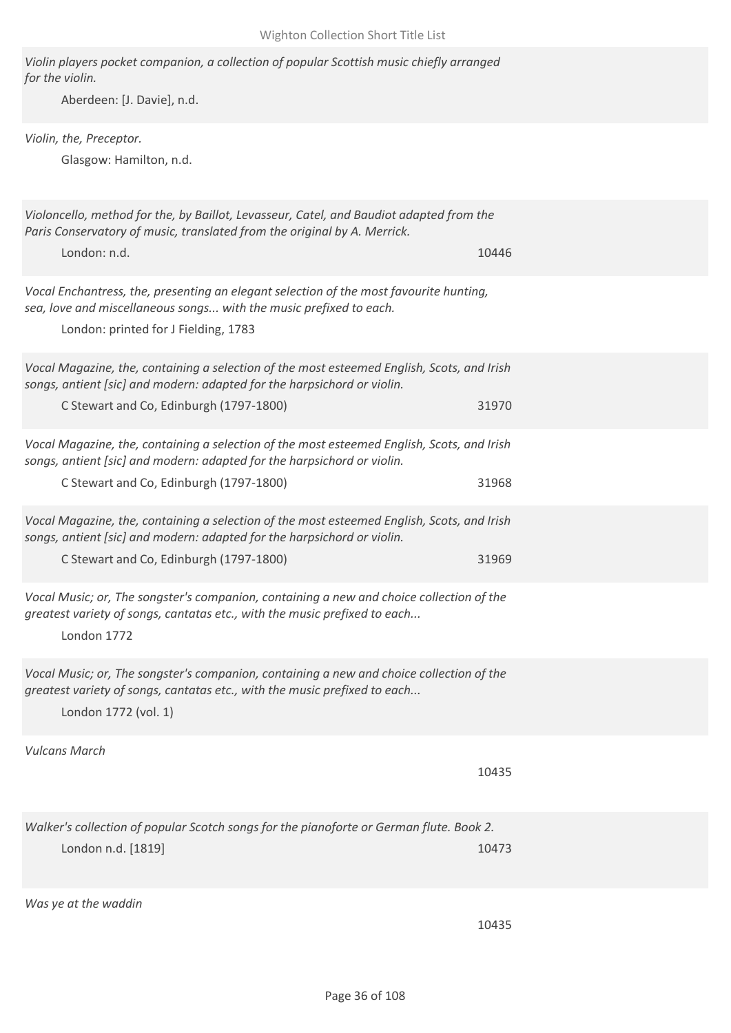| Violin players pocket companion, a collection of popular Scottish music chiefly arranged<br>for the violin.<br>Aberdeen: [J. Davie], n.d.                                                                        |       |
|------------------------------------------------------------------------------------------------------------------------------------------------------------------------------------------------------------------|-------|
| Violin, the, Preceptor.<br>Glasgow: Hamilton, n.d.                                                                                                                                                               |       |
| Violoncello, method for the, by Baillot, Levasseur, Catel, and Baudiot adapted from the<br>Paris Conservatory of music, translated from the original by A. Merrick.<br>London: n.d.                              | 10446 |
| Vocal Enchantress, the, presenting an elegant selection of the most favourite hunting,<br>sea, love and miscellaneous songs with the music prefixed to each.<br>London: printed for J Fielding, 1783             |       |
| Vocal Magazine, the, containing a selection of the most esteemed English, Scots, and Irish<br>songs, antient [sic] and modern: adapted for the harpsichord or violin.<br>C Stewart and Co, Edinburgh (1797-1800) | 31970 |
| Vocal Magazine, the, containing a selection of the most esteemed English, Scots, and Irish<br>songs, antient [sic] and modern: adapted for the harpsichord or violin.<br>C Stewart and Co, Edinburgh (1797-1800) | 31968 |
| Vocal Magazine, the, containing a selection of the most esteemed English, Scots, and Irish<br>songs, antient [sic] and modern: adapted for the harpsichord or violin.<br>C Stewart and Co, Edinburgh (1797-1800) | 31969 |
| Vocal Music; or, The songster's companion, containing a new and choice collection of the<br>greatest variety of songs, cantatas etc., with the music prefixed to each<br>London 1772                             |       |
| Vocal Music; or, The songster's companion, containing a new and choice collection of the<br>greatest variety of songs, cantatas etc., with the music prefixed to each<br>London 1772 (vol. 1)                    |       |
| <b>Vulcans March</b>                                                                                                                                                                                             | 10435 |
| Walker's collection of popular Scotch songs for the pianoforte or German flute. Book 2.<br>London n.d. [1819]                                                                                                    | 10473 |
| Was ye at the waddin                                                                                                                                                                                             | 10435 |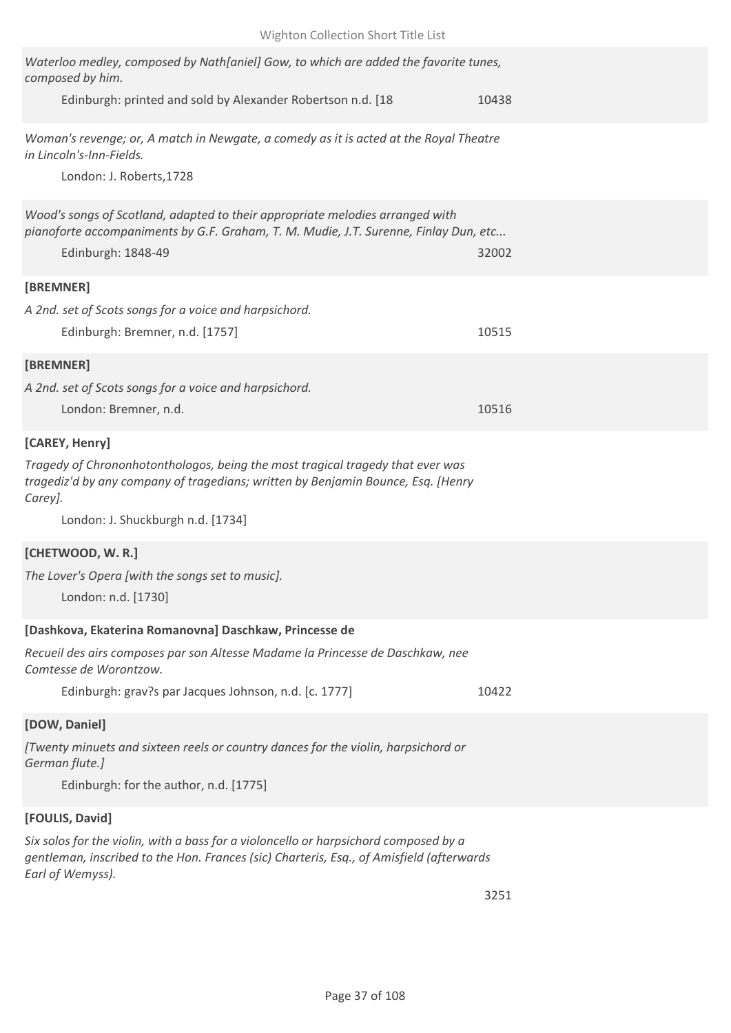| Waterloo medley, composed by Nath[aniel] Gow, to which are added the favorite tunes,<br>composed by him.                                                                         |       |
|----------------------------------------------------------------------------------------------------------------------------------------------------------------------------------|-------|
| Edinburgh: printed and sold by Alexander Robertson n.d. [18                                                                                                                      | 10438 |
| Woman's revenge; or, A match in Newgate, a comedy as it is acted at the Royal Theatre<br>in Lincoln's-Inn-Fields.                                                                |       |
| London: J. Roberts, 1728                                                                                                                                                         |       |
| Wood's songs of Scotland, adapted to their appropriate melodies arranged with<br>pianoforte accompaniments by G.F. Graham, T. M. Mudie, J.T. Surenne, Finlay Dun, etc            |       |
| Edinburgh: 1848-49                                                                                                                                                               | 32002 |
| [BREMNER]                                                                                                                                                                        |       |
| A 2nd. set of Scots songs for a voice and harpsichord.                                                                                                                           |       |
| Edinburgh: Bremner, n.d. [1757]                                                                                                                                                  | 10515 |
| [BREMNER]                                                                                                                                                                        |       |
| A 2nd. set of Scots songs for a voice and harpsichord.                                                                                                                           |       |
| London: Bremner, n.d.                                                                                                                                                            | 10516 |
| [CAREY, Henry]                                                                                                                                                                   |       |
| Tragedy of Chrononhotonthologos, being the most tragical tragedy that ever was<br>tragediz'd by any company of tragedians; written by Benjamin Bounce, Esq. [Henry<br>Carey].    |       |
| London: J. Shuckburgh n.d. [1734]                                                                                                                                                |       |
| [CHETWOOD, W.R.]                                                                                                                                                                 |       |
| The Lover's Opera [with the songs set to music].                                                                                                                                 |       |
| London: n.d. [1730]                                                                                                                                                              |       |
| [Dashkova, Ekaterina Romanovna] Daschkaw, Princesse de                                                                                                                           |       |
| Recueil des airs composes par son Altesse Madame la Princesse de Daschkaw, nee<br>Comtesse de Worontzow.                                                                         |       |
| Edinburgh: grav?s par Jacques Johnson, n.d. [c. 1777]                                                                                                                            | 10422 |
| [DOW, Daniel]                                                                                                                                                                    |       |
| [Twenty minuets and sixteen reels or country dances for the violin, harpsichord or<br>German flute.]                                                                             |       |
| Edinburgh: for the author, n.d. [1775]                                                                                                                                           |       |
| [FOULIS, David]                                                                                                                                                                  |       |
| Six solos for the violin, with a bass for a violoncello or harpsichord composed by a<br>gentleman, inscribed to the Hon. Frances (sic) Charteris, Esq., of Amisfield (afterwards |       |
| Earl of Wemyss).                                                                                                                                                                 |       |

3251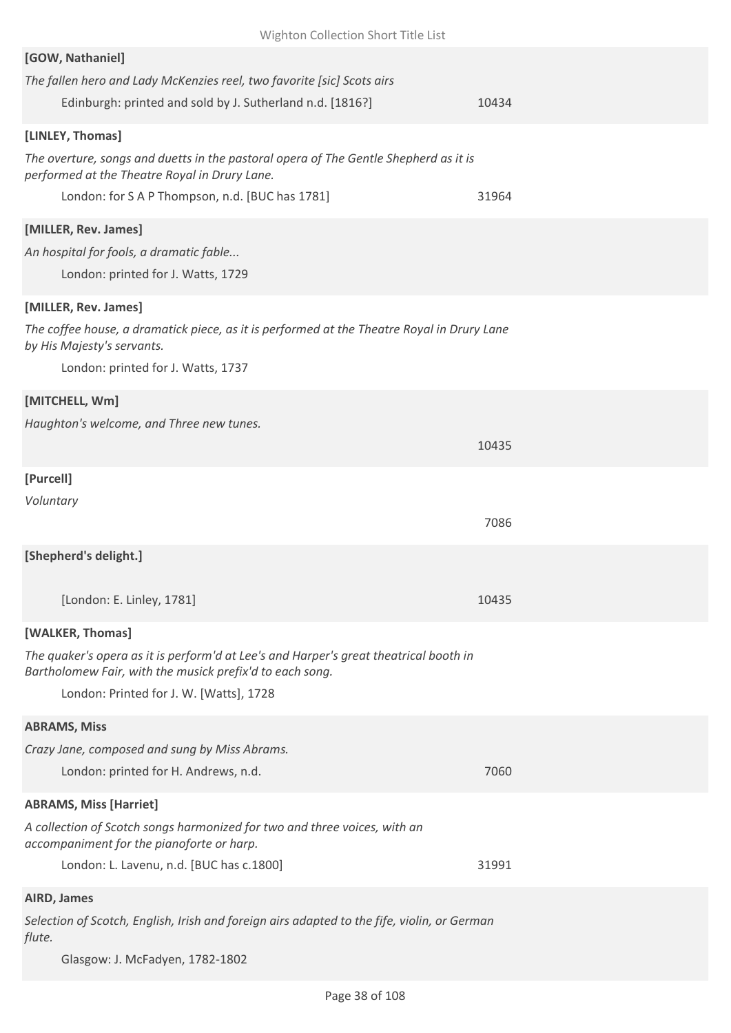| Wighton Collection Short Title List                                                                                                                            |       |
|----------------------------------------------------------------------------------------------------------------------------------------------------------------|-------|
| [GOW, Nathaniel]<br>The fallen hero and Lady McKenzies reel, two favorite [sic] Scots airs<br>Edinburgh: printed and sold by J. Sutherland n.d. [1816?]        | 10434 |
| [LINLEY, Thomas]                                                                                                                                               |       |
| The overture, songs and duetts in the pastoral opera of The Gentle Shepherd as it is<br>performed at the Theatre Royal in Drury Lane.                          |       |
| London: for S A P Thompson, n.d. [BUC has 1781]                                                                                                                | 31964 |
| [MILLER, Rev. James]<br>An hospital for fools, a dramatic fable<br>London: printed for J. Watts, 1729                                                          |       |
| [MILLER, Rev. James]                                                                                                                                           |       |
| The coffee house, a dramatick piece, as it is performed at the Theatre Royal in Drury Lane<br>by His Majesty's servants.<br>London: printed for J. Watts, 1737 |       |
| [MITCHELL, Wm]                                                                                                                                                 |       |
| Haughton's welcome, and Three new tunes.                                                                                                                       |       |
|                                                                                                                                                                | 10435 |
| [Purcell]                                                                                                                                                      |       |
| Voluntary                                                                                                                                                      | 7086  |
| [Shepherd's delight.]                                                                                                                                          |       |
| [London: E. Linley, 1781]                                                                                                                                      | 10435 |
| [WALKER, Thomas]                                                                                                                                               |       |
| The quaker's opera as it is perform'd at Lee's and Harper's great theatrical booth in<br>Bartholomew Fair, with the musick prefix'd to each song.              |       |
| London: Printed for J. W. [Watts], 1728                                                                                                                        |       |
| <b>ABRAMS, Miss</b>                                                                                                                                            |       |
| Crazy Jane, composed and sung by Miss Abrams.                                                                                                                  |       |
| London: printed for H. Andrews, n.d.                                                                                                                           | 7060  |
| <b>ABRAMS, Miss [Harriet]</b>                                                                                                                                  |       |
| A collection of Scotch songs harmonized for two and three voices, with an<br>accompaniment for the pianoforte or harp.                                         |       |
| London: L. Lavenu, n.d. [BUC has c.1800]                                                                                                                       | 31991 |
| AIRD, James                                                                                                                                                    |       |
| Selection of Scotch, English, Irish and foreign airs adapted to the fife, violin, or German<br>flute.                                                          |       |

Glasgow: J. McFadyen, 1782-1802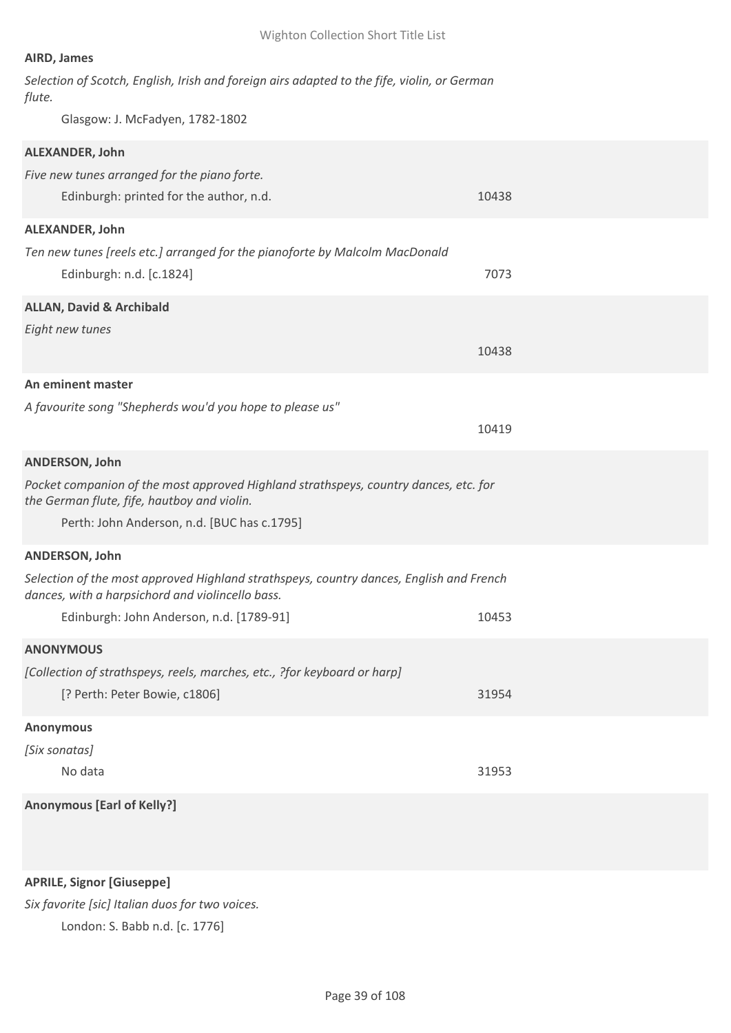## **AIRD, James**

| Selection of Scotch, English, Irish and foreign airs adapted to the fife, violin, or German |  |  |  |  |  |  |
|---------------------------------------------------------------------------------------------|--|--|--|--|--|--|
| flute.                                                                                      |  |  |  |  |  |  |

Glasgow: J. McFadyen, 1782-1802

| ALEXANDER, John                                                                                                                             |       |
|---------------------------------------------------------------------------------------------------------------------------------------------|-------|
| Five new tunes arranged for the piano forte.                                                                                                |       |
| Edinburgh: printed for the author, n.d.                                                                                                     | 10438 |
| ALEXANDER, John                                                                                                                             |       |
| Ten new tunes [reels etc.] arranged for the pianoforte by Malcolm MacDonald                                                                 |       |
| Edinburgh: n.d. [c.1824]                                                                                                                    | 7073  |
| <b>ALLAN, David &amp; Archibald</b>                                                                                                         |       |
| Eight new tunes                                                                                                                             |       |
|                                                                                                                                             | 10438 |
| An eminent master                                                                                                                           |       |
| A favourite song "Shepherds wou'd you hope to please us"                                                                                    |       |
|                                                                                                                                             | 10419 |
| <b>ANDERSON, John</b>                                                                                                                       |       |
| Pocket companion of the most approved Highland strathspeys, country dances, etc. for                                                        |       |
| the German flute, fife, hautboy and violin.                                                                                                 |       |
| Perth: John Anderson, n.d. [BUC has c.1795]                                                                                                 |       |
| ANDERSON, John                                                                                                                              |       |
| Selection of the most approved Highland strathspeys, country dances, English and French<br>dances, with a harpsichord and violincello bass. |       |
| Edinburgh: John Anderson, n.d. [1789-91]                                                                                                    | 10453 |
| <b>ANONYMOUS</b>                                                                                                                            |       |
| [Collection of strathspeys, reels, marches, etc., ?for keyboard or harp]                                                                    |       |
| [? Perth: Peter Bowie, c1806]                                                                                                               | 31954 |
| <b>Anonymous</b>                                                                                                                            |       |
| [Six sonatas]                                                                                                                               |       |
| No data                                                                                                                                     | 31953 |
| <b>Anonymous [Earl of Kelly?]</b>                                                                                                           |       |
|                                                                                                                                             |       |
|                                                                                                                                             |       |

**APRILE, Signor [Giuseppe]**

*Six favorite [sic] Italian duos for two voices.* London: S. Babb n.d. [c. 1776]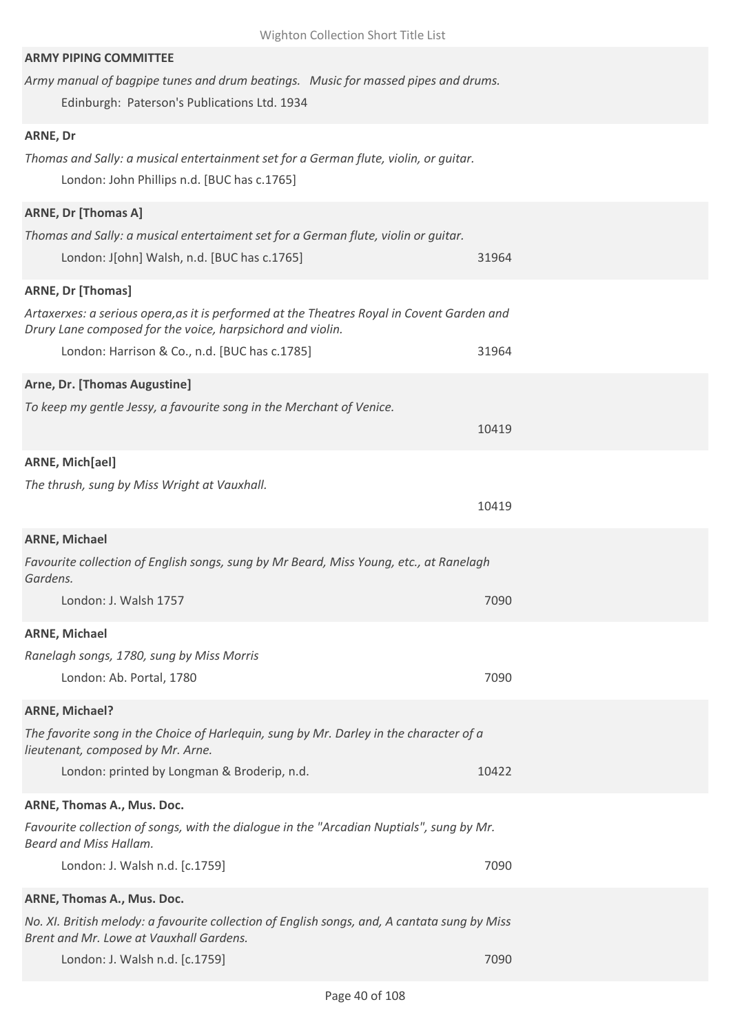| <b>ARMY PIPING COMMITTEE</b>                                                                                                                             |       |
|----------------------------------------------------------------------------------------------------------------------------------------------------------|-------|
| Army manual of bagpipe tunes and drum beatings. Music for massed pipes and drums.                                                                        |       |
| Edinburgh: Paterson's Publications Ltd. 1934                                                                                                             |       |
| ARNE, Dr                                                                                                                                                 |       |
| Thomas and Sally: a musical entertainment set for a German flute, violin, or guitar.                                                                     |       |
| London: John Phillips n.d. [BUC has c.1765]                                                                                                              |       |
| <b>ARNE, Dr [Thomas A]</b>                                                                                                                               |       |
| Thomas and Sally: a musical entertaiment set for a German flute, violin or guitar.                                                                       |       |
| London: J[ohn] Walsh, n.d. [BUC has c.1765]                                                                                                              | 31964 |
| <b>ARNE, Dr [Thomas]</b>                                                                                                                                 |       |
| Artaxerxes: a serious opera, as it is performed at the Theatres Royal in Covent Garden and<br>Drury Lane composed for the voice, harpsichord and violin. |       |
| London: Harrison & Co., n.d. [BUC has c.1785]                                                                                                            | 31964 |
| Arne, Dr. [Thomas Augustine]                                                                                                                             |       |
| To keep my gentle Jessy, a favourite song in the Merchant of Venice.                                                                                     |       |
|                                                                                                                                                          | 10419 |
| ARNE, Mich[ael]                                                                                                                                          |       |
| The thrush, sung by Miss Wright at Vauxhall.                                                                                                             |       |
|                                                                                                                                                          | 10419 |
| <b>ARNE, Michael</b>                                                                                                                                     |       |
| Favourite collection of English songs, sung by Mr Beard, Miss Young, etc., at Ranelagh<br>Gardens.                                                       |       |
| London: J. Walsh 1757                                                                                                                                    | 7090  |
| <b>ARNE, Michael</b>                                                                                                                                     |       |
| Ranelagh songs, 1780, sung by Miss Morris                                                                                                                |       |
| London: Ab. Portal, 1780                                                                                                                                 | 7090  |
| <b>ARNE, Michael?</b>                                                                                                                                    |       |
| The favorite song in the Choice of Harlequin, sung by Mr. Darley in the character of a<br>lieutenant, composed by Mr. Arne.                              |       |
| London: printed by Longman & Broderip, n.d.                                                                                                              | 10422 |
| ARNE, Thomas A., Mus. Doc.                                                                                                                               |       |
| Favourite collection of songs, with the dialogue in the "Arcadian Nuptials", sung by Mr.<br>Beard and Miss Hallam.                                       |       |
| London: J. Walsh n.d. [c.1759]                                                                                                                           | 7090  |
| ARNE, Thomas A., Mus. Doc.                                                                                                                               |       |
| No. XI. British melody: a favourite collection of English songs, and, A cantata sung by Miss<br>Brent and Mr. Lowe at Vauxhall Gardens.                  |       |
| London: J. Walsh n.d. [c.1759]                                                                                                                           | 7090  |
|                                                                                                                                                          |       |

Wighton Collection Short Title List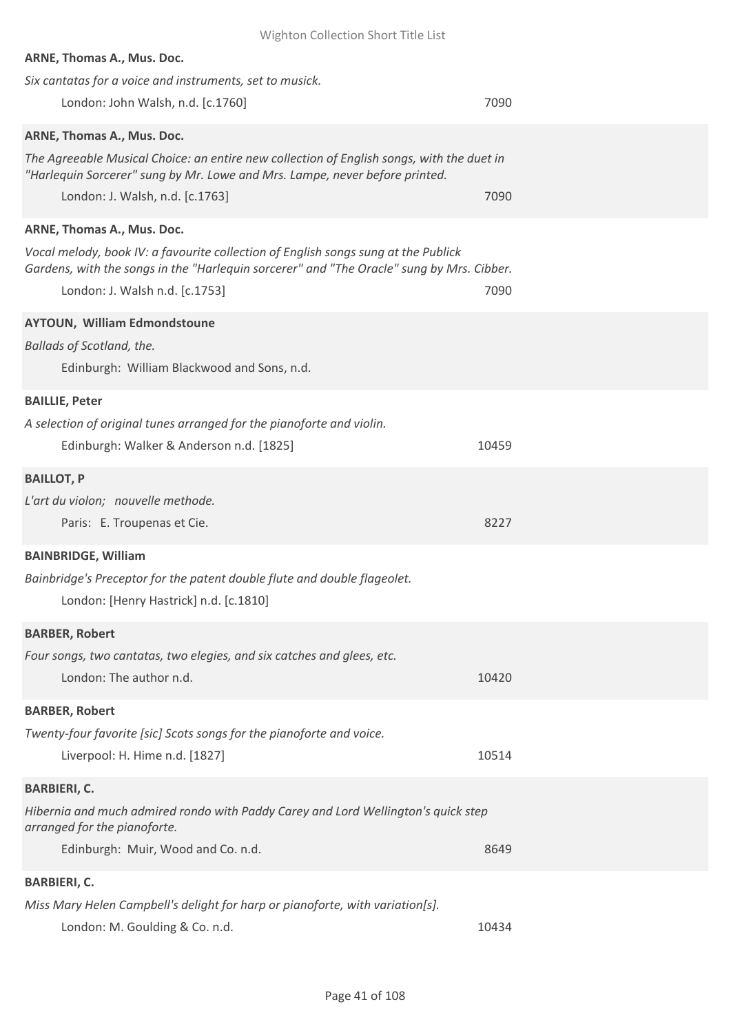| Wighton Collection Short Title List                                                                                                                                             |       |
|---------------------------------------------------------------------------------------------------------------------------------------------------------------------------------|-------|
| ARNE, Thomas A., Mus. Doc.                                                                                                                                                      |       |
| Six cantatas for a voice and instruments, set to musick.                                                                                                                        |       |
| London: John Walsh, n.d. [c.1760]                                                                                                                                               | 7090  |
| ARNE, Thomas A., Mus. Doc.                                                                                                                                                      |       |
| The Agreeable Musical Choice: an entire new collection of English songs, with the duet in<br>"Harlequin Sorcerer" sung by Mr. Lowe and Mrs. Lampe, never before printed.        |       |
| London: J. Walsh, n.d. [c.1763]                                                                                                                                                 | 7090  |
| ARNE, Thomas A., Mus. Doc.                                                                                                                                                      |       |
| Vocal melody, book IV: a favourite collection of English songs sung at the Publick<br>Gardens, with the songs in the "Harlequin sorcerer" and "The Oracle" sung by Mrs. Cibber. |       |
| London: J. Walsh n.d. [c.1753]                                                                                                                                                  | 7090  |
| <b>AYTOUN, William Edmondstoune</b>                                                                                                                                             |       |
| Ballads of Scotland, the.                                                                                                                                                       |       |
| Edinburgh: William Blackwood and Sons, n.d.                                                                                                                                     |       |
| <b>BAILLIE, Peter</b>                                                                                                                                                           |       |
| A selection of original tunes arranged for the pianoforte and violin.                                                                                                           |       |
| Edinburgh: Walker & Anderson n.d. [1825]                                                                                                                                        | 10459 |
| <b>BAILLOT, P</b>                                                                                                                                                               |       |
| L'art du violon; nouvelle methode.                                                                                                                                              |       |
| Paris: E. Troupenas et Cie.                                                                                                                                                     | 8227  |
| <b>BAINBRIDGE, William</b>                                                                                                                                                      |       |
| Bainbridge's Preceptor for the patent double flute and double flageolet.                                                                                                        |       |
| London: [Henry Hastrick] n.d. [c.1810]                                                                                                                                          |       |
| <b>BARBER, Robert</b>                                                                                                                                                           |       |
| Four songs, two cantatas, two elegies, and six catches and glees, etc.                                                                                                          |       |
| London: The author n.d.                                                                                                                                                         | 10420 |
| <b>BARBER, Robert</b>                                                                                                                                                           |       |
| Twenty-four favorite [sic] Scots songs for the pianoforte and voice.                                                                                                            |       |
| Liverpool: H. Hime n.d. [1827]                                                                                                                                                  | 10514 |
| <b>BARBIERI, C.</b>                                                                                                                                                             |       |
| Hibernia and much admired rondo with Paddy Carey and Lord Wellington's quick step                                                                                               |       |
| arranged for the pianoforte.                                                                                                                                                    |       |
| Edinburgh: Muir, Wood and Co. n.d.                                                                                                                                              | 8649  |
| <b>BARBIERI, C.</b>                                                                                                                                                             |       |
| Miss Mary Helen Campbell's delight for harp or pianoforte, with variation[s].                                                                                                   |       |
| London: M. Goulding & Co. n.d.                                                                                                                                                  | 10434 |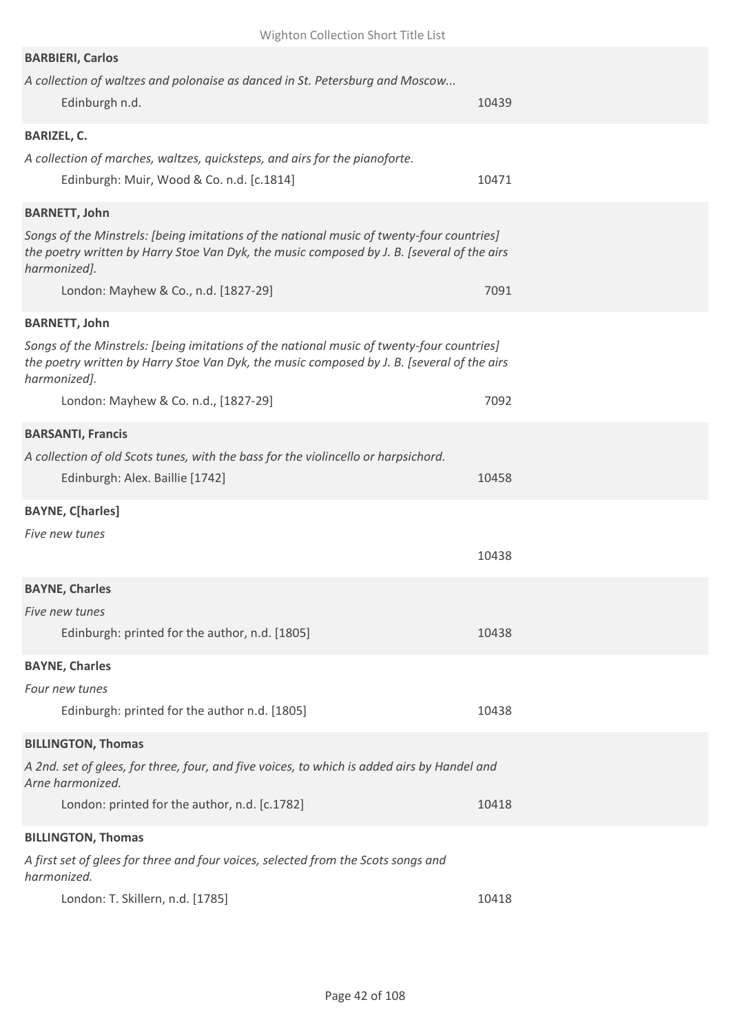| <b>BARBIERI, Carlos</b>                                                                                                                                                                                 |       |
|---------------------------------------------------------------------------------------------------------------------------------------------------------------------------------------------------------|-------|
| A collection of waltzes and polonaise as danced in St. Petersburg and Moscow<br>Edinburgh n.d.                                                                                                          | 10439 |
| <b>BARIZEL, C.</b>                                                                                                                                                                                      |       |
| A collection of marches, waltzes, quicksteps, and airs for the pianoforte.<br>Edinburgh: Muir, Wood & Co. n.d. [c.1814]                                                                                 | 10471 |
| <b>BARNETT, John</b>                                                                                                                                                                                    |       |
| Songs of the Minstrels: [being imitations of the national music of twenty-four countries]<br>the poetry written by Harry Stoe Van Dyk, the music composed by J. B. [several of the airs<br>harmonized]. |       |
| London: Mayhew & Co., n.d. [1827-29]                                                                                                                                                                    | 7091  |
| <b>BARNETT, John</b>                                                                                                                                                                                    |       |
| Songs of the Minstrels: [being imitations of the national music of twenty-four countries]<br>the poetry written by Harry Stoe Van Dyk, the music composed by J. B. [several of the airs<br>harmonized]. |       |
| London: Mayhew & Co. n.d., [1827-29]                                                                                                                                                                    | 7092  |
| <b>BARSANTI, Francis</b>                                                                                                                                                                                |       |
| A collection of old Scots tunes, with the bass for the violincello or harpsichord.                                                                                                                      |       |
| Edinburgh: Alex. Baillie [1742]                                                                                                                                                                         | 10458 |
| <b>BAYNE, C[harles]</b>                                                                                                                                                                                 |       |
| Five new tunes                                                                                                                                                                                          |       |
|                                                                                                                                                                                                         | 10438 |
| <b>BAYNE, Charles</b>                                                                                                                                                                                   |       |
| Five new tunes                                                                                                                                                                                          |       |
| Edinburgh: printed for the author, n.d. [1805]                                                                                                                                                          | 10438 |
| <b>BAYNE, Charles</b>                                                                                                                                                                                   |       |
| Four new tunes                                                                                                                                                                                          |       |
| Edinburgh: printed for the author n.d. [1805]                                                                                                                                                           | 10438 |
| <b>BILLINGTON, Thomas</b>                                                                                                                                                                               |       |
| A 2nd. set of glees, for three, four, and five voices, to which is added airs by Handel and<br>Arne harmonized.                                                                                         |       |
| London: printed for the author, n.d. [c.1782]                                                                                                                                                           | 10418 |
| <b>BILLINGTON, Thomas</b>                                                                                                                                                                               |       |
| A first set of glees for three and four voices, selected from the Scots songs and<br>harmonized.                                                                                                        |       |
| London: T. Skillern, n.d. [1785]                                                                                                                                                                        | 10418 |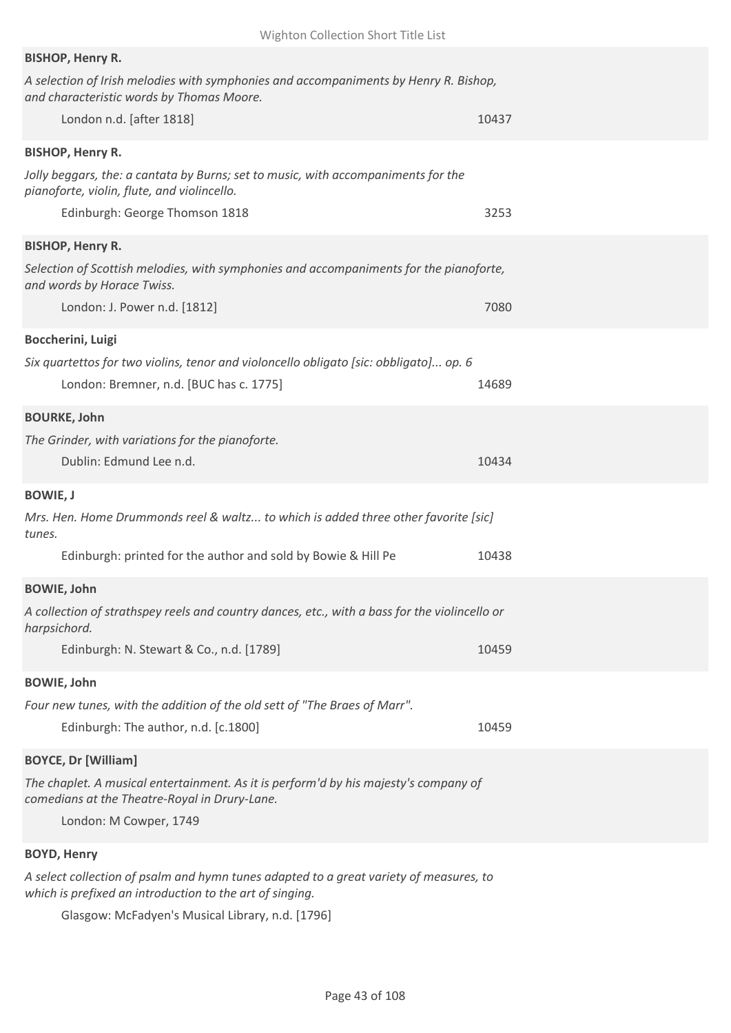| <b>BISHOP, Henry R.</b>                                                                                                               |       |
|---------------------------------------------------------------------------------------------------------------------------------------|-------|
| A selection of Irish melodies with symphonies and accompaniments by Henry R. Bishop,<br>and characteristic words by Thomas Moore.     |       |
| London n.d. [after 1818]                                                                                                              | 10437 |
| <b>BISHOP, Henry R.</b>                                                                                                               |       |
| Jolly beggars, the: a cantata by Burns; set to music, with accompaniments for the<br>pianoforte, violin, flute, and violincello.      |       |
| Edinburgh: George Thomson 1818                                                                                                        | 3253  |
| <b>BISHOP, Henry R.</b>                                                                                                               |       |
| Selection of Scottish melodies, with symphonies and accompaniments for the pianoforte,<br>and words by Horace Twiss.                  |       |
| London: J. Power n.d. [1812]                                                                                                          | 7080  |
| Boccherini, Luigi                                                                                                                     |       |
| Six quartettos for two violins, tenor and violoncello obligato [sic: obbligato] op. 6                                                 |       |
| London: Bremner, n.d. [BUC has c. 1775]                                                                                               | 14689 |
| <b>BOURKE, John</b>                                                                                                                   |       |
| The Grinder, with variations for the pianoforte.                                                                                      |       |
| Dublin: Edmund Lee n.d.                                                                                                               | 10434 |
| <b>BOWIE, J</b>                                                                                                                       |       |
| Mrs. Hen. Home Drummonds reel & waltz to which is added three other favorite [sic]<br>tunes.                                          |       |
| Edinburgh: printed for the author and sold by Bowie & Hill Pe                                                                         | 10438 |
| <b>BOWIE, John</b>                                                                                                                    |       |
| A collection of strathspey reels and country dances, etc., with a bass for the violincello or<br>harpsichord.                         |       |
| Edinburgh: N. Stewart & Co., n.d. [1789]                                                                                              | 10459 |
| <b>BOWIE, John</b>                                                                                                                    |       |
| Four new tunes, with the addition of the old sett of "The Braes of Marr".                                                             |       |
| Edinburgh: The author, n.d. [c.1800]                                                                                                  | 10459 |
| <b>BOYCE, Dr [William]</b>                                                                                                            |       |
| The chaplet. A musical entertainment. As it is perform'd by his majesty's company of<br>comedians at the Theatre-Royal in Drury-Lane. |       |
| London: M Cowper, 1749                                                                                                                |       |
| <b>BOYD, Henry</b>                                                                                                                    |       |
| A select collection of psalm and hymn tunes adapted to a great variety of measures, to                                                |       |

*which is prefixed an introduction to the art of singing.*

Glasgow: McFadyen's Musical Library, n.d. [1796]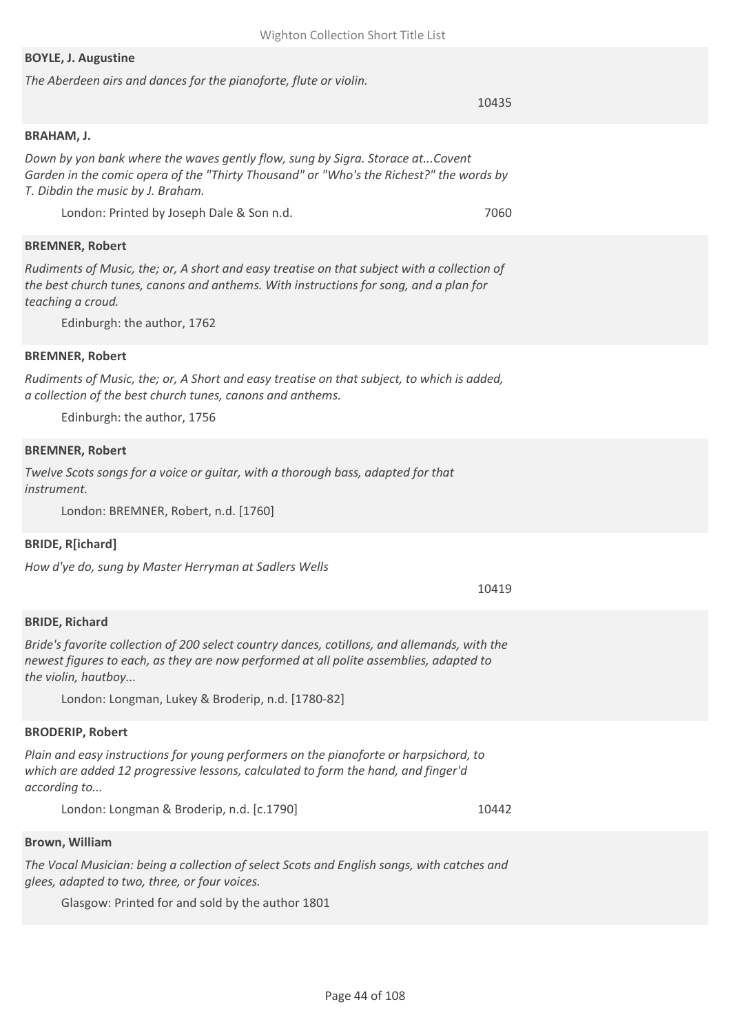#### **BOYLE, J. Augustine**

*The Aberdeen airs and dances for the pianoforte, flute or violin.*

10435

#### **BRAHAM, J.**

*Down by yon bank where the waves gently flow, sung by Sigra. Storace at...Covent Garden in the comic opera of the "Thirty Thousand" or "Who's the Richest?" the words by T. Dibdin the music by J. Braham.*

London: Printed by Joseph Dale & Son n.d. 7060

#### **BREMNER, Robert**

*Rudiments of Music, the; or, A short and easy treatise on that subject with a collection of the best church tunes, canons and anthems. With instructions for song, and a plan for teaching a croud.*

Edinburgh: the author, 1762

#### **BREMNER, Robert**

*Rudiments of Music, the; or, A Short and easy treatise on that subject, to which is added, a collection of the best church tunes, canons and anthems.*

Edinburgh: the author, 1756

#### **BREMNER, Robert**

*Twelve Scots songs for a voice or guitar, with a thorough bass, adapted for that instrument.*

London: BREMNER, Robert, n.d. [1760]

## **BRIDE, R[ichard]**

*How d'ye do, sung by Master Herryman at Sadlers Wells*

10419

## **BRIDE, Richard**

*Bride's favorite collection of 200 select country dances, cotillons, and allemands, with the newest figures to each, as they are now performed at all polite assemblies, adapted to the violin, hautboy...*

London: Longman, Lukey & Broderip, n.d. [1780-82]

## **BRODERIP, Robert**

*Plain and easy instructions for young performers on the pianoforte or harpsichord, to which are added 12 progressive lessons, calculated to form the hand, and finger'd according to...*

London: Longman & Broderip, n.d. [c.1790] 10442

#### **Brown, William**

*The Vocal Musician: being a collection of select Scots and English songs, with catches and glees, adapted to two, three, or four voices.*

Glasgow: Printed for and sold by the author 1801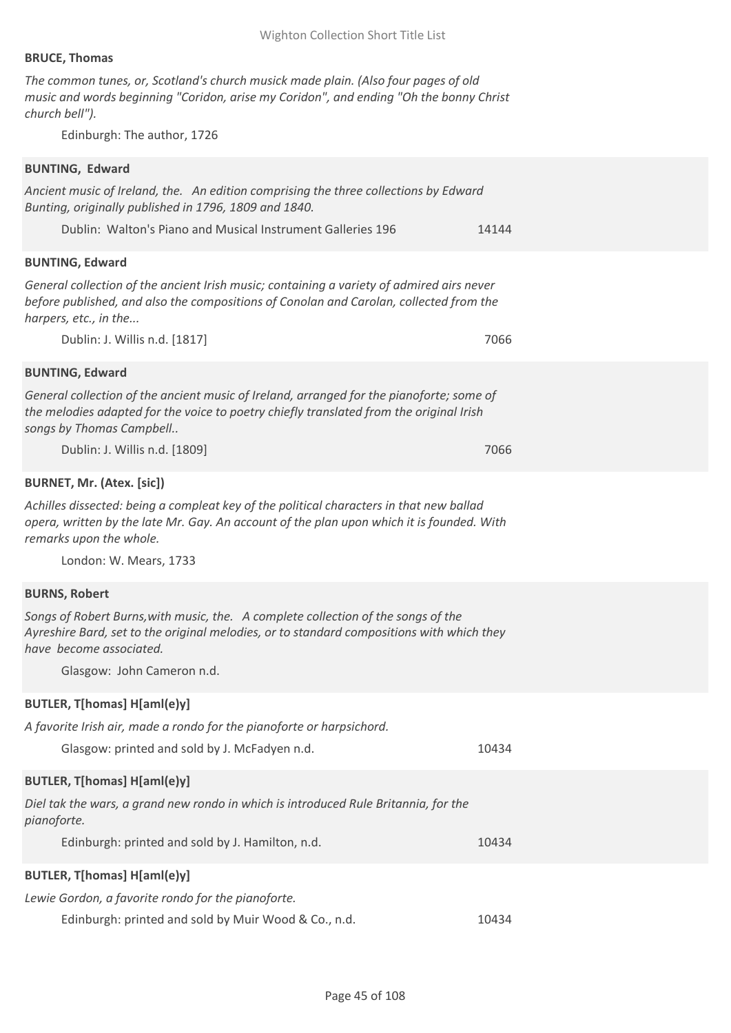## **BRUCE, Thomas**

*The common tunes, or, Scotland's church musick made plain. (Also four pages of old music and words beginning "Coridon, arise my Coridon", and ending "Oh the bonny Christ church bell").*

Edinburgh: The author, 1726

## **BUNTING, Edward**

| Ancient music of Ireland, the. An edition comprising the three collections by Edward<br>Bunting, originally published in 1796, 1809 and 1840.                                                                                           |       |
|-----------------------------------------------------------------------------------------------------------------------------------------------------------------------------------------------------------------------------------------|-------|
| Dublin: Walton's Piano and Musical Instrument Galleries 196                                                                                                                                                                             | 14144 |
| <b>BUNTING, Edward</b>                                                                                                                                                                                                                  |       |
| General collection of the ancient Irish music; containing a variety of admired airs never<br>before published, and also the compositions of Conolan and Carolan, collected from the<br>harpers, etc., in the                            |       |
| Dublin: J. Willis n.d. [1817]                                                                                                                                                                                                           | 7066  |
| <b>BUNTING, Edward</b>                                                                                                                                                                                                                  |       |
| General collection of the ancient music of Ireland, arranged for the pianoforte; some of<br>the melodies adapted for the voice to poetry chiefly translated from the original Irish<br>songs by Thomas Campbell                         |       |
| Dublin: J. Willis n.d. [1809]                                                                                                                                                                                                           | 7066  |
| <b>BURNET, Mr. (Atex. [sic])</b>                                                                                                                                                                                                        |       |
| Achilles dissected: being a compleat key of the political characters in that new ballad<br>opera, written by the late Mr. Gay. An account of the plan upon which it is founded. With<br>remarks upon the whole.                         |       |
| London: W. Mears, 1733                                                                                                                                                                                                                  |       |
| <b>BURNS, Robert</b>                                                                                                                                                                                                                    |       |
| Songs of Robert Burns, with music, the. A complete collection of the songs of the<br>Ayreshire Bard, set to the original melodies, or to standard compositions with which they<br>have become associated.<br>Glasgow: John Cameron n.d. |       |
| BUTLER, T[homas] H[aml(e)y]                                                                                                                                                                                                             |       |
| A favorite Irish air, made a rondo for the pianoforte or harpsichord.<br>Glasgow: printed and sold by J. McFadyen n.d.                                                                                                                  | 10434 |
| BUTLER, T[homas] H[aml(e)y]                                                                                                                                                                                                             |       |
| Diel tak the wars, a grand new rondo in which is introduced Rule Britannia, for the<br>pianoforte.                                                                                                                                      |       |
| Edinburgh: printed and sold by J. Hamilton, n.d.                                                                                                                                                                                        | 10434 |
| BUTLER, T[homas] H[aml(e)y]                                                                                                                                                                                                             |       |
| Lewie Gordon, a favorite rondo for the pianoforte.                                                                                                                                                                                      |       |
| Edinburgh: printed and sold by Muir Wood & Co., n.d.                                                                                                                                                                                    | 10434 |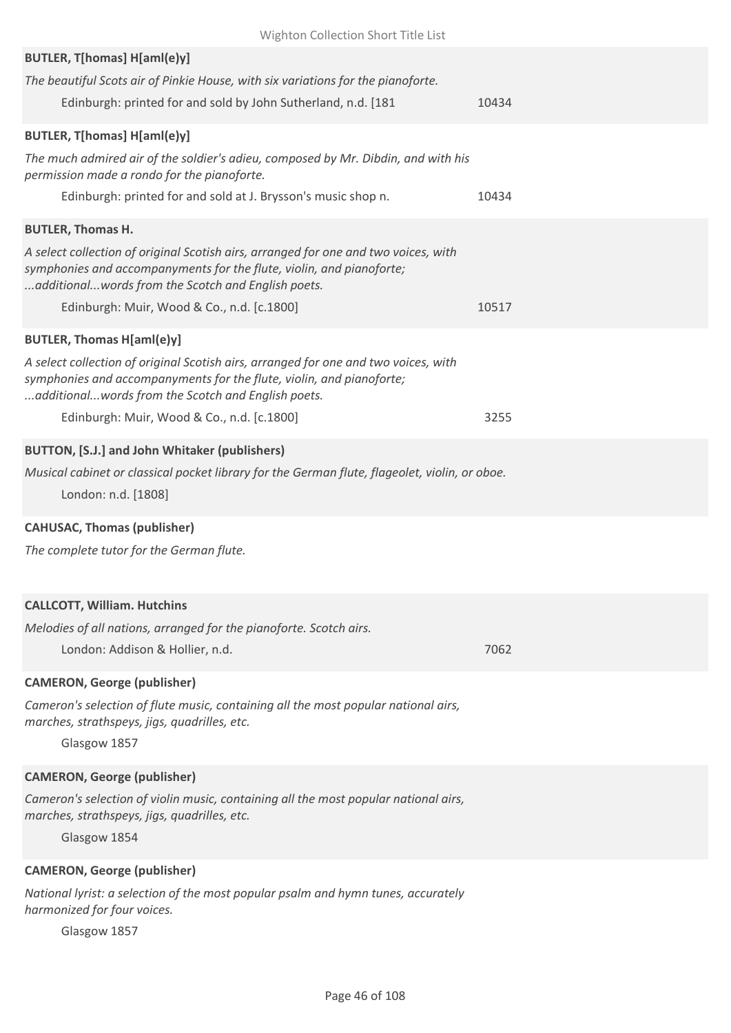| Wighton Collection Short Title List                                                                                                                                                                                                                    |       |
|--------------------------------------------------------------------------------------------------------------------------------------------------------------------------------------------------------------------------------------------------------|-------|
| BUTLER, T[homas] H[aml(e)y]<br>The beautiful Scots air of Pinkie House, with six variations for the pianoforte.<br>Edinburgh: printed for and sold by John Sutherland, n.d. [181                                                                       | 10434 |
| BUTLER, T[homas] H[aml(e)y]                                                                                                                                                                                                                            |       |
| The much admired air of the soldier's adieu, composed by Mr. Dibdin, and with his<br>permission made a rondo for the pianoforte.                                                                                                                       |       |
| Edinburgh: printed for and sold at J. Brysson's music shop n.                                                                                                                                                                                          | 10434 |
| <b>BUTLER, Thomas H.</b><br>A select collection of original Scotish airs, arranged for one and two voices, with<br>symphonies and accompanyments for the flute, violin, and pianoforte;<br>additional words from the Scotch and English poets.         |       |
| Edinburgh: Muir, Wood & Co., n.d. [c.1800]                                                                                                                                                                                                             | 10517 |
| <b>BUTLER, Thomas H[aml(e)y]</b><br>A select collection of original Scotish airs, arranged for one and two voices, with<br>symphonies and accompanyments for the flute, violin, and pianoforte;<br>additional words from the Scotch and English poets. |       |
| Edinburgh: Muir, Wood & Co., n.d. [c.1800]                                                                                                                                                                                                             | 3255  |
| BUTTON, [S.J.] and John Whitaker (publishers)                                                                                                                                                                                                          |       |
| Musical cabinet or classical pocket library for the German flute, flageolet, violin, or oboe.<br>London: n.d. [1808]                                                                                                                                   |       |
| <b>CAHUSAC, Thomas (publisher)</b>                                                                                                                                                                                                                     |       |
| The complete tutor for the German flute.                                                                                                                                                                                                               |       |
| <b>CALLCOTT, William. Hutchins</b>                                                                                                                                                                                                                     |       |
| Melodies of all nations, arranged for the pianoforte. Scotch airs.                                                                                                                                                                                     |       |
| London: Addison & Hollier, n.d.                                                                                                                                                                                                                        | 7062  |
| <b>CAMERON, George (publisher)</b>                                                                                                                                                                                                                     |       |
| Cameron's selection of flute music, containing all the most popular national airs,<br>marches, strathspeys, jigs, quadrilles, etc.<br>Glasgow 1857                                                                                                     |       |
| <b>CAMERON, George (publisher)</b><br>Cameron's selection of violin music, containing all the most popular national airs,<br>marches, strathspeys, jigs, quadrilles, etc.<br>Glasgow 1854                                                              |       |
| <b>CAMERON, George (publisher)</b>                                                                                                                                                                                                                     |       |

*National lyrist: a selection of the most popular psalm and hymn tunes, accurately harmonized for four voices.*

Glasgow 1857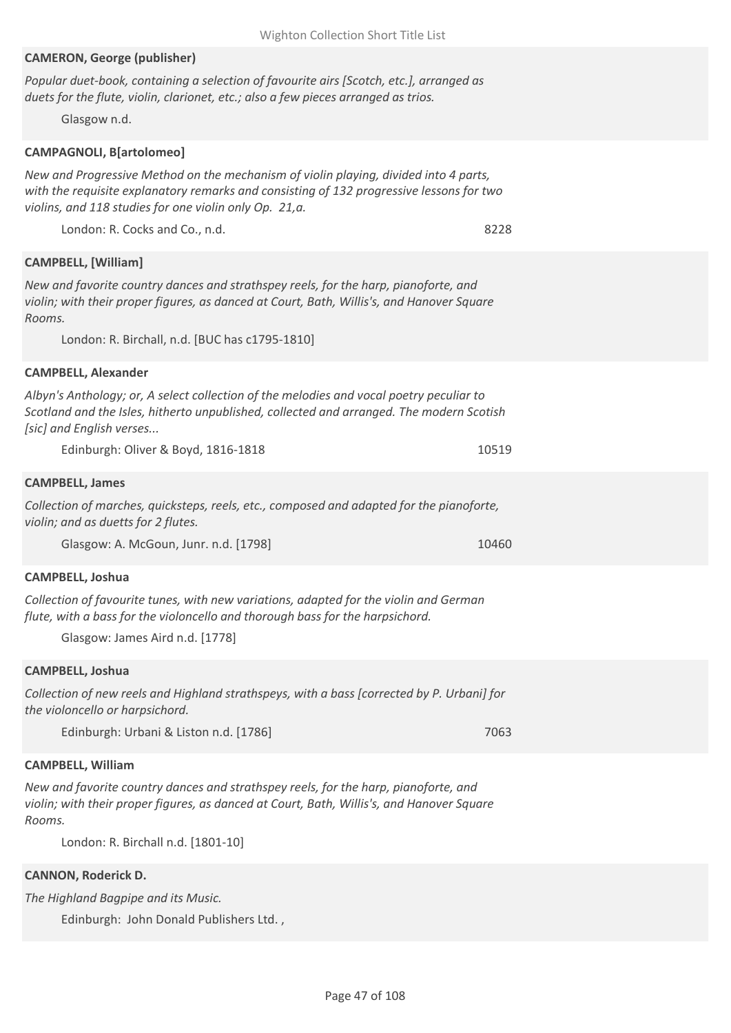| <b>CAMERON, George (publisher)</b>                                                                                                                                                                                                                                            |       |
|-------------------------------------------------------------------------------------------------------------------------------------------------------------------------------------------------------------------------------------------------------------------------------|-------|
| Popular duet-book, containing a selection of favourite airs [Scotch, etc.], arranged as<br>duets for the flute, violin, clarionet, etc.; also a few pieces arranged as trios.<br>Glasgow n.d.                                                                                 |       |
| <b>CAMPAGNOLI, B[artolomeo]</b>                                                                                                                                                                                                                                               |       |
| New and Progressive Method on the mechanism of violin playing, divided into 4 parts,<br>with the requisite explanatory remarks and consisting of 132 progressive lessons for two<br>violins, and 118 studies for one violin only Op. 21, a.<br>London: R. Cocks and Co., n.d. | 8228  |
|                                                                                                                                                                                                                                                                               |       |
| <b>CAMPBELL, [William]</b>                                                                                                                                                                                                                                                    |       |
| New and favorite country dances and strathspey reels, for the harp, pianoforte, and<br>violin; with their proper figures, as danced at Court, Bath, Willis's, and Hanover Square<br>Rooms.                                                                                    |       |
| London: R. Birchall, n.d. [BUC has c1795-1810]                                                                                                                                                                                                                                |       |
| <b>CAMPBELL, Alexander</b>                                                                                                                                                                                                                                                    |       |
| Albyn's Anthology; or, A select collection of the melodies and vocal poetry peculiar to<br>Scotland and the Isles, hitherto unpublished, collected and arranged. The modern Scotish<br>[sic] and English verses                                                               |       |
| Edinburgh: Oliver & Boyd, 1816-1818                                                                                                                                                                                                                                           | 10519 |
| <b>CAMPBELL, James</b>                                                                                                                                                                                                                                                        |       |
| Collection of marches, quicksteps, reels, etc., composed and adapted for the pianoforte,<br>violin; and as duetts for 2 flutes.                                                                                                                                               |       |
| Glasgow: A. McGoun, Junr. n.d. [1798]                                                                                                                                                                                                                                         | 10460 |
| <b>CAMPBELL, Joshua</b>                                                                                                                                                                                                                                                       |       |
| Collection of favourite tunes, with new variations, adapted for the violin and German<br>flute, with a bass for the violoncello and thorough bass for the harpsichord.<br>Glasgow: James Aird n.d. [1778]                                                                     |       |
| <b>CAMPBELL, Joshua</b>                                                                                                                                                                                                                                                       |       |
| Collection of new reels and Highland strathspeys, with a bass [corrected by P. Urbani] for<br>the violoncello or harpsichord.                                                                                                                                                 |       |
| Edinburgh: Urbani & Liston n.d. [1786]                                                                                                                                                                                                                                        | 7063  |
| <b>CAMPBELL, William</b>                                                                                                                                                                                                                                                      |       |
| New and favorite country dances and strathspey reels, for the harp, pianoforte, and<br>violin; with their proper figures, as danced at Court, Bath, Willis's, and Hanover Square<br>Rooms.                                                                                    |       |
|                                                                                                                                                                                                                                                                               |       |

London: R. Birchall n.d. [1801-10]

# **CANNON, Roderick D.**

*The Highland Bagpipe and its Music.*

Edinburgh: John Donald Publishers Ltd. ,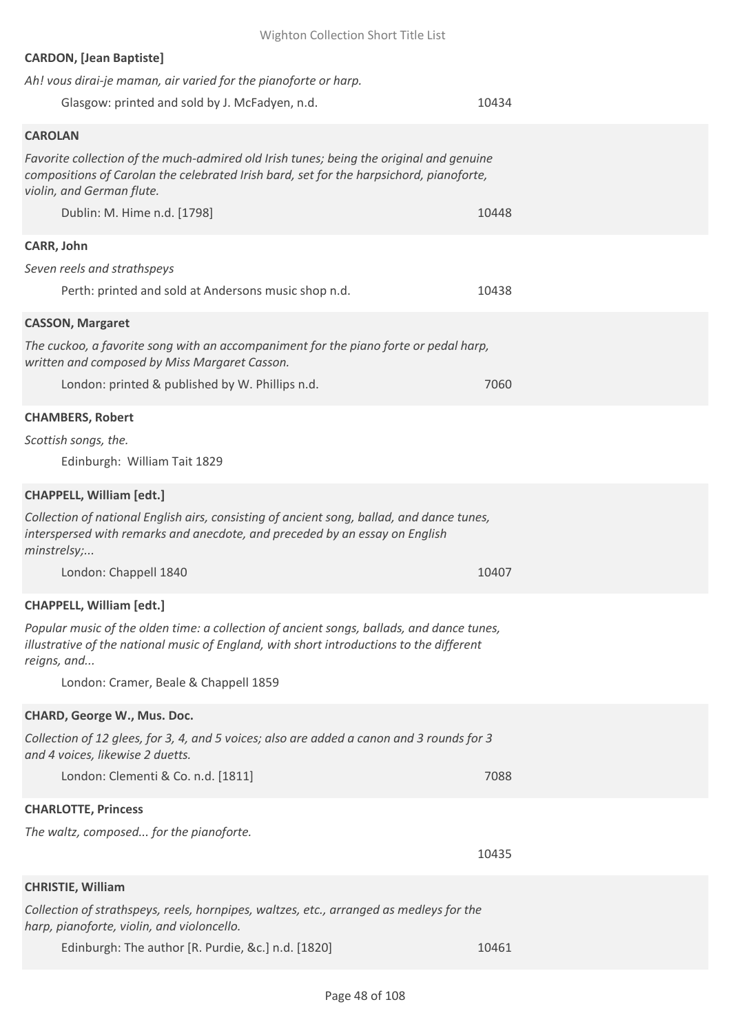| <b>CARDON, [Jean Baptiste]</b>                                                                                                                                                                                  |       |
|-----------------------------------------------------------------------------------------------------------------------------------------------------------------------------------------------------------------|-------|
| Ah! vous dirai-je maman, air varied for the pianoforte or harp.                                                                                                                                                 |       |
| Glasgow: printed and sold by J. McFadyen, n.d.                                                                                                                                                                  | 10434 |
| <b>CAROLAN</b>                                                                                                                                                                                                  |       |
| Favorite collection of the much-admired old Irish tunes; being the original and genuine<br>compositions of Carolan the celebrated Irish bard, set for the harpsichord, pianoforte,<br>violin, and German flute. |       |
| Dublin: M. Hime n.d. [1798]                                                                                                                                                                                     | 10448 |
| CARR, John                                                                                                                                                                                                      |       |
| Seven reels and strathspeys                                                                                                                                                                                     |       |
| Perth: printed and sold at Andersons music shop n.d.                                                                                                                                                            | 10438 |
| <b>CASSON, Margaret</b>                                                                                                                                                                                         |       |
| The cuckoo, a favorite song with an accompaniment for the piano forte or pedal harp,<br>written and composed by Miss Margaret Casson.                                                                           |       |
| London: printed & published by W. Phillips n.d.                                                                                                                                                                 | 7060  |
| <b>CHAMBERS, Robert</b>                                                                                                                                                                                         |       |
| Scottish songs, the.                                                                                                                                                                                            |       |
| Edinburgh: William Tait 1829                                                                                                                                                                                    |       |
| <b>CHAPPELL, William [edt.]</b>                                                                                                                                                                                 |       |
| Collection of national English airs, consisting of ancient song, ballad, and dance tunes,<br>interspersed with remarks and anecdote, and preceded by an essay on English<br>minstrelsy;                         |       |
| London: Chappell 1840                                                                                                                                                                                           | 10407 |
| <b>CHAPPELL, William [edt.]</b>                                                                                                                                                                                 |       |
| Popular music of the olden time: a collection of ancient songs, ballads, and dance tunes,<br>illustrative of the national music of England, with short introductions to the different<br>reigns, and            |       |
| London: Cramer, Beale & Chappell 1859                                                                                                                                                                           |       |
| CHARD, George W., Mus. Doc.                                                                                                                                                                                     |       |
| Collection of 12 glees, for 3, 4, and 5 voices; also are added a canon and 3 rounds for 3<br>and 4 voices, likewise 2 duetts.                                                                                   |       |
| London: Clementi & Co. n.d. [1811]                                                                                                                                                                              | 7088  |
| <b>CHARLOTTE, Princess</b>                                                                                                                                                                                      |       |
| The waltz, composed for the pianoforte.                                                                                                                                                                         |       |
|                                                                                                                                                                                                                 | 10435 |
| <b>CHRISTIE, William</b>                                                                                                                                                                                        |       |
| Collection of strathspeys, reels, hornpipes, waltzes, etc., arranged as medleys for the<br>harp, pianoforte, violin, and violoncello.                                                                           |       |
| Edinburgh: The author [R. Purdie, &c.] n.d. [1820]                                                                                                                                                              | 10461 |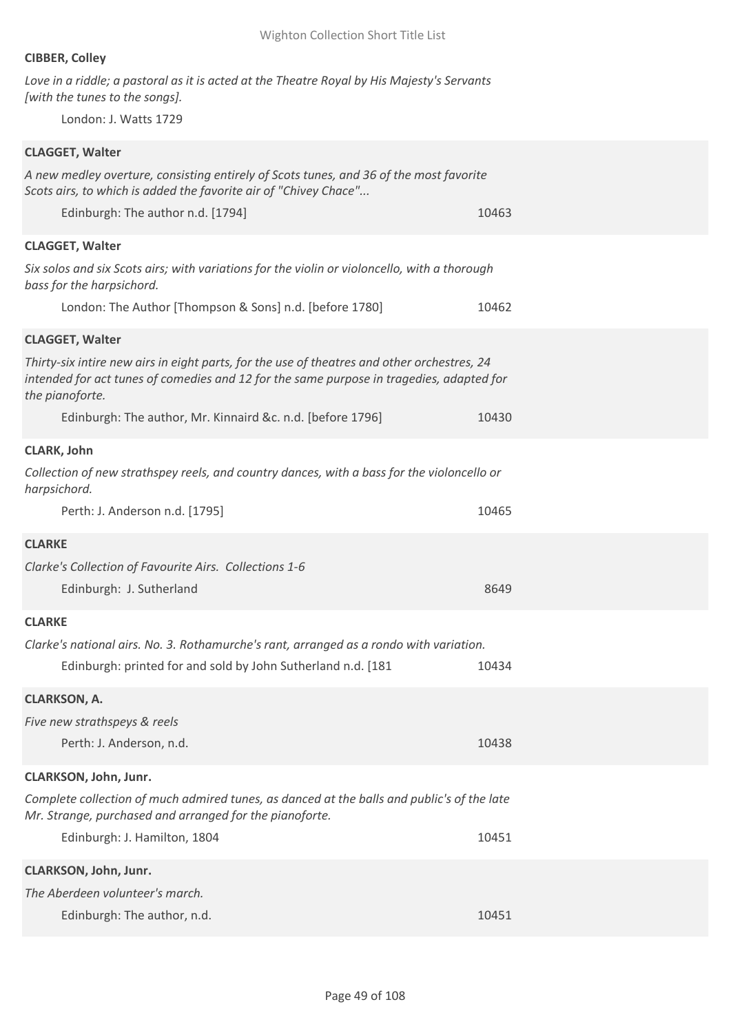## **CIBBER, Colley**

*Love in a riddle; a pastoral as it is acted at the Theatre Royal by His Majesty's Servants [with the tunes to the songs].*

London: J. Watts 1729

| <b>CLAGGET, Walter</b>                                                                                                                                                                                     |       |
|------------------------------------------------------------------------------------------------------------------------------------------------------------------------------------------------------------|-------|
| A new medley overture, consisting entirely of Scots tunes, and 36 of the most favorite<br>Scots airs, to which is added the favorite air of "Chivey Chace"                                                 |       |
| Edinburgh: The author n.d. [1794]                                                                                                                                                                          | 10463 |
| <b>CLAGGET, Walter</b>                                                                                                                                                                                     |       |
| Six solos and six Scots airs; with variations for the violin or violoncello, with a thorough<br>bass for the harpsichord.                                                                                  |       |
| London: The Author [Thompson & Sons] n.d. [before 1780]                                                                                                                                                    | 10462 |
| <b>CLAGGET, Walter</b>                                                                                                                                                                                     |       |
| Thirty-six intire new airs in eight parts, for the use of theatres and other orchestres, 24<br>intended for act tunes of comedies and 12 for the same purpose in tragedies, adapted for<br>the pianoforte. |       |
| Edinburgh: The author, Mr. Kinnaird &c. n.d. [before 1796]                                                                                                                                                 | 10430 |
| <b>CLARK, John</b>                                                                                                                                                                                         |       |
| Collection of new strathspey reels, and country dances, with a bass for the violoncello or<br>harpsichord.                                                                                                 |       |
| Perth: J. Anderson n.d. [1795]                                                                                                                                                                             | 10465 |
| <b>CLARKE</b>                                                                                                                                                                                              |       |
| Clarke's Collection of Favourite Airs. Collections 1-6                                                                                                                                                     |       |
| Edinburgh: J. Sutherland                                                                                                                                                                                   | 8649  |
| <b>CLARKE</b>                                                                                                                                                                                              |       |
| Clarke's national airs. No. 3. Rothamurche's rant, arranged as a rondo with variation.                                                                                                                     |       |
| Edinburgh: printed for and sold by John Sutherland n.d. [181                                                                                                                                               | 10434 |
| <b>CLARKSON, A.</b>                                                                                                                                                                                        |       |
| Five new strathspeys & reels                                                                                                                                                                               |       |
| Perth: J. Anderson, n.d.                                                                                                                                                                                   | 10438 |
| CLARKSON, John, Junr.                                                                                                                                                                                      |       |
| Complete collection of much admired tunes, as danced at the balls and public's of the late<br>Mr. Strange, purchased and arranged for the pianoforte.                                                      |       |
| Edinburgh: J. Hamilton, 1804                                                                                                                                                                               | 10451 |
| CLARKSON, John, Junr.                                                                                                                                                                                      |       |
| The Aberdeen volunteer's march.                                                                                                                                                                            |       |
| Edinburgh: The author, n.d.                                                                                                                                                                                | 10451 |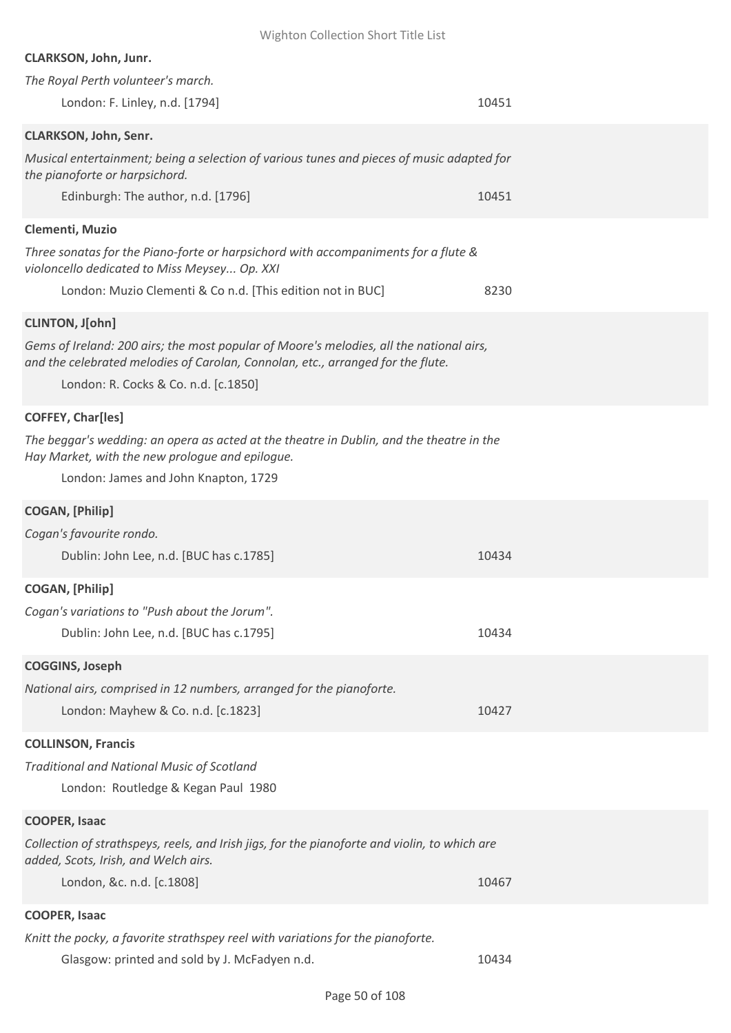| Wighton Collection Short Title List                                                                                                                                                                                                          |       |
|----------------------------------------------------------------------------------------------------------------------------------------------------------------------------------------------------------------------------------------------|-------|
| <b>CLARKSON, John, Junr.</b>                                                                                                                                                                                                                 |       |
| The Royal Perth volunteer's march.                                                                                                                                                                                                           |       |
| London: F. Linley, n.d. [1794]                                                                                                                                                                                                               | 10451 |
| <b>CLARKSON, John, Senr.</b>                                                                                                                                                                                                                 |       |
| Musical entertainment; being a selection of various tunes and pieces of music adapted for<br>the pianoforte or harpsichord.                                                                                                                  |       |
| Edinburgh: The author, n.d. [1796]                                                                                                                                                                                                           | 10451 |
| Clementi, Muzio                                                                                                                                                                                                                              |       |
| Three sonatas for the Piano-forte or harpsichord with accompaniments for a flute &<br>violoncello dedicated to Miss Meysey Op. XXI<br>London: Muzio Clementi & Co n.d. [This edition not in BUC]                                             | 8230  |
|                                                                                                                                                                                                                                              |       |
| <b>CLINTON, J[ohn]</b><br>Gems of Ireland: 200 airs; the most popular of Moore's melodies, all the national airs,<br>and the celebrated melodies of Carolan, Connolan, etc., arranged for the flute.<br>London: R. Cocks & Co. n.d. [c.1850] |       |
| <b>COFFEY, Char[les]</b>                                                                                                                                                                                                                     |       |
| The beggar's wedding: an opera as acted at the theatre in Dublin, and the theatre in the<br>Hay Market, with the new prologue and epilogue.                                                                                                  |       |
| London: James and John Knapton, 1729                                                                                                                                                                                                         |       |
| <b>COGAN, [Philip]</b>                                                                                                                                                                                                                       |       |
| Cogan's favourite rondo.                                                                                                                                                                                                                     |       |
| Dublin: John Lee, n.d. [BUC has c.1785]                                                                                                                                                                                                      | 10434 |
| <b>COGAN, [Philip]</b>                                                                                                                                                                                                                       |       |
| Cogan's variations to "Push about the Jorum".                                                                                                                                                                                                |       |
| Dublin: John Lee, n.d. [BUC has c.1795]                                                                                                                                                                                                      | 10434 |
| <b>COGGINS, Joseph</b>                                                                                                                                                                                                                       |       |
| National airs, comprised in 12 numbers, arranged for the pianoforte.                                                                                                                                                                         |       |
| London: Mayhew & Co. n.d. [c.1823]                                                                                                                                                                                                           | 10427 |
| <b>COLLINSON, Francis</b>                                                                                                                                                                                                                    |       |
| <b>Traditional and National Music of Scotland</b>                                                                                                                                                                                            |       |
| London: Routledge & Kegan Paul 1980                                                                                                                                                                                                          |       |
| <b>COOPER, Isaac</b>                                                                                                                                                                                                                         |       |
| Collection of strathspeys, reels, and Irish jigs, for the pianoforte and violin, to which are<br>added, Scots, Irish, and Welch airs.                                                                                                        |       |
| London, &c. n.d. [c.1808]                                                                                                                                                                                                                    | 10467 |
| <b>COOPER, Isaac</b>                                                                                                                                                                                                                         |       |
| Knitt the pocky, a favorite strathspey reel with variations for the pianoforte.                                                                                                                                                              |       |
| Glasgow: printed and sold by J. McFadyen n.d.                                                                                                                                                                                                | 10434 |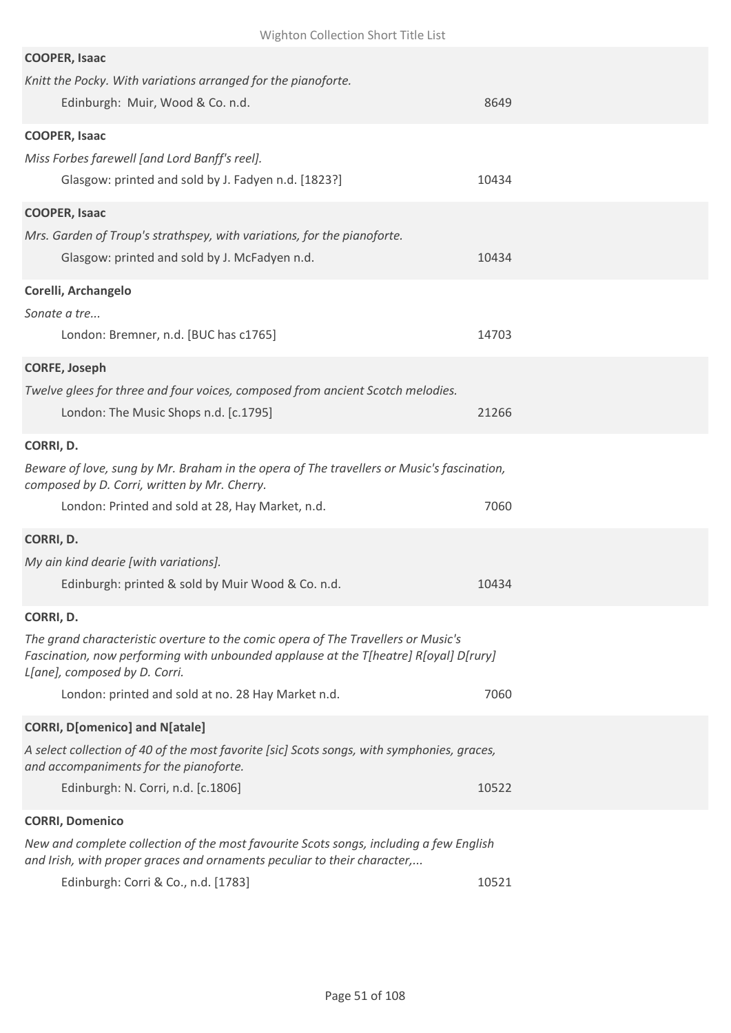| <b>COOPER, Isaac</b>                                                                                                                                                      |       |
|---------------------------------------------------------------------------------------------------------------------------------------------------------------------------|-------|
| Knitt the Pocky. With variations arranged for the pianoforte.                                                                                                             |       |
| Edinburgh: Muir, Wood & Co. n.d.                                                                                                                                          | 8649  |
|                                                                                                                                                                           |       |
| <b>COOPER, Isaac</b>                                                                                                                                                      |       |
| Miss Forbes farewell [and Lord Banff's reel].                                                                                                                             |       |
| Glasgow: printed and sold by J. Fadyen n.d. [1823?]                                                                                                                       | 10434 |
|                                                                                                                                                                           |       |
| <b>COOPER, Isaac</b>                                                                                                                                                      |       |
| Mrs. Garden of Troup's strathspey, with variations, for the pianoforte.                                                                                                   |       |
| Glasgow: printed and sold by J. McFadyen n.d.                                                                                                                             | 10434 |
|                                                                                                                                                                           |       |
| Corelli, Archangelo                                                                                                                                                       |       |
| Sonate a tre                                                                                                                                                              |       |
| London: Bremner, n.d. [BUC has c1765]                                                                                                                                     | 14703 |
| <b>CORFE, Joseph</b>                                                                                                                                                      |       |
| Twelve glees for three and four voices, composed from ancient Scotch melodies.                                                                                            |       |
|                                                                                                                                                                           |       |
| London: The Music Shops n.d. [c.1795]                                                                                                                                     | 21266 |
| CORRI, D.                                                                                                                                                                 |       |
| Beware of love, sung by Mr. Braham in the opera of The travellers or Music's fascination,                                                                                 |       |
| composed by D. Corri, written by Mr. Cherry.                                                                                                                              |       |
| London: Printed and sold at 28, Hay Market, n.d.                                                                                                                          | 7060  |
|                                                                                                                                                                           |       |
| CORRI, D.                                                                                                                                                                 |       |
| My ain kind dearie [with variations].                                                                                                                                     |       |
| Edinburgh: printed & sold by Muir Wood & Co. n.d.                                                                                                                         | 10434 |
| CORRI, D.                                                                                                                                                                 |       |
|                                                                                                                                                                           |       |
| The grand characteristic overture to the comic opera of The Travellers or Music's<br>Fascination, now performing with unbounded applause at the T[heatre] R[oyal] D[rury] |       |
| L[ane], composed by D. Corri.                                                                                                                                             |       |
| London: printed and sold at no. 28 Hay Market n.d.                                                                                                                        | 7060  |
| <b>CORRI, D[omenico] and N[atale]</b>                                                                                                                                     |       |
| A select collection of 40 of the most favorite [sic] Scots songs, with symphonies, graces,                                                                                |       |
| and accompaniments for the pianoforte.                                                                                                                                    |       |
| Edinburgh: N. Corri, n.d. [c.1806]                                                                                                                                        | 10522 |
|                                                                                                                                                                           |       |
| <b>CORRI, Domenico</b>                                                                                                                                                    |       |
| New and complete collection of the most favourite Scots songs, including a few English<br>and Irish, with proper graces and ornaments peculiar to their character,        |       |
| Edinburgh: Corri & Co., n.d. [1783]                                                                                                                                       | 10521 |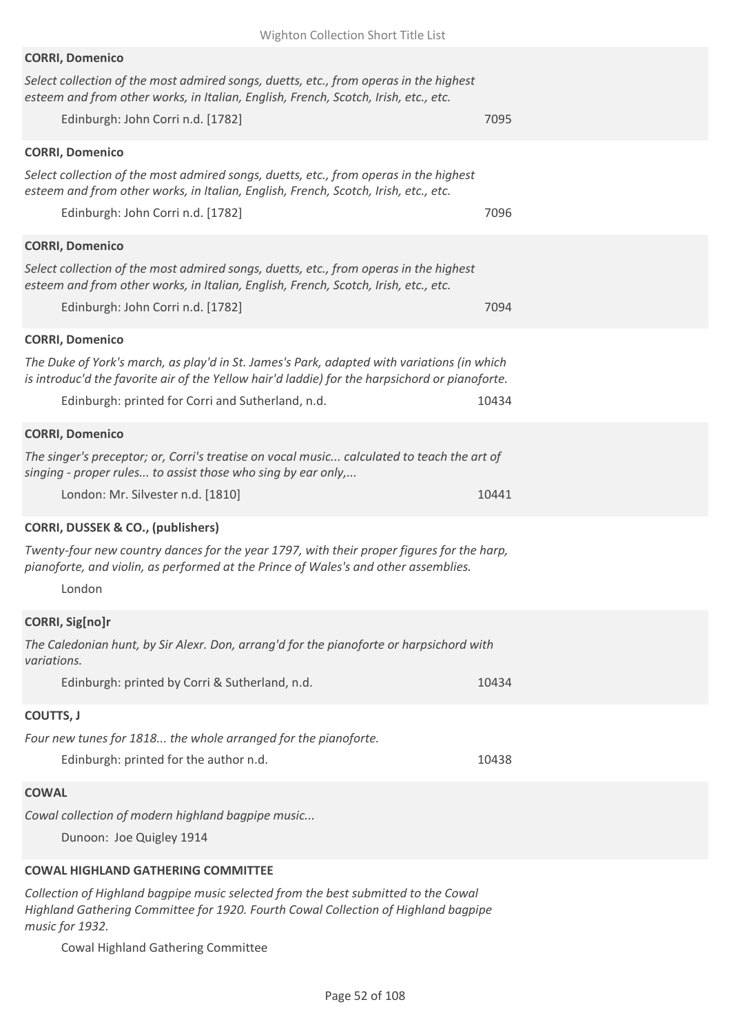| Wighton Collection Short Title List                                                                                                                                                                               |       |
|-------------------------------------------------------------------------------------------------------------------------------------------------------------------------------------------------------------------|-------|
| <b>CORRI, Domenico</b>                                                                                                                                                                                            |       |
| Select collection of the most admired songs, duetts, etc., from operas in the highest<br>esteem and from other works, in Italian, English, French, Scotch, Irish, etc., etc.                                      |       |
| Edinburgh: John Corri n.d. [1782]                                                                                                                                                                                 | 7095  |
| <b>CORRI, Domenico</b>                                                                                                                                                                                            |       |
| Select collection of the most admired songs, duetts, etc., from operas in the highest<br>esteem and from other works, in Italian, English, French, Scotch, Irish, etc., etc.<br>Edinburgh: John Corri n.d. [1782] | 7096  |
|                                                                                                                                                                                                                   |       |
| <b>CORRI, Domenico</b><br>Select collection of the most admired songs, duetts, etc., from operas in the highest                                                                                                   |       |
| esteem and from other works, in Italian, English, French, Scotch, Irish, etc., etc.                                                                                                                               |       |
| Edinburgh: John Corri n.d. [1782]                                                                                                                                                                                 | 7094  |
| <b>CORRI, Domenico</b>                                                                                                                                                                                            |       |
| The Duke of York's march, as play'd in St. James's Park, adapted with variations (in which<br>is introduc'd the favorite air of the Yellow hair'd laddie) for the harpsichord or pianoforte.                      |       |
| Edinburgh: printed for Corri and Sutherland, n.d.                                                                                                                                                                 | 10434 |
| <b>CORRI, Domenico</b>                                                                                                                                                                                            |       |
| The singer's preceptor; or, Corri's treatise on vocal music calculated to teach the art of<br>singing - proper rules to assist those who sing by ear only,                                                        |       |
| London: Mr. Silvester n.d. [1810]                                                                                                                                                                                 | 10441 |
| <b>CORRI, DUSSEK &amp; CO., (publishers)</b>                                                                                                                                                                      |       |
| Twenty-four new country dances for the year 1797, with their proper figures for the harp,<br>pianoforte, and violin, as performed at the Prince of Wales's and other assemblies.<br>London                        |       |
| <b>CORRI, Sig[no]r</b>                                                                                                                                                                                            |       |
| The Caledonian hunt, by Sir Alexr. Don, arrang'd for the pianoforte or harpsichord with<br>variations.                                                                                                            |       |
| Edinburgh: printed by Corri & Sutherland, n.d.                                                                                                                                                                    | 10434 |
| COUTTS, J                                                                                                                                                                                                         |       |
| Four new tunes for 1818 the whole arranged for the pianoforte.                                                                                                                                                    |       |
| Edinburgh: printed for the author n.d.                                                                                                                                                                            | 10438 |
| <b>COWAL</b>                                                                                                                                                                                                      |       |
| Cowal collection of modern highland bagpipe music                                                                                                                                                                 |       |
| Dunoon: Joe Quigley 1914                                                                                                                                                                                          |       |
| <b>COWAL HIGHLAND GATHERING COMMITTEE</b>                                                                                                                                                                         |       |
|                                                                                                                                                                                                                   |       |

*Collection of Highland bagpipe music selected from the best submitted to the Cowal Highland Gathering Committee for 1920. Fourth Cowal Collection of Highland bagpipe music for 1932.*

Cowal Highland Gathering Committee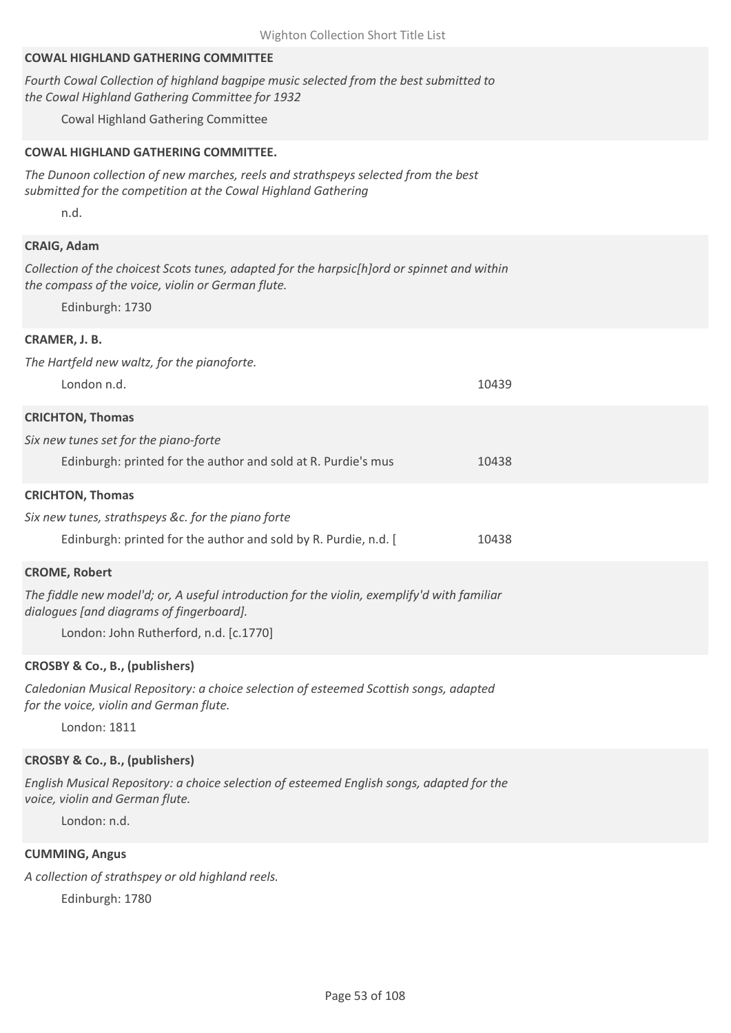## **COWAL HIGHLAND GATHERING COMMITTEE**

*Fourth Cowal Collection of highland bagpipe music selected from the best submitted to the Cowal Highland Gathering Committee for 1932*

Cowal Highland Gathering Committee

## **COWAL HIGHLAND GATHERING COMMITTEE.**

*The Dunoon collection of new marches, reels and strathspeys selected from the best submitted for the competition at the Cowal Highland Gathering*

n.d.

## **CRAIG, Adam**

*Collection of the choicest Scots tunes, adapted for the harpsic[h]ord or spinnet and within the compass of the voice, violin or German flute.*

Edinburgh: 1730

#### **CRAMER, J. B.**

| The Hartfeld new waltz, for the pianoforte.                                                                                             |       |
|-----------------------------------------------------------------------------------------------------------------------------------------|-------|
| London n.d.                                                                                                                             | 10439 |
| <b>CRICHTON, Thomas</b>                                                                                                                 |       |
| Six new tunes set for the piano-forte                                                                                                   |       |
| Edinburgh: printed for the author and sold at R. Purdie's mus                                                                           | 10438 |
| <b>CRICHTON, Thomas</b>                                                                                                                 |       |
| Six new tunes, strathspeys &c. for the piano forte                                                                                      |       |
| Edinburgh: printed for the author and sold by R. Purdie, n.d. [                                                                         | 10438 |
| <b>CROME, Robert</b>                                                                                                                    |       |
| The fiddle new model'd; or, A useful introduction for the violin, exemplify'd with familiar<br>dialogues [and diagrams of fingerboard]. |       |

London: John Rutherford, n.d. [c.1770]

#### **CROSBY & Co., B., (publishers)**

*Caledonian Musical Repository: a choice selection of esteemed Scottish songs, adapted for the voice, violin and German flute.*

London: 1811

#### **CROSBY & Co., B., (publishers)**

*English Musical Repository: a choice selection of esteemed English songs, adapted for the voice, violin and German flute.*

London: n.d.

## **CUMMING, Angus**

*A collection of strathspey or old highland reels.* Edinburgh: 1780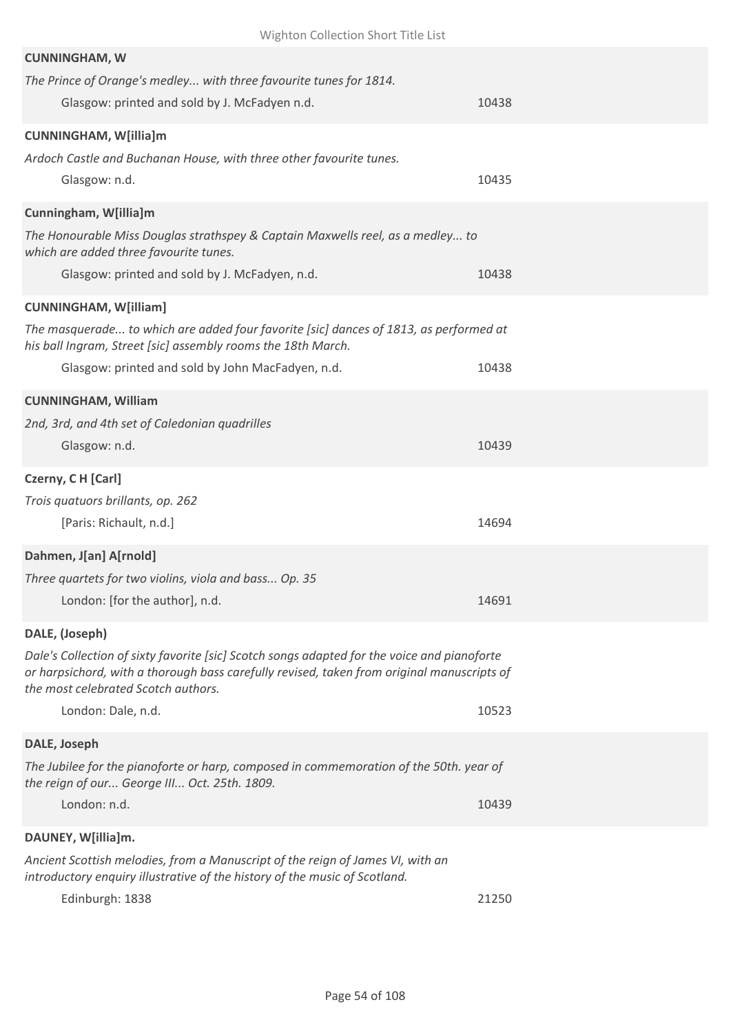| Wighton Collection Short Title List                                                                                                                   |       |
|-------------------------------------------------------------------------------------------------------------------------------------------------------|-------|
| <b>CUNNINGHAM, W</b>                                                                                                                                  |       |
| The Prince of Orange's medley with three favourite tunes for 1814.                                                                                    |       |
| Glasgow: printed and sold by J. McFadyen n.d.                                                                                                         | 10438 |
| <b>CUNNINGHAM, W[illia]m</b>                                                                                                                          |       |
| Ardoch Castle and Buchanan House, with three other favourite tunes.                                                                                   |       |
| Glasgow: n.d.                                                                                                                                         | 10435 |
|                                                                                                                                                       |       |
| Cunningham, W[illia]m                                                                                                                                 |       |
| The Honourable Miss Douglas strathspey & Captain Maxwells reel, as a medley to<br>which are added three favourite tunes.                              |       |
| Glasgow: printed and sold by J. McFadyen, n.d.                                                                                                        | 10438 |
|                                                                                                                                                       |       |
| <b>CUNNINGHAM, W[illiam]</b>                                                                                                                          |       |
| The masquerade to which are added four favorite [sic] dances of 1813, as performed at<br>his ball Ingram, Street [sic] assembly rooms the 18th March. |       |
| Glasgow: printed and sold by John MacFadyen, n.d.                                                                                                     | 10438 |
|                                                                                                                                                       |       |
| <b>CUNNINGHAM, William</b>                                                                                                                            |       |
| 2nd, 3rd, and 4th set of Caledonian quadrilles                                                                                                        |       |
| Glasgow: n.d.                                                                                                                                         | 10439 |
| Czerny, C H [Carl]                                                                                                                                    |       |
| Trois quatuors brillants, op. 262                                                                                                                     |       |
| [Paris: Richault, n.d.]                                                                                                                               | 14694 |
| Dahmen, J[an] A[rnold]                                                                                                                                |       |
| Three quartets for two violins, viola and bass Op. 35                                                                                                 |       |
| London: [for the author], n.d.                                                                                                                        | 14691 |
| DALE, (Joseph)                                                                                                                                        |       |
| Dale's Collection of sixty favorite [sic] Scotch songs adapted for the voice and pianoforte                                                           |       |
|                                                                                                                                                       |       |
| or harpsichord, with a thorough bass carefully revised, taken from original manuscripts of                                                            |       |
| the most celebrated Scotch authors.                                                                                                                   |       |
| London: Dale, n.d.                                                                                                                                    | 10523 |
| DALE, Joseph                                                                                                                                          |       |
| The Jubilee for the pianoforte or harp, composed in commemoration of the 50th. year of                                                                |       |
| the reign of our George III Oct. 25th. 1809.                                                                                                          |       |
| London: n.d.                                                                                                                                          | 10439 |
| DAUNEY, W[illia]m.                                                                                                                                    |       |
| Ancient Scottish melodies, from a Manuscript of the reign of James VI, with an                                                                        |       |
| introductory enquiry illustrative of the history of the music of Scotland.<br>Edinburgh: 1838                                                         | 21250 |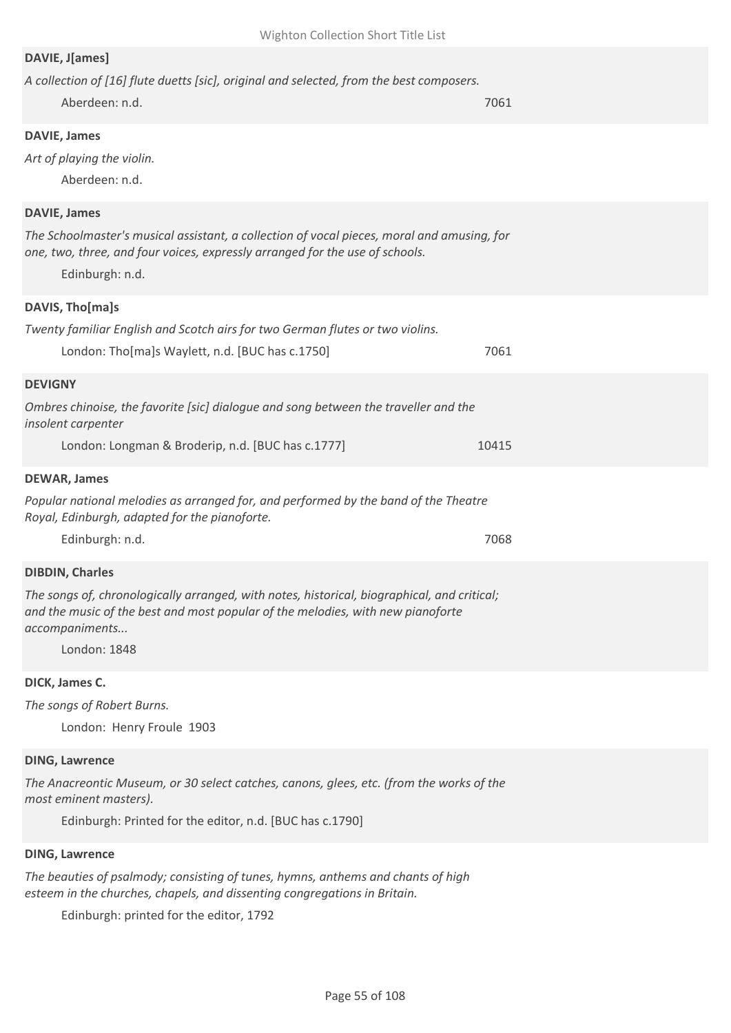## **DAVIE, J[ames]**

| A collection of [16] flute duetts [sic], original and selected, from the best composers.<br>Aberdeen: n.d.                                                                                                           | 7061  |
|----------------------------------------------------------------------------------------------------------------------------------------------------------------------------------------------------------------------|-------|
| <b>DAVIE, James</b><br>Art of playing the violin.<br>Aberdeen: n.d.                                                                                                                                                  |       |
| <b>DAVIE, James</b><br>The Schoolmaster's musical assistant, a collection of vocal pieces, moral and amusing, for<br>one, two, three, and four voices, expressly arranged for the use of schools.<br>Edinburgh: n.d. |       |
| DAVIS, Tho[ma]s                                                                                                                                                                                                      |       |
| Twenty familiar English and Scotch airs for two German flutes or two violins.<br>London: Tho[ma]s Waylett, n.d. [BUC has c.1750]                                                                                     | 7061  |
| <b>DEVIGNY</b>                                                                                                                                                                                                       |       |
| Ombres chinoise, the favorite [sic] dialogue and song between the traveller and the<br>insolent carpenter                                                                                                            |       |
| London: Longman & Broderip, n.d. [BUC has c.1777]                                                                                                                                                                    | 10415 |
| <b>DEWAR, James</b>                                                                                                                                                                                                  |       |
| Popular national melodies as arranged for, and performed by the band of the Theatre<br>Royal, Edinburgh, adapted for the pianoforte.                                                                                 |       |
| Edinburgh: n.d.                                                                                                                                                                                                      | 7068  |
| <b>DIBDIN, Charles</b>                                                                                                                                                                                               |       |
| The songs of, chronologically arranged, with notes, historical, biographical, and critical;<br>and the music of the best and most popular of the melodies, with new pianoforte<br>accompaniments<br>London: 1848     |       |
| DICK, James C.                                                                                                                                                                                                       |       |
| The songs of Robert Burns.<br>London: Henry Froule 1903                                                                                                                                                              |       |
| <b>DING, Lawrence</b>                                                                                                                                                                                                |       |
| The Anacreontic Museum, or 30 select catches, canons, glees, etc. (from the works of the                                                                                                                             |       |

*most eminent masters).*

Edinburgh: Printed for the editor, n.d. [BUC has c.1790]

## **DING, Lawrence**

*The beauties of psalmody; consisting of tunes, hymns, anthems and chants of high esteem in the churches, chapels, and dissenting congregations in Britain.*

Edinburgh: printed for the editor, 1792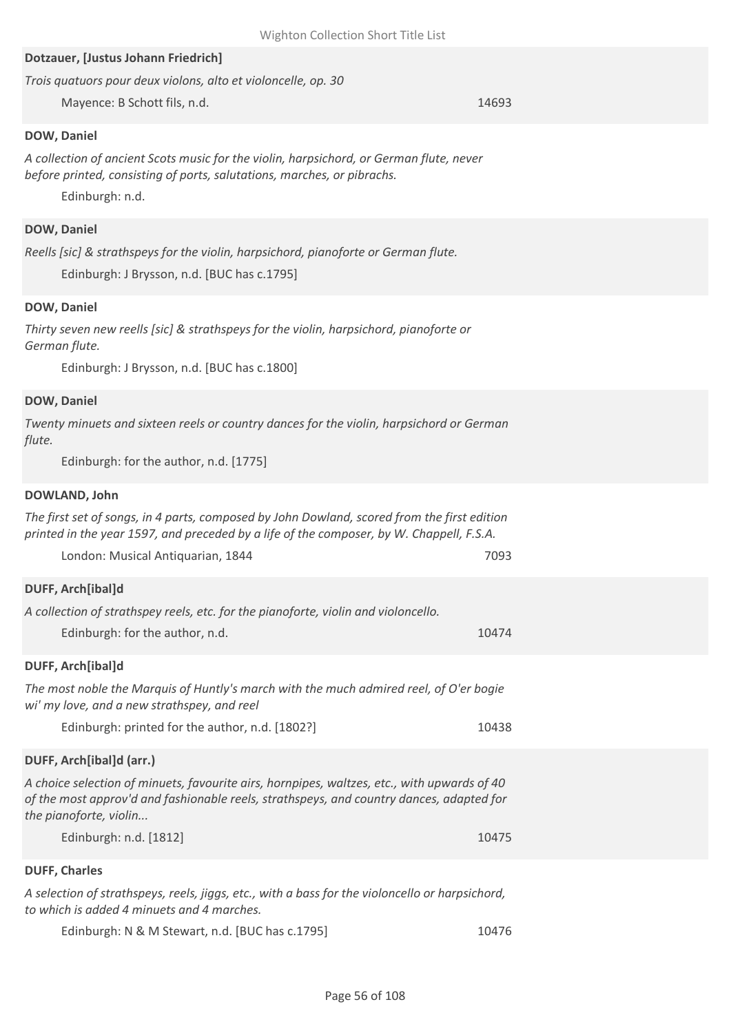| Dotzauer, [Justus Johann Friedrich]                                                                                                   |       |
|---------------------------------------------------------------------------------------------------------------------------------------|-------|
| Trois quatuors pour deux violons, alto et violoncelle, op. 30                                                                         |       |
| Mayence: B Schott fils, n.d.                                                                                                          | 14693 |
| DOW, Daniel                                                                                                                           |       |
| A collection of ancient Scots music for the violin, harpsichord, or German flute, never                                               |       |
| before printed, consisting of ports, salutations, marches, or pibrachs.                                                               |       |
| Edinburgh: n.d.                                                                                                                       |       |
|                                                                                                                                       |       |
| <b>DOW, Daniel</b>                                                                                                                    |       |
| Reells [sic] & strathspeys for the violin, harpsichord, pianoforte or German flute.                                                   |       |
| Edinburgh: J Brysson, n.d. [BUC has c.1795]                                                                                           |       |
| DOW, Daniel                                                                                                                           |       |
| Thirty seven new reells [sic] & strathspeys for the violin, harpsichord, pianoforte or                                                |       |
| German flute.                                                                                                                         |       |
| Edinburgh: J Brysson, n.d. [BUC has c.1800]                                                                                           |       |
|                                                                                                                                       |       |
| DOW, Daniel                                                                                                                           |       |
| Twenty minuets and sixteen reels or country dances for the violin, harpsichord or German                                              |       |
| flute.                                                                                                                                |       |
| Edinburgh: for the author, n.d. [1775]                                                                                                |       |
| DOWLAND, John                                                                                                                         |       |
| The first set of songs, in 4 parts, composed by John Dowland, scored from the first edition                                           |       |
| printed in the year 1597, and preceded by a life of the composer, by W. Chappell, F.S.A.                                              |       |
| London: Musical Antiquarian, 1844                                                                                                     | 7093  |
| DUFF, Arch[ibal]d                                                                                                                     |       |
| A collection of strathspey reels, etc. for the pianoforte, violin and violoncello.                                                    |       |
| Edinburgh: for the author, n.d.                                                                                                       | 10474 |
|                                                                                                                                       |       |
| DUFF, Arch[ibal]d                                                                                                                     |       |
| The most noble the Marquis of Huntly's march with the much admired reel, of O'er bogie<br>wi' my love, and a new strathspey, and reel |       |
| Edinburgh: printed for the author, n.d. [1802?]                                                                                       | 10438 |
| DUFF, Arch[ibal]d (arr.)                                                                                                              |       |
| A choice selection of minuets, favourite airs, hornpipes, waltzes, etc., with upwards of 40                                           |       |
| of the most approv'd and fashionable reels, strathspeys, and country dances, adapted for                                              |       |
| the pianoforte, violin                                                                                                                |       |
| Edinburgh: n.d. [1812]                                                                                                                | 10475 |
| <b>DUFF, Charles</b>                                                                                                                  |       |

*A selection of strathspeys, reels, jiggs, etc., with a bass for the violoncello or harpsichord, to which is added 4 minuets and 4 marches.*

Edinburgh: N & M Stewart, n.d. [BUC has c.1795] 10476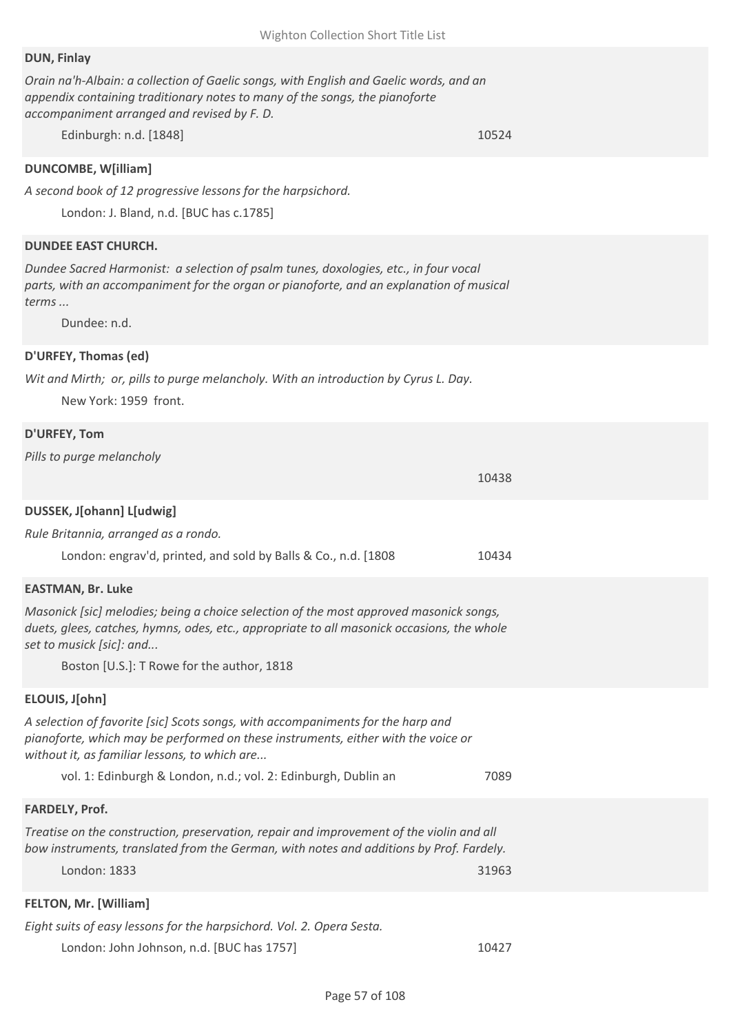## **DUN, Finlay**

*Orain na'h-Albain: a collection of Gaelic songs, with English and Gaelic words, and an appendix containing traditionary notes to many of the songs, the pianoforte accompaniment arranged and revised by F. D.*

Edinburgh: n.d. [1848] 10524

## **DUNCOMBE, W[illiam]**

*A second book of 12 progressive lessons for the harpsichord.*

London: J. Bland, n.d. [BUC has c.1785]

## **DUNDEE EAST CHURCH.**

*Dundee Sacred Harmonist: a selection of psalm tunes, doxologies, etc., in four vocal parts, with an accompaniment for the organ or pianoforte, and an explanation of musical terms ...*

Dundee: n.d.

## **D'URFEY, Thomas (ed)**

*Wit and Mirth; or, pills to purge melancholy. With an introduction by Cyrus L. Day.*

New York: 1959 front.

## **D'URFEY, Tom**

*Pills to purge melancholy*

|                                                                                                                                                                                                                       | 10438 |
|-----------------------------------------------------------------------------------------------------------------------------------------------------------------------------------------------------------------------|-------|
| DUSSEK, J[ohann] L[udwig]                                                                                                                                                                                             |       |
| Rule Britannia, arranged as a rondo.                                                                                                                                                                                  |       |
| London: engrav'd, printed, and sold by Balls & Co., n.d. [1808]                                                                                                                                                       | 10434 |
| <b>EASTMAN, Br. Luke</b>                                                                                                                                                                                              |       |
| Masonick [sic] melodies; being a choice selection of the most approved masonick songs,<br>duets, glees, catches, hymns, odes, etc., appropriate to all masonick occasions, the whole<br>set to musick [sic]: and      |       |
| Boston [U.S.]: T Rowe for the author, 1818                                                                                                                                                                            |       |
| ELOUIS, J[ohn]                                                                                                                                                                                                        |       |
| A selection of favorite [sic] Scots songs, with accompaniments for the harp and<br>pianoforte, which may be performed on these instruments, either with the voice or<br>without it, as familiar lessons, to which are |       |
| vol. 1: Edinburgh & London, n.d.; vol. 2: Edinburgh, Dublin an                                                                                                                                                        | 7089  |
| <b>FARDELY, Prof.</b>                                                                                                                                                                                                 |       |
| Treatise on the construction, preservation, repair and improvement of the violin and all<br>bow instruments, translated from the German, with notes and additions by Prof. Fardely.                                   |       |
| London: 1833                                                                                                                                                                                                          | 31963 |
| <b>FELTON, Mr. [William]</b>                                                                                                                                                                                          |       |
| Eight suits of easy lessons for the harpsichord. Vol. 2. Opera Sesta.                                                                                                                                                 |       |
| London: John Johnson, n.d. [BUC has 1757]                                                                                                                                                                             | 10427 |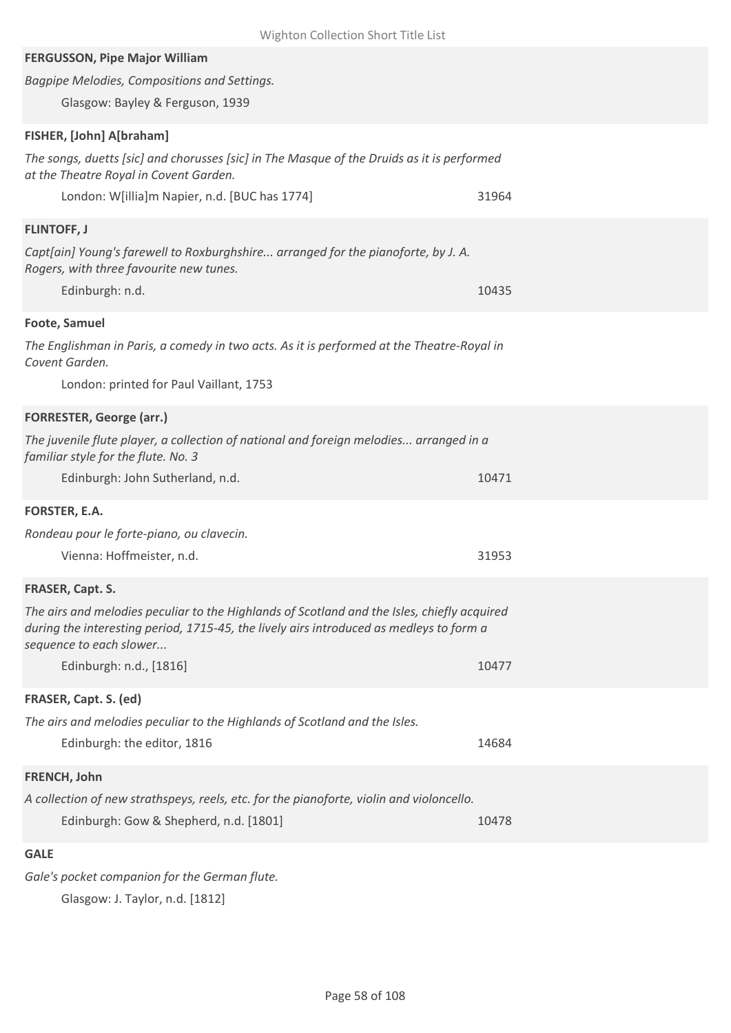| Wighton Collection Short Title List                                                                                                                                                    |       |
|----------------------------------------------------------------------------------------------------------------------------------------------------------------------------------------|-------|
| <b>FERGUSSON, Pipe Major William</b>                                                                                                                                                   |       |
| Bagpipe Melodies, Compositions and Settings.                                                                                                                                           |       |
| Glasgow: Bayley & Ferguson, 1939                                                                                                                                                       |       |
| FISHER, [John] A[braham]                                                                                                                                                               |       |
| The songs, duetts [sic] and chorusses [sic] in The Masque of the Druids as it is performed                                                                                             |       |
| at the Theatre Royal in Covent Garden.                                                                                                                                                 |       |
| London: W[illia]m Napier, n.d. [BUC has 1774]                                                                                                                                          | 31964 |
| <b>FLINTOFF, J</b>                                                                                                                                                                     |       |
| Capt[ain] Young's farewell to Roxburghshire arranged for the pianoforte, by J. A.                                                                                                      |       |
| Rogers, with three favourite new tunes.                                                                                                                                                | 10435 |
| Edinburgh: n.d.                                                                                                                                                                        |       |
| Foote, Samuel                                                                                                                                                                          |       |
| The Englishman in Paris, a comedy in two acts. As it is performed at the Theatre-Royal in<br>Covent Garden.                                                                            |       |
| London: printed for Paul Vaillant, 1753                                                                                                                                                |       |
| <b>FORRESTER, George (arr.)</b>                                                                                                                                                        |       |
| The juvenile flute player, a collection of national and foreign melodies arranged in a<br>familiar style for the flute. No. 3                                                          |       |
| Edinburgh: John Sutherland, n.d.                                                                                                                                                       | 10471 |
| FORSTER, E.A.                                                                                                                                                                          |       |
| Rondeau pour le forte-piano, ou clavecin.                                                                                                                                              |       |
| Vienna: Hoffmeister, n.d.                                                                                                                                                              | 31953 |
| FRASER, Capt. S.                                                                                                                                                                       |       |
| The airs and melodies peculiar to the Highlands of Scotland and the Isles, chiefly acquired<br>during the interesting period, 1715-45, the lively airs introduced as medleys to form a |       |
| sequence to each slower                                                                                                                                                                |       |
| Edinburgh: n.d., [1816]                                                                                                                                                                | 10477 |
| FRASER, Capt. S. (ed)                                                                                                                                                                  |       |
| The airs and melodies peculiar to the Highlands of Scotland and the Isles.                                                                                                             |       |
| Edinburgh: the editor, 1816                                                                                                                                                            | 14684 |
| FRENCH, John                                                                                                                                                                           |       |
| A collection of new strathspeys, reels, etc. for the pianoforte, violin and violoncello.                                                                                               |       |
| Edinburgh: Gow & Shepherd, n.d. [1801]                                                                                                                                                 | 10478 |
| <b>GALE</b>                                                                                                                                                                            |       |
| Gale's pocket companion for the German flute.                                                                                                                                          |       |

Glasgow: J. Taylor, n.d. [1812]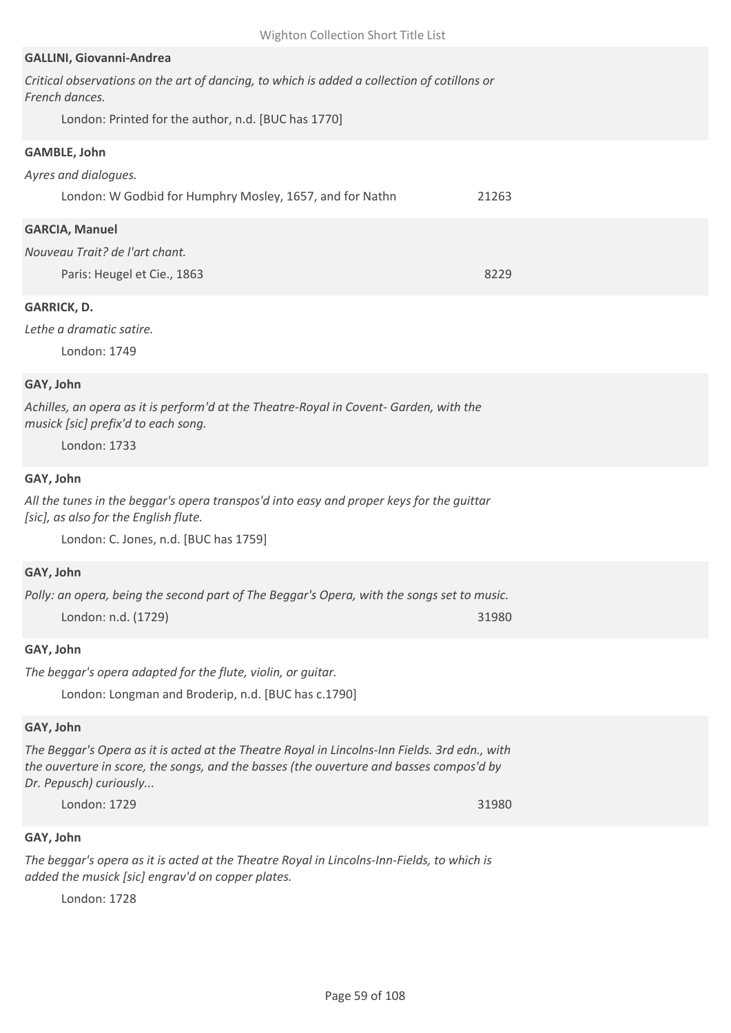#### **GALLINI, Giovanni-Andrea**

| Critical observations on the art of dancing, to which is added a collection of cotillons or |  |
|---------------------------------------------------------------------------------------------|--|
| French dances.                                                                              |  |

London: Printed for the author, n.d. [BUC has 1770]

## **GAMBLE, John**

| Ayres and dialogues.                                     |       |  |
|----------------------------------------------------------|-------|--|
| London: W Godbid for Humphry Mosley, 1657, and for Nathn | 21263 |  |
| <b>GARCIA, Manuel</b>                                    |       |  |
| Nouveau Trait? de l'art chant.                           |       |  |
| Paris: Heugel et Cie., 1863                              | 8229  |  |

## **GARRICK, D.**

#### *Lethe a dramatic satire.*

London: 1749

## **GAY, John**

*Achilles, an opera as it is perform'd at the Theatre-Royal in Covent- Garden, with the musick [sic] prefix'd to each song.*

London: 1733

#### **GAY, John**

*All the tunes in the beggar's opera transpos'd into easy and proper keys for the guittar [sic], as also for the English flute.*

London: C. Jones, n.d. [BUC has 1759]

## **GAY, John**

| Polly: an opera, being the second part of The Beggar's Opera, with the songs set to music. |       |
|--------------------------------------------------------------------------------------------|-------|
| London: n.d. (1729)                                                                        | 31980 |

#### **GAY, John**

*The beggar's opera adapted for the flute, violin, or guitar.*

London: Longman and Broderip, n.d. [BUC has c.1790]

## **GAY, John**

*The Beggar's Opera as it is acted at the Theatre Royal in Lincolns-Inn Fields. 3rd edn., with the ouverture in score, the songs, and the basses (the ouverture and basses compos'd by Dr. Pepusch) curiously...*

London: 1729 31980

## **GAY, John**

*The beggar's opera as it is acted at the Theatre Royal in Lincolns-Inn-Fields, to which is added the musick [sic] engrav'd on copper plates.*

London: 1728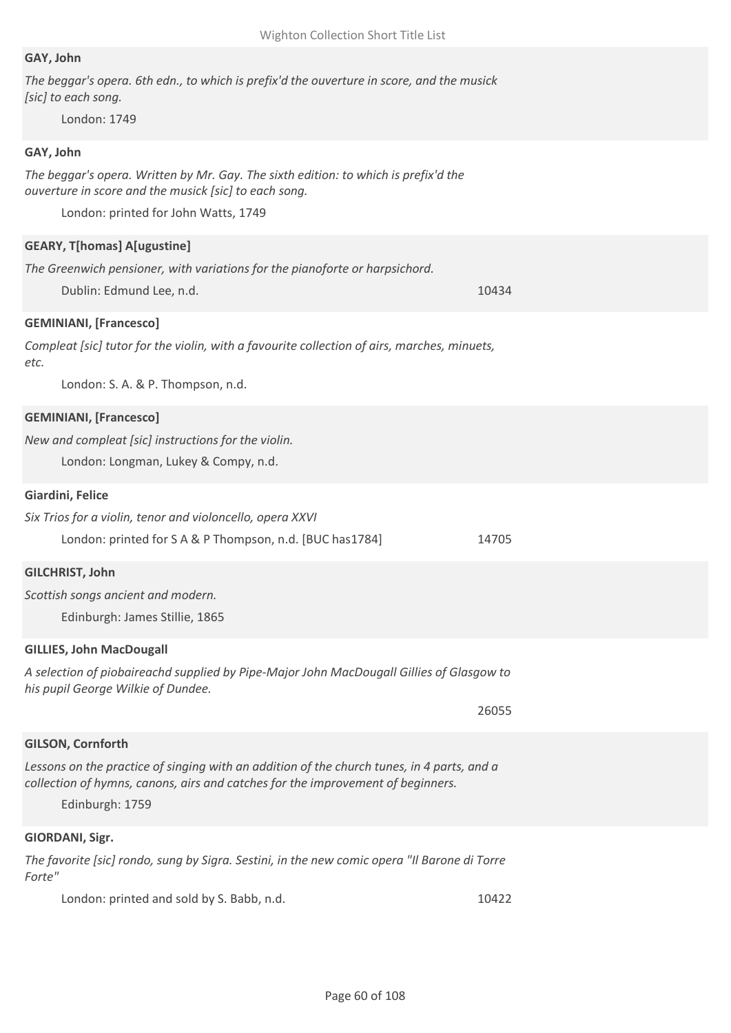## **GAY, John**

*The beggar's opera. 6th edn., to which is prefix'd the ouverture in score, and the musick [sic] to each song.*

London: 1749

## **GAY, John**

*The beggar's opera. Written by Mr. Gay. The sixth edition: to which is prefix'd the ouverture in score and the musick [sic] to each song.*

London: printed for John Watts, 1749

#### **GEARY, T[homas] A[ugustine]**

*The Greenwich pensioner, with variations for the pianoforte or harpsichord.*

Dublin: Edmund Lee, n.d. 10434

#### **GEMINIANI, [Francesco]**

*Compleat [sic] tutor for the violin, with a favourite collection of airs, marches, minuets, etc.*

London: S. A. & P. Thompson, n.d.

#### **GEMINIANI, [Francesco]**

*New and compleat [sic] instructions for the violin.*

London: Longman, Lukey & Compy, n.d.

#### **Giardini, Felice**

*Six Trios for a violin, tenor and violoncello, opera XXVI*

London: printed for S A & P Thompson, n.d. [BUC has 1784] 14705

#### **GILCHRIST, John**

*Scottish songs ancient and modern.*

Edinburgh: James Stillie, 1865

#### **GILLIES, John MacDougall**

*A selection of piobaireachd supplied by Pipe-Major John MacDougall Gillies of Glasgow to his pupil George Wilkie of Dundee.*

26055

## **GILSON, Cornforth**

Lessons on the practice of singing with an addition of the church tunes, in 4 parts, and a *collection of hymns, canons, airs and catches for the improvement of beginners.*

Edinburgh: 1759

#### **GIORDANI, Sigr.**

*The favorite [sic] rondo, sung by Sigra. Sestini, in the new comic opera "Il Barone di Torre Forte"*

London: printed and sold by S. Babb, n.d. 10422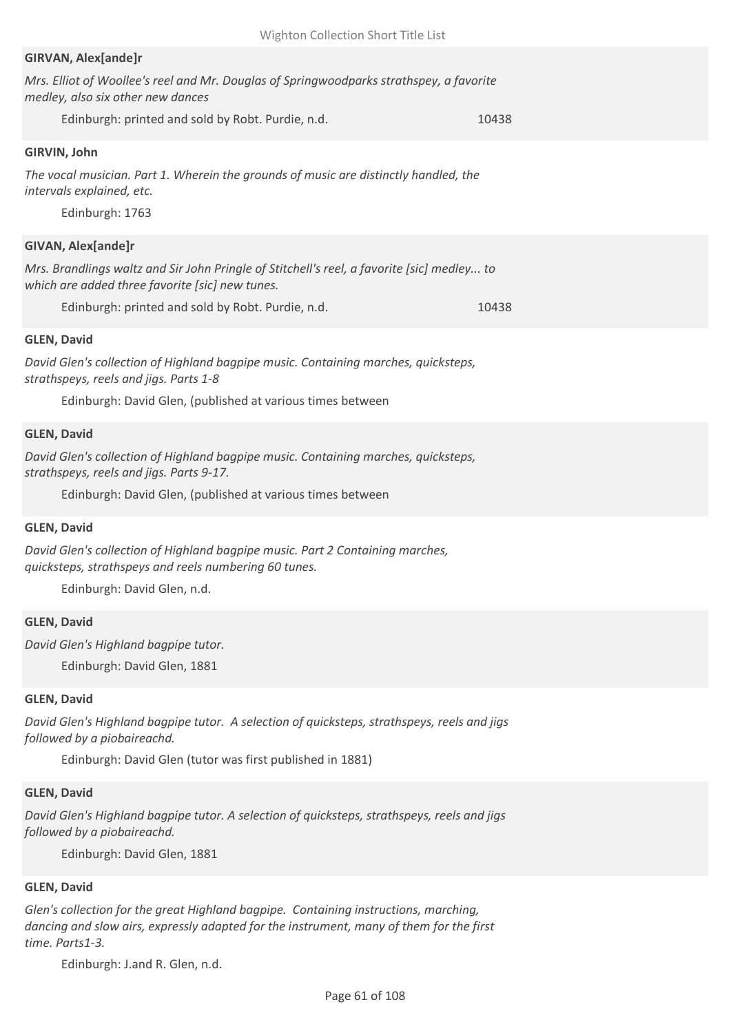## **GIRVAN, Alex[ande]r**

| Mrs. Elliot of Woollee's reel and Mr. Douglas of Springwoodparks strathspey, a favorite |  |
|-----------------------------------------------------------------------------------------|--|
| medley, also six other new dances                                                       |  |

Edinburgh: printed and sold by Robt. Purdie, n.d. 10438

## **GIRVIN, John**

*The vocal musician. Part 1. Wherein the grounds of music are distinctly handled, the intervals explained, etc.*

Edinburgh: 1763

#### **GIVAN, Alex[ande]r**

*Mrs. Brandlings waltz and Sir John Pringle of Stitchell's reel, a favorite [sic] medley... to which are added three favorite [sic] new tunes.*

Edinburgh: printed and sold by Robt. Purdie, n.d. 10438

#### **GLEN, David**

*David Glen's collection of Highland bagpipe music. Containing marches, quicksteps, strathspeys, reels and jigs. Parts 1-8*

Edinburgh: David Glen, (published at various times between

#### **GLEN, David**

*David Glen's collection of Highland bagpipe music. Containing marches, quicksteps, strathspeys, reels and jigs. Parts 9-17.*

Edinburgh: David Glen, (published at various times between

#### **GLEN, David**

*David Glen's collection of Highland bagpipe music. Part 2 Containing marches, quicksteps, strathspeys and reels numbering 60 tunes.*

Edinburgh: David Glen, n.d.

#### **GLEN, David**

*David Glen's Highland bagpipe tutor.*

Edinburgh: David Glen, 1881

#### **GLEN, David**

*David Glen's Highland bagpipe tutor. A selection of quicksteps, strathspeys, reels and jigs followed by a piobaireachd.*

Edinburgh: David Glen (tutor was first published in 1881)

#### **GLEN, David**

*David Glen's Highland bagpipe tutor. A selection of quicksteps, strathspeys, reels and jigs followed by a piobaireachd.*

Edinburgh: David Glen, 1881

#### **GLEN, David**

*Glen's collection for the great Highland bagpipe. Containing instructions, marching, dancing and slow airs, expressly adapted for the instrument, many of them for the first time. Parts1-3.*

Edinburgh: J.and R. Glen, n.d.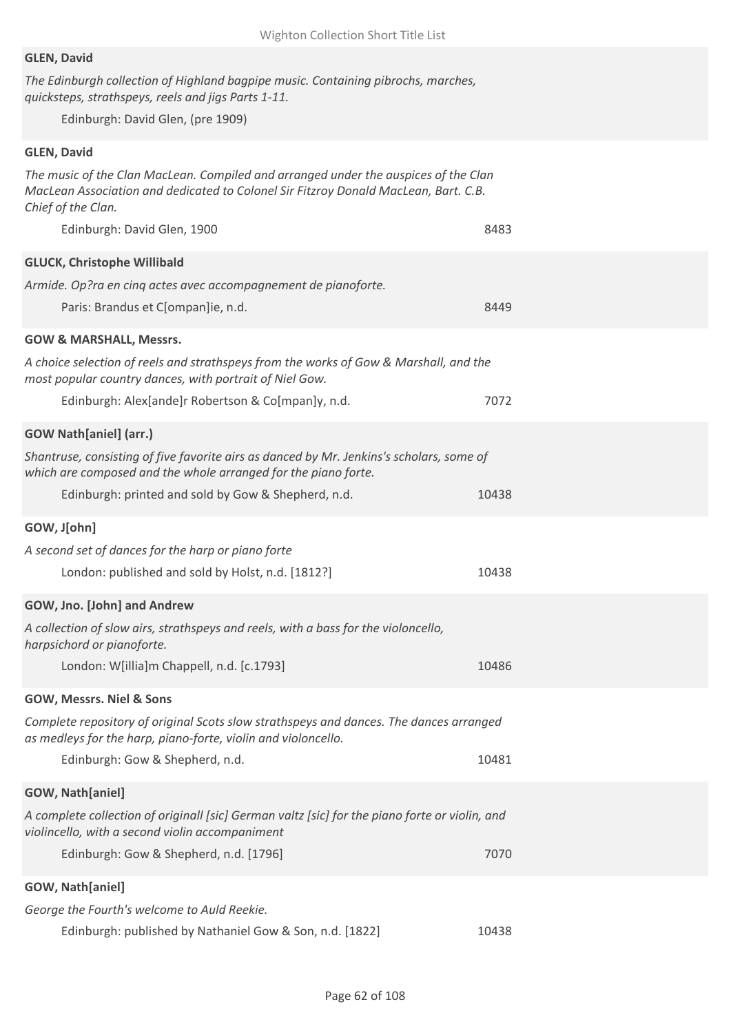#### **GLEN, David**

*The Edinburgh collection of Highland bagpipe music. Containing pibrochs, marches, quicksteps, strathspeys, reels and jigs Parts 1-11.*

Edinburgh: David Glen, (pre 1909)

## **GLEN, David**

*The music of the Clan MacLean. Compiled and arranged under the auspices of the Clan MacLean Association and dedicated to Colonel Sir Fitzroy Donald MacLean, Bart. C.B. Chief of the Clan.*

| Edinburgh: David Glen, 1900                                                                                                                                | 8483  |
|------------------------------------------------------------------------------------------------------------------------------------------------------------|-------|
| <b>GLUCK, Christophe Willibald</b>                                                                                                                         |       |
| Armide. Op?ra en cinq actes avec accompagnement de pianoforte.                                                                                             |       |
| Paris: Brandus et C[ompan]ie, n.d.                                                                                                                         | 8449  |
| <b>GOW &amp; MARSHALL, Messrs.</b>                                                                                                                         |       |
| A choice selection of reels and strathspeys from the works of Gow & Marshall, and the<br>most popular country dances, with portrait of Niel Gow.           |       |
| Edinburgh: Alex[ande]r Robertson & Co[mpan]y, n.d.                                                                                                         | 7072  |
| <b>GOW Nath[aniel] (arr.)</b>                                                                                                                              |       |
| Shantruse, consisting of five favorite airs as danced by Mr. Jenkins's scholars, some of<br>which are composed and the whole arranged for the piano forte. |       |
| Edinburgh: printed and sold by Gow & Shepherd, n.d.                                                                                                        | 10438 |
| GOW, J[ohn]                                                                                                                                                |       |
| A second set of dances for the harp or piano forte                                                                                                         |       |
| London: published and sold by Holst, n.d. [1812?]                                                                                                          | 10438 |
| GOW, Jno. [John] and Andrew                                                                                                                                |       |
| A collection of slow airs, strathspeys and reels, with a bass for the violoncello,<br>harpsichord or pianoforte.                                           |       |
| London: W[illia]m Chappell, n.d. [c.1793]                                                                                                                  | 10486 |
| GOW, Messrs. Niel & Sons                                                                                                                                   |       |
| Complete repository of original Scots slow strathspeys and dances. The dances arranged<br>as medleys for the harp, piano-forte, violin and violoncello.    |       |
| Edinburgh: Gow & Shepherd, n.d.                                                                                                                            | 10481 |
| GOW, Nath[aniel]                                                                                                                                           |       |
| A complete collection of originall [sic] German valtz [sic] for the piano forte or violin, and<br>violincello, with a second violin accompaniment          |       |
| Edinburgh: Gow & Shepherd, n.d. [1796]                                                                                                                     | 7070  |
| GOW, Nath[aniel]                                                                                                                                           |       |
| George the Fourth's welcome to Auld Reekie.                                                                                                                |       |
| Edinburgh: published by Nathaniel Gow & Son, n.d. [1822]                                                                                                   | 10438 |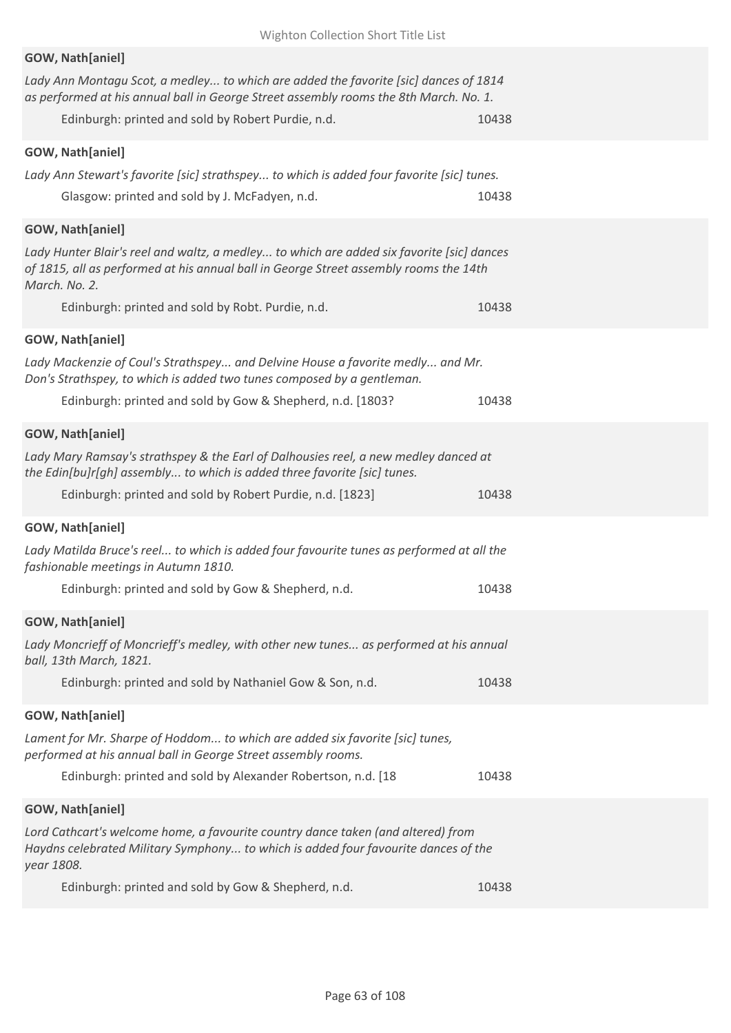| Wighton Collection Short Title List                                                                                                                                                                 |  |
|-----------------------------------------------------------------------------------------------------------------------------------------------------------------------------------------------------|--|
| GOW, Nath[aniel]                                                                                                                                                                                    |  |
| Lady Ann Montagu Scot, a medley to which are added the favorite [sic] dances of 1814<br>as performed at his annual ball in George Street assembly rooms the 8th March. No. 1.                       |  |
| Edinburgh: printed and sold by Robert Purdie, n.d.<br>10438                                                                                                                                         |  |
| GOW, Nath[aniel]                                                                                                                                                                                    |  |
| Lady Ann Stewart's favorite [sic] strathspey to which is added four favorite [sic] tunes.                                                                                                           |  |
| Glasgow: printed and sold by J. McFadyen, n.d.<br>10438                                                                                                                                             |  |
| GOW, Nath[aniel]                                                                                                                                                                                    |  |
| Lady Hunter Blair's reel and waltz, a medley to which are added six favorite [sic] dances<br>of 1815, all as performed at his annual ball in George Street assembly rooms the 14th<br>March. No. 2. |  |
| Edinburgh: printed and sold by Robt. Purdie, n.d.<br>10438                                                                                                                                          |  |
| GOW, Nath[aniel]                                                                                                                                                                                    |  |
| Lady Mackenzie of Coul's Strathspey and Delvine House a favorite medly and Mr.<br>Don's Strathspey, to which is added two tunes composed by a gentleman.                                            |  |
| Edinburgh: printed and sold by Gow & Shepherd, n.d. [1803?<br>10438                                                                                                                                 |  |
| GOW, Nath[aniel]                                                                                                                                                                                    |  |
| Lady Mary Ramsay's strathspey & the Earl of Dalhousies reel, a new medley danced at<br>the Edin[bu]r[gh] assembly to which is added three favorite [sic] tunes.                                     |  |
| Edinburgh: printed and sold by Robert Purdie, n.d. [1823]<br>10438                                                                                                                                  |  |
| GOW, Nath[aniel]                                                                                                                                                                                    |  |
| Lady Matilda Bruce's reel to which is added four favourite tunes as performed at all the<br>fashionable meetings in Autumn 1810.                                                                    |  |
| Edinburgh: printed and sold by Gow & Shepherd, n.d.<br>10438                                                                                                                                        |  |
| GOW, Nath[aniel]                                                                                                                                                                                    |  |
| Lady Moncrieff of Moncrieff's medley, with other new tunes as performed at his annual<br>ball, 13th March, 1821.                                                                                    |  |
| Edinburgh: printed and sold by Nathaniel Gow & Son, n.d.<br>10438                                                                                                                                   |  |
| GOW, Nath[aniel]                                                                                                                                                                                    |  |
| Lament for Mr. Sharpe of Hoddom to which are added six favorite [sic] tunes,<br>performed at his annual ball in George Street assembly rooms.                                                       |  |
| Edinburgh: printed and sold by Alexander Robertson, n.d. [18<br>10438                                                                                                                               |  |
| GOW, Nath[aniel]                                                                                                                                                                                    |  |
| Lord Cathcart's welcome home, a favourite country dance taken (and altered) from<br>Haydns celebrated Military Symphony to which is added four favourite dances of the<br>year 1808.                |  |
| Edinburgh: printed and sold by Gow & Shepherd, n.d.<br>10438                                                                                                                                        |  |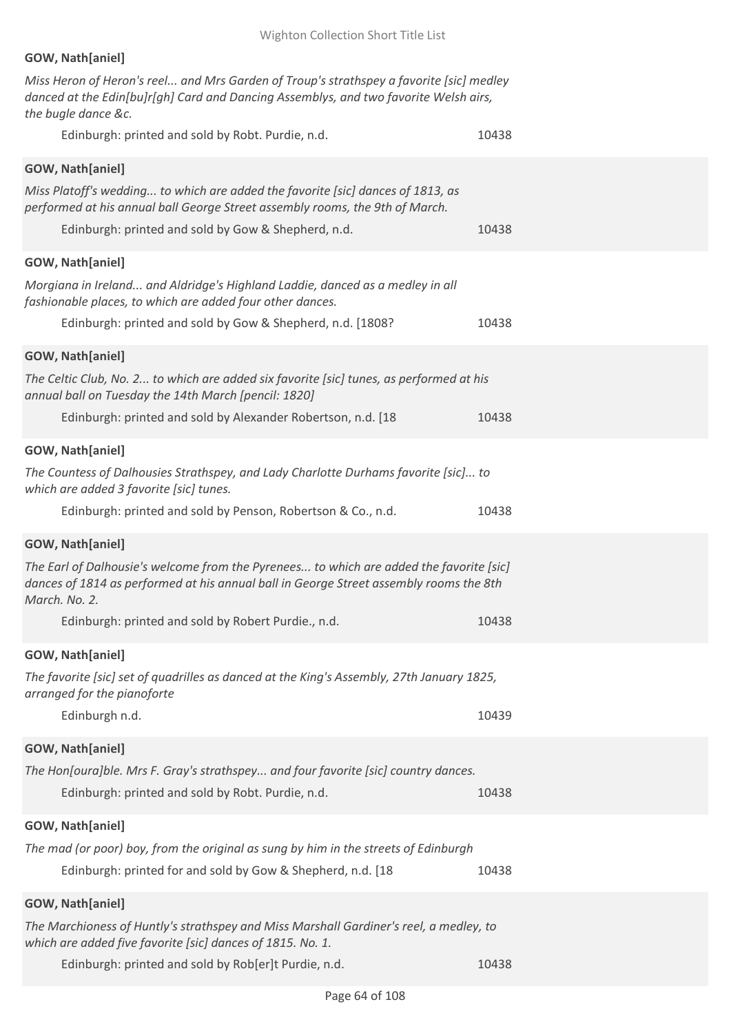| GOW, Nath[aniel]                                                                                                                                                                                                       |       |
|------------------------------------------------------------------------------------------------------------------------------------------------------------------------------------------------------------------------|-------|
| Miss Heron of Heron's reel and Mrs Garden of Troup's strathspey a favorite [sic] medley<br>danced at the Edin[bu]r[gh] Card and Dancing Assemblys, and two favorite Welsh airs,<br>the bugle dance &c.                 |       |
| Edinburgh: printed and sold by Robt. Purdie, n.d.                                                                                                                                                                      | 10438 |
| GOW, Nath[aniel]                                                                                                                                                                                                       |       |
| Miss Platoff's wedding to which are added the favorite [sic] dances of 1813, as<br>performed at his annual ball George Street assembly rooms, the 9th of March.<br>Edinburgh: printed and sold by Gow & Shepherd, n.d. | 10438 |
| GOW, Nath[aniel]                                                                                                                                                                                                       |       |
| Morgiana in Ireland and Aldridge's Highland Laddie, danced as a medley in all<br>fashionable places, to which are added four other dances.                                                                             |       |
| Edinburgh: printed and sold by Gow & Shepherd, n.d. [1808?                                                                                                                                                             | 10438 |
| <b>GOW, Nath[aniel]</b>                                                                                                                                                                                                |       |
| The Celtic Club, No. 2 to which are added six favorite [sic] tunes, as performed at his<br>annual ball on Tuesday the 14th March [pencil: 1820]                                                                        |       |
| Edinburgh: printed and sold by Alexander Robertson, n.d. [18                                                                                                                                                           | 10438 |
| GOW, Nath[aniel]                                                                                                                                                                                                       |       |
| The Countess of Dalhousies Strathspey, and Lady Charlotte Durhams favorite [sic] to<br>which are added 3 favorite [sic] tunes.                                                                                         |       |
| Edinburgh: printed and sold by Penson, Robertson & Co., n.d.                                                                                                                                                           | 10438 |
| GOW, Nath[aniel]                                                                                                                                                                                                       |       |
| The Earl of Dalhousie's welcome from the Pyrenees to which are added the favorite [sic]<br>dances of 1814 as performed at his annual ball in George Street assembly rooms the 8th<br>March. No. 2.                     |       |
| Edinburgh: printed and sold by Robert Purdie., n.d.                                                                                                                                                                    | 10438 |
| <b>GOW, Nath[aniel]</b>                                                                                                                                                                                                |       |
| The favorite [sic] set of quadrilles as danced at the King's Assembly, 27th January 1825,<br>arranged for the pianoforte                                                                                               |       |
| Edinburgh n.d.                                                                                                                                                                                                         | 10439 |
| GOW, Nath[aniel]                                                                                                                                                                                                       |       |
| The Hon[oura]ble. Mrs F. Gray's strathspey and four favorite [sic] country dances.<br>Edinburgh: printed and sold by Robt. Purdie, n.d.                                                                                | 10438 |
| GOW, Nath[aniel]                                                                                                                                                                                                       |       |
| The mad (or poor) boy, from the original as sung by him in the streets of Edinburgh                                                                                                                                    |       |
| Edinburgh: printed for and sold by Gow & Shepherd, n.d. [18                                                                                                                                                            | 10438 |
| GOW, Nath[aniel]                                                                                                                                                                                                       |       |
| The Marchioness of Huntly's strathspey and Miss Marshall Gardiner's reel, a medley, to<br>which are added five favorite [sic] dances of 1815. No. 1.                                                                   |       |
| Edinburgh: printed and sold by Rob[er]t Purdie, n.d.                                                                                                                                                                   | 10438 |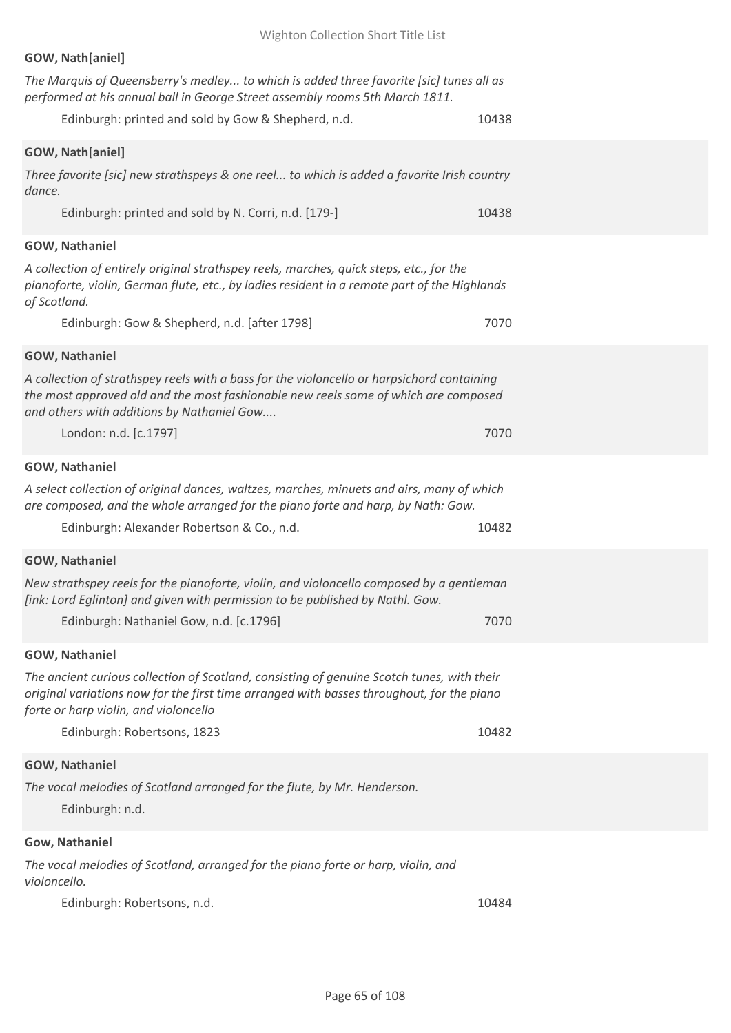# **GOW, Nath[aniel]**

| The Marquis of Queensberry's medley to which is added three favorite [sic] tunes all as<br>performed at his annual ball in George Street assembly rooms 5th March 1811.                                                                                                    |       |
|----------------------------------------------------------------------------------------------------------------------------------------------------------------------------------------------------------------------------------------------------------------------------|-------|
| Edinburgh: printed and sold by Gow & Shepherd, n.d.                                                                                                                                                                                                                        | 10438 |
| GOW, Nath[aniel]<br>Three favorite [sic] new strathspeys & one reel to which is added a favorite Irish country<br>dance.<br>Edinburgh: printed and sold by N. Corri, n.d. [179-]                                                                                           | 10438 |
| <b>GOW, Nathaniel</b>                                                                                                                                                                                                                                                      |       |
| A collection of entirely original strathspey reels, marches, quick steps, etc., for the<br>pianoforte, violin, German flute, etc., by ladies resident in a remote part of the Highlands<br>of Scotland.                                                                    |       |
| Edinburgh: Gow & Shepherd, n.d. [after 1798]                                                                                                                                                                                                                               | 7070  |
| GOW, Nathaniel<br>A collection of strathspey reels with a bass for the violoncello or harpsichord containing<br>the most approved old and the most fashionable new reels some of which are composed<br>and others with additions by Nathaniel Gow<br>London: n.d. [c.1797] | 7070  |
| <b>GOW, Nathaniel</b>                                                                                                                                                                                                                                                      |       |
| A select collection of original dances, waltzes, marches, minuets and airs, many of which<br>are composed, and the whole arranged for the piano forte and harp, by Nath: Gow.<br>Edinburgh: Alexander Robertson & Co., n.d.                                                | 10482 |
| GOW, Nathaniel                                                                                                                                                                                                                                                             |       |
| New strathspey reels for the pianoforte, violin, and violoncello composed by a gentleman<br>[ink: Lord Eglinton] and given with permission to be published by Nathl. Gow.<br>Edinburgh: Nathaniel Gow, n.d. [c.1796]                                                       | 7070  |
| GOW, Nathaniel                                                                                                                                                                                                                                                             |       |
| The ancient curious collection of Scotland, consisting of genuine Scotch tunes, with their<br>original variations now for the first time arranged with basses throughout, for the piano<br>forte or harp violin, and violoncello<br>Edinburgh: Robertsons, 1823            | 10482 |
|                                                                                                                                                                                                                                                                            |       |
| GOW, Nathaniel                                                                                                                                                                                                                                                             |       |
| The vocal melodies of Scotland arranged for the flute, by Mr. Henderson.<br>Edinburgh: n.d.                                                                                                                                                                                |       |
| Gow, Nathaniel                                                                                                                                                                                                                                                             |       |
| The vocal melodies of Scotland, arranged for the piano forte or harp, violin, and<br>violoncello.                                                                                                                                                                          |       |
| Edinburgh: Robertsons, n.d.                                                                                                                                                                                                                                                | 10484 |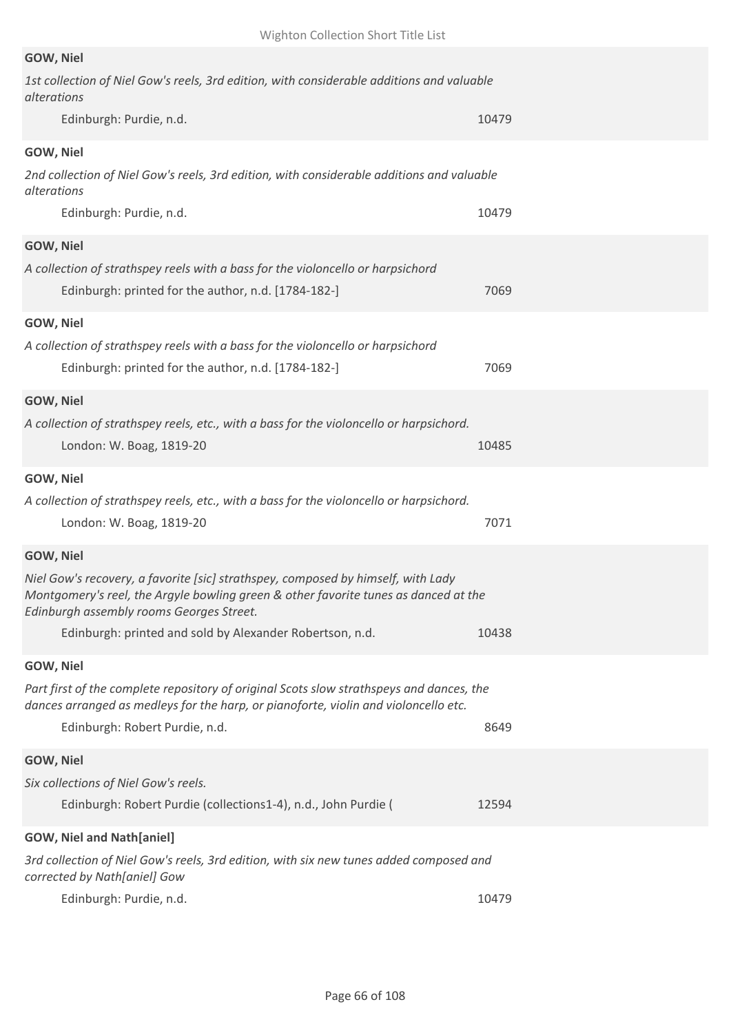| GOW, Niel                                                                                                                                                                                                           |       |
|---------------------------------------------------------------------------------------------------------------------------------------------------------------------------------------------------------------------|-------|
| 1st collection of Niel Gow's reels, 3rd edition, with considerable additions and valuable<br>alterations                                                                                                            |       |
| Edinburgh: Purdie, n.d.                                                                                                                                                                                             | 10479 |
| GOW, Niel                                                                                                                                                                                                           |       |
| 2nd collection of Niel Gow's reels, 3rd edition, with considerable additions and valuable<br>alterations                                                                                                            |       |
| Edinburgh: Purdie, n.d.                                                                                                                                                                                             | 10479 |
| GOW, Niel                                                                                                                                                                                                           |       |
| A collection of strathspey reels with a bass for the violoncello or harpsichord                                                                                                                                     |       |
| Edinburgh: printed for the author, n.d. [1784-182-]                                                                                                                                                                 | 7069  |
| GOW, Niel                                                                                                                                                                                                           |       |
| A collection of strathspey reels with a bass for the violoncello or harpsichord                                                                                                                                     |       |
| Edinburgh: printed for the author, n.d. [1784-182-]                                                                                                                                                                 | 7069  |
| GOW, Niel                                                                                                                                                                                                           |       |
| A collection of strathspey reels, etc., with a bass for the violoncello or harpsichord.                                                                                                                             |       |
| London: W. Boag, 1819-20                                                                                                                                                                                            | 10485 |
| GOW, Niel                                                                                                                                                                                                           |       |
| A collection of strathspey reels, etc., with a bass for the violoncello or harpsichord.                                                                                                                             |       |
| London: W. Boag, 1819-20                                                                                                                                                                                            | 7071  |
| GOW, Niel                                                                                                                                                                                                           |       |
| Niel Gow's recovery, a favorite [sic] strathspey, composed by himself, with Lady<br>Montgomery's reel, the Argyle bowling green & other favorite tunes as danced at the<br>Edinburgh assembly rooms Georges Street. |       |
| Edinburgh: printed and sold by Alexander Robertson, n.d.                                                                                                                                                            | 10438 |
| GOW, Niel                                                                                                                                                                                                           |       |
| Part first of the complete repository of original Scots slow strathspeys and dances, the                                                                                                                            |       |
| dances arranged as medleys for the harp, or pianoforte, violin and violoncello etc.                                                                                                                                 |       |
| Edinburgh: Robert Purdie, n.d.                                                                                                                                                                                      | 8649  |
| GOW, Niel                                                                                                                                                                                                           |       |
| Six collections of Niel Gow's reels.                                                                                                                                                                                |       |
| Edinburgh: Robert Purdie (collections1-4), n.d., John Purdie (                                                                                                                                                      | 12594 |
| <b>GOW, Niel and Nath[aniel]</b>                                                                                                                                                                                    |       |
| 3rd collection of Niel Gow's reels, 3rd edition, with six new tunes added composed and<br>corrected by Nath[aniel] Gow                                                                                              |       |
| Edinburgh: Purdie, n.d.                                                                                                                                                                                             | 10479 |
|                                                                                                                                                                                                                     |       |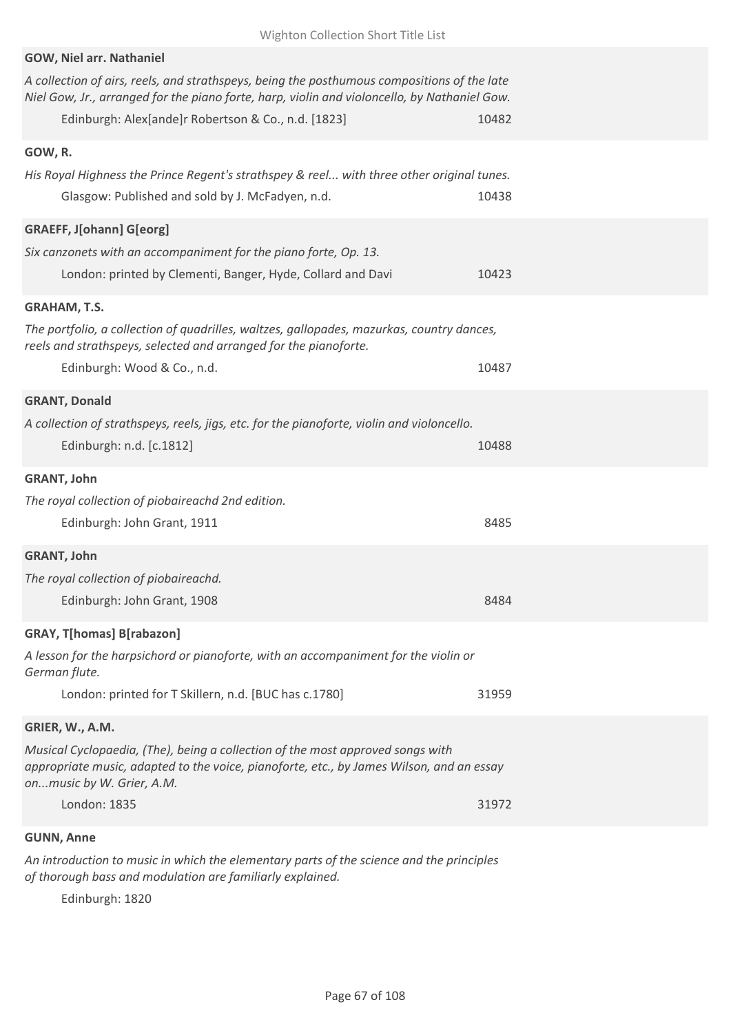| Wighton Collection Short Title List                                                                                                                                                                                                                |       |
|----------------------------------------------------------------------------------------------------------------------------------------------------------------------------------------------------------------------------------------------------|-------|
| GOW, Niel arr. Nathaniel                                                                                                                                                                                                                           |       |
| A collection of airs, reels, and strathspeys, being the posthumous compositions of the late<br>Niel Gow, Jr., arranged for the piano forte, harp, violin and violoncello, by Nathaniel Gow.<br>Edinburgh: Alex[ande]r Robertson & Co., n.d. [1823] | 10482 |
| GOW, R.                                                                                                                                                                                                                                            |       |
| His Royal Highness the Prince Regent's strathspey & reel with three other original tunes.<br>Glasgow: Published and sold by J. McFadyen, n.d.                                                                                                      | 10438 |
| <b>GRAEFF, J[ohann] G[eorg]</b><br>Six canzonets with an accompaniment for the piano forte, Op. 13.<br>London: printed by Clementi, Banger, Hyde, Collard and Davi                                                                                 | 10423 |
| <b>GRAHAM, T.S.</b>                                                                                                                                                                                                                                |       |
| The portfolio, a collection of quadrilles, waltzes, gallopades, mazurkas, country dances,<br>reels and strathspeys, selected and arranged for the pianoforte.                                                                                      |       |
| Edinburgh: Wood & Co., n.d.                                                                                                                                                                                                                        | 10487 |
| <b>GRANT, Donald</b>                                                                                                                                                                                                                               |       |
| A collection of strathspeys, reels, jigs, etc. for the pianoforte, violin and violoncello.                                                                                                                                                         |       |
| Edinburgh: n.d. [c.1812]                                                                                                                                                                                                                           | 10488 |
| <b>GRANT, John</b>                                                                                                                                                                                                                                 |       |
| The royal collection of piobaireachd 2nd edition.                                                                                                                                                                                                  |       |
| Edinburgh: John Grant, 1911                                                                                                                                                                                                                        | 8485  |
| <b>GRANT, John</b>                                                                                                                                                                                                                                 |       |
| The royal collection of piobaireachd.                                                                                                                                                                                                              |       |
| Edinburgh: John Grant, 1908                                                                                                                                                                                                                        | 8484  |
| <b>GRAY, T[homas] B[rabazon]</b>                                                                                                                                                                                                                   |       |
| A lesson for the harpsichord or pianoforte, with an accompaniment for the violin or<br>German flute.                                                                                                                                               |       |
| London: printed for T Skillern, n.d. [BUC has c.1780]                                                                                                                                                                                              | 31959 |
| GRIER, W., A.M.                                                                                                                                                                                                                                    |       |
| Musical Cyclopaedia, (The), being a collection of the most approved songs with<br>appropriate music, adapted to the voice, pianoforte, etc., by James Wilson, and an essay<br>onmusic by W. Grier, A.M.                                            |       |
| London: 1835                                                                                                                                                                                                                                       | 31972 |
| <b>GUNN, Anne</b>                                                                                                                                                                                                                                  |       |

*An introduction to music in which the elementary parts of the science and the principles of thorough bass and modulation are familiarly explained.*

Edinburgh: 1820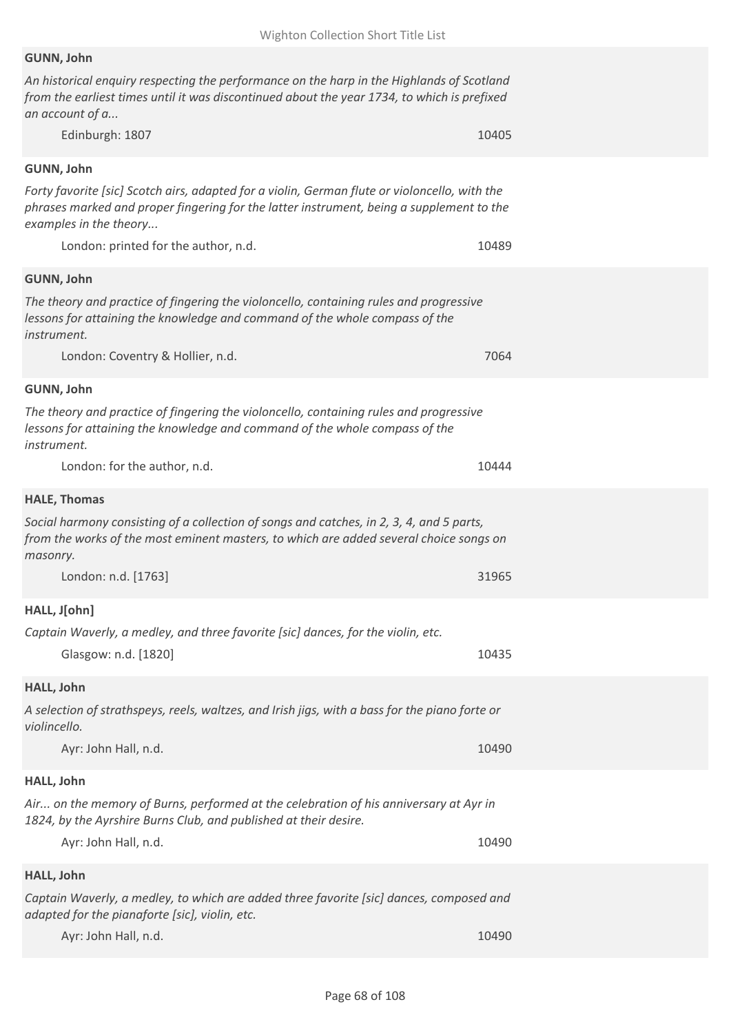## **GUNN, John**

*An historical enquiry respecting the performance on the harp in the Highlands of Scotland from the earliest times until it was discontinued about the year 1734, to which is prefixed an account of a...*

| Edinburgh: 1807                                                                                                                                                                                                     | 10405 |
|---------------------------------------------------------------------------------------------------------------------------------------------------------------------------------------------------------------------|-------|
| GUNN, John                                                                                                                                                                                                          |       |
| Forty favorite [sic] Scotch airs, adapted for a violin, German flute or violoncello, with the<br>phrases marked and proper fingering for the latter instrument, being a supplement to the<br>examples in the theory |       |
| London: printed for the author, n.d.                                                                                                                                                                                | 10489 |
| GUNN, John                                                                                                                                                                                                          |       |
| The theory and practice of fingering the violoncello, containing rules and progressive<br>lessons for attaining the knowledge and command of the whole compass of the<br><i>instrument.</i>                         |       |
| London: Coventry & Hollier, n.d.                                                                                                                                                                                    | 7064  |
| GUNN, John                                                                                                                                                                                                          |       |
| The theory and practice of fingering the violoncello, containing rules and progressive<br>lessons for attaining the knowledge and command of the whole compass of the<br>instrument.                                |       |
| London: for the author, n.d.                                                                                                                                                                                        | 10444 |
| <b>HALE, Thomas</b>                                                                                                                                                                                                 |       |
| Social harmony consisting of a collection of songs and catches, in 2, 3, 4, and 5 parts,<br>from the works of the most eminent masters, to which are added several choice songs on<br>masonry.                      |       |
| London: n.d. [1763]                                                                                                                                                                                                 | 31965 |
| HALL, J[ohn]                                                                                                                                                                                                        |       |
| Captain Waverly, a medley, and three favorite [sic] dances, for the violin, etc.                                                                                                                                    |       |
| Glasgow: n.d. [1820]                                                                                                                                                                                                | 10435 |
| HALL, John                                                                                                                                                                                                          |       |
| A selection of strathspeys, reels, waltzes, and Irish jigs, with a bass for the piano forte or<br>violincello.                                                                                                      |       |
| Ayr: John Hall, n.d.                                                                                                                                                                                                | 10490 |
| HALL, John                                                                                                                                                                                                          |       |
| Air on the memory of Burns, performed at the celebration of his anniversary at Ayr in<br>1824, by the Ayrshire Burns Club, and published at their desire.                                                           |       |
| Ayr: John Hall, n.d.                                                                                                                                                                                                | 10490 |
| HALL, John                                                                                                                                                                                                          |       |
| Captain Waverly, a medley, to which are added three favorite [sic] dances, composed and<br>adapted for the pianaforte [sic], violin, etc.                                                                           |       |
| Ayr: John Hall, n.d.                                                                                                                                                                                                | 10490 |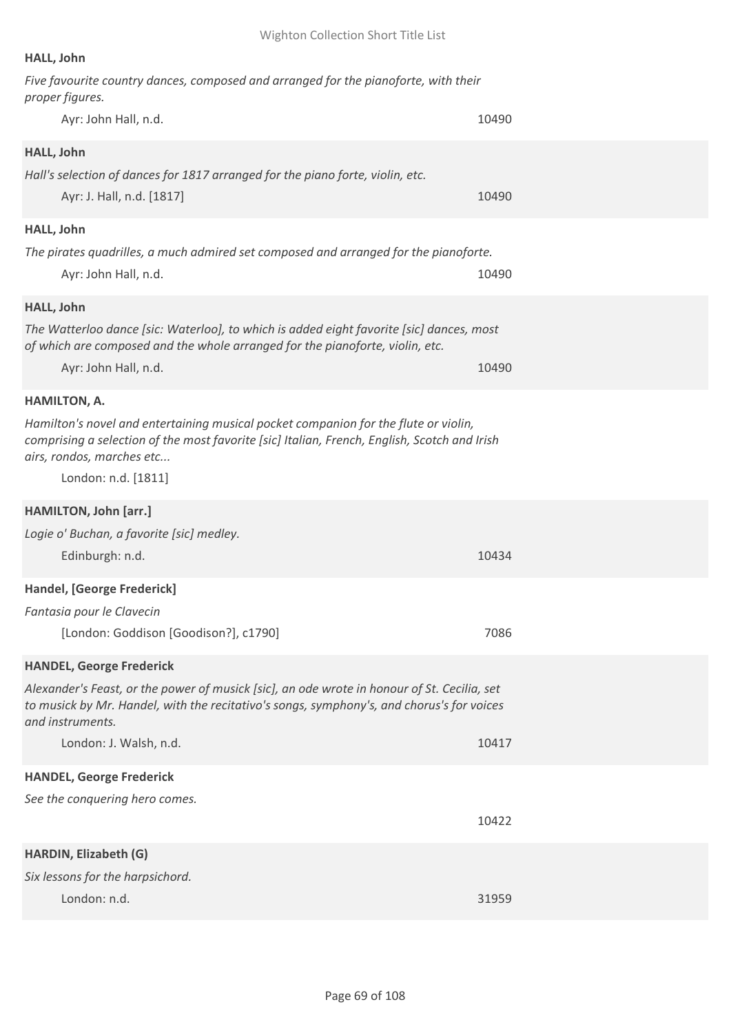# **HALL, John**

| Five favourite country dances, composed and arranged for the pianoforte, with their<br>proper figures.                    |       |
|---------------------------------------------------------------------------------------------------------------------------|-------|
| Ayr: John Hall, n.d.                                                                                                      | 10490 |
| HALL, John                                                                                                                |       |
| Hall's selection of dances for 1817 arranged for the piano forte, violin, etc.                                            |       |
| Ayr: J. Hall, n.d. [1817]                                                                                                 | 10490 |
| HALL, John                                                                                                                |       |
| The pirates quadrilles, a much admired set composed and arranged for the pianoforte.                                      |       |
| Ayr: John Hall, n.d.                                                                                                      | 10490 |
| HALL, John                                                                                                                |       |
| The Watterloo dance [sic: Waterloo], to which is added eight favorite [sic] dances, most                                  |       |
| of which are composed and the whole arranged for the pianoforte, violin, etc.                                             |       |
| Ayr: John Hall, n.d.                                                                                                      | 10490 |
| <b>HAMILTON, A.</b>                                                                                                       |       |
| Hamilton's novel and entertaining musical pocket companion for the flute or violin,                                       |       |
| comprising a selection of the most favorite [sic] Italian, French, English, Scotch and Irish<br>airs, rondos, marches etc |       |
| London: n.d. [1811]                                                                                                       |       |
|                                                                                                                           |       |
| HAMILTON, John [arr.]                                                                                                     |       |
| Logie o' Buchan, a favorite [sic] medley.                                                                                 |       |
| Edinburgh: n.d.                                                                                                           | 10434 |
| Handel, [George Frederick]                                                                                                |       |
| Fantasia pour le Clavecin                                                                                                 |       |
| [London: Goddison [Goodison?], c1790]                                                                                     | 7086  |
| <b>HANDEL, George Frederick</b>                                                                                           |       |
| Alexander's Feast, or the power of musick [sic], an ode wrote in honour of St. Cecilia, set                               |       |
| to musick by Mr. Handel, with the recitativo's songs, symphony's, and chorus's for voices<br>and instruments.             |       |
| London: J. Walsh, n.d.                                                                                                    | 10417 |
|                                                                                                                           |       |
| <b>HANDEL, George Frederick</b>                                                                                           |       |
| See the conquering hero comes.                                                                                            |       |
|                                                                                                                           | 10422 |
| <b>HARDIN, Elizabeth (G)</b>                                                                                              |       |
| Six lessons for the harpsichord.                                                                                          |       |
| London: n.d.                                                                                                              | 31959 |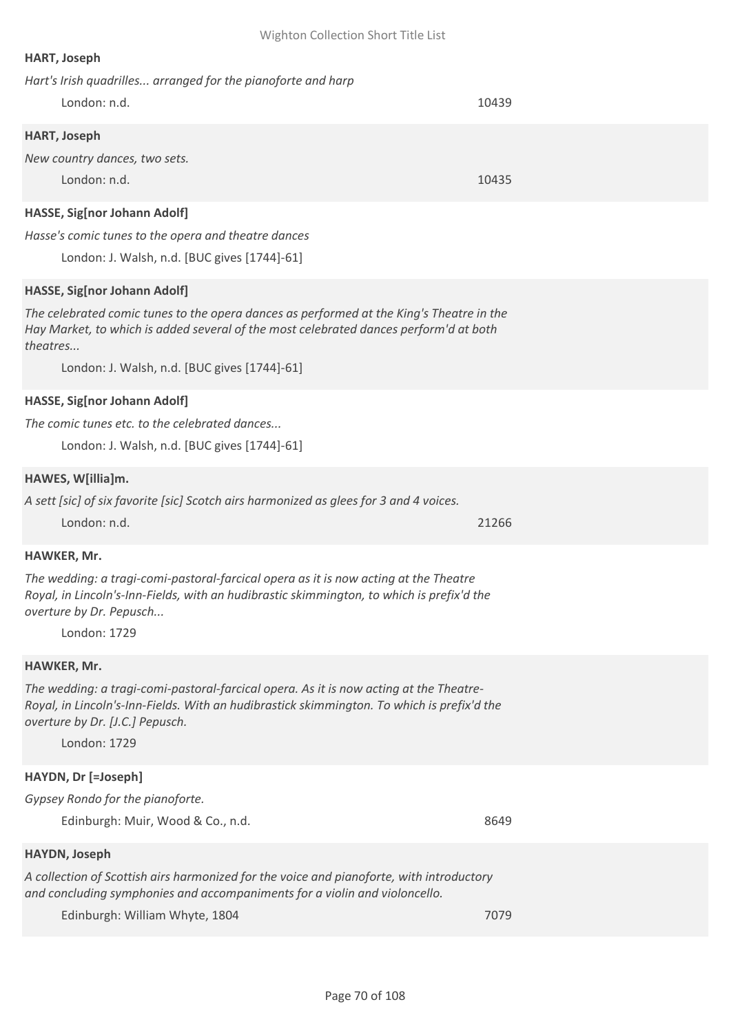## **HART, Joseph**

| Hart's Irish quadrilles arranged for the pianoforte and harp                                                                                                                      |       |
|-----------------------------------------------------------------------------------------------------------------------------------------------------------------------------------|-------|
| London: n.d.                                                                                                                                                                      | 10439 |
| <b>HART, Joseph</b>                                                                                                                                                               |       |
| New country dances, two sets.                                                                                                                                                     |       |
| London: n.d.                                                                                                                                                                      | 10435 |
| HASSE, Sig[nor Johann Adolf]                                                                                                                                                      |       |
| Hasse's comic tunes to the opera and theatre dances                                                                                                                               |       |
| London: J. Walsh, n.d. [BUC gives [1744]-61]                                                                                                                                      |       |
| HASSE, Sig[nor Johann Adolf]                                                                                                                                                      |       |
| The celebrated comic tunes to the opera dances as performed at the King's Theatre in the<br>Hay Market, to which is added several of the most celebrated dances perform'd at both |       |

*theatres...*

London: J. Walsh, n.d. [BUC gives [1744]-61]

#### **HASSE, Sig[nor Johann Adolf]**

*The comic tunes etc. to the celebrated dances...*

London: J. Walsh, n.d. [BUC gives [1744]-61]

#### **HAWES, W[illia]m.**

*A sett [sic] of six favorite [sic] Scotch airs harmonized as glees for 3 and 4 voices.* London: n.d. 21266

#### **HAWKER, Mr.**

*The wedding: a tragi-comi-pastoral-farcical opera as it is now acting at the Theatre Royal, in Lincoln's-Inn-Fields, with an hudibrastic skimmington, to which is prefix'd the overture by Dr. Pepusch...*

London: 1729

#### **HAWKER, Mr.**

*The wedding: a tragi-comi-pastoral-farcical opera. As it is now acting at the Theatre-Royal, in Lincoln's-Inn-Fields. With an hudibrastick skimmington. To which is prefix'd the overture by Dr. [J.C.] Pepusch.*

London: 1729

## **HAYDN, Dr [=Joseph]**

| Gypsey Rondo for the pianoforte.  |      |
|-----------------------------------|------|
| Edinburgh: Muir, Wood & Co., n.d. | 8649 |

#### **HAYDN, Joseph**

*A collection of Scottish airs harmonized for the voice and pianoforte, with introductory and concluding symphonies and accompaniments for a violin and violoncello.*

Edinburgh: William Whyte, 1804 7079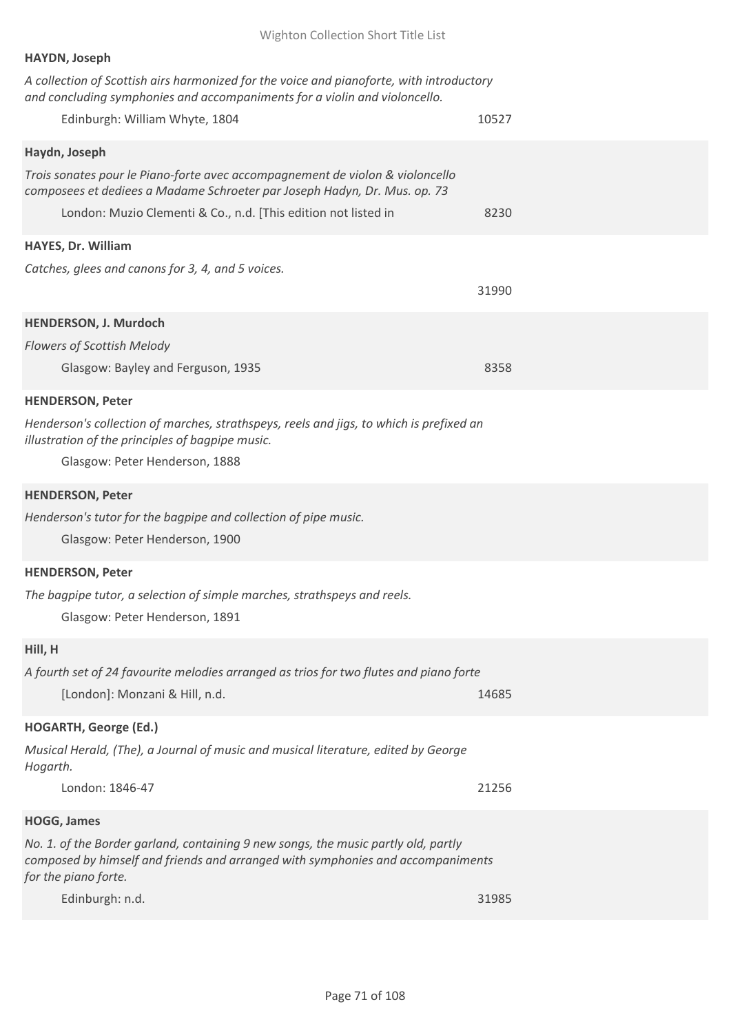| <b>HAYDN, Joseph</b><br>A collection of Scottish airs harmonized for the voice and pianoforte, with introductory<br>and concluding symphonies and accompaniments for a violin and violoncello.<br>Edinburgh: William Whyte, 1804              | 10527 |
|-----------------------------------------------------------------------------------------------------------------------------------------------------------------------------------------------------------------------------------------------|-------|
| Haydn, Joseph<br>Trois sonates pour le Piano-forte avec accompagnement de violon & violoncello<br>composees et dediees a Madame Schroeter par Joseph Hadyn, Dr. Mus. op. 73<br>London: Muzio Clementi & Co., n.d. [This edition not listed in | 8230  |
| HAYES, Dr. William<br>Catches, glees and canons for 3, 4, and 5 voices.                                                                                                                                                                       | 31990 |
| HENDERSON, J. Murdoch<br><b>Flowers of Scottish Melody</b><br>Glasgow: Bayley and Ferguson, 1935                                                                                                                                              | 8358  |
| <b>HENDERSON, Peter</b><br>Henderson's collection of marches, strathspeys, reels and jigs, to which is prefixed an<br>illustration of the principles of bagpipe music.<br>Glasgow: Peter Henderson, 1888                                      |       |
| <b>HENDERSON, Peter</b><br>Henderson's tutor for the bagpipe and collection of pipe music.<br>Glasgow: Peter Henderson, 1900                                                                                                                  |       |
| <b>HENDERSON, Peter</b><br>The bagpipe tutor, a selection of simple marches, strathspeys and reels.<br>Glasgow: Peter Henderson, 1891                                                                                                         |       |
| Hill, H<br>A fourth set of 24 favourite melodies arranged as trios for two flutes and piano forte<br>[London]: Monzani & Hill, n.d.                                                                                                           | 14685 |
| <b>HOGARTH, George (Ed.)</b><br>Musical Herald, (The), a Journal of music and musical literature, edited by George<br>Hogarth.<br>London: 1846-47                                                                                             | 21256 |
| <b>HOGG, James</b><br>No. 1. of the Border garland, containing 9 new songs, the music partly old, partly<br>composed by himself and friends and arranged with symphonies and accompaniments<br>for the piano forte.<br>Edinburgh: n.d.        | 31985 |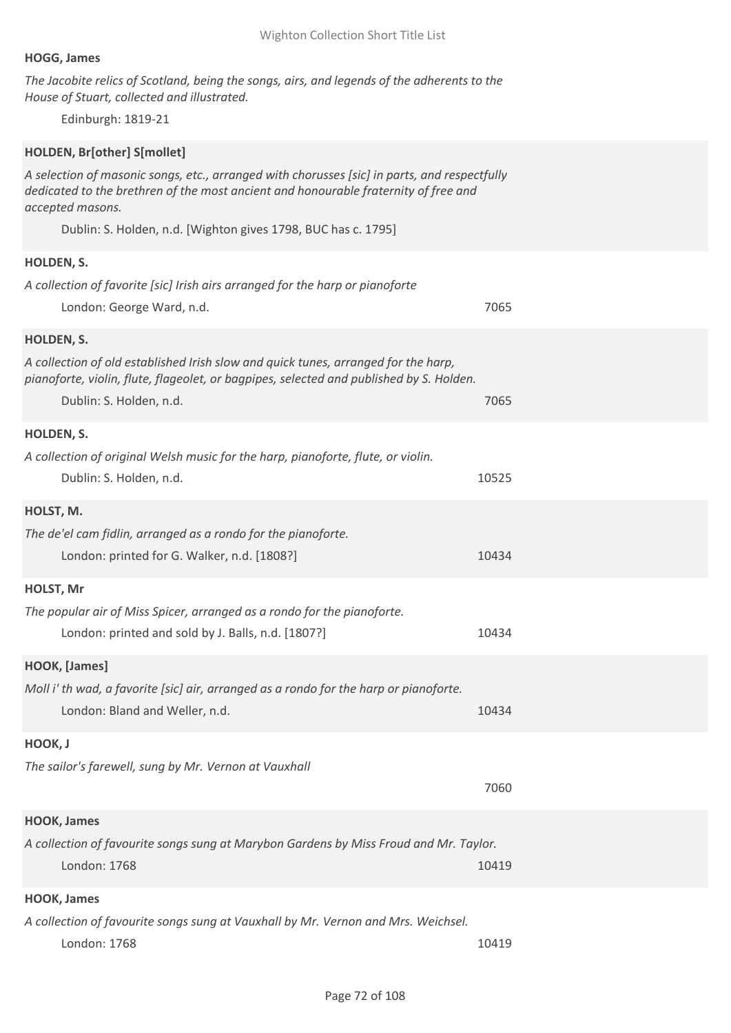## **HOGG, James**

*The Jacobite relics of Scotland, being the songs, airs, and legends of the adherents to the House of Stuart, collected and illustrated.*

Edinburgh: 1819-21

## **HOLDEN, Br[other] S[mollet]**

*A selection of masonic songs, etc., arranged with chorusses [sic] in parts, and respectfully dedicated to the brethren of the most ancient and honourable fraternity of free and accepted masons.*

Dublin: S. Holden, n.d. [Wighton gives 1798, BUC has c. 1795]

## **HOLDEN, S.**

| <b>HOLDEN, S.</b>                                                                                                                                                                                        |       |
|----------------------------------------------------------------------------------------------------------------------------------------------------------------------------------------------------------|-------|
| A collection of favorite [sic] Irish airs arranged for the harp or pianoforte                                                                                                                            |       |
| London: George Ward, n.d.                                                                                                                                                                                | 7065  |
| HOLDEN, S.                                                                                                                                                                                               |       |
| A collection of old established Irish slow and quick tunes, arranged for the harp,<br>pianoforte, violin, flute, flageolet, or bagpipes, selected and published by S. Holden.<br>Dublin: S. Holden, n.d. | 7065  |
| HOLDEN, S.                                                                                                                                                                                               |       |
| A collection of original Welsh music for the harp, pianoforte, flute, or violin.<br>Dublin: S. Holden, n.d.                                                                                              | 10525 |
| HOLST, M.                                                                                                                                                                                                |       |
| The de'el cam fidlin, arranged as a rondo for the pianoforte.                                                                                                                                            |       |
| London: printed for G. Walker, n.d. [1808?]                                                                                                                                                              | 10434 |
| HOLST, Mr                                                                                                                                                                                                |       |
| The popular air of Miss Spicer, arranged as a rondo for the pianoforte.                                                                                                                                  |       |
| London: printed and sold by J. Balls, n.d. [1807?]                                                                                                                                                       | 10434 |
| HOOK, [James]                                                                                                                                                                                            |       |
| Moll i' th wad, a favorite [sic] air, arranged as a rondo for the harp or pianoforte.                                                                                                                    |       |
| London: Bland and Weller, n.d.                                                                                                                                                                           | 10434 |
| HOOK, J                                                                                                                                                                                                  |       |
| The sailor's farewell, sung by Mr. Vernon at Vauxhall                                                                                                                                                    |       |
|                                                                                                                                                                                                          | 7060  |
| <b>HOOK, James</b>                                                                                                                                                                                       |       |
| A collection of favourite songs sung at Marybon Gardens by Miss Froud and Mr. Taylor.                                                                                                                    |       |
| London: 1768                                                                                                                                                                                             | 10419 |
|                                                                                                                                                                                                          |       |

## **HOOK, James**

*A collection of favourite songs sung at Vauxhall by Mr. Vernon and Mrs. Weichsel.* London: 1768 10419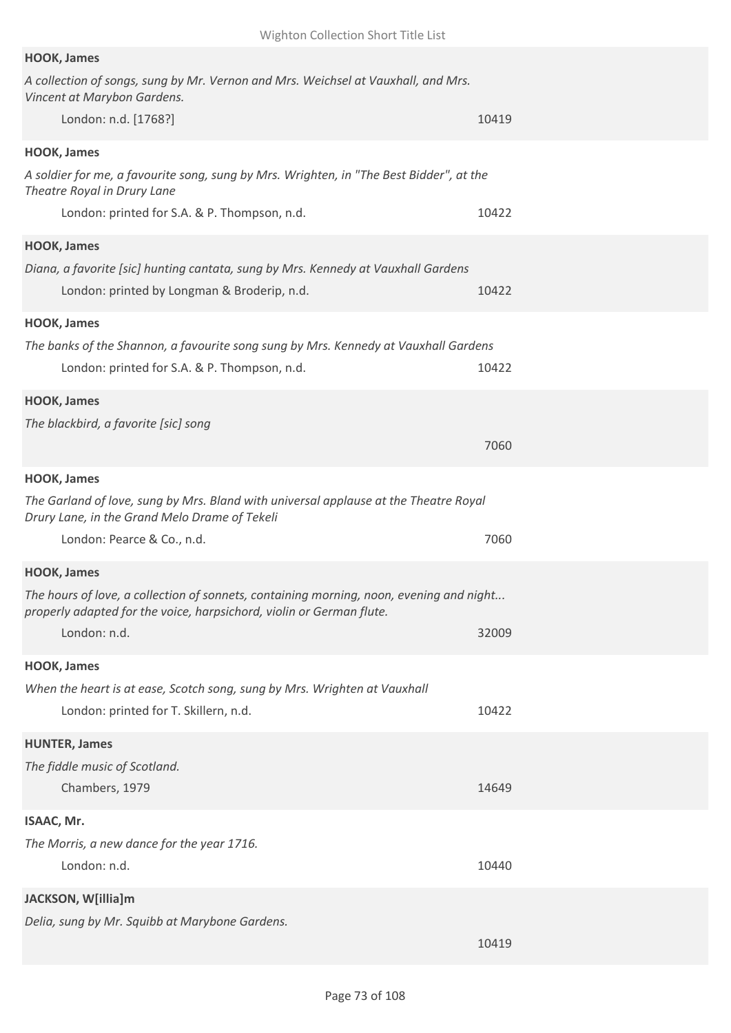| <b>HOOK, James</b>                                                                                                                                              |       |
|-----------------------------------------------------------------------------------------------------------------------------------------------------------------|-------|
| A collection of songs, sung by Mr. Vernon and Mrs. Weichsel at Vauxhall, and Mrs.<br>Vincent at Marybon Gardens.                                                |       |
| London: n.d. [1768?]                                                                                                                                            | 10419 |
| <b>HOOK, James</b>                                                                                                                                              |       |
| A soldier for me, a favourite song, sung by Mrs. Wrighten, in "The Best Bidder", at the<br>Theatre Royal in Drury Lane                                          |       |
| London: printed for S.A. & P. Thompson, n.d.                                                                                                                    | 10422 |
| <b>HOOK, James</b>                                                                                                                                              |       |
| Diana, a favorite [sic] hunting cantata, sung by Mrs. Kennedy at Vauxhall Gardens<br>London: printed by Longman & Broderip, n.d.                                | 10422 |
| <b>HOOK, James</b>                                                                                                                                              |       |
| The banks of the Shannon, a favourite song sung by Mrs. Kennedy at Vauxhall Gardens<br>London: printed for S.A. & P. Thompson, n.d.                             | 10422 |
| <b>HOOK, James</b>                                                                                                                                              |       |
| The blackbird, a favorite [sic] song                                                                                                                            | 7060  |
| <b>HOOK, James</b>                                                                                                                                              |       |
| The Garland of love, sung by Mrs. Bland with universal applause at the Theatre Royal<br>Drury Lane, in the Grand Melo Drame of Tekeli                           |       |
| London: Pearce & Co., n.d.                                                                                                                                      | 7060  |
| <b>HOOK, James</b>                                                                                                                                              |       |
| The hours of love, a collection of sonnets, containing morning, noon, evening and night<br>properly adapted for the voice, harpsichord, violin or German flute. |       |
| London: n.d.                                                                                                                                                    | 32009 |
| <b>HOOK, James</b>                                                                                                                                              |       |
| When the heart is at ease, Scotch song, sung by Mrs. Wrighten at Vauxhall                                                                                       |       |
| London: printed for T. Skillern, n.d.                                                                                                                           | 10422 |
| <b>HUNTER, James</b>                                                                                                                                            |       |
| The fiddle music of Scotland.                                                                                                                                   |       |
| Chambers, 1979                                                                                                                                                  | 14649 |
| ISAAC, Mr.                                                                                                                                                      |       |
| The Morris, a new dance for the year 1716.                                                                                                                      |       |
| London: n.d.                                                                                                                                                    | 10440 |
| JACKSON, W[illia]m                                                                                                                                              |       |
| Delia, sung by Mr. Squibb at Marybone Gardens.                                                                                                                  | 10419 |
|                                                                                                                                                                 |       |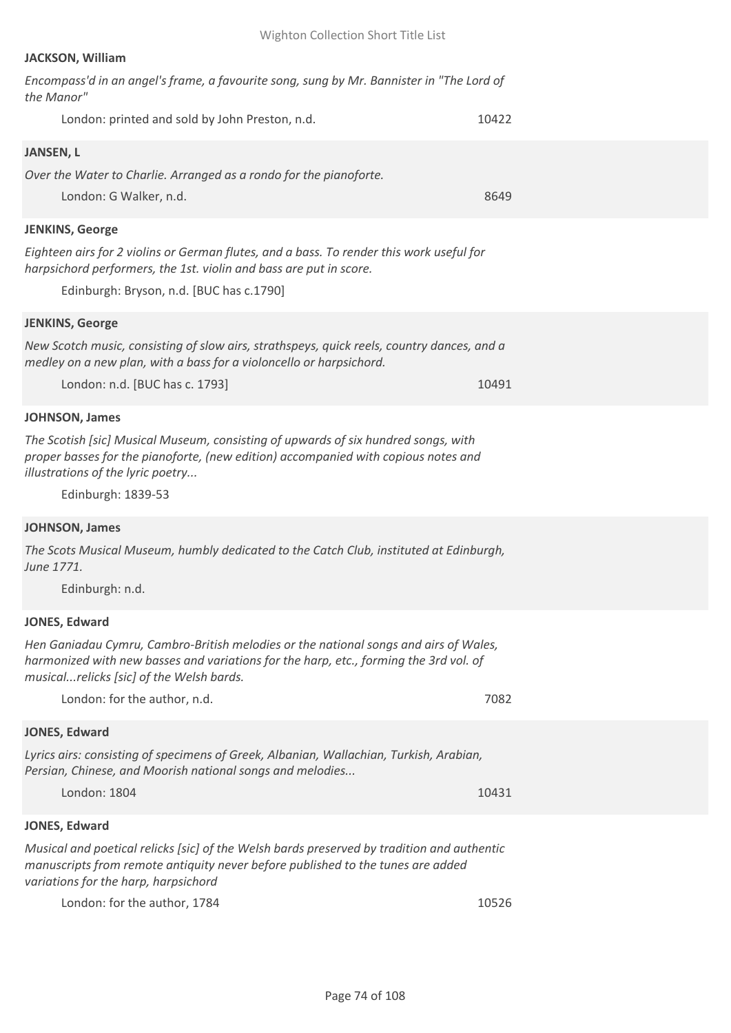# **JACKSON, William**

| Encompass'd in an angel's frame, a favourite song, sung by Mr. Bannister in "The Lord of<br>the Manor"                                                                                                                              |       |
|-------------------------------------------------------------------------------------------------------------------------------------------------------------------------------------------------------------------------------------|-------|
| London: printed and sold by John Preston, n.d.                                                                                                                                                                                      | 10422 |
| <b>JANSEN, L</b>                                                                                                                                                                                                                    |       |
| Over the Water to Charlie. Arranged as a rondo for the pianoforte.                                                                                                                                                                  |       |
| London: G Walker, n.d.                                                                                                                                                                                                              | 8649  |
| <b>JENKINS, George</b>                                                                                                                                                                                                              |       |
| Eighteen airs for 2 violins or German flutes, and a bass. To render this work useful for<br>harpsichord performers, the 1st. violin and bass are put in score.                                                                      |       |
| Edinburgh: Bryson, n.d. [BUC has c.1790]                                                                                                                                                                                            |       |
| <b>JENKINS, George</b>                                                                                                                                                                                                              |       |
| New Scotch music, consisting of slow airs, strathspeys, quick reels, country dances, and a<br>medley on a new plan, with a bass for a violoncello or harpsichord.                                                                   |       |
| London: n.d. [BUC has c. 1793]                                                                                                                                                                                                      | 10491 |
| <b>JOHNSON, James</b>                                                                                                                                                                                                               |       |
| The Scotish [sic] Musical Museum, consisting of upwards of six hundred songs, with<br>proper basses for the pianoforte, (new edition) accompanied with copious notes and<br>illustrations of the lyric poetry<br>Edinburgh: 1839-53 |       |
| <b>JOHNSON, James</b>                                                                                                                                                                                                               |       |
| The Scots Musical Museum, humbly dedicated to the Catch Club, instituted at Edinburgh,<br>June 1771.                                                                                                                                |       |
| Edinburgh: n.d.                                                                                                                                                                                                                     |       |
| <b>JONES, Edward</b>                                                                                                                                                                                                                |       |
| Hen Ganiadau Cymru, Cambro-British melodies or the national songs and airs of Wales,<br>harmonized with new basses and variations for the harp, etc., forming the 3rd vol. of<br>musicalrelicks [sic] of the Welsh bards.           |       |
| London: for the author, n.d.                                                                                                                                                                                                        | 7082  |
| <b>JONES, Edward</b>                                                                                                                                                                                                                |       |
| Lyrics airs: consisting of specimens of Greek, Albanian, Wallachian, Turkish, Arabian,<br>Persian, Chinese, and Moorish national songs and melodies                                                                                 |       |
| London: 1804                                                                                                                                                                                                                        | 10431 |
| JONES, Edward                                                                                                                                                                                                                       |       |
| Musical and poetical relicks [sic] of the Welsh bards preserved by tradition and authentic<br>manuscripts from remote antiquity never before published to the tunes are added<br>variations for the harp, harpsichord               |       |
| London: for the author, 1784                                                                                                                                                                                                        | 10526 |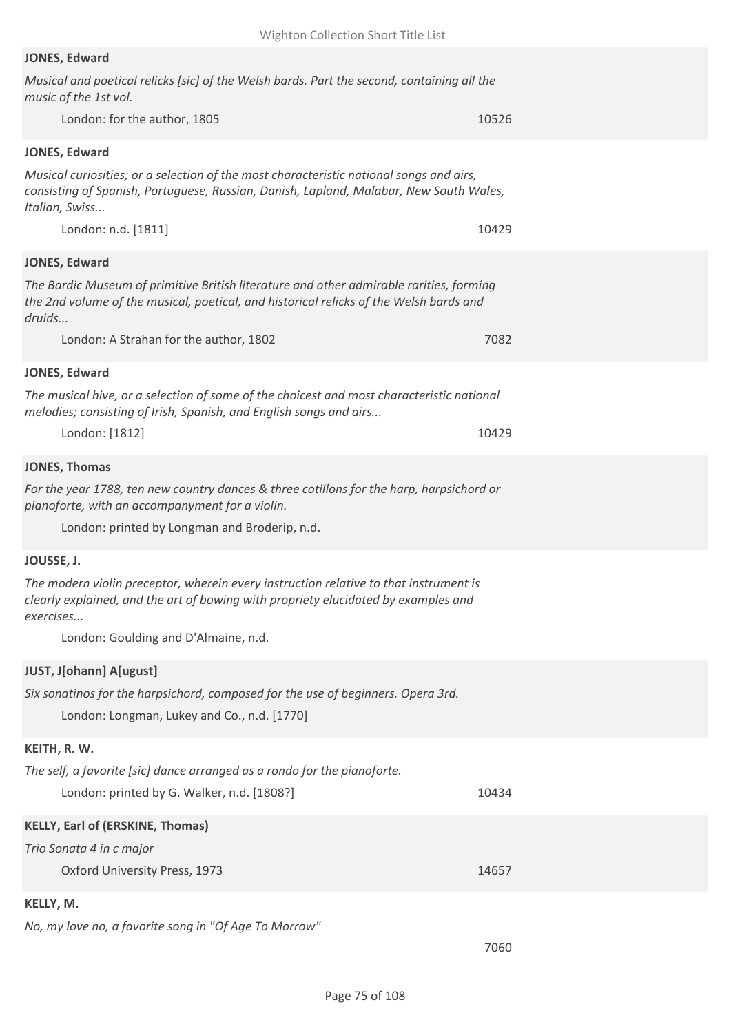# **JONES, Edward**

| Musical and poetical relicks [sic] of the Welsh bards. Part the second, containing all the<br>music of the 1st vol.                                                                                 |       |
|-----------------------------------------------------------------------------------------------------------------------------------------------------------------------------------------------------|-------|
| London: for the author, 1805                                                                                                                                                                        | 10526 |
| <b>JONES, Edward</b>                                                                                                                                                                                |       |
| Musical curiosities; or a selection of the most characteristic national songs and airs,<br>consisting of Spanish, Portuguese, Russian, Danish, Lapland, Malabar, New South Wales,<br>Italian, Swiss |       |
| London: n.d. [1811]                                                                                                                                                                                 | 10429 |
| <b>JONES, Edward</b>                                                                                                                                                                                |       |
| The Bardic Museum of primitive British literature and other admirable rarities, forming<br>the 2nd volume of the musical, poetical, and historical relicks of the Welsh bards and<br>druids         |       |
| London: A Strahan for the author, 1802                                                                                                                                                              | 7082  |
| <b>JONES, Edward</b>                                                                                                                                                                                |       |
| The musical hive, or a selection of some of the choicest and most characteristic national<br>melodies; consisting of Irish, Spanish, and English songs and airs                                     |       |
| London: [1812]                                                                                                                                                                                      | 10429 |
| <b>JONES, Thomas</b>                                                                                                                                                                                |       |
| For the year 1788, ten new country dances & three cotillons for the harp, harpsichord or<br>pianoforte, with an accompanyment for a violin.<br>London: printed by Longman and Broderip, n.d.        |       |
| JOUSSE, J.                                                                                                                                                                                          |       |
| The modern violin preceptor, wherein every instruction relative to that instrument is<br>clearly explained, and the art of bowing with propriety elucidated by examples and<br>exercises            |       |
| London: Goulding and D'Almaine, n.d.                                                                                                                                                                |       |
| <b>JUST, J[ohann] A[ugust]</b>                                                                                                                                                                      |       |
| Six sonatinos for the harpsichord, composed for the use of beginners. Opera 3rd.<br>London: Longman, Lukey and Co., n.d. [1770]                                                                     |       |
| KEITH, R. W.                                                                                                                                                                                        |       |
| The self, a favorite [sic] dance arranged as a rondo for the pianoforte.<br>London: printed by G. Walker, n.d. [1808?]                                                                              | 10434 |
| <b>KELLY, Earl of (ERSKINE, Thomas)</b>                                                                                                                                                             |       |
| Trio Sonata 4 in c major<br>Oxford University Press, 1973                                                                                                                                           | 14657 |
| KELLY, M.                                                                                                                                                                                           |       |
| No, my love no, a favorite song in "Of Age To Morrow"                                                                                                                                               |       |

7060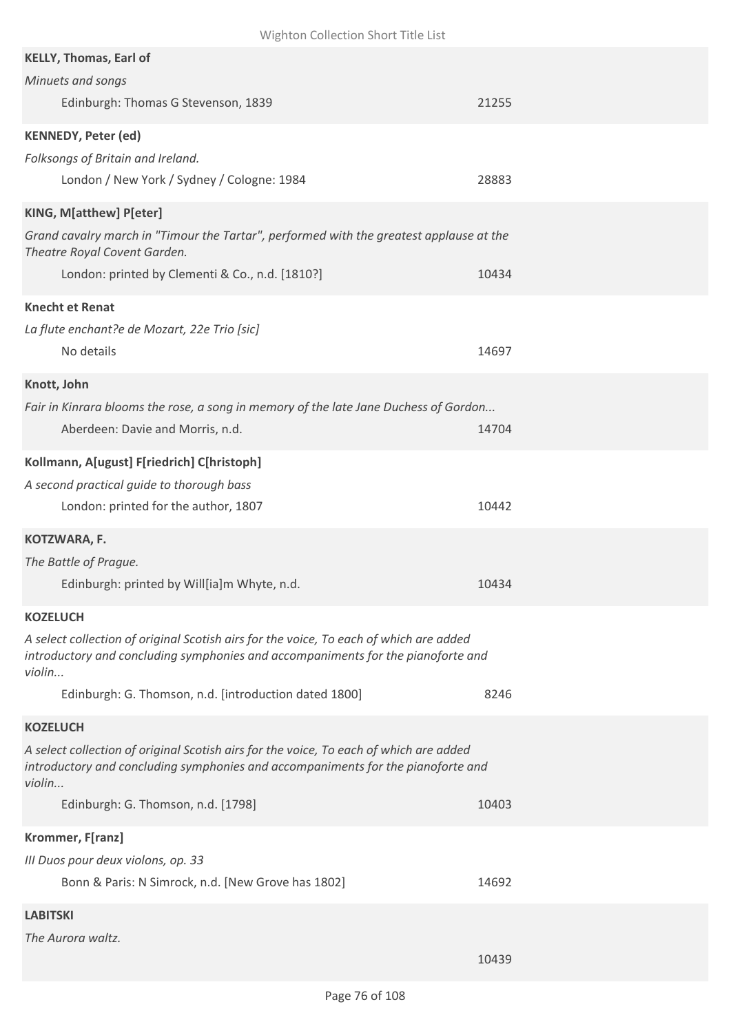| Wighton Collection Short Title List                                                                                                                                                                                                                              |       |
|------------------------------------------------------------------------------------------------------------------------------------------------------------------------------------------------------------------------------------------------------------------|-------|
| <b>KELLY, Thomas, Earl of</b><br>Minuets and songs<br>Edinburgh: Thomas G Stevenson, 1839                                                                                                                                                                        | 21255 |
| <b>KENNEDY, Peter (ed)</b><br>Folksongs of Britain and Ireland.<br>London / New York / Sydney / Cologne: 1984                                                                                                                                                    | 28883 |
| KING, M[atthew] P[eter]<br>Grand cavalry march in "Timour the Tartar", performed with the greatest applause at the<br>Theatre Royal Covent Garden.<br>London: printed by Clementi & Co., n.d. [1810?]                                                            | 10434 |
| <b>Knecht et Renat</b><br>La flute enchant?e de Mozart, 22e Trio [sic]<br>No details                                                                                                                                                                             | 14697 |
| Knott, John<br>Fair in Kinrara blooms the rose, a song in memory of the late Jane Duchess of Gordon<br>Aberdeen: Davie and Morris, n.d.                                                                                                                          | 14704 |
| Kollmann, A[ugust] F[riedrich] C[hristoph]<br>A second practical guide to thorough bass<br>London: printed for the author, 1807                                                                                                                                  | 10442 |
| KOTZWARA, F.<br>The Battle of Prague.<br>Edinburgh: printed by Will[ia]m Whyte, n.d.                                                                                                                                                                             | 10434 |
| <b>KOZELUCH</b><br>A select collection of original Scotish airs for the voice, To each of which are added<br>introductory and concluding symphonies and accompaniments for the pianoforte and<br>violin<br>Edinburgh: G. Thomson, n.d. [introduction dated 1800] | 8246  |
| <b>KOZELUCH</b><br>A select collection of original Scotish airs for the voice, To each of which are added<br>introductory and concluding symphonies and accompaniments for the pianoforte and<br>violin<br>Edinburgh: G. Thomson, n.d. [1798]                    | 10403 |
| Krommer, F[ranz]<br>III Duos pour deux violons, op. 33<br>Bonn & Paris: N Simrock, n.d. [New Grove has 1802]                                                                                                                                                     | 14692 |
| <b>LABITSKI</b><br>The Aurora waltz.                                                                                                                                                                                                                             | 10439 |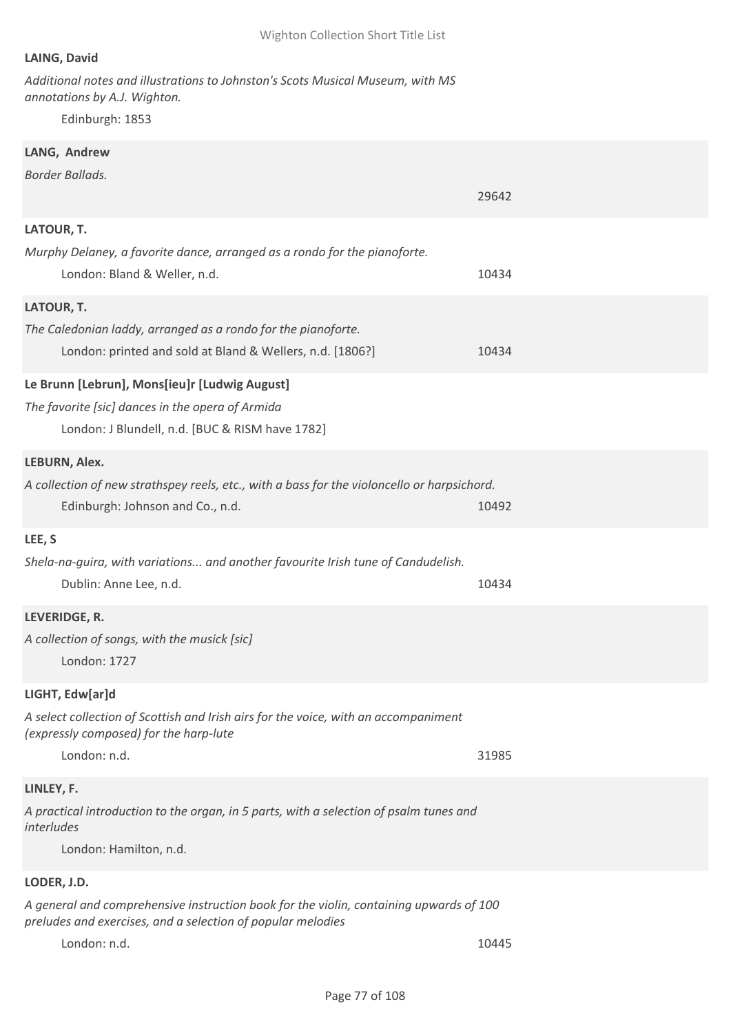# **LAING, David**

*Additional notes and illustrations to Johnston's Scots Musical Museum, with MS annotations by A.J. Wighton.*

Edinburgh: 1853

# **LANG, Andrew**

*Border Ballads.*

|                                                                                                                                                       | 29642 |
|-------------------------------------------------------------------------------------------------------------------------------------------------------|-------|
| LATOUR, T.                                                                                                                                            |       |
| Murphy Delaney, a favorite dance, arranged as a rondo for the pianoforte.<br>London: Bland & Weller, n.d.                                             | 10434 |
| LATOUR, T.                                                                                                                                            |       |
| The Caledonian laddy, arranged as a rondo for the pianoforte.<br>London: printed and sold at Bland & Wellers, n.d. [1806?]                            | 10434 |
| Le Brunn [Lebrun], Mons[ieu]r [Ludwig August]                                                                                                         |       |
| The favorite [sic] dances in the opera of Armida                                                                                                      |       |
| London: J Blundell, n.d. [BUC & RISM have 1782]                                                                                                       |       |
| LEBURN, Alex.                                                                                                                                         |       |
| A collection of new strathspey reels, etc., with a bass for the violoncello or harpsichord.                                                           |       |
| Edinburgh: Johnson and Co., n.d.                                                                                                                      | 10492 |
| LEE, S                                                                                                                                                |       |
| Shela-na-guira, with variations and another favourite Irish tune of Candudelish.                                                                      |       |
| Dublin: Anne Lee, n.d.                                                                                                                                | 10434 |
| LEVERIDGE, R.                                                                                                                                         |       |
| A collection of songs, with the musick [sic]                                                                                                          |       |
| London: 1727                                                                                                                                          |       |
| LIGHT, Edw[ar]d                                                                                                                                       |       |
| A select collection of Scottish and Irish airs for the voice, with an accompaniment<br>(expressly composed) for the harp-lute                         |       |
| London: n.d.                                                                                                                                          | 31985 |
| LINLEY, F.                                                                                                                                            |       |
| A practical introduction to the organ, in 5 parts, with a selection of psalm tunes and                                                                |       |
| interludes                                                                                                                                            |       |
| London: Hamilton, n.d.                                                                                                                                |       |
| LODER, J.D.                                                                                                                                           |       |
| A general and comprehensive instruction book for the violin, containing upwards of 100<br>preludes and exercises, and a selection of popular melodies |       |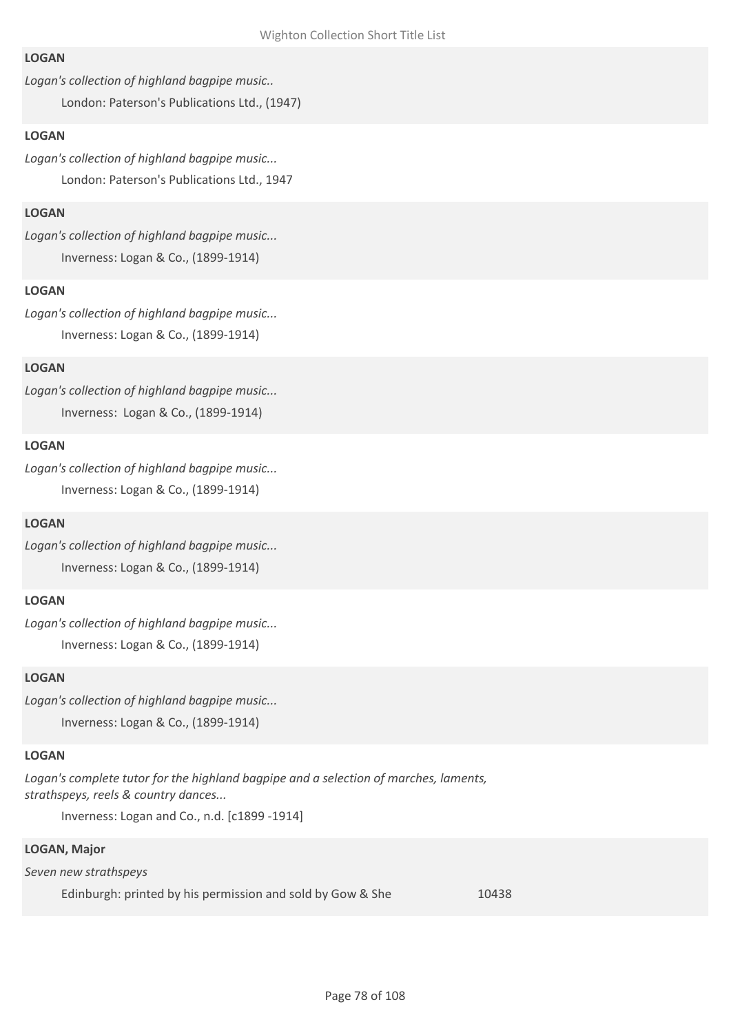### **LOGAN**

*Logan's collection of highland bagpipe music..*

London: Paterson's Publications Ltd., (1947)

# **LOGAN**

*Logan's collection of highland bagpipe music...* London: Paterson's Publications Ltd., 1947

# **LOGAN**

*Logan's collection of highland bagpipe music...* Inverness: Logan & Co., (1899-1914)

# **LOGAN**

*Logan's collection of highland bagpipe music...* Inverness: Logan & Co., (1899-1914)

# **LOGAN**

*Logan's collection of highland bagpipe music...* Inverness: Logan & Co., (1899-1914)

### **LOGAN**

*Logan's collection of highland bagpipe music...* Inverness: Logan & Co., (1899-1914)

# **LOGAN**

*Logan's collection of highland bagpipe music...* Inverness: Logan & Co., (1899-1914)

# **LOGAN**

*Logan's collection of highland bagpipe music...* Inverness: Logan & Co., (1899-1914)

### **LOGAN**

*Logan's collection of highland bagpipe music...* Inverness: Logan & Co., (1899-1914)

### **LOGAN**

Logan's complete tutor for the highland bagpipe and a selection of marches, laments, *strathspeys, reels & country dances...*

Inverness: Logan and Co., n.d. [c1899 -1914]

### **LOGAN, Major**

*Seven new strathspeys*

Edinburgh: printed by his permission and sold by Gow & She 10438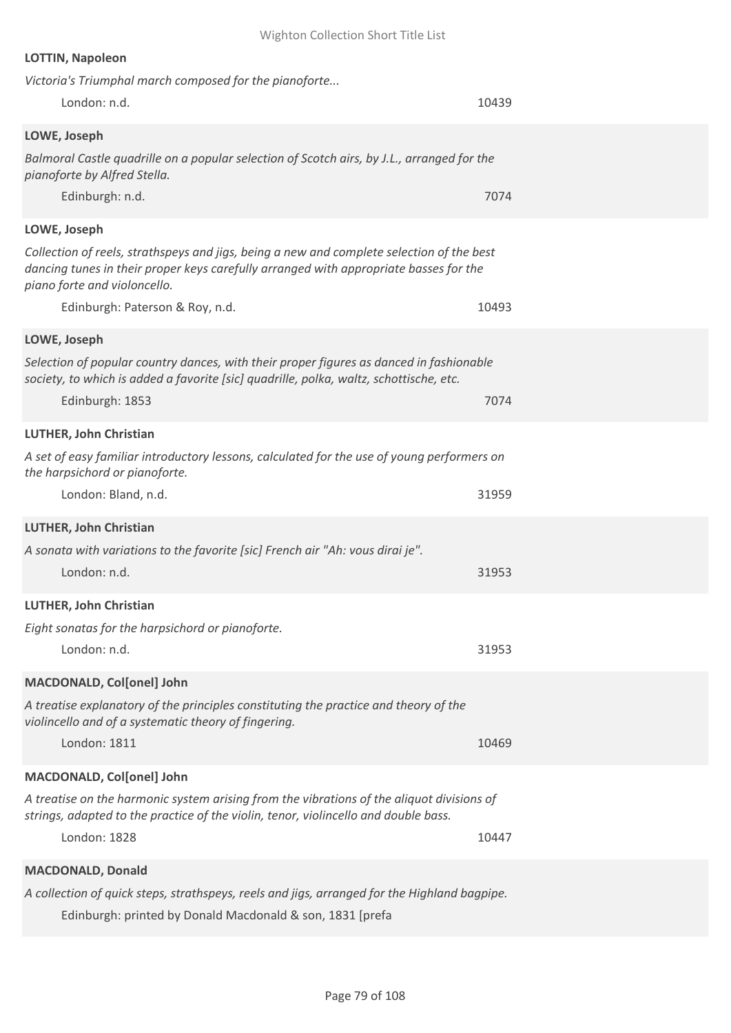| <b>LOTTIN, Napoleon</b>                                                                                                                                                                                            |       |
|--------------------------------------------------------------------------------------------------------------------------------------------------------------------------------------------------------------------|-------|
| Victoria's Triumphal march composed for the pianoforte                                                                                                                                                             |       |
| London: n.d.                                                                                                                                                                                                       | 10439 |
| LOWE, Joseph                                                                                                                                                                                                       |       |
| Balmoral Castle quadrille on a popular selection of Scotch airs, by J.L., arranged for the<br>pianoforte by Alfred Stella.                                                                                         |       |
| Edinburgh: n.d.                                                                                                                                                                                                    | 7074  |
| LOWE, Joseph                                                                                                                                                                                                       |       |
| Collection of reels, strathspeys and jigs, being a new and complete selection of the best<br>dancing tunes in their proper keys carefully arranged with appropriate basses for the<br>piano forte and violoncello. |       |
| Edinburgh: Paterson & Roy, n.d.                                                                                                                                                                                    | 10493 |
| LOWE, Joseph                                                                                                                                                                                                       |       |
| Selection of popular country dances, with their proper figures as danced in fashionable<br>society, to which is added a favorite [sic] quadrille, polka, waltz, schottische, etc.                                  |       |
| Edinburgh: 1853                                                                                                                                                                                                    | 7074  |
| <b>LUTHER, John Christian</b>                                                                                                                                                                                      |       |
| A set of easy familiar introductory lessons, calculated for the use of young performers on<br>the harpsichord or pianoforte.                                                                                       |       |
| London: Bland, n.d.                                                                                                                                                                                                | 31959 |
| <b>LUTHER, John Christian</b>                                                                                                                                                                                      |       |
| A sonata with variations to the favorite [sic] French air "Ah: vous dirai je".                                                                                                                                     |       |
| London: n.d.                                                                                                                                                                                                       | 31953 |
| LUTHER, John Christian                                                                                                                                                                                             |       |
| Eight sonatas for the harpsichord or pianoforte.                                                                                                                                                                   |       |
| London: n.d.                                                                                                                                                                                                       | 31953 |
| MACDONALD, Col[onel] John                                                                                                                                                                                          |       |
| A treatise explanatory of the principles constituting the practice and theory of the<br>violincello and of a systematic theory of fingering.                                                                       |       |
| London: 1811                                                                                                                                                                                                       | 10469 |
| MACDONALD, Col[onel] John                                                                                                                                                                                          |       |
| A treatise on the harmonic system arising from the vibrations of the aliquot divisions of<br>strings, adapted to the practice of the violin, tenor, violincello and double bass.                                   |       |
| London: 1828                                                                                                                                                                                                       | 10447 |
| <b>MACDONALD, Donald</b>                                                                                                                                                                                           |       |
| A collection of quick steps, strathspeys, reels and jigs, arranged for the Highland bagpipe.                                                                                                                       |       |

Wighton Collection Short Title List

Edinburgh: printed by Donald Macdonald & son, 1831 [prefa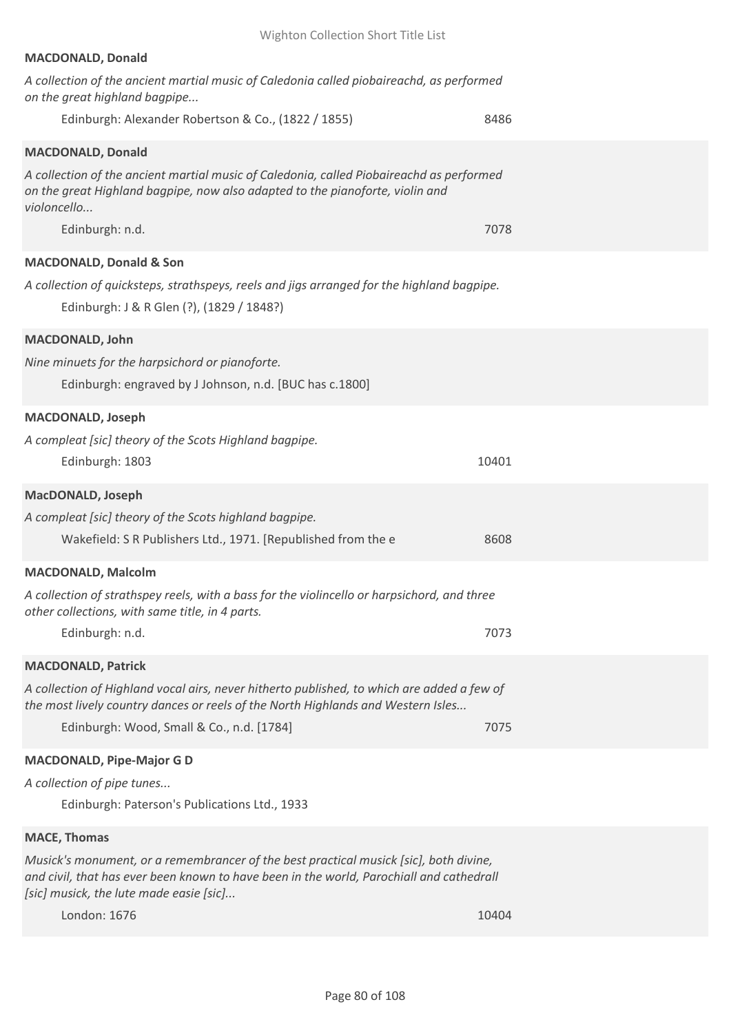| Wighton Collection Short Title List                                                                                                                                                                                          |       |
|------------------------------------------------------------------------------------------------------------------------------------------------------------------------------------------------------------------------------|-------|
| <b>MACDONALD, Donald</b>                                                                                                                                                                                                     |       |
| A collection of the ancient martial music of Caledonia called piobaireachd, as performed<br>on the great highland bagpipe                                                                                                    |       |
| Edinburgh: Alexander Robertson & Co., (1822 / 1855)                                                                                                                                                                          | 8486  |
| <b>MACDONALD, Donald</b>                                                                                                                                                                                                     |       |
| A collection of the ancient martial music of Caledonia, called Piobaireachd as performed<br>on the great Highland bagpipe, now also adapted to the pianoforte, violin and<br>violoncello                                     |       |
| Edinburgh: n.d.                                                                                                                                                                                                              | 7078  |
| MACDONALD, Donald & Son                                                                                                                                                                                                      |       |
| A collection of quicksteps, strathspeys, reels and jigs arranged for the highland bagpipe.<br>Edinburgh: J & R Glen (?), (1829 / 1848?)                                                                                      |       |
| MACDONALD, John                                                                                                                                                                                                              |       |
| Nine minuets for the harpsichord or pianoforte.<br>Edinburgh: engraved by J Johnson, n.d. [BUC has c.1800]                                                                                                                   |       |
| <b>MACDONALD, Joseph</b>                                                                                                                                                                                                     |       |
| A compleat [sic] theory of the Scots Highland bagpipe.<br>Edinburgh: 1803                                                                                                                                                    | 10401 |
| MacDONALD, Joseph                                                                                                                                                                                                            |       |
| A compleat [sic] theory of the Scots highland bagpipe.<br>Wakefield: S R Publishers Ltd., 1971. [Republished from the e                                                                                                      | 8608  |
| <b>MACDONALD, Malcolm</b>                                                                                                                                                                                                    |       |
| A collection of strathspey reels, with a bass for the violincello or harpsichord, and three<br>other collections, with same title, in 4 parts.                                                                               |       |
| Edinburgh: n.d.                                                                                                                                                                                                              | 7073  |
| <b>MACDONALD, Patrick</b>                                                                                                                                                                                                    |       |
| A collection of Highland vocal airs, never hitherto published, to which are added a few of<br>the most lively country dances or reels of the North Highlands and Western Isles<br>Edinburgh: Wood, Small & Co., n.d. [1784]  | 7075  |
|                                                                                                                                                                                                                              |       |
| <b>MACDONALD, Pipe-Major G D</b><br>A collection of pipe tunes                                                                                                                                                               |       |
| Edinburgh: Paterson's Publications Ltd., 1933                                                                                                                                                                                |       |
| <b>MACE, Thomas</b>                                                                                                                                                                                                          |       |
| Musick's monument, or a remembrancer of the best practical musick [sic], both divine,<br>and civil, that has ever been known to have been in the world, Parochiall and cathedrall<br>[sic] musick, the lute made easie [sic] |       |

London: 1676 10404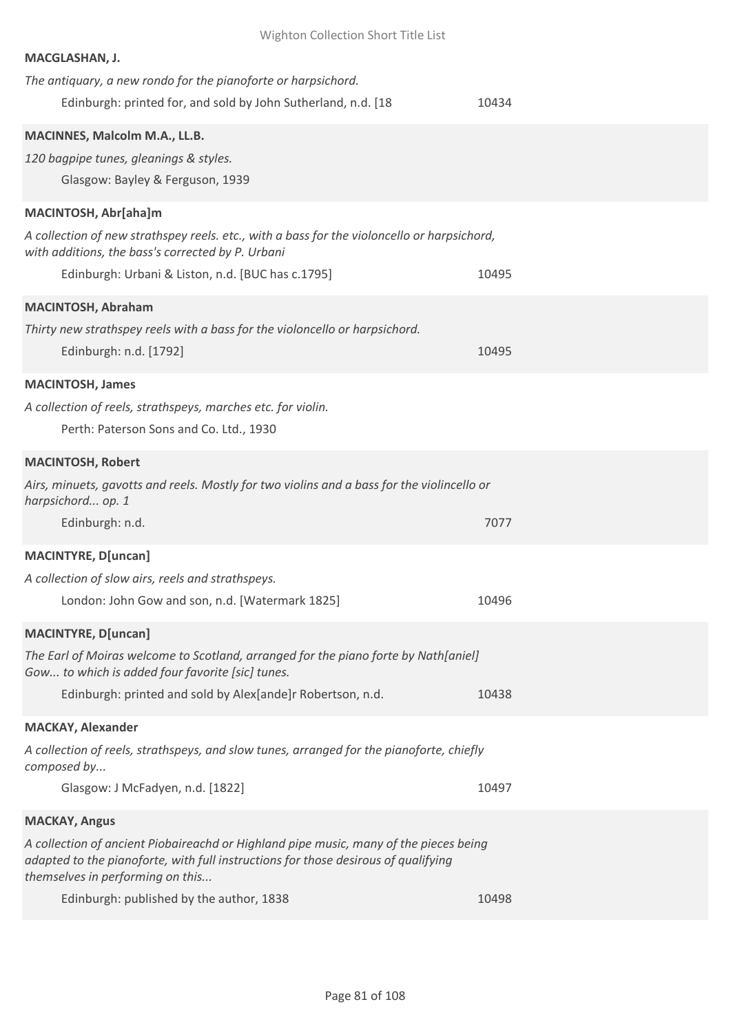| Wighton Collection Short Title List                                                                                                                                         |       |  |
|-----------------------------------------------------------------------------------------------------------------------------------------------------------------------------|-------|--|
| MACGLASHAN, J.                                                                                                                                                              |       |  |
| The antiquary, a new rondo for the pianoforte or harpsichord.                                                                                                               |       |  |
| Edinburgh: printed for, and sold by John Sutherland, n.d. [18]                                                                                                              | 10434 |  |
| MACINNES, Malcolm M.A., LL.B.                                                                                                                                               |       |  |
| 120 bagpipe tunes, gleanings & styles.                                                                                                                                      |       |  |
| Glasgow: Bayley & Ferguson, 1939                                                                                                                                            |       |  |
| MACINTOSH, Abr[aha]m                                                                                                                                                        |       |  |
| A collection of new strathspey reels. etc., with a bass for the violoncello or harpsichord,                                                                                 |       |  |
| with additions, the bass's corrected by P. Urbani                                                                                                                           |       |  |
| Edinburgh: Urbani & Liston, n.d. [BUC has c.1795]                                                                                                                           | 10495 |  |
| <b>MACINTOSH, Abraham</b>                                                                                                                                                   |       |  |
| Thirty new strathspey reels with a bass for the violoncello or harpsichord.                                                                                                 |       |  |
| Edinburgh: n.d. [1792]                                                                                                                                                      | 10495 |  |
| <b>MACINTOSH, James</b>                                                                                                                                                     |       |  |
| A collection of reels, strathspeys, marches etc. for violin.                                                                                                                |       |  |
| Perth: Paterson Sons and Co. Ltd., 1930                                                                                                                                     |       |  |
| <b>MACINTOSH, Robert</b>                                                                                                                                                    |       |  |
| Airs, minuets, gavotts and reels. Mostly for two violins and a bass for the violincello or                                                                                  |       |  |
| harpsichord op. 1                                                                                                                                                           |       |  |
| Edinburgh: n.d.                                                                                                                                                             | 7077  |  |
| <b>MACINTYRE, D[uncan]</b>                                                                                                                                                  |       |  |
| A collection of slow airs, reels and strathspeys.                                                                                                                           |       |  |
| London: John Gow and son, n.d. [Watermark 1825]                                                                                                                             | 10496 |  |
| <b>MACINTYRE, D[uncan]</b>                                                                                                                                                  |       |  |
| The Earl of Moiras welcome to Scotland, arranged for the piano forte by Nath[aniel]                                                                                         |       |  |
| Gow to which is added four favorite [sic] tunes.                                                                                                                            |       |  |
| Edinburgh: printed and sold by Alex[ande]r Robertson, n.d.                                                                                                                  | 10438 |  |
| <b>MACKAY, Alexander</b>                                                                                                                                                    |       |  |
| A collection of reels, strathspeys, and slow tunes, arranged for the pianoforte, chiefly                                                                                    |       |  |
| composed by<br>Glasgow: J McFadyen, n.d. [1822]                                                                                                                             | 10497 |  |
|                                                                                                                                                                             |       |  |
| <b>MACKAY, Angus</b>                                                                                                                                                        |       |  |
| A collection of ancient Piobaireachd or Highland pipe music, many of the pieces being<br>adapted to the pianoforte, with full instructions for those desirous of qualifying |       |  |
| themselves in performing on this                                                                                                                                            |       |  |
| Edinburgh: published by the author, 1838                                                                                                                                    | 10498 |  |
|                                                                                                                                                                             |       |  |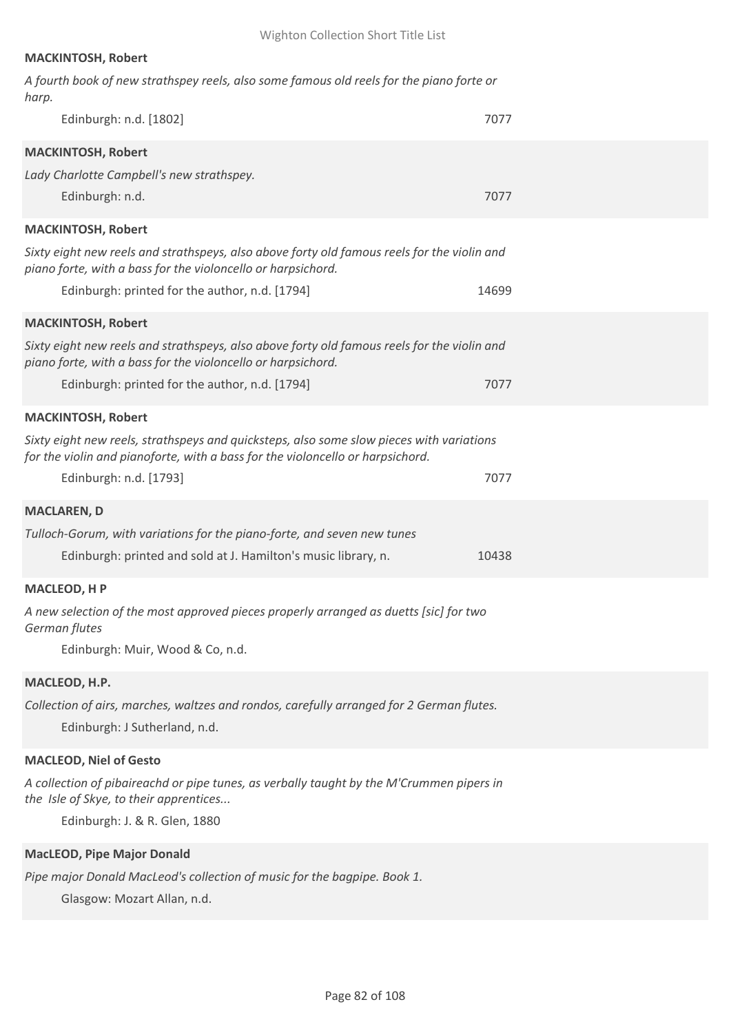# **MACKINTOSH, Robert**

| Edinburgh: n.d. [1802]<br>7077<br><b>MACKINTOSH, Robert</b>                                                                                                                |  |
|----------------------------------------------------------------------------------------------------------------------------------------------------------------------------|--|
|                                                                                                                                                                            |  |
|                                                                                                                                                                            |  |
| Lady Charlotte Campbell's new strathspey.                                                                                                                                  |  |
| Edinburgh: n.d.<br>7077                                                                                                                                                    |  |
| <b>MACKINTOSH, Robert</b>                                                                                                                                                  |  |
| Sixty eight new reels and strathspeys, also above forty old famous reels for the violin and<br>piano forte, with a bass for the violoncello or harpsichord.                |  |
| Edinburgh: printed for the author, n.d. [1794]<br>14699                                                                                                                    |  |
| <b>MACKINTOSH, Robert</b>                                                                                                                                                  |  |
| Sixty eight new reels and strathspeys, also above forty old famous reels for the violin and<br>piano forte, with a bass for the violoncello or harpsichord.                |  |
| Edinburgh: printed for the author, n.d. [1794]<br>7077                                                                                                                     |  |
| <b>MACKINTOSH, Robert</b>                                                                                                                                                  |  |
| Sixty eight new reels, strathspeys and quicksteps, also some slow pieces with variations<br>for the violin and pianoforte, with a bass for the violoncello or harpsichord. |  |
| Edinburgh: n.d. [1793]<br>7077                                                                                                                                             |  |
| <b>MACLAREN, D</b>                                                                                                                                                         |  |
| Tulloch-Gorum, with variations for the piano-forte, and seven new tunes                                                                                                    |  |
| Edinburgh: printed and sold at J. Hamilton's music library, n.<br>10438                                                                                                    |  |
| <b>MACLEOD, HP</b>                                                                                                                                                         |  |
| A new selection of the most approved pieces properly arranged as duetts [sic] for two<br>German flutes                                                                     |  |
| Edinburgh: Muir, Wood & Co, n.d.                                                                                                                                           |  |
| MACLEOD, H.P.                                                                                                                                                              |  |
| Collection of airs, marches, waltzes and rondos, carefully arranged for 2 German flutes.<br>Edinburgh: J Sutherland, n.d.                                                  |  |
| <b>MACLEOD, Niel of Gesto</b>                                                                                                                                              |  |
| A collection of pibaireachd or pipe tunes, as verbally taught by the M'Crummen pipers in<br>the Isle of Skye, to their apprentices<br>Edinburgh: J. & R. Glen, 1880        |  |
| <b>MacLEOD, Pipe Major Donald</b>                                                                                                                                          |  |
| Pipe major Donald MacLeod's collection of music for the bagpipe. Book 1.<br>Glasgow: Mozart Allan, n.d.                                                                    |  |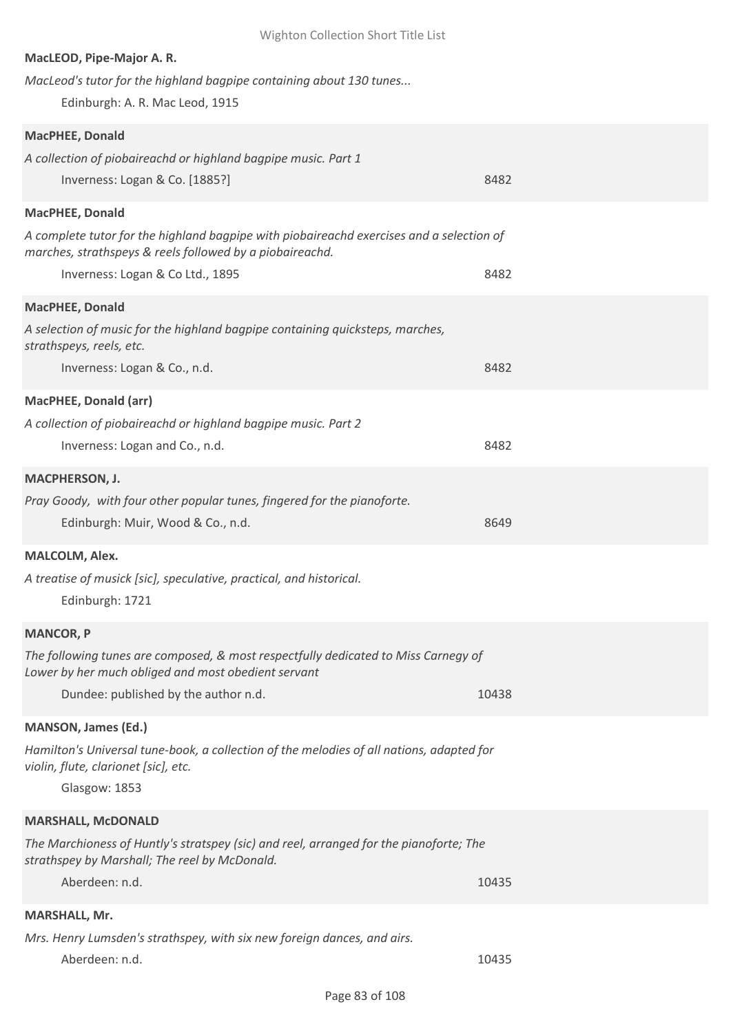| Wighton Collection Short Title List                                                                                              |       |
|----------------------------------------------------------------------------------------------------------------------------------|-------|
| MacLEOD, Pipe-Major A.R.                                                                                                         |       |
| MacLeod's tutor for the highland bagpipe containing about 130 tunes                                                              |       |
| Edinburgh: A. R. Mac Leod, 1915                                                                                                  |       |
|                                                                                                                                  |       |
| <b>MacPHEE, Donald</b>                                                                                                           |       |
| A collection of piobaireachd or highland bagpipe music. Part 1                                                                   |       |
| Inverness: Logan & Co. [1885?]                                                                                                   | 8482  |
| MacPHEE, Donald                                                                                                                  |       |
| A complete tutor for the highland bagpipe with piobaireachd exercises and a selection of                                         |       |
| marches, strathspeys & reels followed by a piobaireachd.                                                                         |       |
| Inverness: Logan & Co Ltd., 1895                                                                                                 | 8482  |
| <b>MacPHEE, Donald</b>                                                                                                           |       |
|                                                                                                                                  |       |
| A selection of music for the highland bagpipe containing quicksteps, marches,<br>strathspeys, reels, etc.                        |       |
| Inverness: Logan & Co., n.d.                                                                                                     | 8482  |
|                                                                                                                                  |       |
| <b>MacPHEE, Donald (arr)</b>                                                                                                     |       |
| A collection of piobaireachd or highland bagpipe music. Part 2                                                                   |       |
| Inverness: Logan and Co., n.d.                                                                                                   | 8482  |
| <b>MACPHERSON, J.</b>                                                                                                            |       |
| Pray Goody, with four other popular tunes, fingered for the pianoforte.                                                          |       |
| Edinburgh: Muir, Wood & Co., n.d.                                                                                                | 8649  |
|                                                                                                                                  |       |
| <b>MALCOLM, Alex.</b>                                                                                                            |       |
| A treatise of musick [sic], speculative, practical, and historical.                                                              |       |
| Edinburgh: 1721                                                                                                                  |       |
| <b>MANCOR, P</b>                                                                                                                 |       |
| The following tunes are composed, & most respectfully dedicated to Miss Carnegy of                                               |       |
| Lower by her much obliged and most obedient servant                                                                              |       |
| Dundee: published by the author n.d.                                                                                             | 10438 |
|                                                                                                                                  |       |
| <b>MANSON, James (Ed.)</b>                                                                                                       |       |
| Hamilton's Universal tune-book, a collection of the melodies of all nations, adapted for<br>violin, flute, clarionet [sic], etc. |       |
| Glasgow: 1853                                                                                                                    |       |
|                                                                                                                                  |       |
| <b>MARSHALL, McDONALD</b>                                                                                                        |       |
| The Marchioness of Huntly's stratspey (sic) and reel, arranged for the pianoforte; The                                           |       |
| strathspey by Marshall; The reel by McDonald.                                                                                    |       |
| Aberdeen: n.d.                                                                                                                   | 10435 |
| <b>MARSHALL, Mr.</b>                                                                                                             |       |
| Mrs. Henry Lumsden's strathspey, with six new foreign dances, and airs.                                                          |       |
| Aberdeen: n.d.                                                                                                                   | 10435 |
|                                                                                                                                  |       |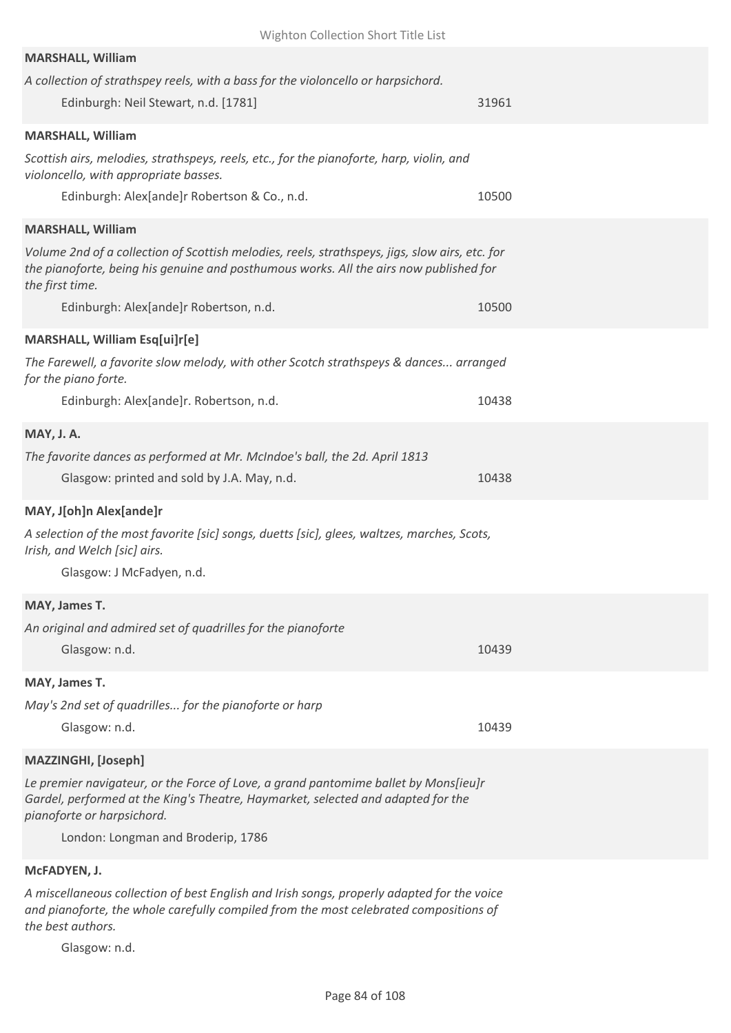| Wighton Collection Short Title List                                                                                                                                                                                                                                               |       |
|-----------------------------------------------------------------------------------------------------------------------------------------------------------------------------------------------------------------------------------------------------------------------------------|-------|
| <b>MARSHALL, William</b><br>A collection of strathspey reels, with a bass for the violoncello or harpsichord.<br>Edinburgh: Neil Stewart, n.d. [1781]                                                                                                                             | 31961 |
| <b>MARSHALL, William</b><br>Scottish airs, melodies, strathspeys, reels, etc., for the pianoforte, harp, violin, and<br>violoncello, with appropriate basses.<br>Edinburgh: Alex[ande]r Robertson & Co., n.d.                                                                     |       |
|                                                                                                                                                                                                                                                                                   | 10500 |
| <b>MARSHALL, William</b><br>Volume 2nd of a collection of Scottish melodies, reels, strathspeys, jigs, slow airs, etc. for<br>the pianoforte, being his genuine and posthumous works. All the airs now published for<br>the first time.<br>Edinburgh: Alex[ande]r Robertson, n.d. | 10500 |
| MARSHALL, William Esq[ui]r[e]                                                                                                                                                                                                                                                     |       |
| The Farewell, a favorite slow melody, with other Scotch strathspeys & dances arranged<br>for the piano forte.                                                                                                                                                                     |       |
| Edinburgh: Alex[ande]r. Robertson, n.d.                                                                                                                                                                                                                                           | 10438 |
| <b>MAY, J. A.</b><br>The favorite dances as performed at Mr. McIndoe's ball, the 2d. April 1813<br>Glasgow: printed and sold by J.A. May, n.d.                                                                                                                                    | 10438 |
| MAY, J[oh]n Alex[ande]r<br>A selection of the most favorite [sic] songs, duetts [sic], glees, waltzes, marches, Scots,<br>Irish, and Welch [sic] airs.<br>Glasgow: J McFadyen, n.d.                                                                                               |       |
| MAY, James T.                                                                                                                                                                                                                                                                     |       |
| An original and admired set of quadrilles for the pianoforte<br>Glasgow: n.d.                                                                                                                                                                                                     | 10439 |
| MAY, James T.                                                                                                                                                                                                                                                                     |       |
| May's 2nd set of quadrilles for the pianoforte or harp<br>Glasgow: n.d.                                                                                                                                                                                                           | 10439 |
| <b>MAZZINGHI, [Joseph]</b>                                                                                                                                                                                                                                                        |       |
| Le premier navigateur, or the Force of Love, a grand pantomime ballet by Mons[ieu]r<br>Gardel, performed at the King's Theatre, Haymarket, selected and adapted for the<br>pianoforte or harpsichord.<br>London: Longman and Broderip, 1786                                       |       |
| McFADYEN, J.                                                                                                                                                                                                                                                                      |       |

*A miscellaneous collection of best English and Irish songs, properly adapted for the voice and pianoforte, the whole carefully compiled from the most celebrated compositions of the best authors.*

Glasgow: n.d.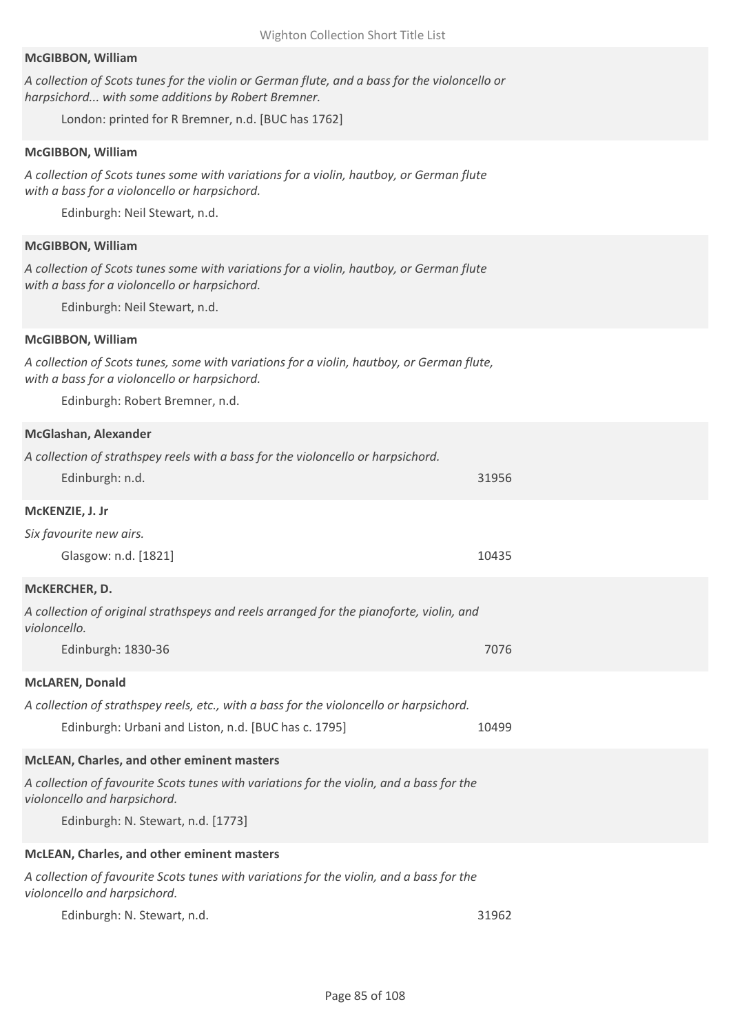#### **McGIBBON, William**

*A collection of Scots tunes for the violin or German flute, and a bass for the violoncello or harpsichord... with some additions by Robert Bremner.*

London: printed for R Bremner, n.d. [BUC has 1762]

#### **McGIBBON, William**

*A collection of Scots tunes some with variations for a violin, hautboy, or German flute with a bass for a violoncello or harpsichord.*

Edinburgh: Neil Stewart, n.d.

#### **McGIBBON, William**

*A collection of Scots tunes some with variations for a violin, hautboy, or German flute with a bass for a violoncello or harpsichord.*

Edinburgh: Neil Stewart, n.d.

### **McGIBBON, William**

*A collection of Scots tunes, some with variations for a violin, hautboy, or German flute, with a bass for a violoncello or harpsichord.*

Edinburgh: Robert Bremner, n.d.

#### **McGlashan, Alexander**

| A collection of strathspey reels with a bass for the violoncello or harpsichord.                                         |       |
|--------------------------------------------------------------------------------------------------------------------------|-------|
| Edinburgh: n.d.                                                                                                          | 31956 |
| McKENZIE, J. Jr                                                                                                          |       |
| Six favourite new airs.                                                                                                  |       |
| Glasgow: n.d. [1821]                                                                                                     | 10435 |
| McKERCHER, D.                                                                                                            |       |
| A collection of original strathspeys and reels arranged for the pianoforte, violin, and<br>violoncello.                  |       |
| Edinburgh: 1830-36                                                                                                       | 7076  |
| <b>McLAREN, Donald</b>                                                                                                   |       |
| A collection of strathspey reels, etc., with a bass for the violoncello or harpsichord.                                  |       |
| Edinburgh: Urbani and Liston, n.d. [BUC has c. 1795]                                                                     | 10499 |
| McLEAN, Charles, and other eminent masters                                                                               |       |
| A collection of favourite Scots tunes with variations for the violin, and a bass for the<br>violoncello and harpsichord. |       |
| Edinburgh: N. Stewart, n.d. [1773]                                                                                       |       |
| McLEAN, Charles, and other eminent masters                                                                               |       |
| A collection of favourite Scots tunes with variations for the violin, and a bass for the<br>violoncello and harpsichord. |       |
| Edinburgh: N. Stewart, n.d.                                                                                              | 31962 |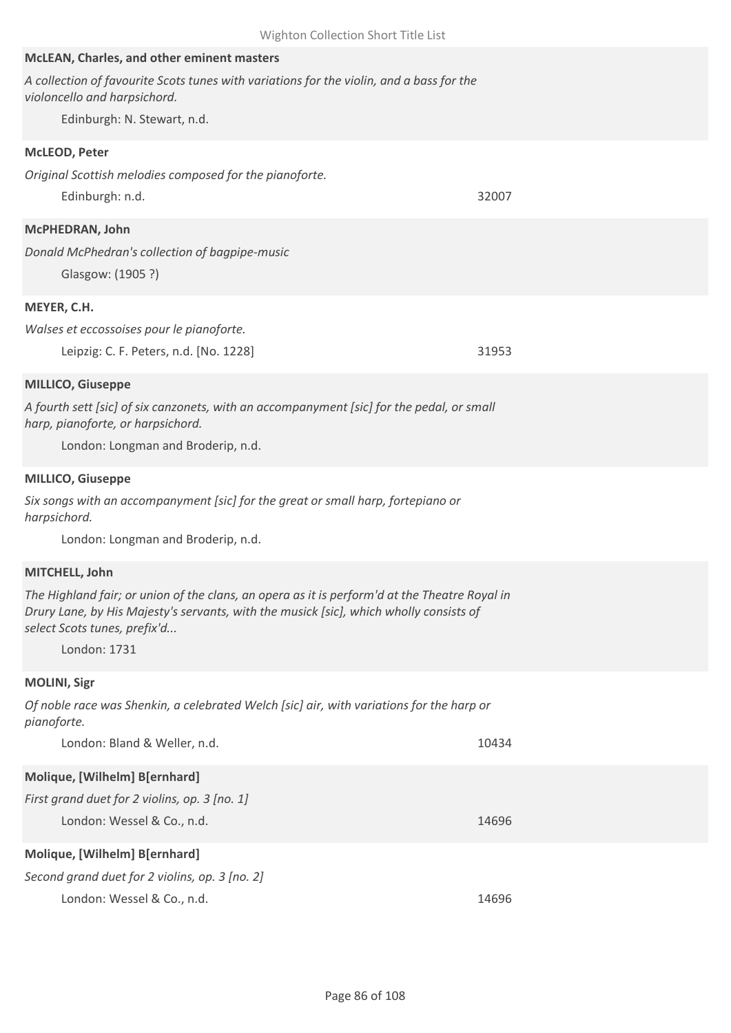| McLEAN, Charles, and other eminent masters                                                                                                                                                                              |       |
|-------------------------------------------------------------------------------------------------------------------------------------------------------------------------------------------------------------------------|-------|
| A collection of favourite Scots tunes with variations for the violin, and a bass for the<br>violoncello and harpsichord.                                                                                                |       |
| Edinburgh: N. Stewart, n.d.                                                                                                                                                                                             |       |
| McLEOD, Peter                                                                                                                                                                                                           |       |
| Original Scottish melodies composed for the pianoforte.                                                                                                                                                                 |       |
| Edinburgh: n.d.                                                                                                                                                                                                         | 32007 |
| McPHEDRAN, John                                                                                                                                                                                                         |       |
| Donald McPhedran's collection of bagpipe-music<br>Glasgow: (1905?)                                                                                                                                                      |       |
| MEYER, C.H.                                                                                                                                                                                                             |       |
| Walses et eccossoises pour le pianoforte.                                                                                                                                                                               |       |
| Leipzig: C. F. Peters, n.d. [No. 1228]                                                                                                                                                                                  | 31953 |
| <b>MILLICO, Giuseppe</b>                                                                                                                                                                                                |       |
| A fourth sett [sic] of six canzonets, with an accompanyment [sic] for the pedal, or small                                                                                                                               |       |
| harp, pianoforte, or harpsichord.                                                                                                                                                                                       |       |
| London: Longman and Broderip, n.d.                                                                                                                                                                                      |       |
| <b>MILLICO, Giuseppe</b>                                                                                                                                                                                                |       |
| Six songs with an accompanyment [sic] for the great or small harp, fortepiano or<br>harpsichord.                                                                                                                        |       |
| London: Longman and Broderip, n.d.                                                                                                                                                                                      |       |
| MITCHELL, John                                                                                                                                                                                                          |       |
| The Highland fair; or union of the clans, an opera as it is perform'd at the Theatre Royal in<br>Drury Lane, by His Majesty's servants, with the musick [sic], which wholly consists of<br>select Scots tunes, prefix'd |       |
| London: 1731                                                                                                                                                                                                            |       |
| <b>MOLINI, Sigr</b>                                                                                                                                                                                                     |       |
| Of noble race was Shenkin, a celebrated Welch [sic] air, with variations for the harp or<br>pianoforte.                                                                                                                 |       |
| London: Bland & Weller, n.d.                                                                                                                                                                                            | 10434 |
| Molique, [Wilhelm] B[ernhard]                                                                                                                                                                                           |       |
| First grand duet for 2 violins, op. 3 [no. 1]                                                                                                                                                                           |       |
| London: Wessel & Co., n.d.                                                                                                                                                                                              | 14696 |

Wighton Collection Short Title List

# **Molique, [Wilhelm] B[ernhard]**

| Second grand duet for 2 violins, op. 3 [no. 2] |       |
|------------------------------------------------|-------|
| London: Wessel & Co., n.d.                     | 14696 |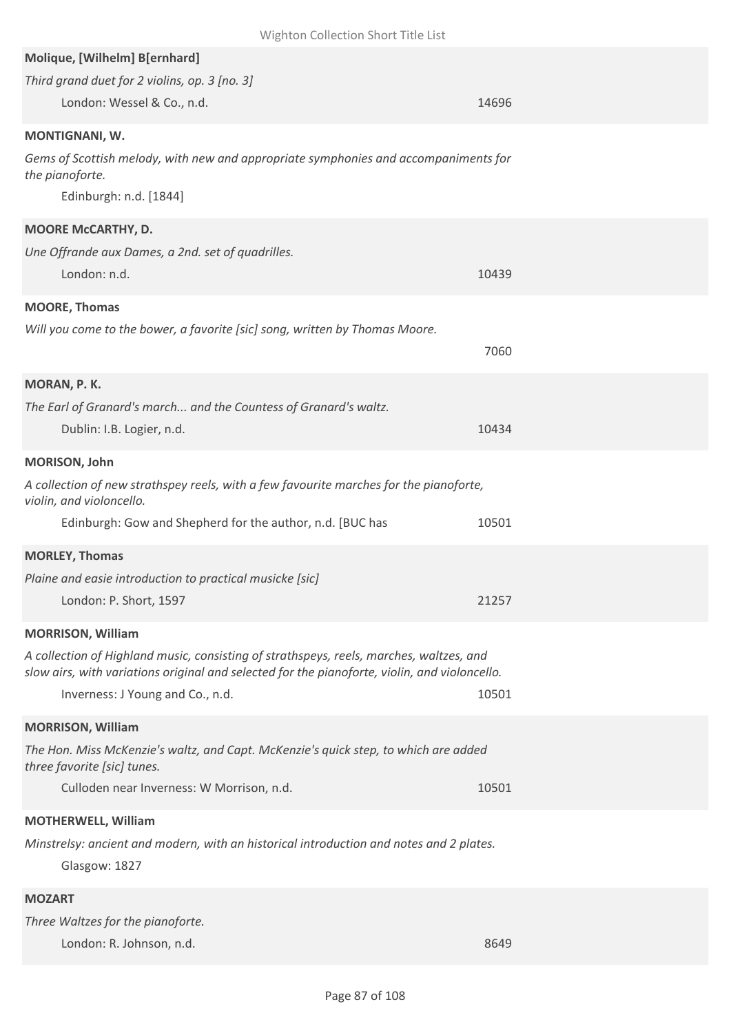| Wighton Collection Short Title List                                                                                |       |
|--------------------------------------------------------------------------------------------------------------------|-------|
| Molique, [Wilhelm] B[ernhard]                                                                                      |       |
| Third grand duet for 2 violins, op. 3 [no. 3]                                                                      |       |
| London: Wessel & Co., n.d.                                                                                         | 14696 |
| MONTIGNANI, W.                                                                                                     |       |
| Gems of Scottish melody, with new and appropriate symphonies and accompaniments for<br>the pianoforte.             |       |
| Edinburgh: n.d. [1844]                                                                                             |       |
| MOORE McCARTHY, D.                                                                                                 |       |
| Une Offrande aux Dames, a 2nd. set of quadrilles.                                                                  |       |
| London: n.d.                                                                                                       | 10439 |
| <b>MOORE, Thomas</b>                                                                                               |       |
| Will you come to the bower, a favorite [sic] song, written by Thomas Moore.                                        |       |
|                                                                                                                    | 7060  |
|                                                                                                                    |       |
| MORAN, P. K.<br>The Earl of Granard's march and the Countess of Granard's waltz.                                   |       |
| Dublin: I.B. Logier, n.d.                                                                                          | 10434 |
|                                                                                                                    |       |
| MORISON, John                                                                                                      |       |
| A collection of new strathspey reels, with a few favourite marches for the pianoforte,<br>violin, and violoncello. |       |
| Edinburgh: Gow and Shepherd for the author, n.d. [BUC has                                                          | 10501 |
| <b>MORLEY, Thomas</b>                                                                                              |       |
| Plaine and easie introduction to practical musicke [sic]                                                           |       |
| London: P. Short, 1597                                                                                             | 21257 |
| <b>MORRISON, William</b>                                                                                           |       |
| A collection of Highland music, consisting of strathspeys, reels, marches, waltzes, and                            |       |
| slow airs, with variations original and selected for the pianoforte, violin, and violoncello.                      |       |
| Inverness: J Young and Co., n.d.                                                                                   | 10501 |
| <b>MORRISON, William</b>                                                                                           |       |
| The Hon. Miss McKenzie's waltz, and Capt. McKenzie's quick step, to which are added<br>three favorite [sic] tunes. |       |
| Culloden near Inverness: W Morrison, n.d.                                                                          | 10501 |
| <b>MOTHERWELL, William</b>                                                                                         |       |
| Minstrelsy: ancient and modern, with an historical introduction and notes and 2 plates.                            |       |
| Glasgow: 1827                                                                                                      |       |
| <b>MOZART</b>                                                                                                      |       |
| Three Waltzes for the pianoforte.                                                                                  |       |

London: R. Johnson, n.d. 8649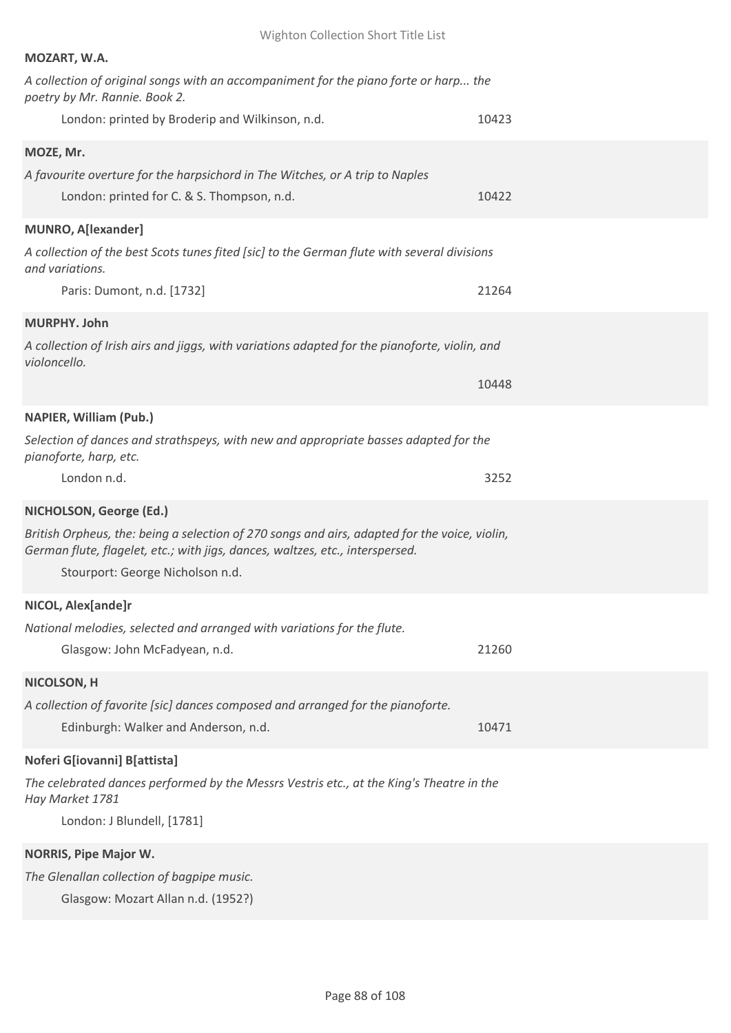| MOZART, W.A.                                                                                                                                                                   |       |
|--------------------------------------------------------------------------------------------------------------------------------------------------------------------------------|-------|
| A collection of original songs with an accompaniment for the piano forte or harp the<br>poetry by Mr. Rannie. Book 2.                                                          |       |
| London: printed by Broderip and Wilkinson, n.d.                                                                                                                                | 10423 |
| MOZE, Mr.                                                                                                                                                                      |       |
| A favourite overture for the harpsichord in The Witches, or A trip to Naples                                                                                                   |       |
| London: printed for C. & S. Thompson, n.d.                                                                                                                                     | 10422 |
| <b>MUNRO, A[lexander]</b>                                                                                                                                                      |       |
| A collection of the best Scots tunes fited [sic] to the German flute with several divisions<br>and variations.                                                                 |       |
| Paris: Dumont, n.d. [1732]                                                                                                                                                     | 21264 |
| MURPHY. John                                                                                                                                                                   |       |
| A collection of Irish airs and jiggs, with variations adapted for the pianoforte, violin, and<br>violoncello.                                                                  |       |
|                                                                                                                                                                                | 10448 |
| <b>NAPIER, William (Pub.)</b>                                                                                                                                                  |       |
| Selection of dances and strathspeys, with new and appropriate basses adapted for the<br>pianoforte, harp, etc.                                                                 |       |
| London n.d.                                                                                                                                                                    | 3252  |
| NICHOLSON, George (Ed.)                                                                                                                                                        |       |
| British Orpheus, the: being a selection of 270 songs and airs, adapted for the voice, violin,<br>German flute, flagelet, etc.; with jigs, dances, waltzes, etc., interspersed. |       |
| Stourport: George Nicholson n.d.                                                                                                                                               |       |
| NICOL, Alex[ande]r                                                                                                                                                             |       |
| National melodies, selected and arranged with variations for the flute.                                                                                                        |       |
| Glasgow: John McFadyean, n.d.                                                                                                                                                  | 21260 |
| NICOLSON, H                                                                                                                                                                    |       |
| A collection of favorite [sic] dances composed and arranged for the pianoforte.                                                                                                |       |
| Edinburgh: Walker and Anderson, n.d.                                                                                                                                           | 10471 |
|                                                                                                                                                                                |       |
| Noferi G[iovanni] B[attista]                                                                                                                                                   |       |
| The celebrated dances performed by the Messrs Vestris etc., at the King's Theatre in the<br>Hay Market 1781                                                                    |       |
| London: J Blundell, [1781]                                                                                                                                                     |       |
| <b>NORRIS, Pipe Major W.</b>                                                                                                                                                   |       |
| The Glenallan collection of bagpipe music.                                                                                                                                     |       |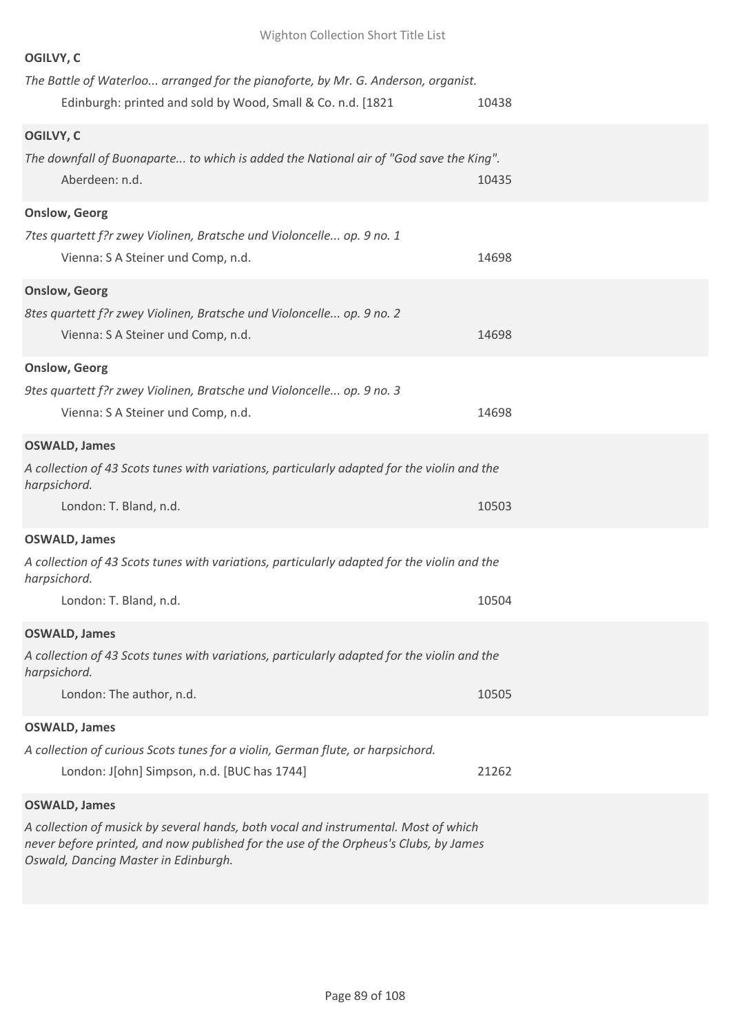| OGILVY, C                                                                                                   |       |
|-------------------------------------------------------------------------------------------------------------|-------|
| The Battle of Waterloo arranged for the pianoforte, by Mr. G. Anderson, organist.                           |       |
| Edinburgh: printed and sold by Wood, Small & Co. n.d. [1821                                                 | 10438 |
| OGILVY, C                                                                                                   |       |
| The downfall of Buonaparte to which is added the National air of "God save the King".                       |       |
| Aberdeen: n.d.                                                                                              | 10435 |
| <b>Onslow, Georg</b>                                                                                        |       |
| 7tes quartett f?r zwey Violinen, Bratsche und Violoncelle op. 9 no. 1                                       |       |
| Vienna: S A Steiner und Comp, n.d.                                                                          | 14698 |
| <b>Onslow, Georg</b>                                                                                        |       |
| 8tes quartett f?r zwey Violinen, Bratsche und Violoncelle op. 9 no. 2                                       |       |
| Vienna: S A Steiner und Comp, n.d.                                                                          | 14698 |
| <b>Onslow, Georg</b>                                                                                        |       |
| 9tes quartett f?r zwey Violinen, Bratsche und Violoncelle op. 9 no. 3                                       |       |
| Vienna: S A Steiner und Comp, n.d.                                                                          | 14698 |
| <b>OSWALD, James</b>                                                                                        |       |
| A collection of 43 Scots tunes with variations, particularly adapted for the violin and the<br>harpsichord. |       |
| London: T. Bland, n.d.                                                                                      | 10503 |
| <b>OSWALD, James</b>                                                                                        |       |
| A collection of 43 Scots tunes with variations, particularly adapted for the violin and the<br>harpsichord. |       |
| London: T. Bland, n.d.                                                                                      | 10504 |
| <b>OSWALD, James</b>                                                                                        |       |
| A collection of 43 Scots tunes with variations, particularly adapted for the violin and the<br>harpsichord. |       |
| London: The author, n.d.                                                                                    | 10505 |
| <b>OSWALD, James</b>                                                                                        |       |
| A collection of curious Scots tunes for a violin, German flute, or harpsichord.                             |       |
| London: J[ohn] Simpson, n.d. [BUC has 1744]                                                                 | 21262 |
| <b>OSWALD, James</b>                                                                                        |       |
| A collection of musick by several hands, both vocal and instrumental. Most of which                         |       |

*never before printed, and now published for the use of the Orpheus's Clubs, by James Oswald, Dancing Master in Edinburgh.*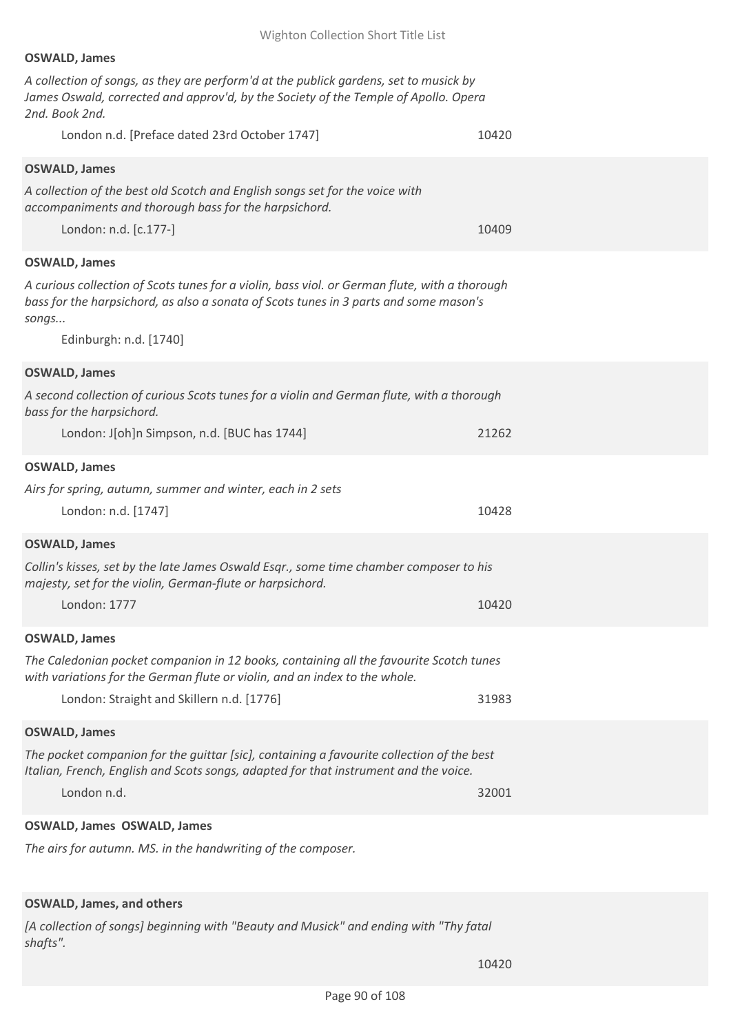### **OSWALD, James**

*A collection of songs, as they are perform'd at the publick gardens, set to musick by James Oswald, corrected and approv'd, by the Society of the Temple of Apollo. Opera 2nd. Book 2nd.*

London n.d. [Preface dated 23rd October 1747] 10420 **OSWALD, James** *A collection of the best old Scotch and English songs set for the voice with accompaniments and thorough bass for the harpsichord.* London: n.d. [c.177-] 10409 **OSWALD, James** *A curious collection of Scots tunes for a violin, bass viol. or German flute, with a thorough bass for the harpsichord, as also a sonata of Scots tunes in 3 parts and some mason's songs...* Edinburgh: n.d. [1740] **OSWALD, James** *A second collection of curious Scots tunes for a violin and German flute, with a thorough bass for the harpsichord.* London: J[oh]n Simpson, n.d. [BUC has 1744] 21262 **OSWALD, James** *Airs for spring, autumn, summer and winter, each in 2 sets* London: n.d. [1747] 10428 **OSWALD, James** *Collin's kisses, set by the late James Oswald Esqr., some time chamber composer to his majesty, set for the violin, German-flute or harpsichord.* London: 1777 10420 **OSWALD, James** *The Caledonian pocket companion in 12 books, containing all the favourite Scotch tunes with variations for the German flute or violin, and an index to the whole.* London: Straight and Skillern n.d. [1776] 31983 **OSWALD, James** *The pocket companion for the guittar [sic], containing a favourite collection of the best Italian, French, English and Scots songs, adapted for that instrument and the voice.* London n.d. 32001 **OSWALD, James OSWALD, James**

*The airs for autumn. MS. in the handwriting of the composer.*

### **OSWALD, James, and others**

*[A collection of songs] beginning with "Beauty and Musick" and ending with "Thy fatal shafts".*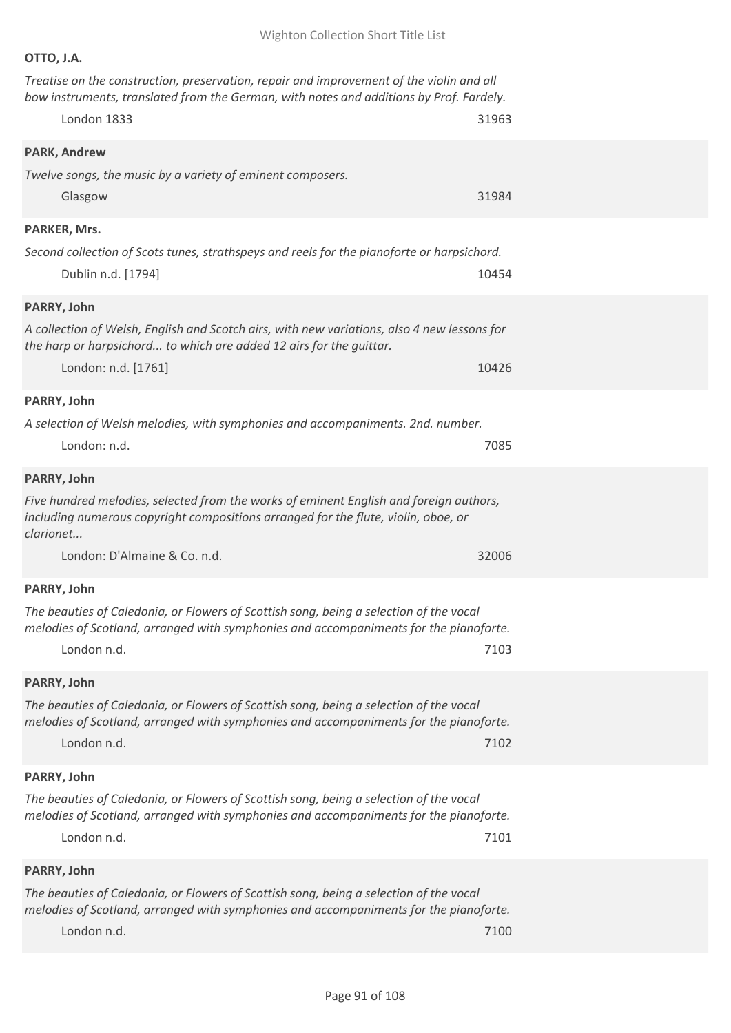|--|--|

*Treatise on the construction, preservation, repair and improvement of the violin and all bow instruments, translated from the German, with notes and additions by Prof. Fardely.*

| London 1833                                                                                                                                                                                    | 31963 |
|------------------------------------------------------------------------------------------------------------------------------------------------------------------------------------------------|-------|
| <b>PARK, Andrew</b><br>Twelve songs, the music by a variety of eminent composers.<br>Glasgow                                                                                                   | 31984 |
| PARKER, Mrs.                                                                                                                                                                                   |       |
| Second collection of Scots tunes, strathspeys and reels for the pianoforte or harpsichord.<br>Dublin n.d. [1794]                                                                               | 10454 |
| PARRY, John                                                                                                                                                                                    |       |
| A collection of Welsh, English and Scotch airs, with new variations, also 4 new lessons for<br>the harp or harpsichord to which are added 12 airs for the guittar.                             |       |
| London: n.d. [1761]                                                                                                                                                                            | 10426 |
| PARRY, John                                                                                                                                                                                    |       |
| A selection of Welsh melodies, with symphonies and accompaniments. 2nd. number.                                                                                                                |       |
| London: n.d.                                                                                                                                                                                   | 7085  |
| PARRY, John                                                                                                                                                                                    |       |
| Five hundred melodies, selected from the works of eminent English and foreign authors,<br>including numerous copyright compositions arranged for the flute, violin, oboe, or<br>clarionet      |       |
| London: D'Almaine & Co. n.d.                                                                                                                                                                   | 32006 |
| PARRY, John                                                                                                                                                                                    |       |
| The beauties of Caledonia, or Flowers of Scottish song, being a selection of the vocal<br>melodies of Scotland, arranged with symphonies and accompaniments for the pianoforte.                |       |
| London n.d.                                                                                                                                                                                    | 7103  |
| PARRY, John                                                                                                                                                                                    |       |
| The beauties of Caledonia, or Flowers of Scottish song, being a selection of the vocal<br>melodies of Scotland, arranged with symphonies and accompaniments for the pianoforte.<br>London n.d. | 7102  |
| PARRY, John                                                                                                                                                                                    |       |
| The beauties of Caledonia, or Flowers of Scottish song, being a selection of the vocal<br>melodies of Scotland, arranged with symphonies and accompaniments for the pianoforte.<br>London n.d. | 7101  |
| PARRY, John                                                                                                                                                                                    |       |
| The beauties of Caledonia, or Flowers of Scottish song, being a selection of the vocal<br>melodies of Scotland, arranged with symphonies and accompaniments for the pianoforte.                |       |
| London n.d.                                                                                                                                                                                    | 7100  |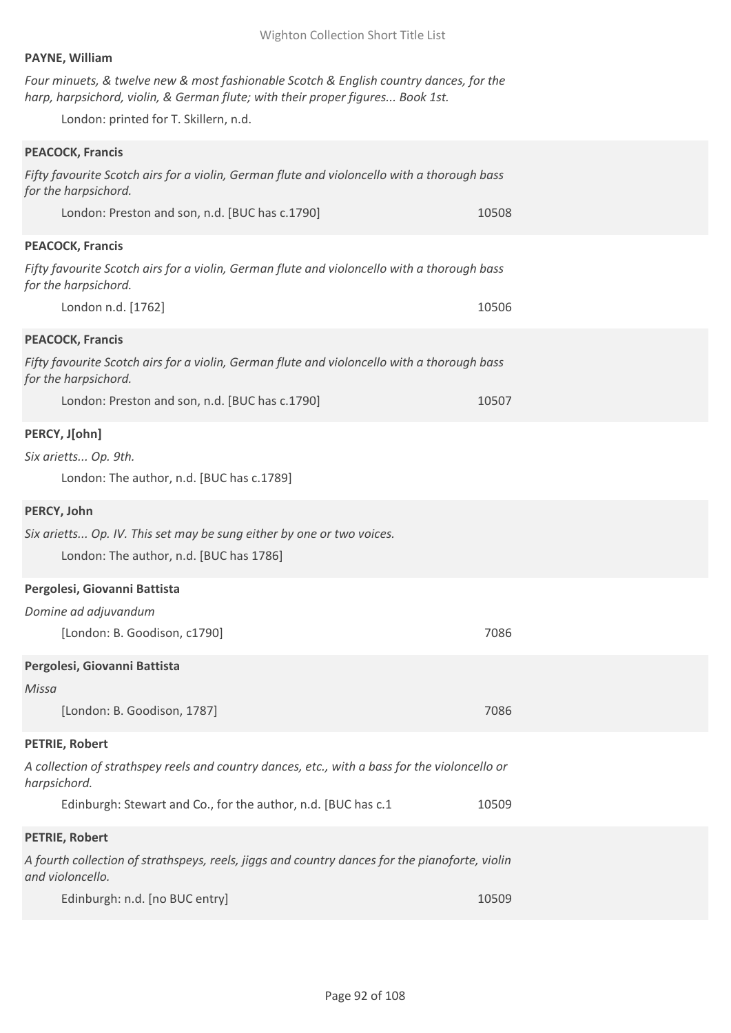### **PAYNE, William**

*Four minuets, & twelve new & most fashionable Scotch & English country dances, for the harp, harpsichord, violin, & German flute; with their proper figures... Book 1st.*

London: printed for T. Skillern, n.d.

| <b>PEACOCK, Francis</b>                                                                                             |       |
|---------------------------------------------------------------------------------------------------------------------|-------|
| Fifty favourite Scotch airs for a violin, German flute and violoncello with a thorough bass<br>for the harpsichord. |       |
| London: Preston and son, n.d. [BUC has c.1790]                                                                      | 10508 |
| <b>PEACOCK, Francis</b>                                                                                             |       |
| Fifty favourite Scotch airs for a violin, German flute and violoncello with a thorough bass<br>for the harpsichord. |       |
| London n.d. [1762]                                                                                                  | 10506 |
| <b>PEACOCK, Francis</b>                                                                                             |       |
| Fifty favourite Scotch airs for a violin, German flute and violoncello with a thorough bass<br>for the harpsichord. |       |
| London: Preston and son, n.d. [BUC has c.1790]                                                                      | 10507 |
| PERCY, J[ohn]                                                                                                       |       |
| Six arietts Op. 9th.                                                                                                |       |
| London: The author, n.d. [BUC has c.1789]                                                                           |       |
| PERCY, John                                                                                                         |       |
| Six arietts Op. IV. This set may be sung either by one or two voices.<br>London: The author, n.d. [BUC has 1786]    |       |
| Pergolesi, Giovanni Battista                                                                                        |       |
| Domine ad adjuvandum                                                                                                |       |
| [London: B. Goodison, c1790]                                                                                        | 7086  |
| Pergolesi, Giovanni Battista                                                                                        |       |
| Missa                                                                                                               |       |
| [London: B. Goodison, 1787]                                                                                         | 7086  |
| PETRIE, Robert                                                                                                      |       |
| A collection of strathspey reels and country dances, etc., with a bass for the violoncello or<br>harpsichord.       |       |
| Edinburgh: Stewart and Co., for the author, n.d. [BUC has c.1                                                       | 10509 |
| <b>PETRIE, Robert</b>                                                                                               |       |
| A fourth collection of strathspeys, reels, jiggs and country dances for the pianoforte, violin<br>and violoncello.  |       |
| Edinburgh: n.d. [no BUC entry]                                                                                      | 10509 |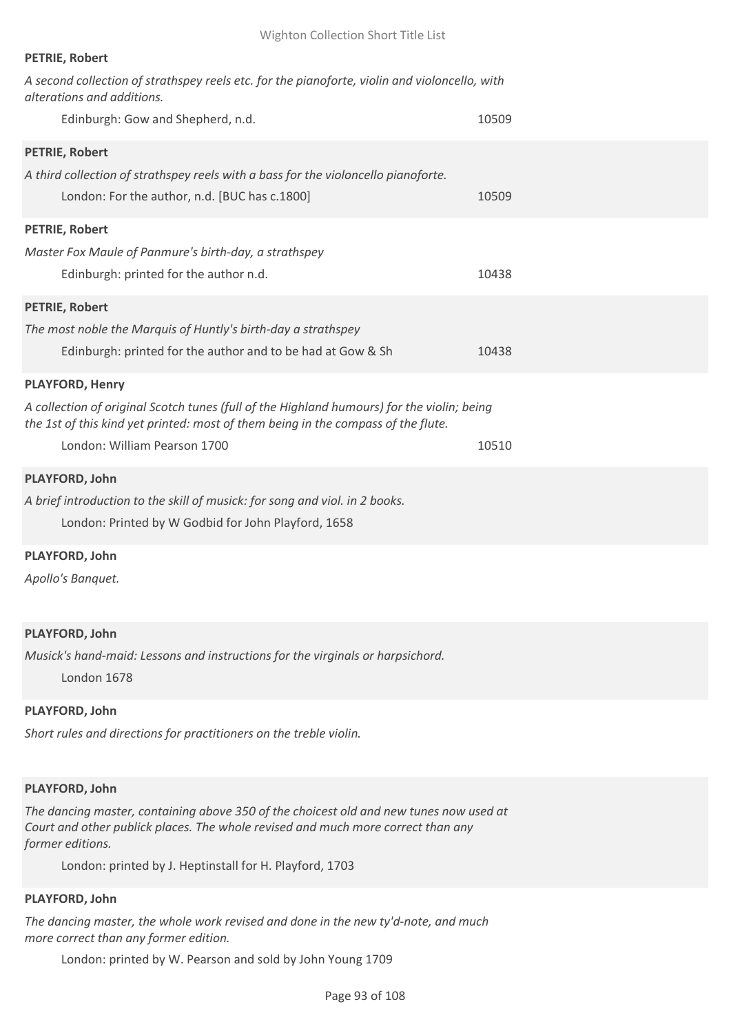| <b>PETRIE, Robert</b>                                                                                                                                                           |       |
|---------------------------------------------------------------------------------------------------------------------------------------------------------------------------------|-------|
| A second collection of strathspey reels etc. for the pianoforte, violin and violoncello, with<br>alterations and additions.                                                     |       |
| Edinburgh: Gow and Shepherd, n.d.                                                                                                                                               | 10509 |
| <b>PETRIE, Robert</b>                                                                                                                                                           |       |
| A third collection of strathspey reels with a bass for the violoncello pianoforte.                                                                                              |       |
| London: For the author, n.d. [BUC has c.1800]                                                                                                                                   | 10509 |
| PETRIE, Robert                                                                                                                                                                  |       |
| Master Fox Maule of Panmure's birth-day, a strathspey                                                                                                                           |       |
| Edinburgh: printed for the author n.d.                                                                                                                                          | 10438 |
| <b>PETRIE, Robert</b>                                                                                                                                                           |       |
| The most noble the Marquis of Huntly's birth-day a strathspey                                                                                                                   |       |
| Edinburgh: printed for the author and to be had at Gow & Sh                                                                                                                     | 10438 |
| <b>PLAYFORD, Henry</b>                                                                                                                                                          |       |
| A collection of original Scotch tunes (full of the Highland humours) for the violin; being<br>the 1st of this kind yet printed: most of them being in the compass of the flute. |       |
| London: William Pearson 1700                                                                                                                                                    | 10510 |
| PLAYFORD, John                                                                                                                                                                  |       |
| A brief introduction to the skill of musick: for song and viol. in 2 books.                                                                                                     |       |
| London: Printed by W Godbid for John Playford, 1658                                                                                                                             |       |
| PLAYFORD, John                                                                                                                                                                  |       |
| Apollo's Banquet.                                                                                                                                                               |       |

### **PLAYFORD, John**

*Musick's hand-maid: Lessons and instructions for the virginals or harpsichord.*

London 1678

# **PLAYFORD, John**

*Short rules and directions for practitioners on the treble violin.*

### **PLAYFORD, John**

*The dancing master, containing above 350 of the choicest old and new tunes now used at Court and other publick places. The whole revised and much more correct than any former editions.*

London: printed by J. Heptinstall for H. Playford, 1703

### **PLAYFORD, John**

*The dancing master, the whole work revised and done in the new ty'd-note, and much more correct than any former edition.*

London: printed by W. Pearson and sold by John Young 1709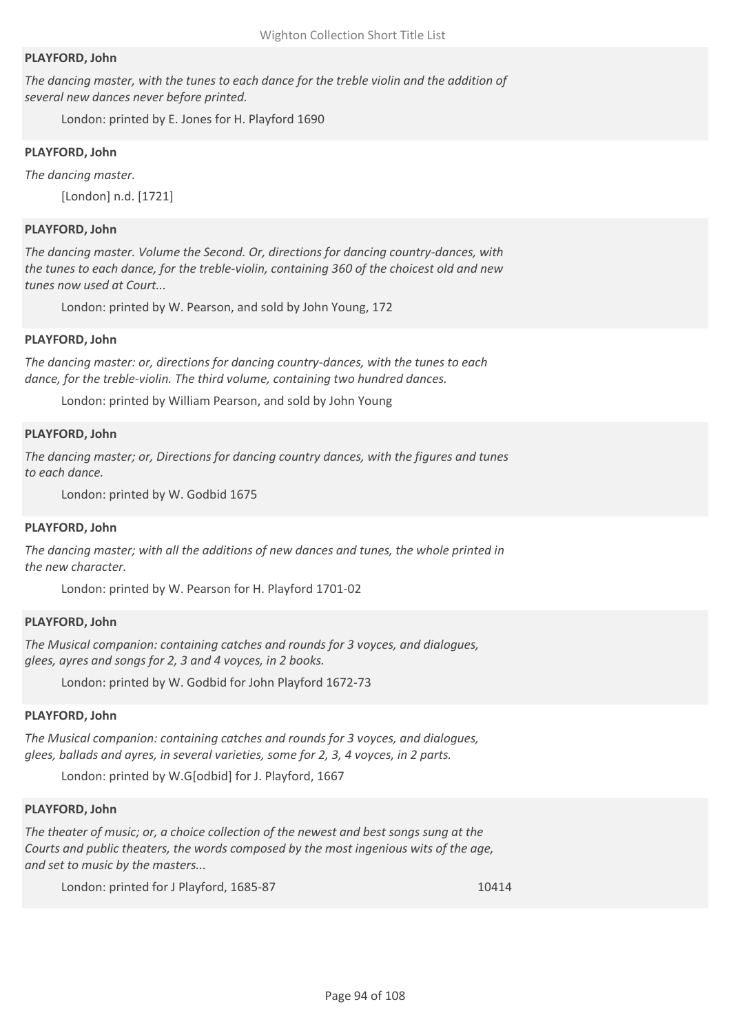### **PLAYFORD, John**

*The dancing master, with the tunes to each dance for the treble violin and the addition of several new dances never before printed.*

London: printed by E. Jones for H. Playford 1690

#### **PLAYFORD, John**

*The dancing master.* [London] n.d. [1721]

#### **PLAYFORD, John**

*The dancing master. Volume the Second. Or, directions for dancing country-dances, with the tunes to each dance, for the treble-violin, containing 360 of the choicest old and new tunes now used at Court...*

London: printed by W. Pearson, and sold by John Young, 172

#### **PLAYFORD, John**

*The dancing master: or, directions for dancing country-dances, with the tunes to each dance, for the treble-violin. The third volume, containing two hundred dances.*

London: printed by William Pearson, and sold by John Young

#### **PLAYFORD, John**

*The dancing master; or, Directions for dancing country dances, with the figures and tunes to each dance.*

London: printed by W. Godbid 1675

#### **PLAYFORD, John**

*The dancing master; with all the additions of new dances and tunes, the whole printed in the new character.*

London: printed by W. Pearson for H. Playford 1701-02

#### **PLAYFORD, John**

*The Musical companion: containing catches and rounds for 3 voyces, and dialogues, glees, ayres and songs for 2, 3 and 4 voyces, in 2 books.*

London: printed by W. Godbid for John Playford 1672-73

#### **PLAYFORD, John**

*The Musical companion: containing catches and rounds for 3 voyces, and dialogues, glees, ballads and ayres, in several varieties, some for 2, 3, 4 voyces, in 2 parts.*

London: printed by W.G[odbid] for J. Playford, 1667

#### **PLAYFORD, John**

*The theater of music; or, a choice collection of the newest and best songs sung at the Courts and public theaters, the words composed by the most ingenious wits of the age, and set to music by the masters...*

London: printed for J Playford, 1685-87 10414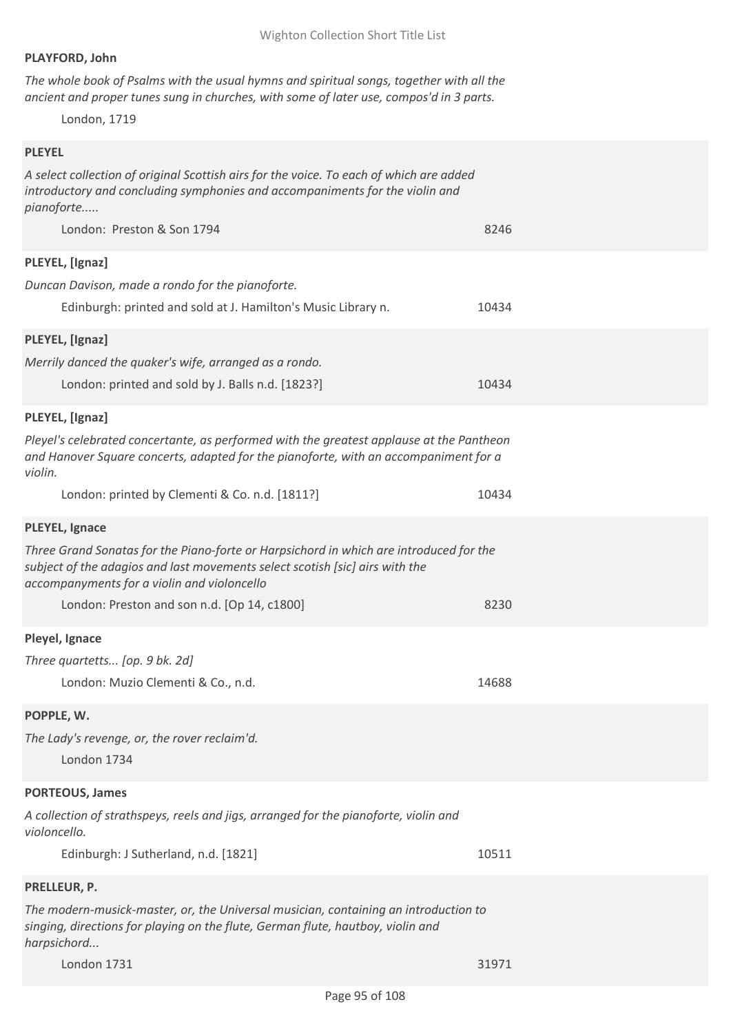# **PLAYFORD, John**

*The whole book of Psalms with the usual hymns and spiritual songs, together with all the ancient and proper tunes sung in churches, with some of later use, compos'd in 3 parts.*

London, 1719

### **PLEYEL**

*A select collection of original Scottish airs for the voice. To each of which are added introductory and concluding symphonies and accompaniments for the violin and pianoforte.....*

| London: Preston & Son 1794                                                                                                                                                                                            | 8246  |
|-----------------------------------------------------------------------------------------------------------------------------------------------------------------------------------------------------------------------|-------|
| PLEYEL, [Ignaz]<br>Duncan Davison, made a rondo for the pianoforte.<br>Edinburgh: printed and sold at J. Hamilton's Music Library n.                                                                                  | 10434 |
| PLEYEL, [Ignaz]                                                                                                                                                                                                       |       |
| Merrily danced the quaker's wife, arranged as a rondo.<br>London: printed and sold by J. Balls n.d. [1823?]                                                                                                           | 10434 |
| PLEYEL, [Ignaz]                                                                                                                                                                                                       |       |
| Pleyel's celebrated concertante, as performed with the greatest applause at the Pantheon<br>and Hanover Square concerts, adapted for the pianoforte, with an accompaniment for a<br>violin.                           |       |
| London: printed by Clementi & Co. n.d. [1811?]                                                                                                                                                                        | 10434 |
| <b>PLEYEL, Ignace</b>                                                                                                                                                                                                 |       |
| Three Grand Sonatas for the Piano-forte or Harpsichord in which are introduced for the<br>subject of the adagios and last movements select scotish [sic] airs with the<br>accompanyments for a violin and violoncello |       |
| London: Preston and son n.d. [Op 14, c1800]                                                                                                                                                                           | 8230  |
| Pleyel, Ignace                                                                                                                                                                                                        |       |
| Three quartetts [op. 9 bk. 2d]                                                                                                                                                                                        |       |
| London: Muzio Clementi & Co., n.d.                                                                                                                                                                                    | 14688 |
| POPPLE, W.                                                                                                                                                                                                            |       |
| The Lady's revenge, or, the rover reclaim'd.<br>London 1734                                                                                                                                                           |       |
| <b>PORTEOUS, James</b>                                                                                                                                                                                                |       |
| A collection of strathspeys, reels and jigs, arranged for the pianoforte, violin and<br>violoncello.                                                                                                                  |       |
| Edinburgh: J Sutherland, n.d. [1821]                                                                                                                                                                                  | 10511 |
| PRELLEUR, P.                                                                                                                                                                                                          |       |
| The modern-musick-master, or, the Universal musician, containing an introduction to<br>singing, directions for playing on the flute, German flute, hautboy, violin and<br>harpsichord                                 |       |
| London 1731                                                                                                                                                                                                           | 31971 |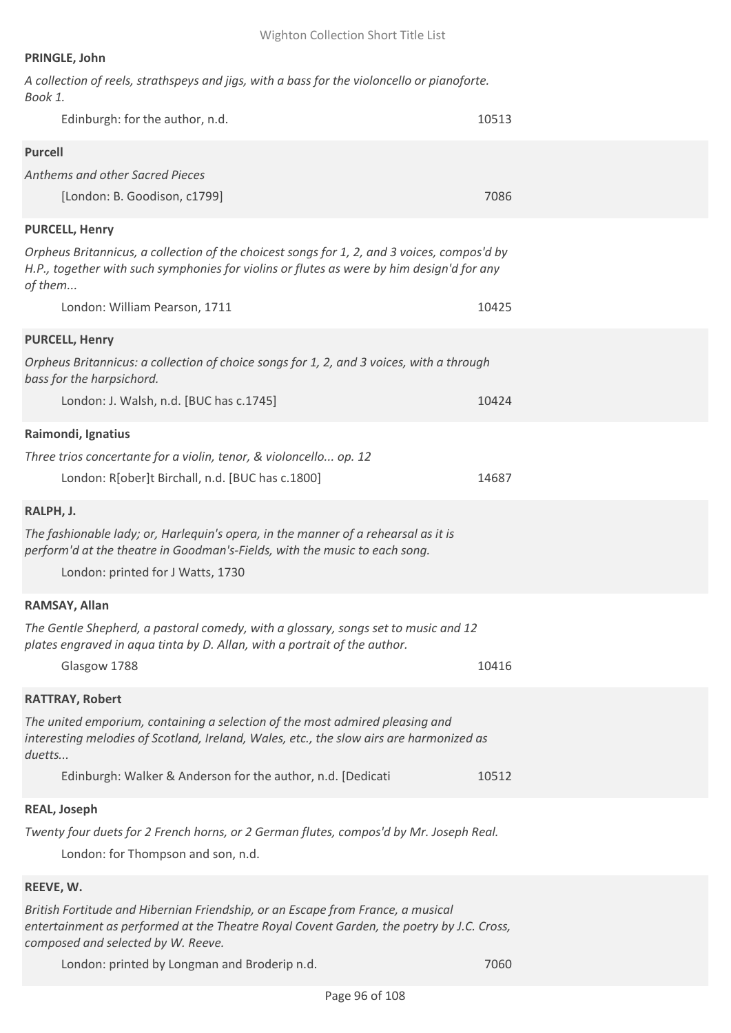# **PRINGLE, John**

| A collection of reels, strathspeys and jigs, with a bass for the violoncello or pianoforte.<br>Book 1.                                                                                                            |       |
|-------------------------------------------------------------------------------------------------------------------------------------------------------------------------------------------------------------------|-------|
| Edinburgh: for the author, n.d.                                                                                                                                                                                   | 10513 |
| <b>Purcell</b>                                                                                                                                                                                                    |       |
| Anthems and other Sacred Pieces                                                                                                                                                                                   |       |
| [London: B. Goodison, c1799]                                                                                                                                                                                      | 7086  |
| <b>PURCELL, Henry</b>                                                                                                                                                                                             |       |
| Orpheus Britannicus, a collection of the choicest songs for 1, 2, and 3 voices, compos'd by<br>H.P., together with such symphonies for violins or flutes as were by him design'd for any<br>of them               |       |
| London: William Pearson, 1711                                                                                                                                                                                     | 10425 |
| <b>PURCELL, Henry</b>                                                                                                                                                                                             |       |
| Orpheus Britannicus: a collection of choice songs for 1, 2, and 3 voices, with a through<br>bass for the harpsichord.                                                                                             |       |
| London: J. Walsh, n.d. [BUC has c.1745]                                                                                                                                                                           | 10424 |
| Raimondi, Ignatius                                                                                                                                                                                                |       |
| Three trios concertante for a violin, tenor, & violoncello op. 12                                                                                                                                                 |       |
| London: R[ober]t Birchall, n.d. [BUC has c.1800]                                                                                                                                                                  | 14687 |
| RALPH, J.                                                                                                                                                                                                         |       |
| The fashionable lady; or, Harlequin's opera, in the manner of a rehearsal as it is<br>perform'd at the theatre in Goodman's-Fields, with the music to each song.<br>London: printed for J Watts, 1730             |       |
|                                                                                                                                                                                                                   |       |
| RAMSAY, Allan<br>The Gentle Shepherd, a pastoral comedy, with a glossary, songs set to music and 12                                                                                                               |       |
| plates engraved in aqua tinta by D. Allan, with a portrait of the author.<br>Glasgow 1788                                                                                                                         | 10416 |
| <b>RATTRAY, Robert</b>                                                                                                                                                                                            |       |
| The united emporium, containing a selection of the most admired pleasing and<br>interesting melodies of Scotland, Ireland, Wales, etc., the slow airs are harmonized as<br>duetts                                 |       |
| Edinburgh: Walker & Anderson for the author, n.d. [Dedicati                                                                                                                                                       | 10512 |
| <b>REAL, Joseph</b>                                                                                                                                                                                               |       |
| Twenty four duets for 2 French horns, or 2 German flutes, compos'd by Mr. Joseph Real.<br>London: for Thompson and son, n.d.                                                                                      |       |
| REEVE, W.                                                                                                                                                                                                         |       |
| British Fortitude and Hibernian Friendship, or an Escape from France, a musical<br>entertainment as performed at the Theatre Royal Covent Garden, the poetry by J.C. Cross,<br>composed and selected by W. Reeve. |       |
| London: printed by Longman and Broderip n.d.                                                                                                                                                                      | 7060  |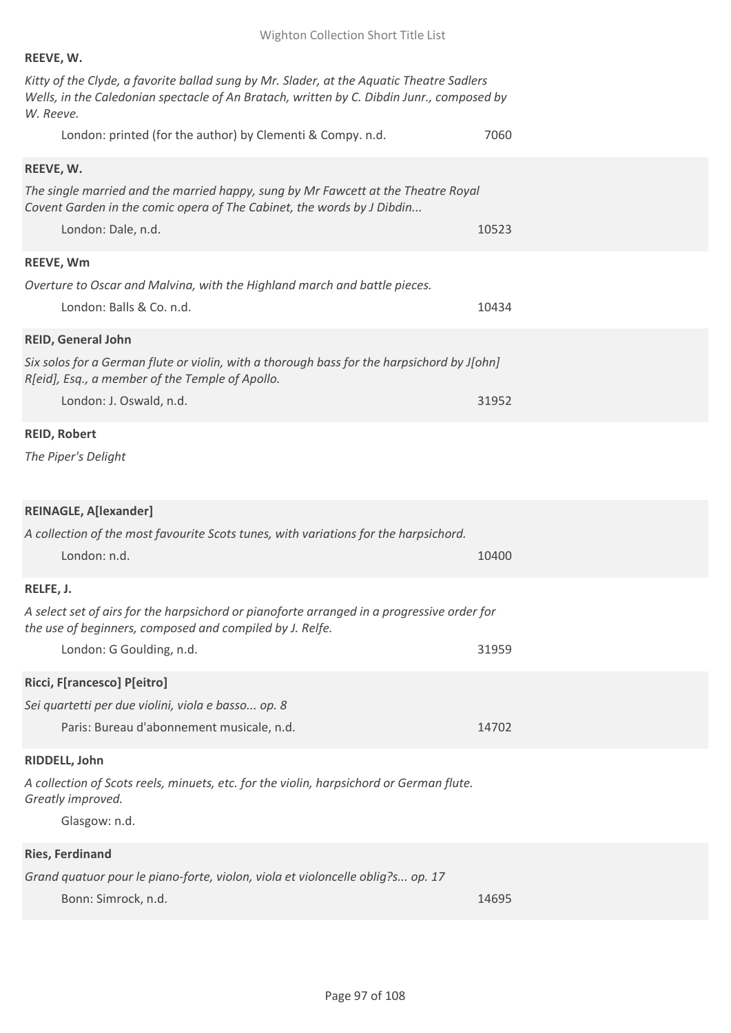| REEVE, W.                                                                                                                                                                                          |  |
|----------------------------------------------------------------------------------------------------------------------------------------------------------------------------------------------------|--|
| Kitty of the Clyde, a favorite ballad sung by Mr. Slader, at the Aquatic Theatre Sadlers<br>Wells, in the Caledonian spectacle of An Bratach, written by C. Dibdin Junr., composed by<br>W. Reeve. |  |
| London: printed (for the author) by Clementi & Compy. n.d.<br>7060                                                                                                                                 |  |
| REEVE, W.                                                                                                                                                                                          |  |
| The single married and the married happy, sung by Mr Fawcett at the Theatre Royal<br>Covent Garden in the comic opera of The Cabinet, the words by J Dibdin                                        |  |
| London: Dale, n.d.<br>10523                                                                                                                                                                        |  |
| <b>REEVE, Wm</b>                                                                                                                                                                                   |  |
| Overture to Oscar and Malvina, with the Highland march and battle pieces.<br>London: Balls & Co. n.d.<br>10434                                                                                     |  |
| <b>REID, General John</b>                                                                                                                                                                          |  |
| Six solos for a German flute or violin, with a thorough bass for the harpsichord by J[ohn]<br>R[eid], Esq., a member of the Temple of Apollo.                                                      |  |
| London: J. Oswald, n.d.<br>31952                                                                                                                                                                   |  |
| <b>REID, Robert</b>                                                                                                                                                                                |  |
| The Piper's Delight                                                                                                                                                                                |  |
| <b>REINAGLE, A[lexander]</b>                                                                                                                                                                       |  |
| A collection of the most favourite Scots tunes, with variations for the harpsichord.                                                                                                               |  |
| London: n.d.<br>10400                                                                                                                                                                              |  |
| RELFE, J.                                                                                                                                                                                          |  |
| A select set of airs for the harpsichord or pianoforte arranged in a progressive order for<br>the use of beginners, composed and compiled by J. Relfe.                                             |  |
| London: G Goulding, n.d.<br>31959                                                                                                                                                                  |  |
|                                                                                                                                                                                                    |  |
| Ricci, F[rancesco] P[eitro]                                                                                                                                                                        |  |
| Sei quartetti per due violini, viola e basso op. 8                                                                                                                                                 |  |
| Paris: Bureau d'abonnement musicale, n.d.<br>14702                                                                                                                                                 |  |
| RIDDELL, John                                                                                                                                                                                      |  |
| A collection of Scots reels, minuets, etc. for the violin, harpsichord or German flute.<br>Greatly improved.                                                                                       |  |
| Glasgow: n.d.                                                                                                                                                                                      |  |
| <b>Ries, Ferdinand</b>                                                                                                                                                                             |  |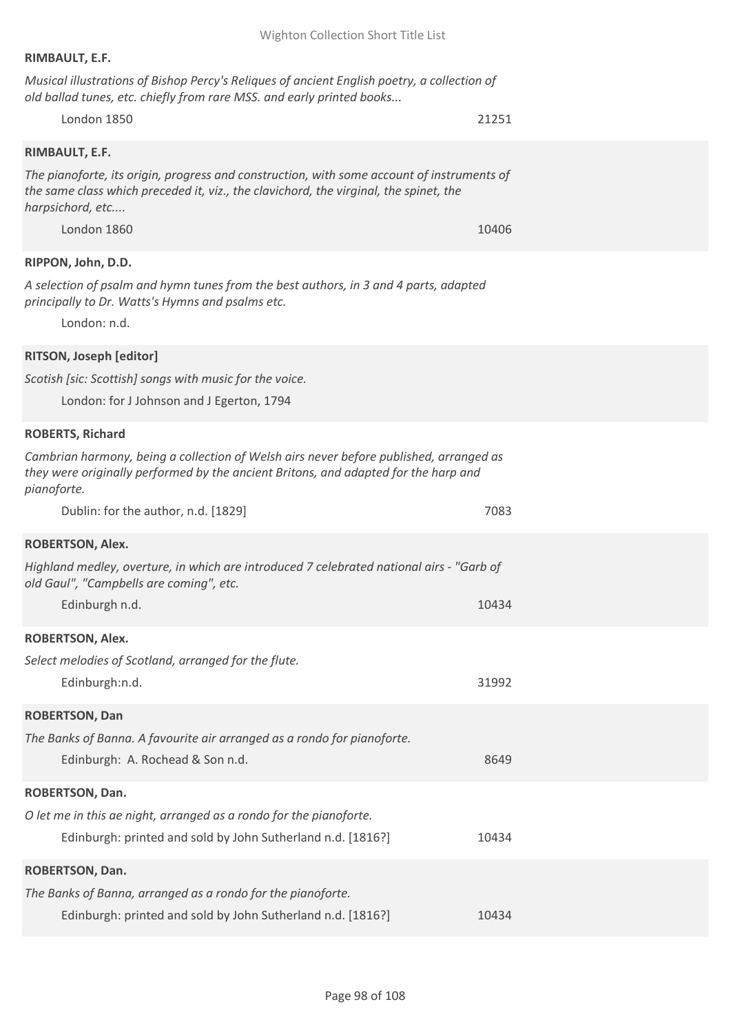### **RIMBAULT, E.F.**

*Musical illustrations of Bishop Percy's Reliques of ancient English poetry, a collection of old ballad tunes, etc. chiefly from rare MSS. and early printed books...*

# London 1850 21251

### **RIMBAULT, E.F.**

*The pianoforte, its origin, progress and construction, with some account of instruments of the same class which preceded it, viz., the clavichord, the virginal, the spinet, the harpsichord, etc....*

London 1860 **10406** 10406 10406 10406 10406 10406 10406 10406 10406 10406 10406 10406 10406 10406 10406 10406 1040

### **RIPPON, John, D.D.**

*A selection of psalm and hymn tunes from the best authors, in 3 and 4 parts, adapted principally to Dr. Watts's Hymns and psalms etc.*

London: n.d.

# **RITSON, Joseph [editor]**

*Scotish [sic: Scottish] songs with music for the voice.*

London: for J Johnson and J Egerton, 1794

#### **ROBERTS, Richard**

*Cambrian harmony, being a collection of Welsh airs never before published, arranged as they were originally performed by the ancient Britons, and adapted for the harp and pianoforte.*

| Dublin: for the author, n.d. [1829]                                                                                                                                              | 7083  |  |
|----------------------------------------------------------------------------------------------------------------------------------------------------------------------------------|-------|--|
| <b>ROBERTSON, Alex.</b><br>Highland medley, overture, in which are introduced 7 celebrated national airs - "Garb of<br>old Gaul", "Campbells are coming", etc.<br>Edinburgh n.d. | 10434 |  |
| <b>ROBERTSON, Alex.</b><br>Select melodies of Scotland, arranged for the flute.<br>Edinburgh:n.d.                                                                                | 31992 |  |
| <b>ROBERTSON, Dan</b><br>The Banks of Banna. A favourite air arranged as a rondo for pianoforte.<br>Edinburgh: A. Rochead & Son n.d.                                             | 8649  |  |
| <b>ROBERTSON, Dan.</b><br>O let me in this ae night, arranged as a rondo for the pianoforte.<br>Edinburgh: printed and sold by John Sutherland n.d. [1816?]                      | 10434 |  |
| <b>ROBERTSON, Dan.</b><br>The Banks of Banna, arranged as a rondo for the pianoforte.<br>Edinburgh: printed and sold by John Sutherland n.d. [1816?]                             | 10434 |  |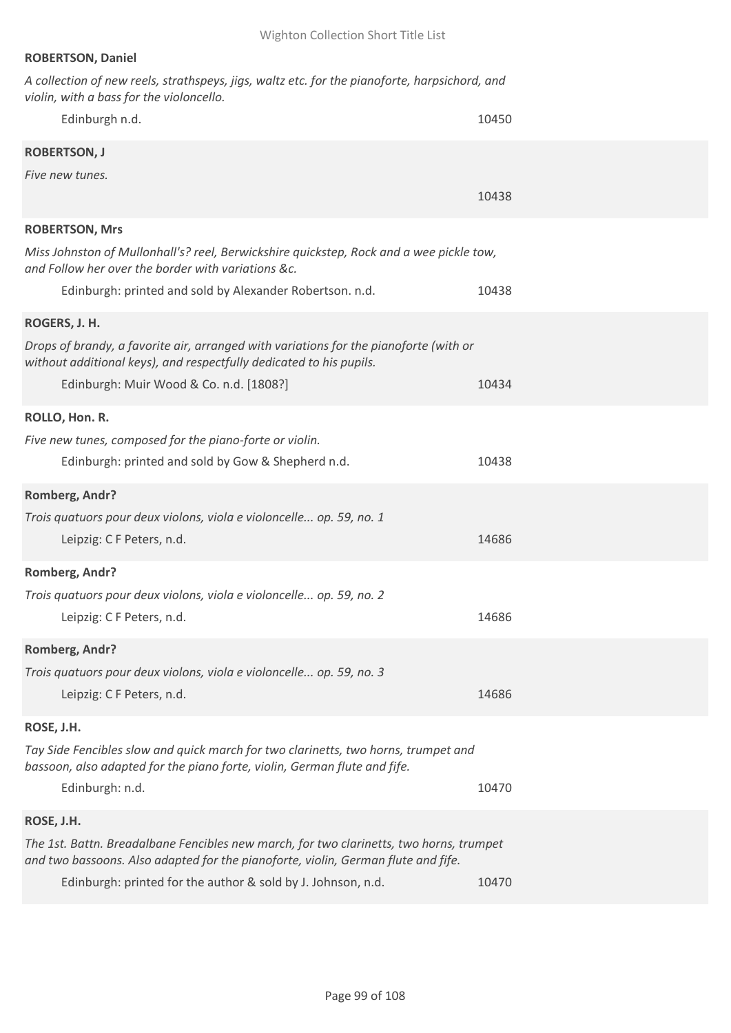| <b>ROBERTSON, Daniel</b>                                                                                                                                                     |       |
|------------------------------------------------------------------------------------------------------------------------------------------------------------------------------|-------|
| A collection of new reels, strathspeys, jigs, waltz etc. for the pianoforte, harpsichord, and<br>violin, with a bass for the violoncello.                                    |       |
| Edinburgh n.d.                                                                                                                                                               | 10450 |
| <b>ROBERTSON, J</b>                                                                                                                                                          |       |
| Five new tunes.                                                                                                                                                              |       |
|                                                                                                                                                                              | 10438 |
| <b>ROBERTSON, Mrs</b>                                                                                                                                                        |       |
| Miss Johnston of Mullonhall's? reel, Berwickshire quickstep, Rock and a wee pickle tow,<br>and Follow her over the border with variations &c.                                |       |
| Edinburgh: printed and sold by Alexander Robertson. n.d.                                                                                                                     | 10438 |
| ROGERS, J. H.                                                                                                                                                                |       |
| Drops of brandy, a favorite air, arranged with variations for the pianoforte (with or<br>without additional keys), and respectfully dedicated to his pupils.                 |       |
| Edinburgh: Muir Wood & Co. n.d. [1808?]                                                                                                                                      | 10434 |
| ROLLO, Hon. R.                                                                                                                                                               |       |
| Five new tunes, composed for the piano-forte or violin.                                                                                                                      |       |
| Edinburgh: printed and sold by Gow & Shepherd n.d.                                                                                                                           | 10438 |
| Romberg, Andr?                                                                                                                                                               |       |
| Trois quatuors pour deux violons, viola e violoncelle op. 59, no. 1                                                                                                          |       |
| Leipzig: C F Peters, n.d.                                                                                                                                                    | 14686 |
| Romberg, Andr?                                                                                                                                                               |       |
| Trois quatuors pour deux violons, viola e violoncelle op. 59, no. 2                                                                                                          |       |
| Leipzig: C F Peters, n.d.                                                                                                                                                    | 14686 |
| Romberg, Andr?                                                                                                                                                               |       |
| Trois quatuors pour deux violons, viola e violoncelle op. 59, no. 3                                                                                                          |       |
| Leipzig: C F Peters, n.d.                                                                                                                                                    | 14686 |
| ROSE, J.H.                                                                                                                                                                   |       |
| Tay Side Fencibles slow and quick march for two clarinetts, two horns, trumpet and<br>bassoon, also adapted for the piano forte, violin, German flute and fife.              |       |
| Edinburgh: n.d.                                                                                                                                                              | 10470 |
| ROSE, J.H.                                                                                                                                                                   |       |
| The 1st. Battn. Breadalbane Fencibles new march, for two clarinetts, two horns, trumpet<br>and two bassoons. Also adapted for the pianoforte, violin, German flute and fife. |       |
| Edinburgh: printed for the author & sold by J. Johnson, n.d.                                                                                                                 | 10470 |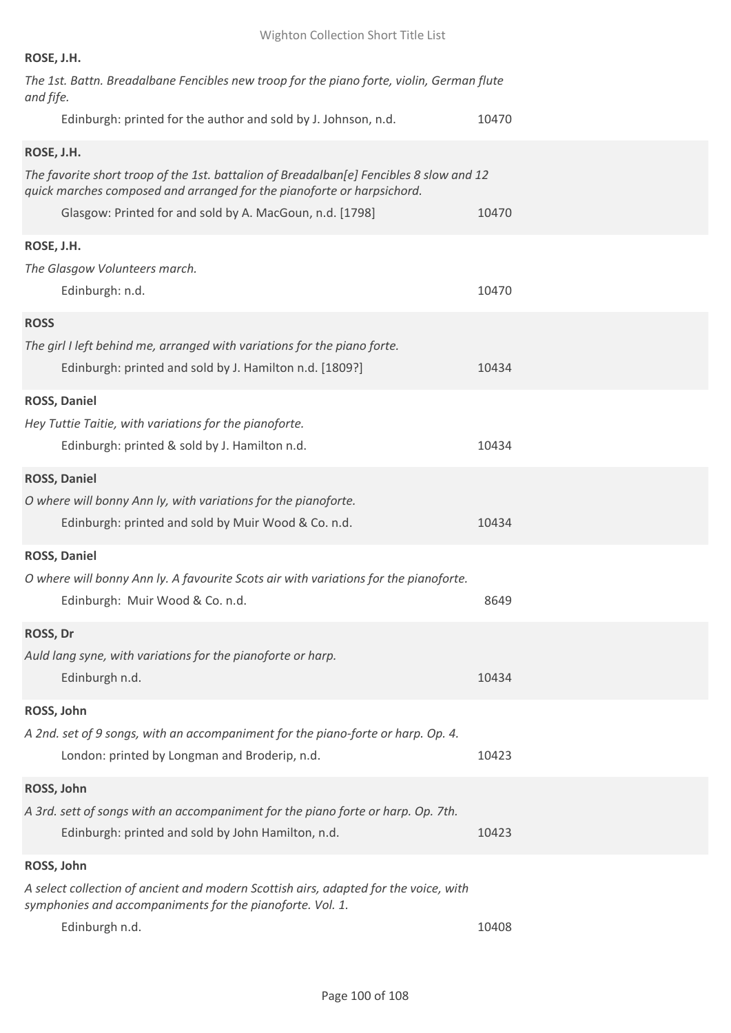| ROSE, J.H.                                                                                                                                                                                                                    |       |
|-------------------------------------------------------------------------------------------------------------------------------------------------------------------------------------------------------------------------------|-------|
| The 1st. Battn. Breadalbane Fencibles new troop for the piano forte, violin, German flute<br>and fife.                                                                                                                        |       |
| Edinburgh: printed for the author and sold by J. Johnson, n.d.                                                                                                                                                                | 10470 |
| ROSE, J.H.                                                                                                                                                                                                                    |       |
| The favorite short troop of the 1st. battalion of Breadalban[e] Fencibles 8 slow and 12<br>quick marches composed and arranged for the pianoforte or harpsichord.<br>Glasgow: Printed for and sold by A. MacGoun, n.d. [1798] | 10470 |
|                                                                                                                                                                                                                               |       |
| ROSE, J.H.                                                                                                                                                                                                                    |       |
| The Glasgow Volunteers march.<br>Edinburgh: n.d.                                                                                                                                                                              | 10470 |
| <b>ROSS</b>                                                                                                                                                                                                                   |       |
| The girl I left behind me, arranged with variations for the piano forte.<br>Edinburgh: printed and sold by J. Hamilton n.d. [1809?]                                                                                           | 10434 |
| <b>ROSS, Daniel</b>                                                                                                                                                                                                           |       |
| Hey Tuttie Taitie, with variations for the pianoforte.<br>Edinburgh: printed & sold by J. Hamilton n.d.                                                                                                                       | 10434 |
| <b>ROSS, Daniel</b>                                                                                                                                                                                                           |       |
| O where will bonny Ann ly, with variations for the pianoforte.<br>Edinburgh: printed and sold by Muir Wood & Co. n.d.                                                                                                         | 10434 |
| <b>ROSS, Daniel</b>                                                                                                                                                                                                           |       |
| O where will bonny Ann ly. A favourite Scots air with variations for the pianoforte.<br>Edinburgh: Muir Wood & Co. n.d.                                                                                                       | 8649  |
| ROSS, Dr                                                                                                                                                                                                                      |       |
| Auld lang syne, with variations for the pianoforte or harp.<br>Edinburgh n.d.                                                                                                                                                 | 10434 |
| ROSS, John                                                                                                                                                                                                                    |       |
| A 2nd. set of 9 songs, with an accompaniment for the piano-forte or harp. Op. 4.<br>London: printed by Longman and Broderip, n.d.                                                                                             | 10423 |
| ROSS, John                                                                                                                                                                                                                    |       |
| A 3rd. sett of songs with an accompaniment for the piano forte or harp. Op. 7th.<br>Edinburgh: printed and sold by John Hamilton, n.d.                                                                                        | 10423 |
| ROSS, John                                                                                                                                                                                                                    |       |
| A select collection of ancient and modern Scottish airs, adapted for the voice, with<br>symphonies and accompaniments for the pianoforte. Vol. 1.                                                                             |       |
| Edinburgh n.d.                                                                                                                                                                                                                | 10408 |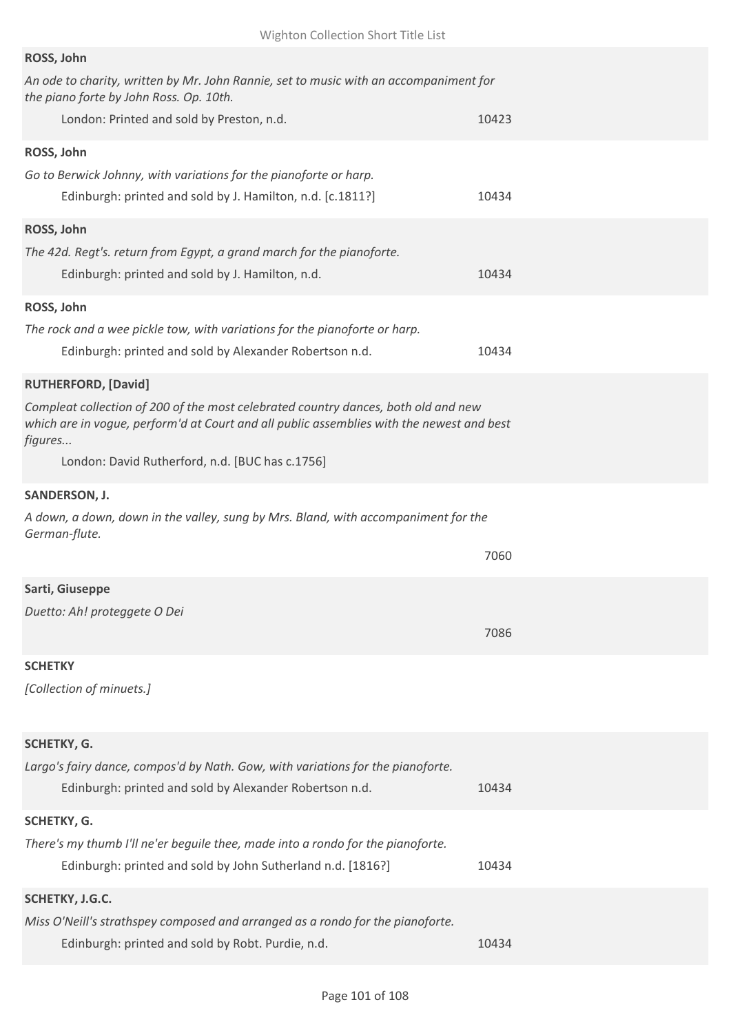| ROSS, John                                                                                                                                                                                 |       |
|--------------------------------------------------------------------------------------------------------------------------------------------------------------------------------------------|-------|
| An ode to charity, written by Mr. John Rannie, set to music with an accompaniment for<br>the piano forte by John Ross. Op. 10th.                                                           |       |
| London: Printed and sold by Preston, n.d.                                                                                                                                                  | 10423 |
| ROSS, John                                                                                                                                                                                 |       |
| Go to Berwick Johnny, with variations for the pianoforte or harp.                                                                                                                          |       |
| Edinburgh: printed and sold by J. Hamilton, n.d. [c.1811?]                                                                                                                                 | 10434 |
| ROSS, John                                                                                                                                                                                 |       |
| The 42d. Regt's. return from Egypt, a grand march for the pianoforte.                                                                                                                      |       |
| Edinburgh: printed and sold by J. Hamilton, n.d.                                                                                                                                           | 10434 |
| ROSS, John                                                                                                                                                                                 |       |
| The rock and a wee pickle tow, with variations for the pianoforte or harp.                                                                                                                 |       |
| Edinburgh: printed and sold by Alexander Robertson n.d.                                                                                                                                    | 10434 |
| <b>RUTHERFORD, [David]</b>                                                                                                                                                                 |       |
| Compleat collection of 200 of the most celebrated country dances, both old and new<br>which are in vogue, perform'd at Court and all public assemblies with the newest and best<br>figures |       |
| London: David Rutherford, n.d. [BUC has c.1756]                                                                                                                                            |       |
| SANDERSON, J.                                                                                                                                                                              |       |
| A down, a down, down in the valley, sung by Mrs. Bland, with accompaniment for the<br>German-flute.                                                                                        |       |
|                                                                                                                                                                                            | 7060  |
| Sarti, Giuseppe                                                                                                                                                                            |       |
| Duetto: Ah! proteggete O Dei                                                                                                                                                               |       |
|                                                                                                                                                                                            | 7086  |
| <b>SCHETKY</b>                                                                                                                                                                             |       |
| [Collection of minuets.]                                                                                                                                                                   |       |
|                                                                                                                                                                                            |       |
| SCHETKY, G.                                                                                                                                                                                |       |
| Largo's fairy dance, compos'd by Nath. Gow, with variations for the pianoforte.                                                                                                            |       |
| Edinburgh: printed and sold by Alexander Robertson n.d.                                                                                                                                    | 10434 |
| SCHETKY, G.                                                                                                                                                                                |       |
| There's my thumb I'll ne'er beguile thee, made into a rondo for the pianoforte.                                                                                                            |       |
| Edinburgh: printed and sold by John Sutherland n.d. [1816?]                                                                                                                                | 10434 |
| SCHETKY, J.G.C.                                                                                                                                                                            |       |
|                                                                                                                                                                                            |       |
| Miss O'Neill's strathspey composed and arranged as a rondo for the pianoforte.                                                                                                             |       |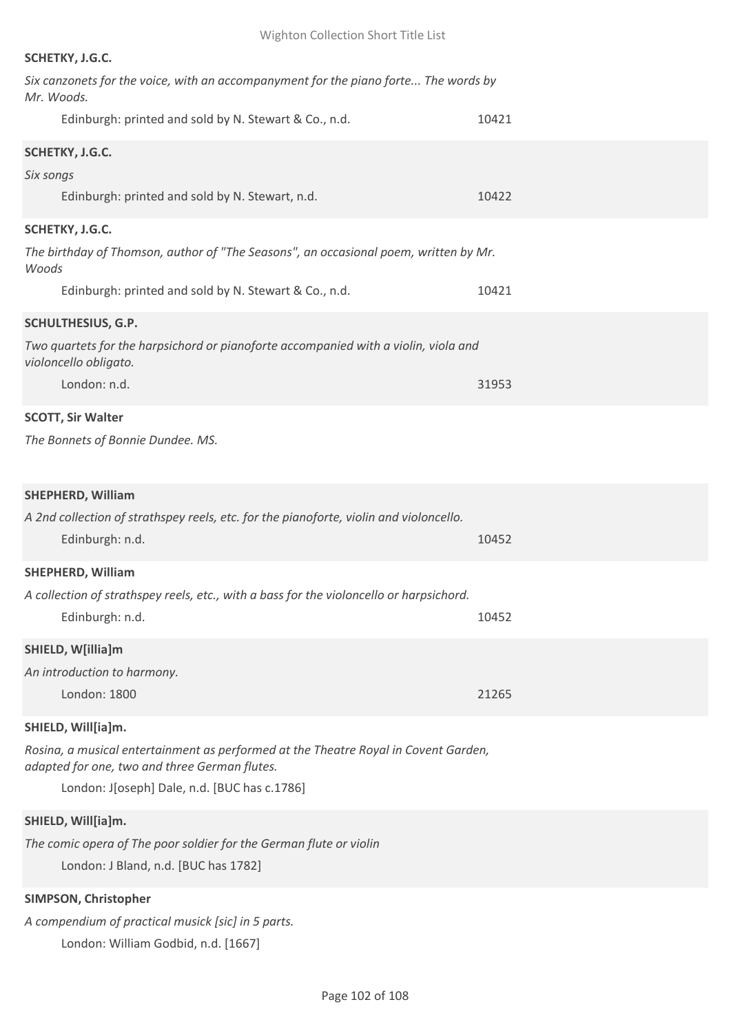# **SCHETKY, J.G.C.**

| Six canzonets for the voice, with an accompanyment for the piano forte The words by<br>Mr. Woods.                                    |       |
|--------------------------------------------------------------------------------------------------------------------------------------|-------|
| Edinburgh: printed and sold by N. Stewart & Co., n.d.                                                                                | 10421 |
| SCHETKY, J.G.C.                                                                                                                      |       |
| Six songs                                                                                                                            |       |
| Edinburgh: printed and sold by N. Stewart, n.d.                                                                                      | 10422 |
| SCHETKY, J.G.C.                                                                                                                      |       |
| The birthday of Thomson, author of "The Seasons", an occasional poem, written by Mr.<br>Woods                                        |       |
| Edinburgh: printed and sold by N. Stewart & Co., n.d.                                                                                | 10421 |
| <b>SCHULTHESIUS, G.P.</b>                                                                                                            |       |
| Two quartets for the harpsichord or pianoforte accompanied with a violin, viola and<br>violoncello obligato.                         |       |
| London: n.d.                                                                                                                         | 31953 |
| <b>SCOTT, Sir Walter</b>                                                                                                             |       |
| The Bonnets of Bonnie Dundee. MS.                                                                                                    |       |
| <b>SHEPHERD, William</b>                                                                                                             |       |
| A 2nd collection of strathspey reels, etc. for the pianoforte, violin and violoncello.<br>Edinburgh: n.d.                            | 10452 |
| <b>SHEPHERD, William</b>                                                                                                             |       |
| A collection of strathspey reels, etc., with a bass for the violoncello or harpsichord.                                              |       |
| Edinburgh: n.d.                                                                                                                      | 10452 |
| SHIELD, W[illia]m                                                                                                                    |       |
| An introduction to harmony.                                                                                                          |       |
| London: 1800                                                                                                                         | 21265 |
| SHIELD, Will[ia]m.                                                                                                                   |       |
| Rosina, a musical entertainment as performed at the Theatre Royal in Covent Garden,<br>adapted for one, two and three German flutes. |       |
| London: J[oseph] Dale, n.d. [BUC has c.1786]                                                                                         |       |
| SHIELD, Will[ia]m.                                                                                                                   |       |
| The comic opera of The poor soldier for the German flute or violin                                                                   |       |
| London: J Bland, n.d. [BUC has 1782]                                                                                                 |       |
| SIMPSON, Christopher                                                                                                                 |       |
| A compendium of practical musick [sic] in 5 parts.                                                                                   |       |

London: William Godbid, n.d. [1667]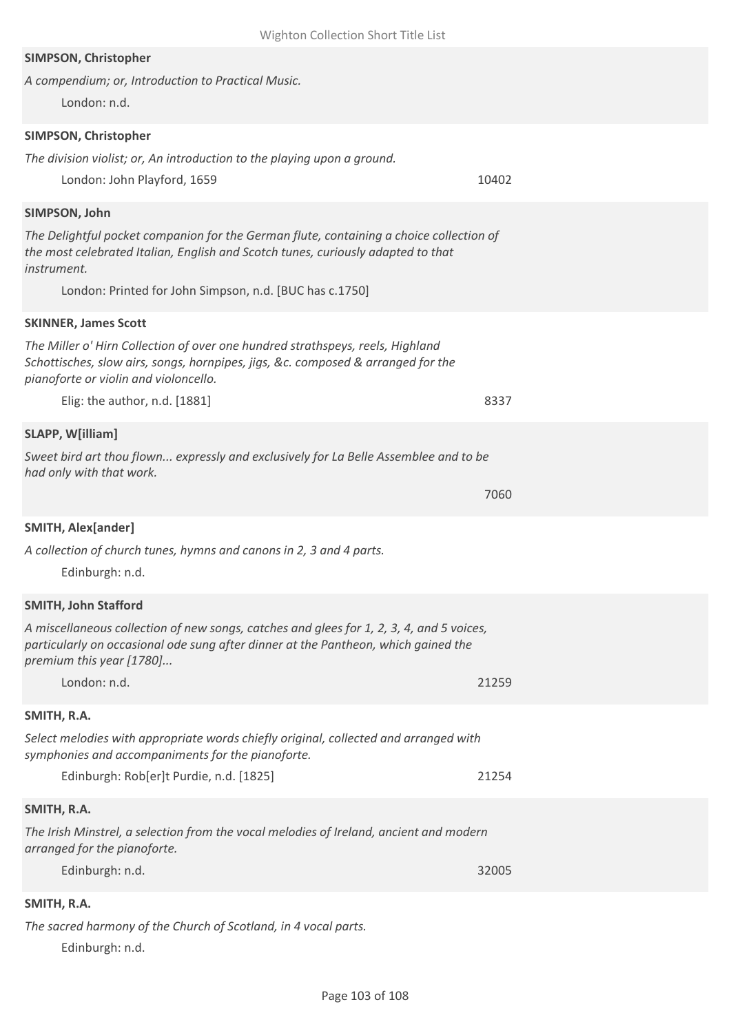| Wighton Collection Short Title List                                                                                                                                                                         |       |
|-------------------------------------------------------------------------------------------------------------------------------------------------------------------------------------------------------------|-------|
| SIMPSON, Christopher<br>A compendium; or, Introduction to Practical Music.<br>London: n.d.                                                                                                                  |       |
|                                                                                                                                                                                                             |       |
| SIMPSON, Christopher<br>The division violist; or, An introduction to the playing upon a ground.                                                                                                             |       |
| London: John Playford, 1659                                                                                                                                                                                 | 10402 |
| SIMPSON, John                                                                                                                                                                                               |       |
| The Delightful pocket companion for the German flute, containing a choice collection of<br>the most celebrated Italian, English and Scotch tunes, curiously adapted to that<br>instrument.                  |       |
| London: Printed for John Simpson, n.d. [BUC has c.1750]                                                                                                                                                     |       |
| <b>SKINNER, James Scott</b>                                                                                                                                                                                 |       |
| The Miller o' Hirn Collection of over one hundred strathspeys, reels, Highland<br>Schottisches, slow airs, songs, hornpipes, jigs, &c. composed & arranged for the<br>pianoforte or violin and violoncello. |       |
| Elig: the author, n.d. [1881]                                                                                                                                                                               | 8337  |
| <b>SLAPP, W[illiam]</b>                                                                                                                                                                                     |       |
| Sweet bird art thou flown expressly and exclusively for La Belle Assemblee and to be<br>had only with that work.                                                                                            |       |
|                                                                                                                                                                                                             | 7060  |
| <b>SMITH, Alex[ander]</b>                                                                                                                                                                                   |       |
| A collection of church tunes, hymns and canons in 2, 3 and 4 parts.<br>Edinburgh: n.d.                                                                                                                      |       |
| <b>SMITH, John Stafford</b>                                                                                                                                                                                 |       |
| A miscellaneous collection of new songs, catches and glees for 1, 2, 3, 4, and 5 voices,<br>particularly on occasional ode sung after dinner at the Pantheon, which gained the<br>premium this year [1780]  |       |
| London: n.d.                                                                                                                                                                                                | 21259 |
| SMITH, R.A.                                                                                                                                                                                                 |       |
| Select melodies with appropriate words chiefly original, collected and arranged with<br>symphonies and accompaniments for the pianoforte.                                                                   |       |
| Edinburgh: Rob[er]t Purdie, n.d. [1825]                                                                                                                                                                     | 21254 |
| SMITH, R.A.                                                                                                                                                                                                 |       |
| The Irish Minstrel, a selection from the vocal melodies of Ireland, ancient and modern<br>arranged for the pianoforte.                                                                                      |       |
| Edinburgh: n.d.                                                                                                                                                                                             | 32005 |
| SMITH, R.A.                                                                                                                                                                                                 |       |
| The sacred harmony of the Church of Scotland, in 4 vocal parts.                                                                                                                                             |       |

Edinburgh: n.d.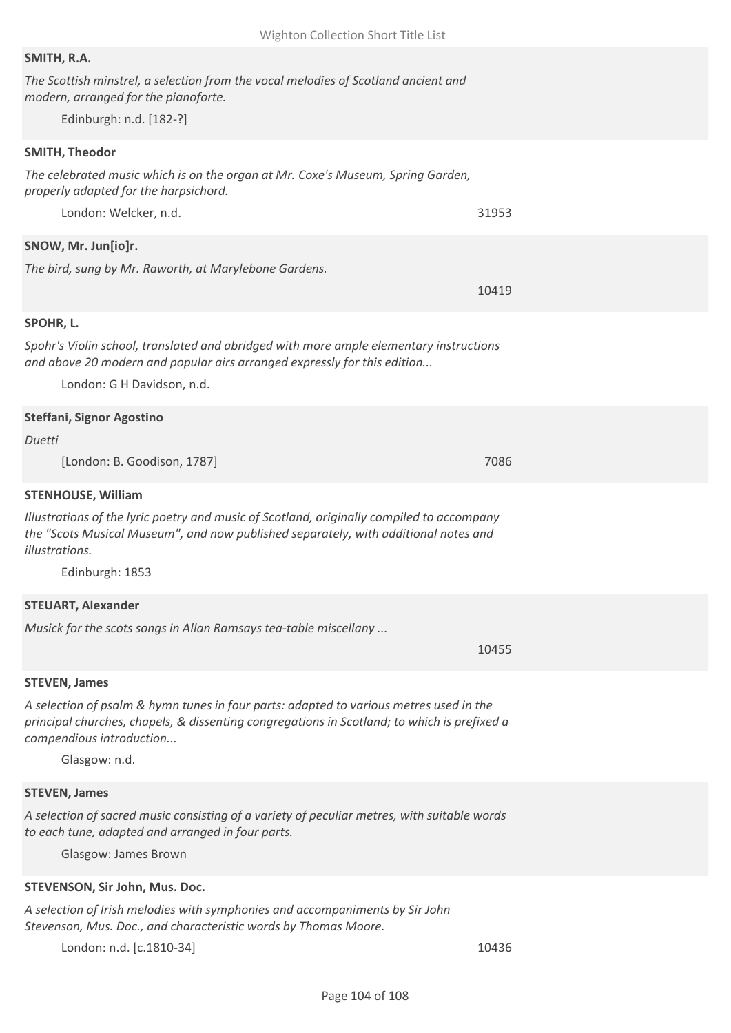| SMITH, R.A.                                                                                                                                                                           |       |
|---------------------------------------------------------------------------------------------------------------------------------------------------------------------------------------|-------|
| The Scottish minstrel, a selection from the vocal melodies of Scotland ancient and                                                                                                    |       |
| modern, arranged for the pianoforte.                                                                                                                                                  |       |
| Edinburgh: n.d. [182-?]                                                                                                                                                               |       |
| <b>SMITH, Theodor</b>                                                                                                                                                                 |       |
| The celebrated music which is on the organ at Mr. Coxe's Museum, Spring Garden,                                                                                                       |       |
| properly adapted for the harpsichord.                                                                                                                                                 |       |
| London: Welcker, n.d.                                                                                                                                                                 | 31953 |
| SNOW, Mr. Jun[io]r.                                                                                                                                                                   |       |
| The bird, sung by Mr. Raworth, at Marylebone Gardens.                                                                                                                                 |       |
|                                                                                                                                                                                       | 10419 |
|                                                                                                                                                                                       |       |
| SPOHR, L.                                                                                                                                                                             |       |
| Spohr's Violin school, translated and abridged with more ample elementary instructions<br>and above 20 modern and popular airs arranged expressly for this edition                    |       |
| London: G H Davidson, n.d.                                                                                                                                                            |       |
| <b>Steffani, Signor Agostino</b>                                                                                                                                                      |       |
| Duetti                                                                                                                                                                                |       |
| [London: B. Goodison, 1787]                                                                                                                                                           | 7086  |
| <b>STENHOUSE, William</b>                                                                                                                                                             |       |
| Illustrations of the lyric poetry and music of Scotland, originally compiled to accompany                                                                                             |       |
| the "Scots Musical Museum", and now published separately, with additional notes and                                                                                                   |       |
| illustrations.                                                                                                                                                                        |       |
| Edinburgh: 1853                                                                                                                                                                       |       |
| <b>STEUART, Alexander</b>                                                                                                                                                             |       |
| Musick for the scots songs in Allan Ramsays tea-table miscellany                                                                                                                      |       |
|                                                                                                                                                                                       | 10455 |
|                                                                                                                                                                                       |       |
| <b>STEVEN, James</b>                                                                                                                                                                  |       |
| A selection of psalm & hymn tunes in four parts: adapted to various metres used in the<br>principal churches, chapels, & dissenting congregations in Scotland; to which is prefixed a |       |
| compendious introduction                                                                                                                                                              |       |
| Glasgow: n.d.                                                                                                                                                                         |       |
|                                                                                                                                                                                       |       |
| <b>STEVEN, James</b>                                                                                                                                                                  |       |
| A selection of sacred music consisting of a variety of peculiar metres, with suitable words<br>to each tune, adapted and arranged in four parts.                                      |       |
| Glasgow: James Brown                                                                                                                                                                  |       |
|                                                                                                                                                                                       |       |
| STEVENSON, Sir John, Mus. Doc.                                                                                                                                                        |       |
| A selection of Irish melodies with symphonies and accompaniments by Sir John                                                                                                          |       |
| Stevenson, Mus. Doc., and characteristic words by Thomas Moore.                                                                                                                       |       |
| London: n.d. [c.1810-34]                                                                                                                                                              | 10436 |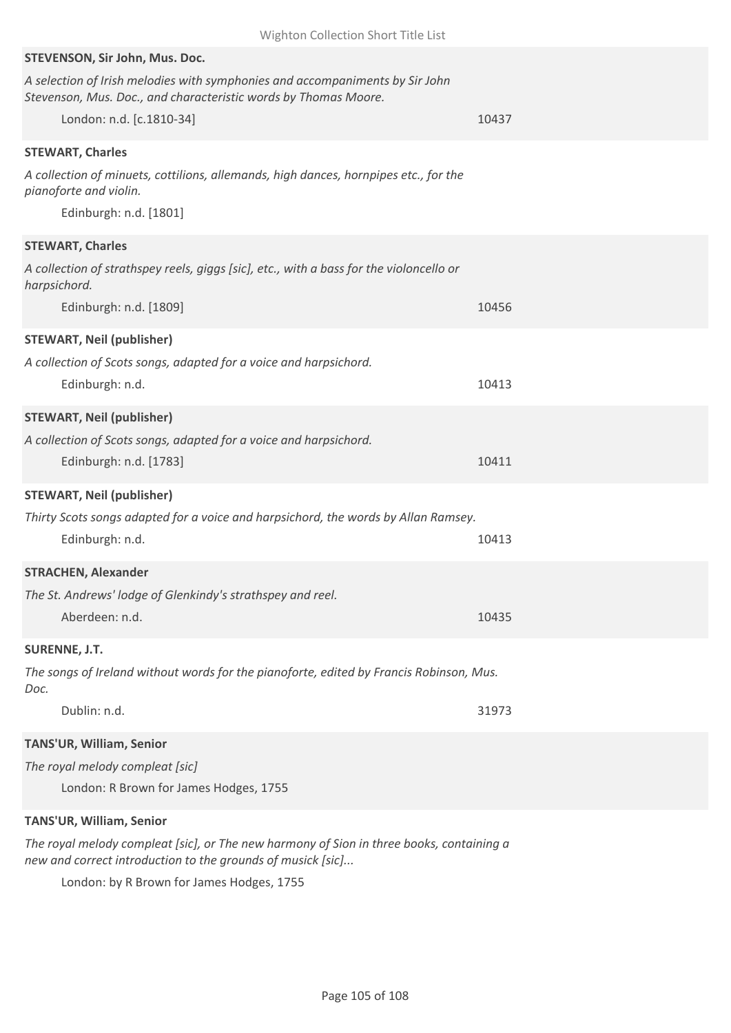| Wighton Collection Short Title List                                                                                                             |       |
|-------------------------------------------------------------------------------------------------------------------------------------------------|-------|
| STEVENSON, Sir John, Mus. Doc.                                                                                                                  |       |
| A selection of Irish melodies with symphonies and accompaniments by Sir John<br>Stevenson, Mus. Doc., and characteristic words by Thomas Moore. |       |
| London: n.d. [c.1810-34]                                                                                                                        | 10437 |
| <b>STEWART, Charles</b>                                                                                                                         |       |
| A collection of minuets, cottilions, allemands, high dances, hornpipes etc., for the<br>pianoforte and violin.                                  |       |
| Edinburgh: n.d. [1801]                                                                                                                          |       |
| <b>STEWART, Charles</b>                                                                                                                         |       |
| A collection of strathspey reels, giggs [sic], etc., with a bass for the violoncello or<br>harpsichord.                                         |       |
| Edinburgh: n.d. [1809]                                                                                                                          | 10456 |
| <b>STEWART, Neil (publisher)</b>                                                                                                                |       |
| A collection of Scots songs, adapted for a voice and harpsichord.                                                                               |       |
| Edinburgh: n.d.                                                                                                                                 | 10413 |
| <b>STEWART, Neil (publisher)</b>                                                                                                                |       |
| A collection of Scots songs, adapted for a voice and harpsichord.                                                                               |       |
| Edinburgh: n.d. [1783]                                                                                                                          | 10411 |
| <b>STEWART, Neil (publisher)</b>                                                                                                                |       |
| Thirty Scots songs adapted for a voice and harpsichord, the words by Allan Ramsey.                                                              |       |
| Edinburgh: n.d.                                                                                                                                 | 10413 |
| <b>STRACHEN, Alexander</b>                                                                                                                      |       |
| The St. Andrews' lodge of Glenkindy's strathspey and reel.                                                                                      |       |
| Aberdeen: n.d.                                                                                                                                  | 10435 |
| <b>SURENNE, J.T.</b>                                                                                                                            |       |
| The songs of Ireland without words for the pianoforte, edited by Francis Robinson, Mus.<br>Doc.                                                 |       |
| Dublin: n.d.                                                                                                                                    | 31973 |
| TANS'UR, William, Senior                                                                                                                        |       |
| The royal melody compleat [sic]                                                                                                                 |       |
| London: R Brown for James Hodges, 1755                                                                                                          |       |
| TANS'UR, William, Senior                                                                                                                        |       |
|                                                                                                                                                 |       |

*The royal melody compleat [sic], or The new harmony of Sion in three books, containing a new and correct introduction to the grounds of musick [sic]...*

London: by R Brown for James Hodges, 1755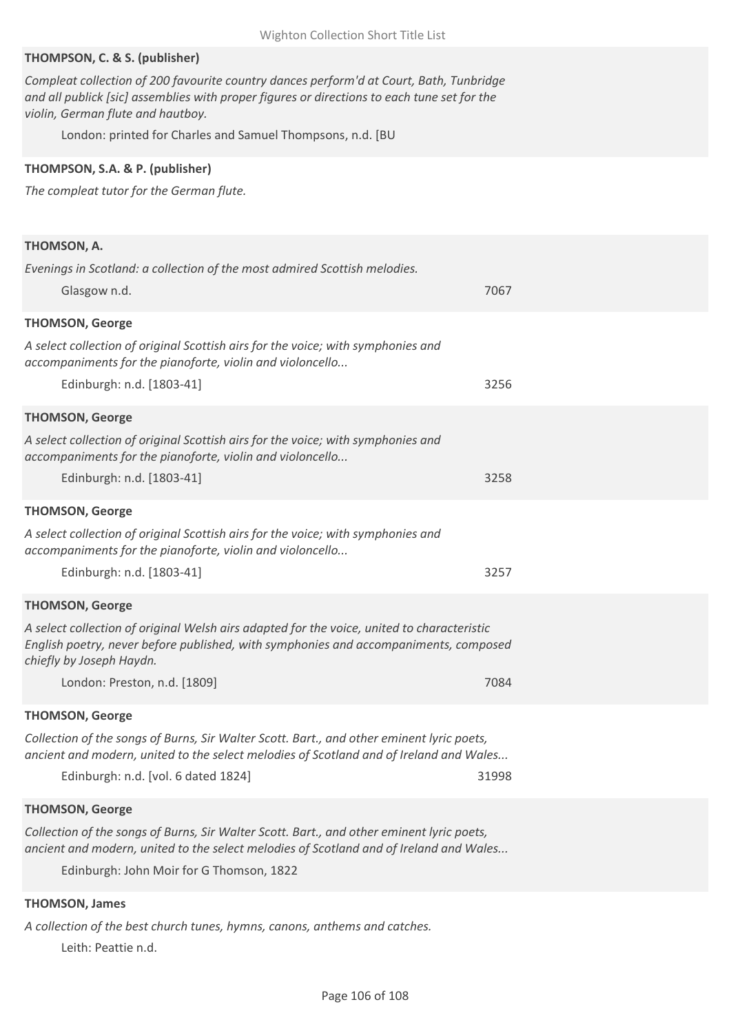### **THOMPSON, C. & S. (publisher)**

*Compleat collection of 200 favourite country dances perform'd at Court, Bath, Tunbridge and all publick [sic] assemblies with proper figures or directions to each tune set for the violin, German flute and hautboy.*

London: printed for Charles and Samuel Thompsons, n.d. [BU

### **THOMPSON, S.A. & P. (publisher)**

*The compleat tutor for the German flute.*

| THOMSON, A.                                                                                                                                                                                                    |       |
|----------------------------------------------------------------------------------------------------------------------------------------------------------------------------------------------------------------|-------|
| Evenings in Scotland: a collection of the most admired Scottish melodies.                                                                                                                                      |       |
| Glasgow n.d.                                                                                                                                                                                                   | 7067  |
| <b>THOMSON, George</b>                                                                                                                                                                                         |       |
| A select collection of original Scottish airs for the voice; with symphonies and<br>accompaniments for the pianoforte, violin and violoncello                                                                  |       |
| Edinburgh: n.d. [1803-41]                                                                                                                                                                                      | 3256  |
| <b>THOMSON, George</b>                                                                                                                                                                                         |       |
| A select collection of original Scottish airs for the voice; with symphonies and<br>accompaniments for the pianoforte, violin and violoncello                                                                  |       |
| Edinburgh: n.d. [1803-41]                                                                                                                                                                                      | 3258  |
| <b>THOMSON, George</b>                                                                                                                                                                                         |       |
| A select collection of original Scottish airs for the voice; with symphonies and<br>accompaniments for the pianoforte, violin and violoncello                                                                  |       |
| Edinburgh: n.d. [1803-41]                                                                                                                                                                                      | 3257  |
| <b>THOMSON, George</b>                                                                                                                                                                                         |       |
| A select collection of original Welsh airs adapted for the voice, united to characteristic<br>English poetry, never before published, with symphonies and accompaniments, composed<br>chiefly by Joseph Haydn. |       |
| London: Preston, n.d. [1809]                                                                                                                                                                                   | 7084  |
| <b>THOMSON, George</b>                                                                                                                                                                                         |       |
| Collection of the songs of Burns, Sir Walter Scott. Bart., and other eminent lyric poets,<br>ancient and modern, united to the select melodies of Scotland and of Ireland and Wales                            |       |
| Edinburgh: n.d. [vol. 6 dated 1824]                                                                                                                                                                            | 31998 |
| <b>THOMSON, George</b>                                                                                                                                                                                         |       |
| Collection of the songs of Burns, Sir Walter Scott. Bart., and other eminent lyric poets,<br>ancient and modern, united to the select melodies of Scotland and of Ireland and Wales                            |       |
| Edinburgh: John Moir for G Thomson, 1822                                                                                                                                                                       |       |
| <b>THOMSON, James</b>                                                                                                                                                                                          |       |

*A collection of the best church tunes, hymns, canons, anthems and catches.* Leith: Peattie n.d.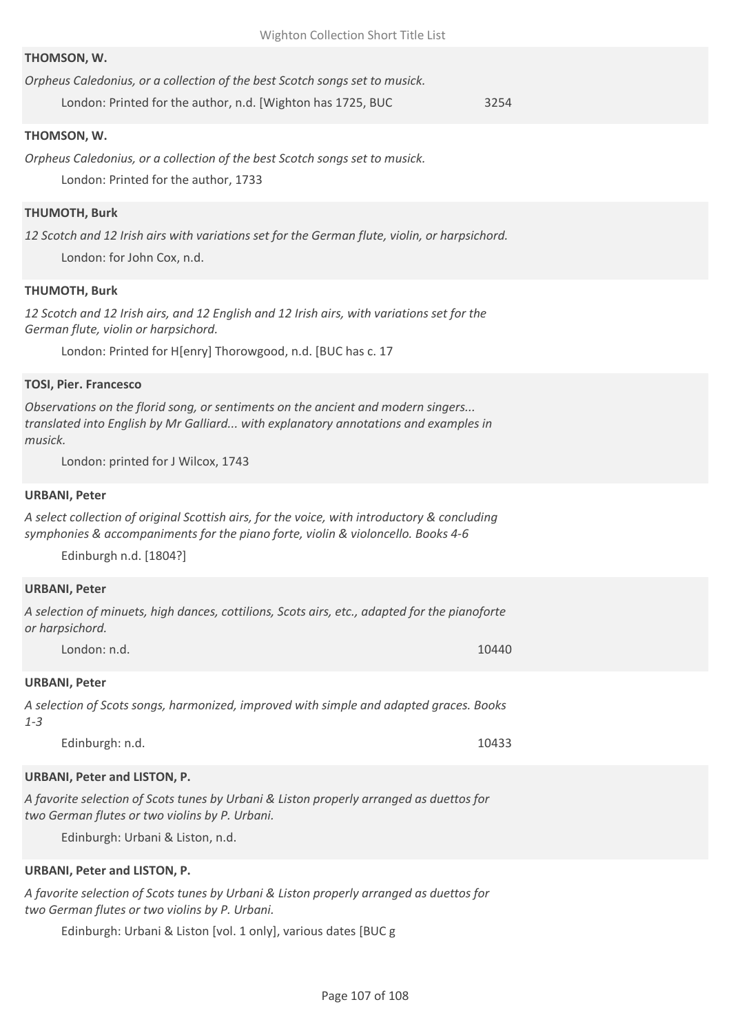### **THOMSON, W.**

| Orpheus Caledonius, or a collection of the best Scotch songs set to musick. |  |  |  |  |
|-----------------------------------------------------------------------------|--|--|--|--|
|                                                                             |  |  |  |  |

London: Printed for the author, n.d. [Wighton has 1725, BUC 3254

### **THOMSON, W.**

*Orpheus Caledonius, or a collection of the best Scotch songs set to musick.* London: Printed for the author, 1733

### **THUMOTH, Burk**

*12 Scotch and 12 Irish airs with variations set for the German flute, violin, or harpsichord.* London: for John Cox, n.d.

### **THUMOTH, Burk**

*12 Scotch and 12 Irish airs, and 12 English and 12 Irish airs, with variations set for the German flute, violin or harpsichord.*

London: Printed for H[enry] Thorowgood, n.d. [BUC has c. 17

#### **TOSI, Pier. Francesco**

*Observations on the florid song, or sentiments on the ancient and modern singers... translated into English by Mr Galliard... with explanatory annotations and examples in musick.*

London: printed for J Wilcox, 1743

#### **URBANI, Peter**

*A select collection of original Scottish airs, for the voice, with introductory & concluding symphonies & accompaniments for the piano forte, violin & violoncello. Books 4-6*

Edinburgh n.d. [1804?]

#### **URBANI, Peter**

*A selection of minuets, high dances, cottilions, Scots airs, etc., adapted for the pianoforte or harpsichord.*

London: n.d. 10440

# **URBANI, Peter**

*A selection of Scots songs, harmonized, improved with simple and adapted graces. Books 1-3*

Edinburgh: n.d. 10433

### **URBANI, Peter and LISTON, P.**

*A favorite selection of Scots tunes by Urbani & Liston properly arranged as duettos for two German flutes or two violins by P. Urbani.*

Edinburgh: Urbani & Liston, n.d.

### **URBANI, Peter and LISTON, P.**

*A favorite selection of Scots tunes by Urbani & Liston properly arranged as duettos for two German flutes or two violins by P. Urbani.*

Edinburgh: Urbani & Liston [vol. 1 only], various dates [BUC g